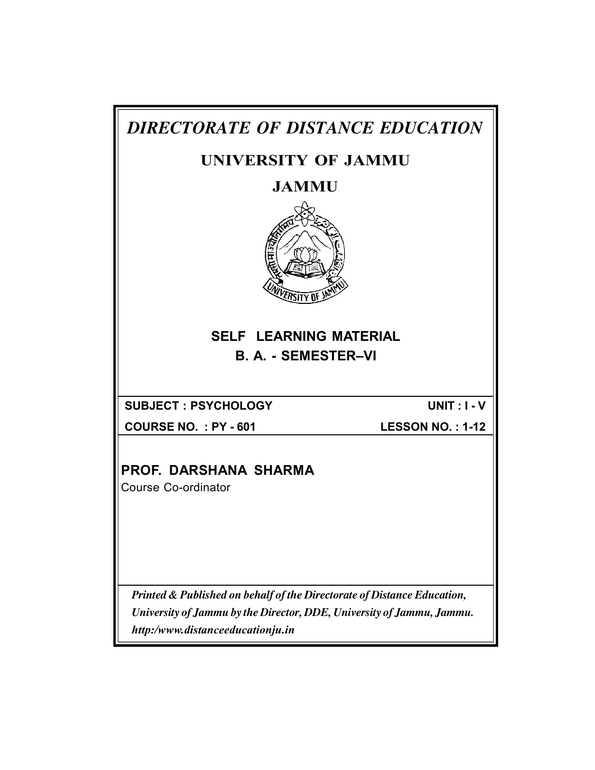| DIRECTORATE OF DISTANCE EDUCATION                                       |                         |  |
|-------------------------------------------------------------------------|-------------------------|--|
| UNIVERSITY OF JAMMU                                                     |                         |  |
| <b>JAMMU</b>                                                            |                         |  |
|                                                                         |                         |  |
| <b>SELF LEARNING MATERIAL</b>                                           |                         |  |
| <b>B. A. - SEMESTER-VI</b>                                              |                         |  |
|                                                                         |                         |  |
| <b>SUBJECT: PSYCHOLOGY</b>                                              | $UNIT:I-V$              |  |
| <b>COURSE NO. : PY - 601</b>                                            | <b>LESSON NO.: 1-12</b> |  |
|                                                                         |                         |  |
| <b>PROF. DARSHANA SHARMA</b><br>Course Co-ordinator                     |                         |  |
| Printed & Published on behalf of the Directorate of Distance Education, |                         |  |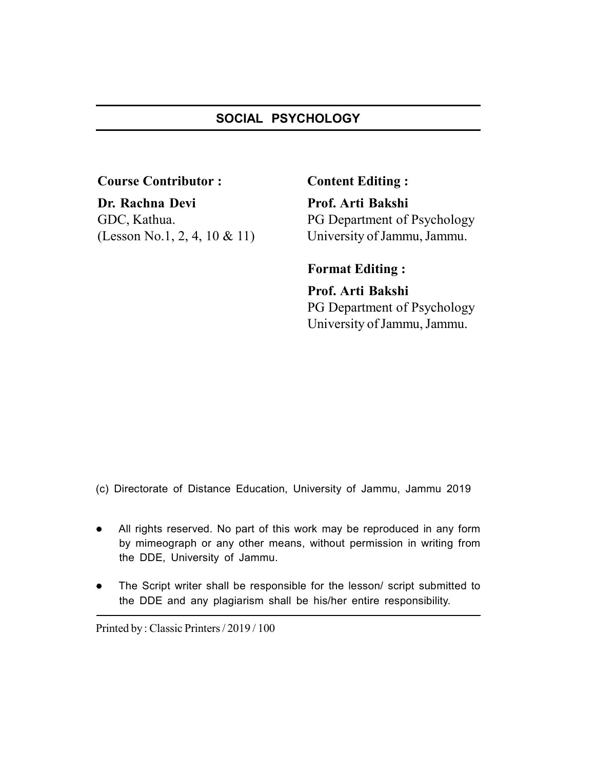# **SOCIAL PSYCHOLOGY**

# **Course Contributor : Content Editing :**

**Dr. Rachna Devi Prof. Arti Bakshi** (Lesson No.1, 2, 4, 10 & 11) University of Jammu, Jammu.

GDC, Kathua. PG Department of Psychology

**Format Editing :**

**Prof. Arti Bakshi** PG Department of Psychology University of Jammu, Jammu.

(c) Directorate of Distance Education, University of Jammu, Jammu 2019

- All rights reserved. No part of this work may be reproduced in any form by mimeograph or any other means, without permission in writing from the DDE, University of Jammu.
- The Script writer shall be responsible for the lesson/ script submitted to the DDE and any plagiarism shall be his/her entire responsibility.

Printed by : Classic Printers / 2019 / 100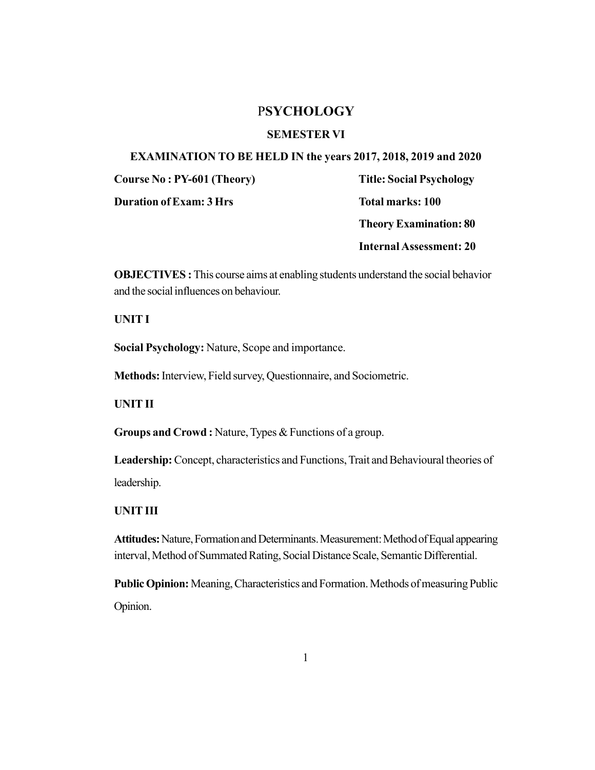#### P**SYCHOLOGY**

#### **SEMESTER VI**

#### **EXAMINATION TO BE HELD IN the years 2017, 2018, 2019 and 2020**

**Course No : PY-601 (Theory) Title: Social Psychology**

**Duration of Exam: 3 Hrs Total marks: 100** 

**Theory Examination: 80**

**Internal Assessment: 20**

**OBJECTIVES :** This course aims at enabling students understand the social behavior and the social influences on behaviour.

**UNIT I**

**Social Psychology:** Nature, Scope and importance.

**Methods:** Interview, Field survey, Questionnaire, and Sociometric.

**UNIT II**

**Groups and Crowd :** Nature, Types & Functions of a group.

Leadership: Concept, characteristics and Functions, Trait and Behavioural theories of leadership.

**UNIT III**

**Attitudes:** Nature, Formation and Determinants. Measurement: Method of Equal appearing interval, Method of Summated Rating, Social Distance Scale, Semantic Differential.

**Public Opinion:** Meaning, Characteristics and Formation. Methods of measuring Public Opinion.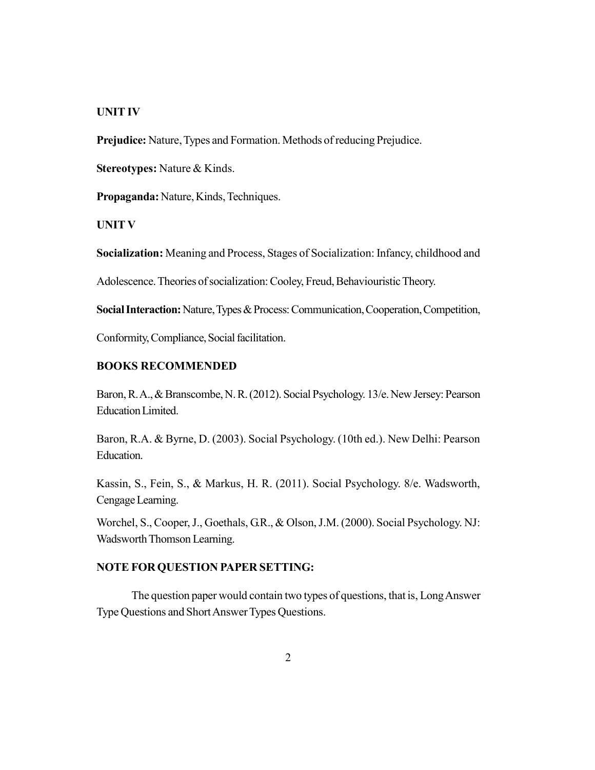#### **UNIT IV**

**Prejudice:** Nature, Types and Formation. Methods of reducing Prejudice.

**Stereotypes:** Nature & Kinds.

**Propaganda:** Nature, Kinds, Techniques.

#### **UNIT V**

**Socialization:** Meaning and Process, Stages of Socialization: Infancy, childhood and

Adolescence. Theories of socialization: Cooley, Freud, Behaviouristic Theory.

**Social Interaction:** Nature, Types & Process: Communication, Cooperation, Competition,

Conformity, Compliance, Social facilitation.

#### **BOOKS RECOMMENDED**

Baron, R. A., & Branscombe, N. R. (2012). Social Psychology. 13/e. New Jersey: Pearson Education Limited.

Baron, R.A. & Byrne, D. (2003). Social Psychology. (10th ed.). New Delhi: Pearson Education.

Kassin, S., Fein, S., & Markus, H. R. (2011). Social Psychology. 8/e. Wadsworth, Cengage Learning.

Worchel, S., Cooper, J., Goethals, G.R., & Olson, J.M. (2000). Social Psychology. NJ: Wadsworth Thomson Learning.

#### **NOTE FOR QUESTION PAPER SETTING:**

The question paper would contain two types of questions, that is, Long Answer Type Questions and Short Answer Types Questions.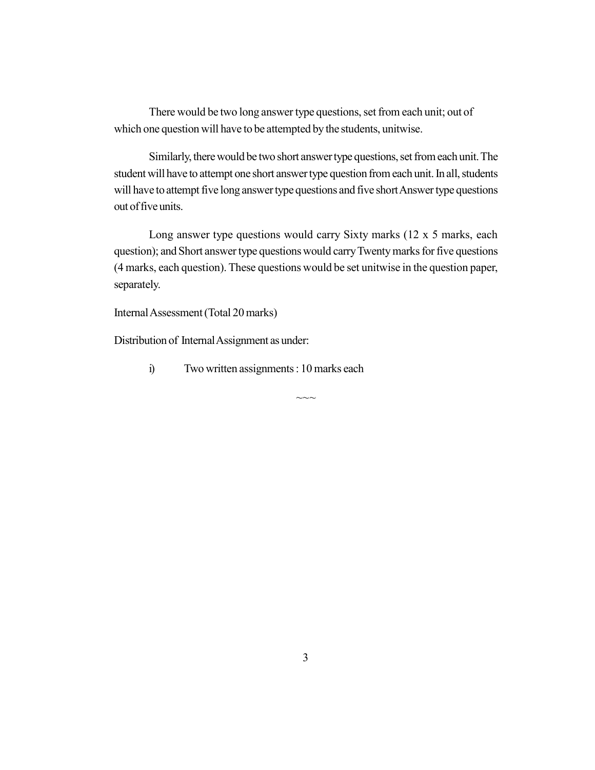There would be two long answer type questions, set from each unit; out of which one question will have to be attempted by the students, unitwise.

Similarly, there would be two short answer type questions, set from each unit. The student will have to attempt one short answer type question from each unit. In all, students will have to attempt five long answer type questions and five short Answer type questions out of five units.

Long answer type questions would carry Sixty marks (12 x 5 marks, each question); and Short answer type questions would carry Twenty marks for five questions (4 marks, each question). These questions would be set unitwise in the question paper, separately.

 $\sim\sim\sim$ 

Internal Assessment (Total 20 marks)

Distribution of Internal Assignment as under:

i) Two written assignments : 10 marks each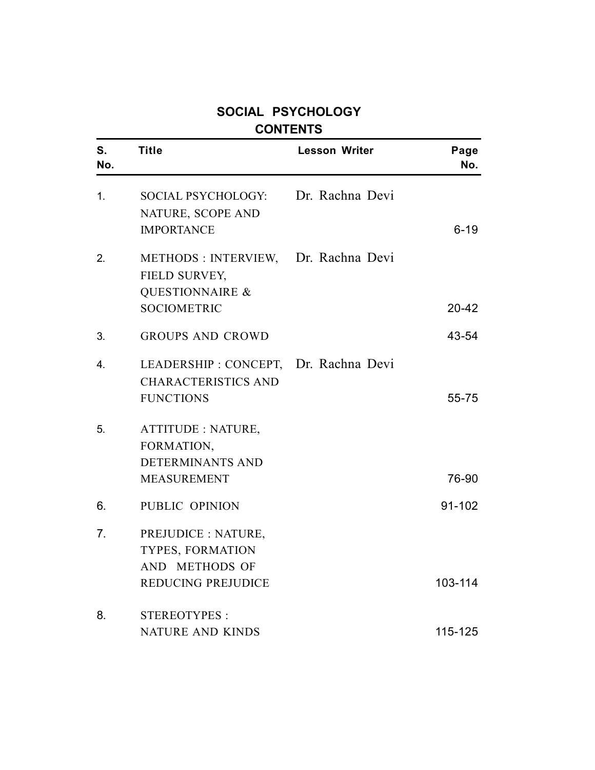| S.<br>No.      | <b>Title</b>                                                                            | <b>Lesson Writer</b> | Page<br>No. |
|----------------|-----------------------------------------------------------------------------------------|----------------------|-------------|
| 1 <sub>1</sub> | SOCIAL PSYCHOLOGY: Dr. Rachna Devi<br>NATURE, SCOPE AND<br><b>IMPORTANCE</b>            |                      | $6 - 19$    |
| 2.             | METHODS : INTERVIEW, Dr. Rachna Devi<br>FIELD SURVEY,<br><b>QUESTIONNAIRE &amp;</b>     |                      |             |
|                | <b>SOCIOMETRIC</b>                                                                      |                      | 20-42       |
| 3.             | <b>GROUPS AND CROWD</b>                                                                 |                      | 43-54       |
| 4.             | LEADERSHIP : CONCEPT, Dr. Rachna Devi<br><b>CHARACTERISTICS AND</b><br><b>FUNCTIONS</b> |                      | 55-75       |
| 5.             | <b>ATTITUDE: NATURE,</b><br>FORMATION,<br>DETERMINANTS AND<br><b>MEASUREMENT</b>        |                      | 76-90       |
| 6.             | PUBLIC OPINION                                                                          |                      | 91-102      |
| 7 <sub>1</sub> | PREJUDICE : NATURE,<br>TYPES, FORMATION<br>AND METHODS OF<br><b>REDUCING PREJUDICE</b>  |                      | 103-114     |
| 8.             | <b>STEREOTYPES:</b><br>NATURE AND KINDS                                                 |                      | 115-125     |

# **SOCIAL PSYCHOLOGY CONTENTS**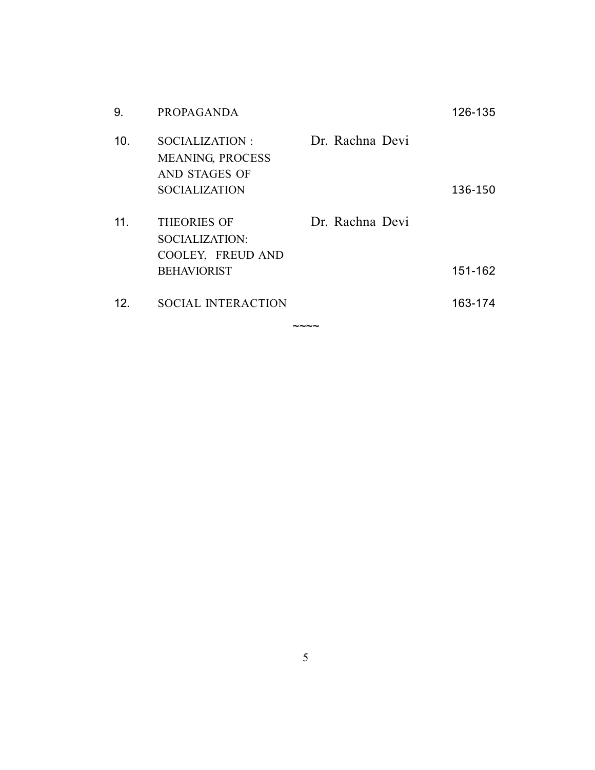| 9.              | <b>PROPAGANDA</b>                                                                      |                 | 126-135 |
|-----------------|----------------------------------------------------------------------------------------|-----------------|---------|
| 10 <sub>1</sub> | SOCIALIZATION:<br><b>MEANING, PROCESS</b><br>AND STAGES OF<br><b>SOCIALIZATION</b>     | Dr. Rachna Devi | 136-150 |
| 11.             | <b>THEORIES OF</b><br><b>SOCIALIZATION:</b><br>COOLEY, FREUD AND<br><b>BEHAVIORIST</b> | Dr. Rachna Devi | 151-162 |
| 12.             | <b>SOCIAL INTERACTION</b>                                                              |                 | 163-174 |
|                 |                                                                                        |                 |         |

 $\sim\sim\sim\sim$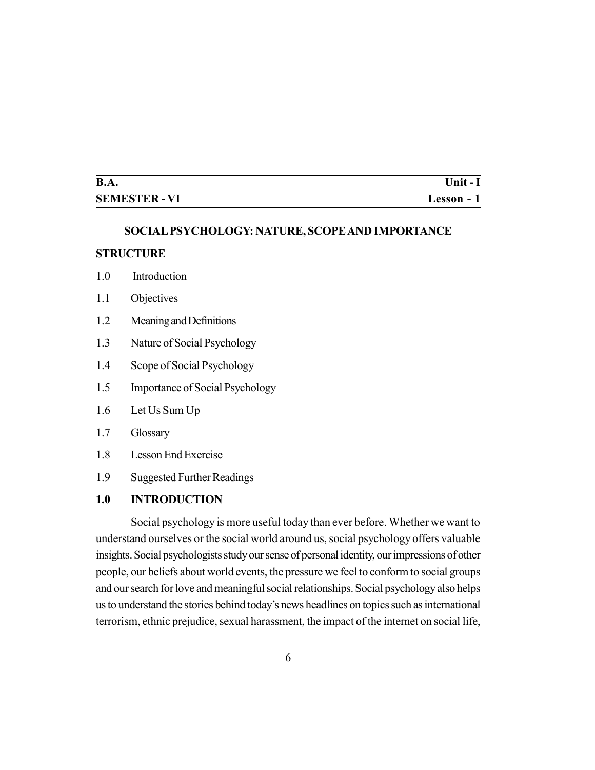| <b>B.A.</b>          | Unit - I   |
|----------------------|------------|
| <b>SEMESTER - VI</b> | Lesson - 1 |

#### **SOCIAL PSYCHOLOGY: NATURE, SCOPE AND IMPORTANCE**

#### **STRUCTURE**

- 1.0 Introduction
- 1.1 Objectives
- 1.2 Meaning and Definitions
- 1.3 Nature of Social Psychology
- 1.4 Scope of Social Psychology
- 1.5 Importance of Social Psychology
- 1.6 Let Us Sum Up
- 1.7 Glossary
- 1.8 Lesson End Exercise
- 1.9 Suggested Further Readings

#### **1.0 INTRODUCTION**

Social psychology is more useful today than ever before. Whether we want to understand ourselves or the social world around us, social psychology offers valuable insights. Social psychologists study our sense of personal identity, our impressions of other people, our beliefs about world events, the pressure we feel to conform to social groups and our search for love and meaningful social relationships. Social psychology also helps us to understand the stories behind today's news headlines on topics such as international terrorism, ethnic prejudice, sexual harassment, the impact of the internet on social life,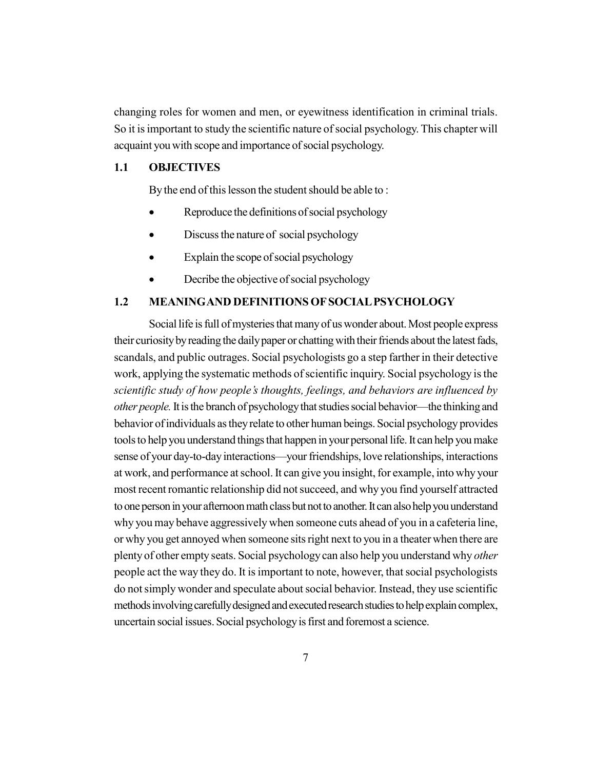changing roles for women and men, or eyewitness identification in criminal trials. So it is important to study the scientific nature of social psychology. This chapter will acquaint you with scope and importance of social psychology.

#### **1.1 OBJECTIVES**

By the end of this lesson the student should be able to :

- Reproduce the definitions of social psychology
- Discuss the nature of social psychology
- Explain the scope of social psychology
- Decribe the objective of social psychology

#### **1.2 MEANING AND DEFINITIONS OF SOCIAL PSYCHOLOGY**

Social life is full of mysteries that many of us wonder about. Most people express their curiosity by reading the daily paper or chatting with their friends about the latest fads, scandals, and public outrages. Social psychologists go a step farther in their detective work, applying the systematic methods of scientific inquiry. Social psychology is the *scientific study of how people's thoughts, feelings, and behaviors are influenced by other people.* It is the branch of psychology that studies social behavior—the thinking and behavior of individuals as they relate to other human beings. Social psychology provides tools to help you understand things that happen in your personal life. It can help you make sense of your day-to-day interactions—your friendships, love relationships, interactions at work, and performance at school. It can give you insight, for example, into why your most recent romantic relationship did not succeed, and why you find yourself attracted to one person in your afternoon math class but not to another. It can also help you understand why you may behave aggressively when someone cuts ahead of you in a cafeteria line, or why you get annoyed when someone sits right next to you in a theater when there are plenty of other empty seats. Social psychology can also help you understand why *other* people act the way they do. It is important to note, however, that social psychologists do not simply wonder and speculate about social behavior. Instead, they use scientific methods involving carefully designed and executed research studies to help explain complex, uncertain social issues. Social psychology is first and foremost a science.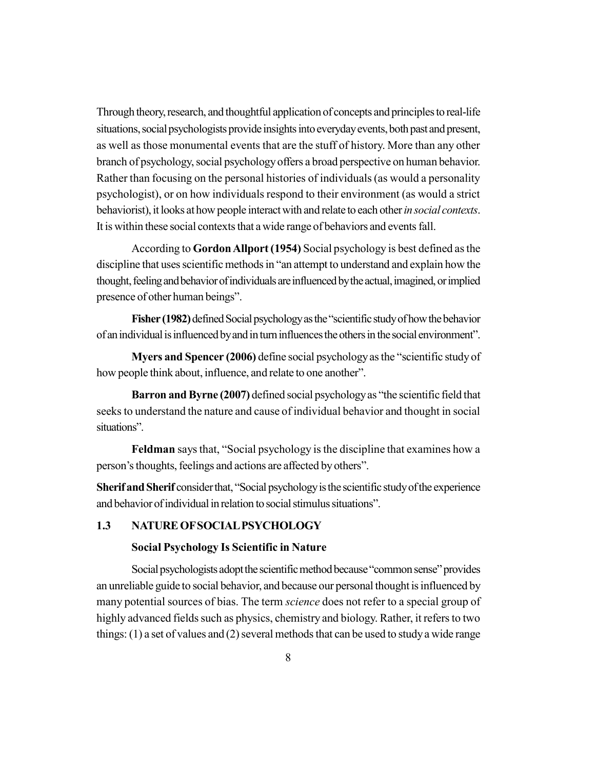Through theory, research, and thoughtful application of concepts and principles to real-life situations, social psychologists provide insights into everyday events, both past and present, as well as those monumental events that are the stuff of history. More than any other branch of psychology, social psychology offers a broad perspective on human behavior. Rather than focusing on the personal histories of individuals (as would a personality psychologist), or on how individuals respond to their environment (as would a strict behaviorist), it looks at how people interact with and relate to each other *in social contexts*. It is within these social contexts that a wide range of behaviors and events fall.

According to **Gordon Allport (1954)** Social psychology is best defined as the discipline that uses scientific methods in "an attempt to understand and explain how the thought, feeling and behavior of individuals are influenced by the actual, imagined, or implied presence of other human beings".

**Fisher (1982)** defined Social psychology as the "scientific study of how the behavior of an individual is influenced by and in turn influences the others in the social environment".

**Myers and Spencer (2006)** define social psychology as the "scientific study of how people think about, influence, and relate to one another".

**Barron and Byrne (2007)** defined social psychology as "the scientific field that seeks to understand the nature and cause of individual behavior and thought in social situations".

**Feldman** says that, "Social psychology is the discipline that examines how a person's thoughts, feelings and actions are affected by others".

**Sherif and Sherif** consider that, "Social psychology is the scientific study of the experience and behavior of individual in relation to social stimulus situations".

# **1.3 NATURE OF SOCIAL PSYCHOLOGY**

#### **Social Psychology Is Scientific in Nature**

Social psychologists adopt the scientific method because "common sense" provides an unreliable guide to social behavior, and because our personal thought is influenced by many potential sources of bias. The term *science* does not refer to a special group of highly advanced fields such as physics, chemistry and biology. Rather, it refers to two things: (1) a set of values and (2) several methods that can be used to study a wide range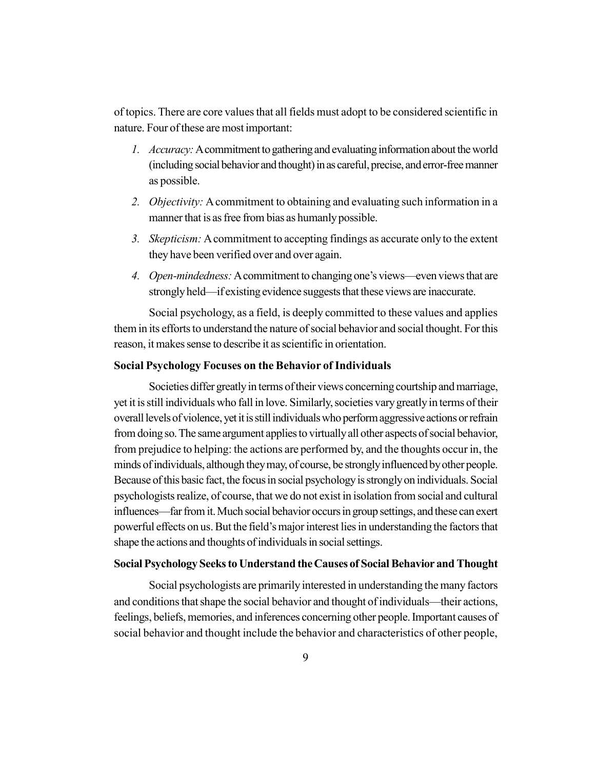of topics. There are core values that all fields must adopt to be considered scientific in nature. Four of these are most important:

- *1. Accuracy:* A commitment to gathering and evaluating information about the world (including social behavior and thought) in as careful, precise, and error-free manner as possible.
- *2. Objectivity:* A commitment to obtaining and evaluating such information in a manner that is as free from bias as humanly possible.
- *3. Skepticism:* A commitment to accepting findings as accurate only to the extent they have been verified over and over again.
- *4. Open-mindedness:* A commitment to changing one's views—even views that are strongly held—if existing evidence suggests that these views are inaccurate.

Social psychology, as a field, is deeply committed to these values and applies them in its efforts to understand the nature of social behavior and social thought. For this reason, it makes sense to describe it as scientific in orientation.

#### **Social Psychology Focuses on the Behavior of Individuals**

Societies differ greatly in terms of their views concerning courtship and marriage, yet it is still individuals who fall in love. Similarly, societies vary greatly in terms of their overall levels of violence, yet it is still individuals who perform aggressive actions or refrain from doing so. The same argument applies to virtually all other aspects of social behavior, from prejudice to helping: the actions are performed by, and the thoughts occur in, the minds of individuals, although they may, of course, be strongly influenced by other people. Because of this basic fact, the focus in social psychology is strongly on individuals. Social psychologists realize, of course, that we do not exist in isolation from social and cultural influences—far from it. Much social behavior occurs in group settings, and these can exert powerful effects on us. But the field's major interest lies in understanding the factors that shape the actions and thoughts of individuals in social settings.

#### **Social Psychology Seeks to Understand the Causes of Social Behavior and Thought**

Social psychologists are primarily interested in understanding the many factors and conditions that shape the social behavior and thought of individuals—their actions, feelings, beliefs, memories, and inferences concerning other people. Important causes of social behavior and thought include the behavior and characteristics of other people,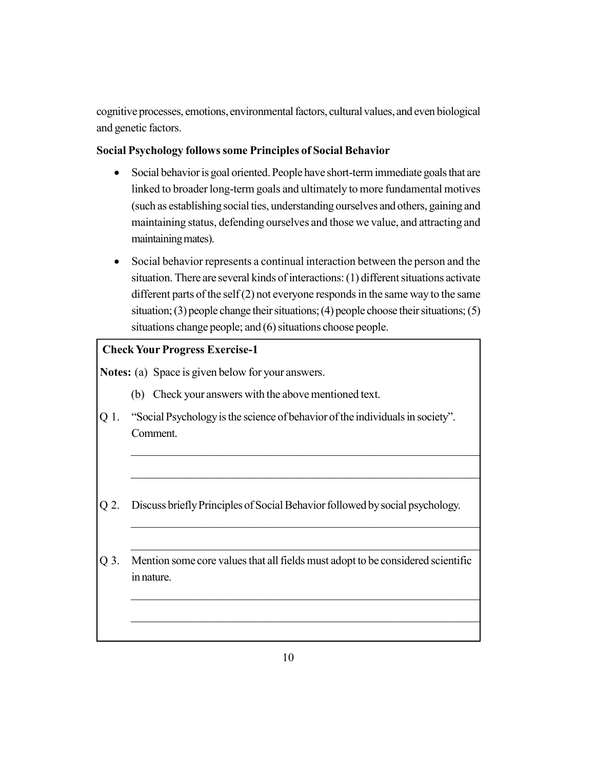cognitive processes, emotions, environmental factors, cultural values, and even biological and genetic factors.

# **Social Psychology follows some Principles of Social Behavior**

- Social behavior is goal oriented. People have short-term immediate goals that are linked to broader long-term goals and ultimately to more fundamental motives (such as establishing social ties, understanding ourselves and others, gaining and maintaining status, defending ourselves and those we value, and attracting and maintaining mates).
- Social behavior represents a continual interaction between the person and the situation. There are several kinds of interactions: (1) different situations activate different parts of the self (2) not everyone responds in the same way to the same situation; (3) people change their situations; (4) people choose their situations; (5) situations change people; and (6) situations choose people.

# **Check Your Progress Exercise-1**

 **Notes:** (a) Space is given below for your answers.

- (b) Check your answers with the above mentioned text.
- Q 1. "Social Psychology is the science of behavior of the individuals in society". Comment.

\_\_\_\_\_\_\_\_\_\_\_\_\_\_\_\_\_\_\_\_\_\_\_\_\_\_\_\_\_\_\_\_\_\_\_\_\_\_\_\_\_\_\_\_\_\_\_\_\_\_\_\_\_\_\_\_\_\_\_\_

\_\_\_\_\_\_\_\_\_\_\_\_\_\_\_\_\_\_\_\_\_\_\_\_\_\_\_\_\_\_\_\_\_\_\_\_\_\_\_\_\_\_\_\_\_\_\_\_\_\_\_\_\_\_\_\_\_\_\_\_

\_\_\_\_\_\_\_\_\_\_\_\_\_\_\_\_\_\_\_\_\_\_\_\_\_\_\_\_\_\_\_\_\_\_\_\_\_\_\_\_\_\_\_\_\_\_\_\_\_\_\_\_\_\_\_\_\_\_\_\_

\_\_\_\_\_\_\_\_\_\_\_\_\_\_\_\_\_\_\_\_\_\_\_\_\_\_\_\_\_\_\_\_\_\_\_\_\_\_\_\_\_\_\_\_\_\_\_\_\_\_\_\_\_\_\_\_\_\_\_\_

\_\_\_\_\_\_\_\_\_\_\_\_\_\_\_\_\_\_\_\_\_\_\_\_\_\_\_\_\_\_\_\_\_\_\_\_\_\_\_\_\_\_\_\_\_\_\_\_\_\_\_\_\_\_\_\_\_\_\_\_

\_\_\_\_\_\_\_\_\_\_\_\_\_\_\_\_\_\_\_\_\_\_\_\_\_\_\_\_\_\_\_\_\_\_\_\_\_\_\_\_\_\_\_\_\_\_\_\_\_\_\_\_\_\_\_\_\_\_\_\_

- Q 2. Discuss briefly Principles of Social Behavior followed by social psychology.
- Q 3. Mention some core values that all fields must adopt to be considered scientific in nature.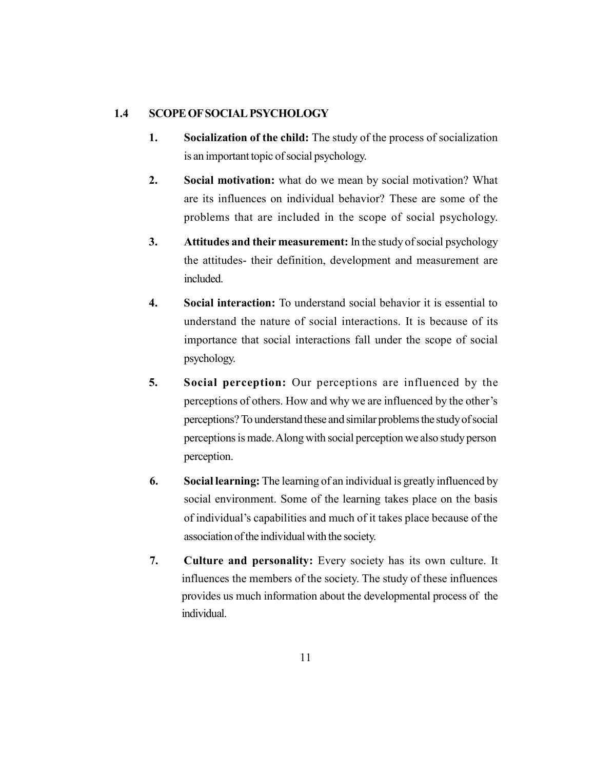#### **1.4 SCOPE OF SOCIAL PSYCHOLOGY**

- **1. Socialization of the child:** The study of the process of socialization is an important topic of social psychology.
- **2. Social motivation:** what do we mean by social motivation? What are its influences on individual behavior? These are some of the problems that are included in the scope of social psychology.
- **3. Attitudes and their measurement:** In the study of social psychology the attitudes- their definition, development and measurement are included.
- **4. Social interaction:** To understand social behavior it is essential to understand the nature of social interactions. It is because of its importance that social interactions fall under the scope of social psychology.
- **5. Social perception:** Our perceptions are influenced by the perceptions of others. How and why we are influenced by the other's perceptions? To understand these and similar problems the study of social perceptions is made. Along with social perception we also study person perception.
- **6. Social learning:** The learning of an individual is greatly influenced by social environment. Some of the learning takes place on the basis of individual's capabilities and much of it takes place because of the association of the individual with the society.
- **7. Culture and personality:** Every society has its own culture. It influences the members of the society. The study of these influences provides us much information about the developmental process of the individual.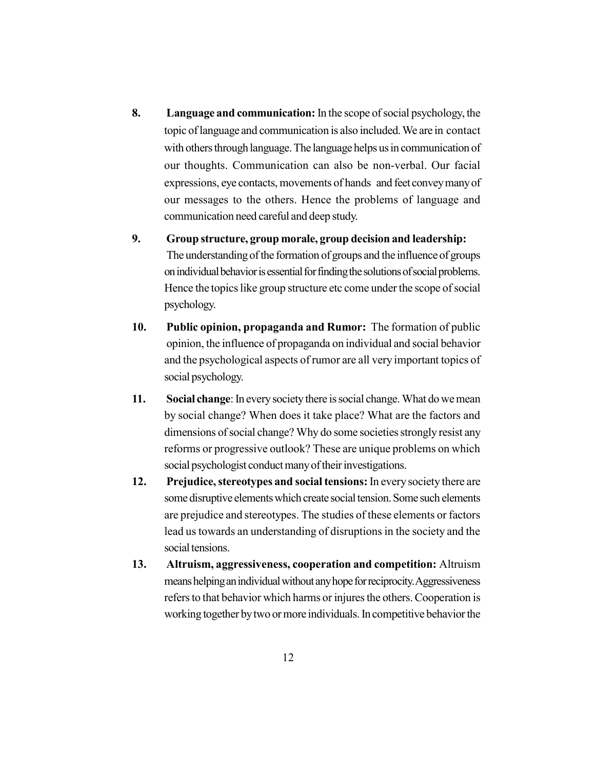- **8. Language and communication:** In the scope of social psychology, the topic of language and communication is also included. We are in contact with others through language. The language helps us in communication of our thoughts. Communication can also be non-verbal. Our facial expressions, eye contacts, movements of hands and feet convey many of our messages to the others. Hence the problems of language and communication need careful and deep study.
- **9. Group structure, group morale, group decision and leadership:** The understanding of the formation of groups and the influence of groups on individual behavior is essential for finding the solutions of social problems. Hence the topics like group structure etc come under the scope of social psychology.
- **10. Public opinion, propaganda and Rumor:** The formation of public opinion, the influence of propaganda on individual and social behavior and the psychological aspects of rumor are all very important topics of social psychology.
- **11. Social change**: In every society there is social change. What do we mean by social change? When does it take place? What are the factors and dimensions of social change? Why do some societies strongly resist any reforms or progressive outlook? These are unique problems on which social psychologist conduct many of their investigations.
- **12. Prejudice, stereotypes and social tensions:** In every society there are some disruptive elements which create social tension. Some such elements are prejudice and stereotypes. The studies of these elements or factors lead us towards an understanding of disruptions in the society and the social tensions.
- **13. Altruism, aggressiveness, cooperation and competition:** Altruism means helping an individual without any hope for reciprocity. Aggressiveness refers to that behavior which harms or injures the others. Cooperation is working together by two or more individuals. In competitive behavior the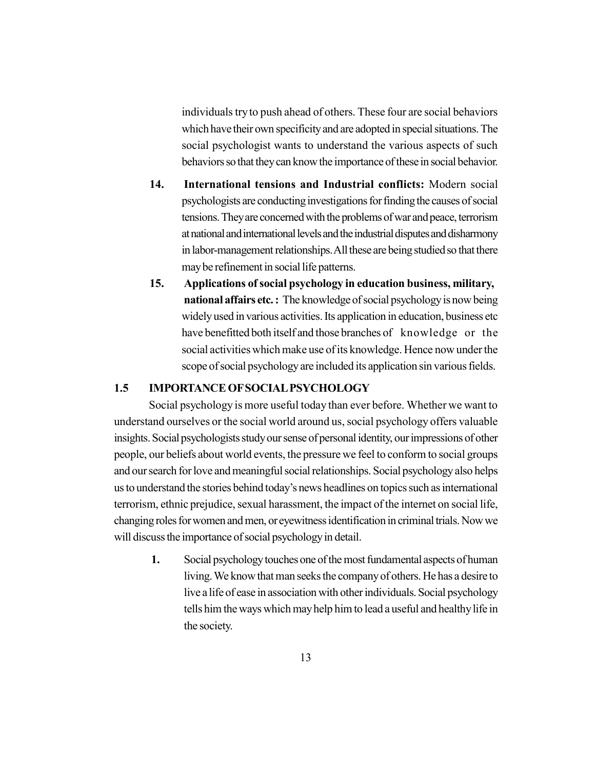individuals try to push ahead of others. These four are social behaviors which have their own specificity and are adopted in special situations. The social psychologist wants to understand the various aspects of such behaviors so that they can know the importance of these in social behavior.

- **14. International tensions and Industrial conflicts:** Modern social psychologists are conducting investigations for finding the causes of social tensions. They are concerned with the problems of war and peace, terrorism at national and international levels and the industrial disputes and disharmony in labor-management relationships. All these are being studied so that there may be refinement in social life patterns.
- **15. Applications of social psychology in education business, military, national affairs etc. :** The knowledge of social psychology is now being widely used in various activities. Its application in education, business etc. have benefitted both itself and those branches of knowledge or the social activities which make use of its knowledge. Hence now under the scope of social psychology are included its application sin various fields.

#### **1.5 IMPORTANCE OF SOCIAL PSYCHOLOGY**

Social psychology is more useful today than ever before. Whether we want to understand ourselves or the social world around us, social psychology offers valuable insights. Social psychologists study our sense of personal identity, our impressions of other people, our beliefs about world events, the pressure we feel to conform to social groups and our search for love and meaningful social relationships. Social psychology also helps us to understand the stories behind today's news headlines on topics such as international terrorism, ethnic prejudice, sexual harassment, the impact of the internet on social life, changing roles for women and men, or eyewitness identification in criminal trials. Now we will discuss the importance of social psychology in detail.

**1.** Social psychology touches one of the most fundamental aspects of human living. We know that man seeks the company of others. He has a desire to live a life of ease in association with other individuals. Social psychology tells him the ways which may help him to lead a useful and healthy life in the society.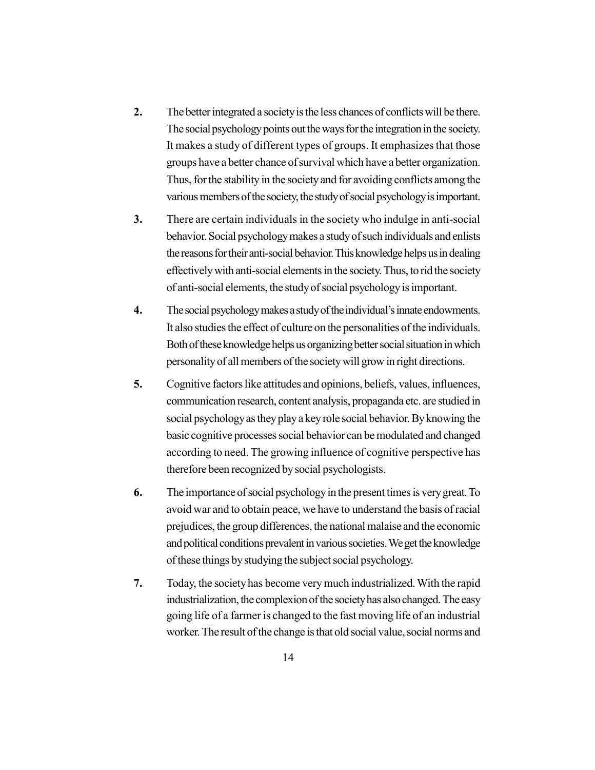- **2.** The better integrated a society is the less chances of conflicts will be there. The social psychology points out the ways for the integration in the society. It makes a study of different types of groups. It emphasizes that those groups have a better chance of survival which have a better organization. Thus, for the stability in the society and for avoiding conflicts among the various members of the society, the study of social psychology is important.
- **3.** There are certain individuals in the society who indulge in anti-social behavior. Social psychology makes a study of such individuals and enlists the reasons for their anti-social behavior. This knowledge helps us in dealing effectively with anti-social elements in the society. Thus, to rid the society of anti-social elements, the study of social psychology is important.
- **4.** The social psychology makes a study of the individual's innate endowments. It also studies the effect of culture on the personalities of the individuals. Both of these knowledge helps us organizing better social situation in which personality of all members of the society will grow in right directions.
- **5.** Cognitive factors like attitudes and opinions, beliefs, values, influences, communication research, content analysis, propaganda etc. are studied in social psychology as they play a key role social behavior. By knowing the basic cognitive processes social behavior can be modulated and changed according to need. The growing influence of cognitive perspective has therefore been recognized by social psychologists.
- **6.** The importance of social psychology in the present times is very great. To avoid war and to obtain peace, we have to understand the basis of racial prejudices, the group differences, the national malaise and the economic and political conditions prevalent in various societies. We get the knowledge of these things by studying the subject social psychology.
- **7.** Today, the society has become very much industrialized. With the rapid industrialization, the complexion of the society has also changed. The easy going life of a farmer is changed to the fast moving life of an industrial worker. The result of the change is that old social value, social norms and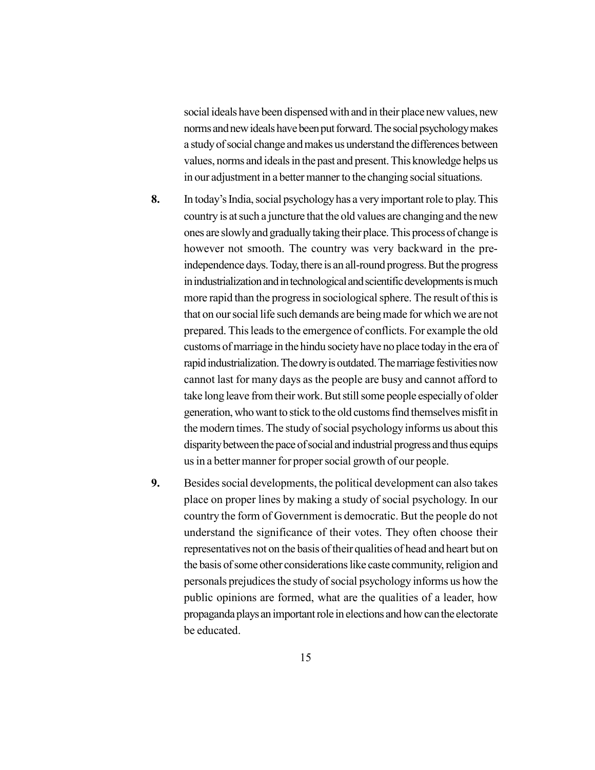social ideals have been dispensed with and in their place new values, new norms and new ideals have been put forward. The social psychology makes a study of social change and makes us understand the differences between values, norms and ideals in the past and present. This knowledge helps us in our adjustment in a better manner to the changing social situations.

- **8.** In today's India, social psychology has a very important role to play. This country is at such a juncture that the old values are changing and the new ones are slowly and gradually taking their place. This process of change is however not smooth. The country was very backward in the preindependence days. Today, there is an all-round progress. But the progress in industrialization and in technological and scientific developments is much more rapid than the progress in sociological sphere. The result of this is that on our social life such demands are being made for which we are not prepared. This leads to the emergence of conflicts. For example the old customs of marriage in the hindu society have no place today in the era of rapid industrialization. The dowry is outdated. The marriage festivities now cannot last for many days as the people are busy and cannot afford to take long leave from their work. But still some people especially of older generation, who want to stick to the old customs find themselves misfit in the modern times. The study of social psychology informs us about this disparity between the pace of social and industrial progress and thus equips us in a better manner for proper social growth of our people.
- **9.** Besides social developments, the political development can also takes place on proper lines by making a study of social psychology. In our country the form of Government is democratic. But the people do not understand the significance of their votes. They often choose their representatives not on the basis of their qualities of head and heart but on the basis of some other considerations like caste community, religion and personals prejudices the study of social psychology informs us how the public opinions are formed, what are the qualities of a leader, how propaganda plays an important role in elections and how can the electorate be educated.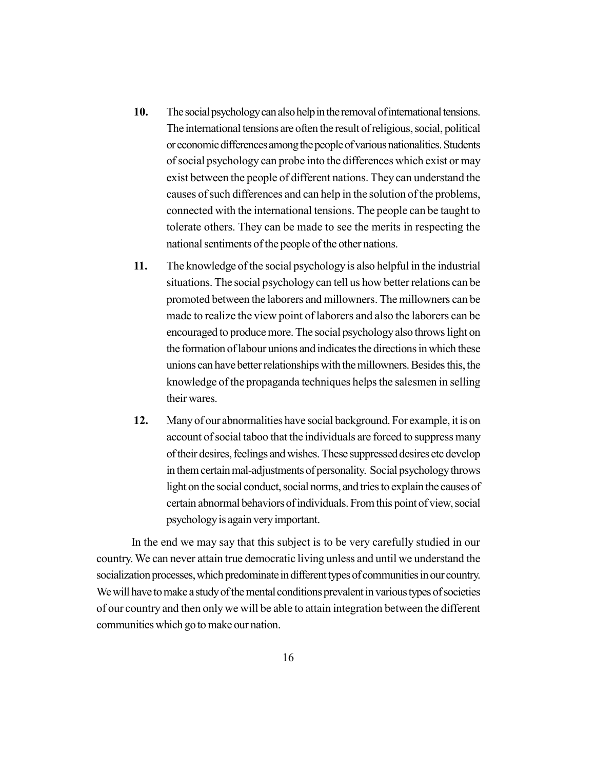- **10.** The social psychology can also help in the removal of international tensions. The international tensions are often the result of religious, social, political or economic differences among the people of various nationalities. Students of social psychology can probe into the differences which exist or may exist between the people of different nations. They can understand the causes of such differences and can help in the solution of the problems, connected with the international tensions. The people can be taught to tolerate others. They can be made to see the merits in respecting the national sentiments of the people of the other nations.
- **11.** The knowledge of the social psychology is also helpful in the industrial situations. The social psychology can tell us how better relations can be promoted between the laborers and millowners. The millowners can be made to realize the view point of laborers and also the laborers can be encouraged to produce more. The social psychology also throws light on the formation of labour unions and indicates the directions in which these unions can have better relationships with the millowners. Besides this, the knowledge of the propaganda techniques helps the salesmen in selling their wares.
- **12.** Many of our abnormalities have social background. For example, it is on account of social taboo that the individuals are forced to suppress many of their desires, feelings and wishes. These suppressed desires etc develop in them certain mal-adjustments of personality. Social psychology throws light on the social conduct, social norms, and tries to explain the causes of certain abnormal behaviors of individuals. From this point of view, social psychology is again very important.

In the end we may say that this subject is to be very carefully studied in our country. We can never attain true democratic living unless and until we understand the socialization processes, which predominate in different types of communities in our country. We will have to make a study of the mental conditions prevalent in various types of societies of our country and then only we will be able to attain integration between the different communities which go to make our nation.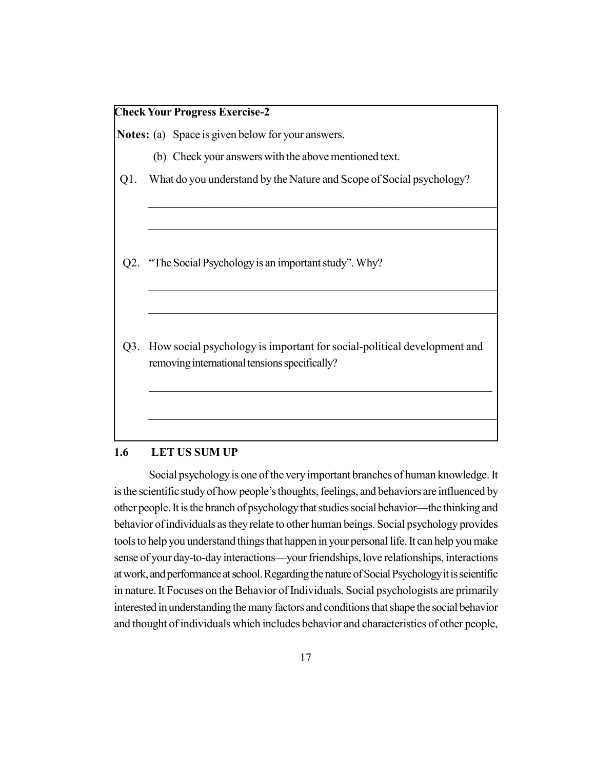### **Check Your Progress Exercise-2**

**Notes:** (a) Space is given below for your answers.

- (b) Check your answers with the above mentioned text.
- Q1. What do you understand by the Nature and Scope of Social psychology?

\_\_\_\_\_\_\_\_\_\_\_\_\_\_\_\_\_\_\_\_\_\_\_\_\_\_\_\_\_\_\_\_\_\_\_\_\_\_\_\_\_\_\_\_\_\_\_\_\_\_\_\_\_\_\_\_\_\_\_\_

\_\_\_\_\_\_\_\_\_\_\_\_\_\_\_\_\_\_\_\_\_\_\_\_\_\_\_\_\_\_\_\_\_\_\_\_\_\_\_\_\_\_\_\_\_\_\_\_\_\_\_\_\_\_\_\_\_\_\_\_

\_\_\_\_\_\_\_\_\_\_\_\_\_\_\_\_\_\_\_\_\_\_\_\_\_\_\_\_\_\_\_\_\_\_\_\_\_\_\_\_\_\_\_\_\_\_\_\_\_\_\_\_\_\_\_\_\_\_\_\_

\_\_\_\_\_\_\_\_\_\_\_\_\_\_\_\_\_\_\_\_\_\_\_\_\_\_\_\_\_\_\_\_\_\_\_\_\_\_\_\_\_\_\_\_\_\_\_\_\_\_\_\_\_\_\_\_\_\_\_\_

\_\_\_\_\_\_\_\_\_\_\_\_\_\_\_\_\_\_\_\_\_\_\_\_\_\_\_\_\_\_\_\_\_\_\_\_\_\_\_\_\_\_\_\_\_\_\_\_\_\_\_\_\_\_\_\_\_\_\_

\_\_\_\_\_\_\_\_\_\_\_\_\_\_\_\_\_\_\_\_\_\_\_\_\_\_\_\_\_\_\_\_\_\_\_\_\_\_\_\_\_\_\_\_\_\_\_\_\_\_\_\_\_\_\_\_\_\_\_\_

- Q2. "The Social Psychology is an important study". Why?
- Q3. How social psychology is important for social-political development and removing international tensions specifically?

#### **1.6 LET US SUM UP**

Social psychology is one of the very important branches of human knowledge. It is the scientific study of how people's thoughts, feelings, and behaviors are influenced by other people. It is the branch of psychology that studies social behavior—the thinking and behavior of individuals as they relate to other human beings. Social psychology provides tools to help you understand things that happen in your personal life. It can help you make sense of your day-to-day interactions—your friendships, love relationships, interactions at work, and performance at school. Regarding the nature of Social Psychology it is scientific in nature. It Focuses on the Behavior of Individuals. Social psychologists are primarily interested in understanding the many factors and conditions that shape the social behavior and thought of individuals which includes behavior and characteristics of other people,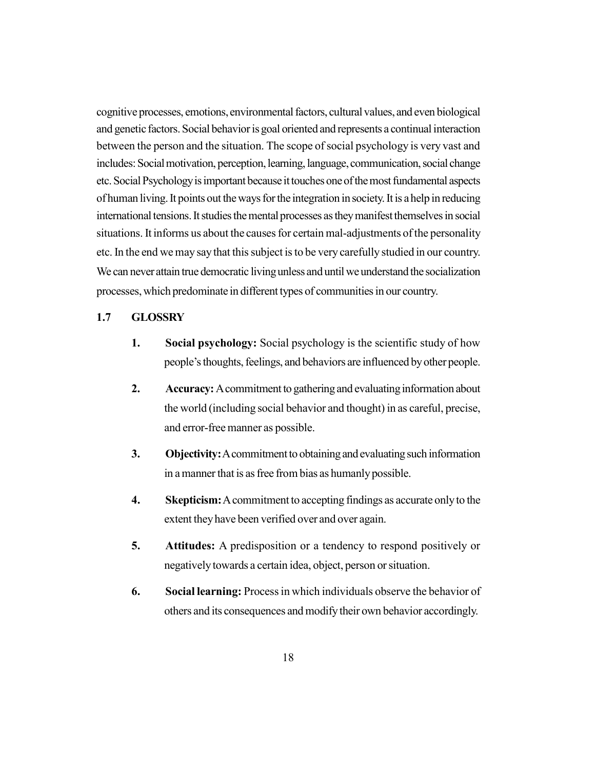cognitive processes, emotions, environmental factors, cultural values, and even biological and genetic factors. Social behavior is goal oriented and represents a continual interaction between the person and the situation. The scope of social psychology is very vast and includes: Social motivation, perception, learning, language, communication, social change etc. Social Psychology is important because it touches one of the most fundamental aspects of human living. It points out the ways for the integration in society. It is a help in reducing international tensions. It studies the mental processes as they manifest themselves in social situations. It informs us about the causes for certain mal-adjustments of the personality etc. In the end we may say that this subject is to be very carefully studied in our country. We can never attain true democratic living unless and until we understand the socialization processes, which predominate in different types of communities in our country.

### **1.7 GLOSSRY**

- **1. Social psychology:** Social psychology is the scientific study of how people's thoughts, feelings, and behaviors are influenced by other people.
- **2.** Accuracy: A commitment to gathering and evaluating information about the world (including social behavior and thought) in as careful, precise, and error-free manner as possible.
- **3. Objectivity:** A commitment to obtaining and evaluating such information in a manner that is as free from bias as humanly possible.
- **4. Skepticism:** A commitment to accepting findings as accurate only to the extent they have been verified over and over again.
- **5. Attitudes:** A predisposition or a tendency to respond positively or negatively towards a certain idea, object, person or situation.
- **6. Social learning:** Process in which individuals observe the behavior of others and its consequences and modify their own behavior accordingly.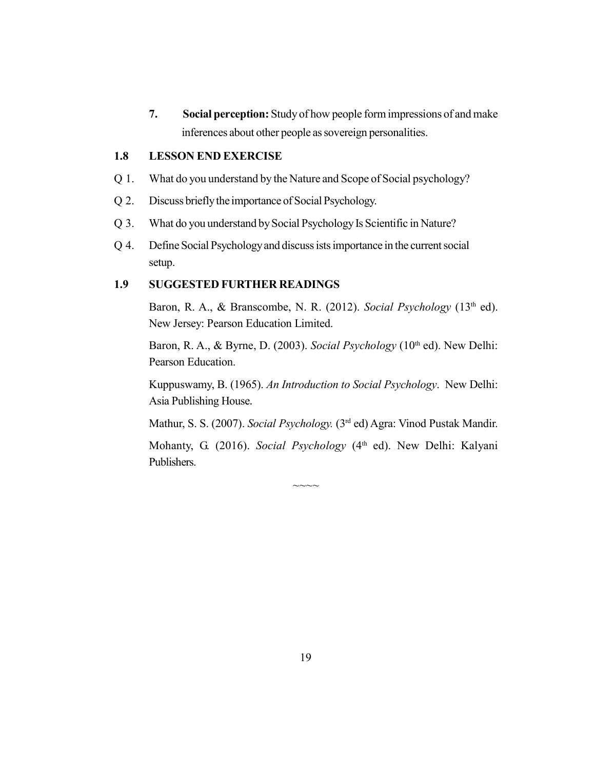**7. Social perception:** Study of how people form impressions of and make inferences about other people as sovereign personalities.

# **1.8 LESSON END EXERCISE**

- Q 1. What do you understand by the Nature and Scope of Social psychology?
- Q 2. Discuss briefly the importance of Social Psychology.
- Q 3. What do you understand by Social Psychology Is Scientific in Nature?
- Q 4. Define Social Psychology and discuss ists importance in the current social setup.

# **1.9 SUGGESTED FURTHER READINGS**

Baron, R. A., & Branscombe, N. R. (2012). *Social Psychology* (13<sup>th</sup> ed). New Jersey: Pearson Education Limited.

Baron, R. A., & Byrne, D. (2003). *Social Psychology* (10<sup>th</sup> ed). New Delhi: Pearson Education.

Kuppuswamy, B. (1965). *An Introduction to Social Psychology*. New Delhi: Asia Publishing House.

Mathur, S. S. (2007). *Social Psychology.* (3rd ed) Agra: Vinod Pustak Mandir.

Mohanty, G. (2016). *Social Psychology* (4<sup>th</sup> ed). New Delhi: Kalyani Publishers.

 $\sim\sim\sim\sim$ 

19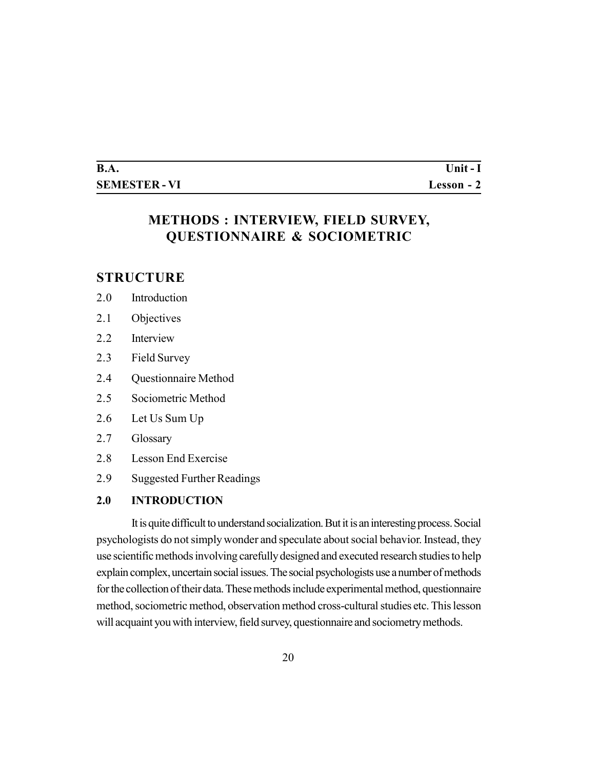| <b>B.A.</b>          | Unit - I   |
|----------------------|------------|
| <b>SEMESTER - VI</b> | Lesson - 2 |

# Lesson - 2

# **METHODS : INTERVIEW, FIELD SURVEY, QUESTIONNAIRE & SOCIOMETRIC**

# **STRUCTURE**

- 2.0 Introduction
- 2.1 Objectives
- 2.2 Interview
- 2.3 Field Survey
- 2.4 Questionnaire Method
- 2.5 Sociometric Method
- 2.6 Let Us Sum Up
- 2.7 Glossary
- 2.8 Lesson End Exercise
- 2.9 Suggested Further Readings

### **2.0 INTRODUCTION**

It is quite difficult to understand socialization. But it is an interesting process. Social psychologists do not simply wonder and speculate about social behavior. Instead, they use scientific methods involving carefully designed and executed research studies to help explain complex, uncertain social issues. The social psychologists use a number of methods for the collection of their data. These methods include experimental method, questionnaire method, sociometric method, observation method cross-cultural studies etc. This lesson will acquaint you with interview, field survey, questionnaire and sociometry methods.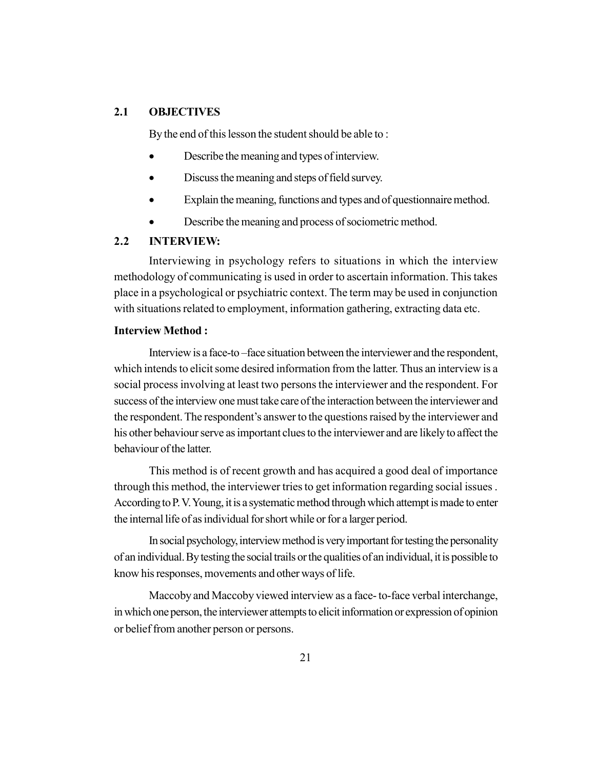#### **2.1 OBJECTIVES**

By the end of this lesson the student should be able to :

- Describe the meaning and types of interview.
- Discuss the meaning and steps of field survey.
- Explain the meaning, functions and types and of questionnaire method.
- Describe the meaning and process of sociometric method.

# **2.2 INTERVIEW:**

Interviewing in psychology refers to situations in which the interview methodology of communicating is used in order to ascertain information. This takes place in a psychological or psychiatric context. The term may be used in conjunction with situations related to employment, information gathering, extracting data etc.

#### **Interview Method :**

Interview is a face-to –face situation between the interviewer and the respondent, which intends to elicit some desired information from the latter. Thus an interview is a social process involving at least two persons the interviewer and the respondent. For success of the interview one must take care of the interaction between the interviewer and the respondent. The respondent's answer to the questions raised by the interviewer and his other behaviour serve as important clues to the interviewer and are likely to affect the behaviour of the latter.

This method is of recent growth and has acquired a good deal of importance through this method, the interviewer tries to get information regarding social issues . According to P. V. Young, it is a systematic method through which attempt is made to enter the internal life of as individual for short while or for a larger period.

In social psychology, interview method is very important for testing the personality of an individual. By testing the social trails or the qualities of an individual, it is possible to know his responses, movements and other ways of life.

Maccoby and Maccoby viewed interview as a face- to-face verbal interchange, in which one person, the interviewer attempts to elicit information or expression of opinion or belief from another person or persons.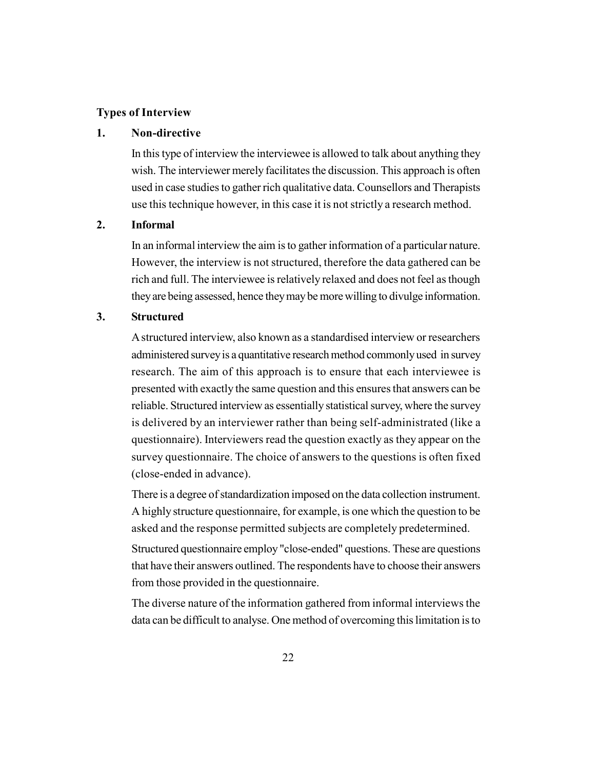#### **Types of Interview**

#### **1. Non-directive**

In this type of interview the interviewee is allowed to talk about anything they wish. The interviewer merely facilitates the discussion. This approach is often used in case studies to gather rich qualitative data. Counsellors and Therapists use this technique however, in this case it is not strictly a research method.

#### **2. Informal**

In an informal interview the aim is to gather information of a particular nature. However, the interview is not structured, therefore the data gathered can be rich and full. The interviewee is relatively relaxed and does not feel as though they are being assessed, hence they may be more willing to divulge information.

#### **3. Structured**

A structured interview, also known as a standardised interview or researchers administered survey is a quantitative research method commonly used in survey research. The aim of this approach is to ensure that each interviewee is presented with exactly the same question and this ensures that answers can be reliable. Structured interview as essentially statistical survey, where the survey is delivered by an interviewer rather than being self-administrated (like a questionnaire). Interviewers read the question exactly as they appear on the survey questionnaire. The choice of answers to the questions is often fixed (close-ended in advance).

There is a degree of standardization imposed on the data collection instrument. A highly structure questionnaire, for example, is one which the question to be asked and the response permitted subjects are completely predetermined.

Structured questionnaire employ "close-ended" questions. These are questions that have their answers outlined. The respondents have to choose their answers from those provided in the questionnaire.

The diverse nature of the information gathered from informal interviews the data can be difficult to analyse. One method of overcoming this limitation is to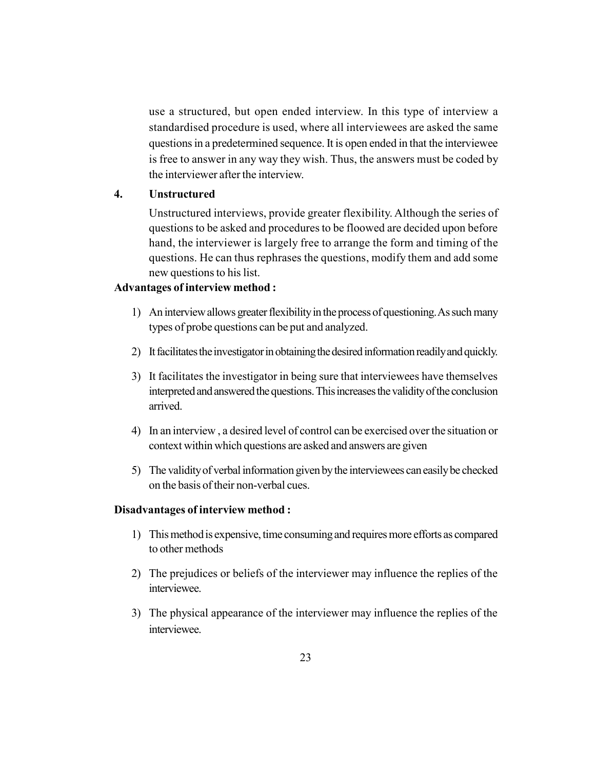use a structured, but open ended interview. In this type of interview a standardised procedure is used, where all interviewees are asked the same questions in a predetermined sequence. It is open ended in that the interviewee is free to answer in any way they wish. Thus, the answers must be coded by the interviewer after the interview.

## **4. Unstructured**

Unstructured interviews, provide greater flexibility. Although the series of questions to be asked and procedures to be floowed are decided upon before hand, the interviewer is largely free to arrange the form and timing of the questions. He can thus rephrases the questions, modify them and add some new questions to his list.

#### **Advantages of interview method :**

- 1) An interview allows greater flexibility in the process of questioning. As such many types of probe questions can be put and analyzed.
- 2) It facilitates the investigator in obtaining the desired information readily and quickly.
- 3) It facilitates the investigator in being sure that interviewees have themselves interpreted and answered the questions. This increases the validity of the conclusion arrived.
- 4) In an interview , a desired level of control can be exercised over the situation or context within which questions are asked and answers are given
- 5) The validity of verbal information given by the interviewees can easily be checked on the basis of their non-verbal cues.

#### **Disadvantages of interview method :**

- 1) This method is expensive, time consuming and requires more efforts as compared to other methods
- 2) The prejudices or beliefs of the interviewer may influence the replies of the interviewee.
- 3) The physical appearance of the interviewer may influence the replies of the interviewee.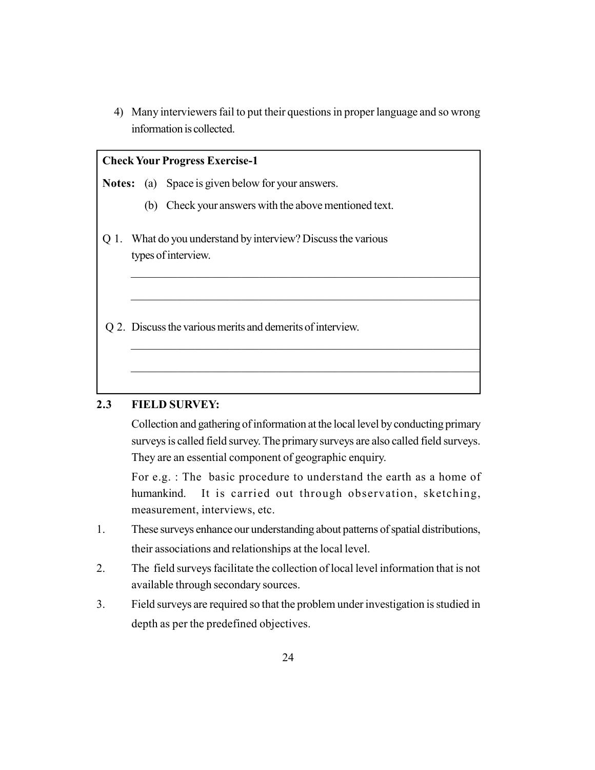4) Many interviewers fail to put their questions in proper language and so wrong information is collected.

#### **Check Your Progress Exercise-1**

**Notes:** (a) Space is given below for your answers.

- (b) Check your answers with the above mentioned text.
- Q 1. What do you understand by interview? Discuss the various types of interview.
- Q 2. Discuss the various merits and demerits of interview.

#### **2.3 FIELD SURVEY:**

Collection and gathering of information at the local level by conducting primary surveys is called field survey. The primary surveys are also called field surveys. They are an essential component of geographic enquiry.

\_\_\_\_\_\_\_\_\_\_\_\_\_\_\_\_\_\_\_\_\_\_\_\_\_\_\_\_\_\_\_\_\_\_\_\_\_\_\_\_\_\_\_\_\_\_\_\_\_\_\_\_\_\_\_\_\_\_\_\_

\_\_\_\_\_\_\_\_\_\_\_\_\_\_\_\_\_\_\_\_\_\_\_\_\_\_\_\_\_\_\_\_\_\_\_\_\_\_\_\_\_\_\_\_\_\_\_\_\_\_\_\_\_\_\_\_\_\_\_\_

\_\_\_\_\_\_\_\_\_\_\_\_\_\_\_\_\_\_\_\_\_\_\_\_\_\_\_\_\_\_\_\_\_\_\_\_\_\_\_\_\_\_\_\_\_\_\_\_\_\_\_\_\_\_\_\_\_\_\_\_

\_\_\_\_\_\_\_\_\_\_\_\_\_\_\_\_\_\_\_\_\_\_\_\_\_\_\_\_\_\_\_\_\_\_\_\_\_\_\_\_\_\_\_\_\_\_\_\_\_\_\_\_\_\_\_\_\_\_\_\_

For e.g. : The basic procedure to understand the earth as a home of humankind. It is carried out through observation, sketching, measurement, interviews, etc.

- 1. These surveys enhance our understanding about patterns of spatial distributions, their associations and relationships at the local level.
- 2. The field surveys facilitate the collection of local level information that is not available through secondary sources.
- 3. Field surveys are required so that the problem under investigation is studied in depth as per the predefined objectives.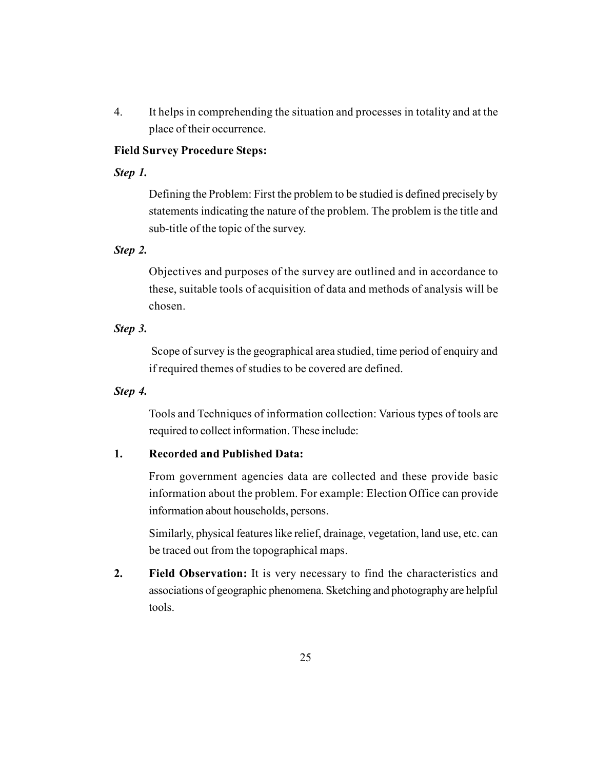4. It helps in comprehending the situation and processes in totality and at the place of their occurrence.

#### **Field Survey Procedure Steps:**

*Step 1.*

Defining the Problem: First the problem to be studied is defined precisely by statements indicating the nature of the problem. The problem is the title and sub-title of the topic of the survey.

*Step 2.*

Objectives and purposes of the survey are outlined and in accordance to these, suitable tools of acquisition of data and methods of analysis will be chosen.

*Step 3.*

 Scope of survey is the geographical area studied, time period of enquiry and if required themes of studies to be covered are defined.

#### *Step 4.*

Tools and Techniques of information collection: Various types of tools are required to collect information. These include:

#### **1. Recorded and Published Data:**

From government agencies data are collected and these provide basic information about the problem. For example: Election Office can provide information about households, persons.

Similarly, physical features like relief, drainage, vegetation, land use, etc. can be traced out from the topographical maps.

**2. Field Observation:** It is very necessary to find the characteristics and associations of geographic phenomena. Sketching and photography are helpful tools.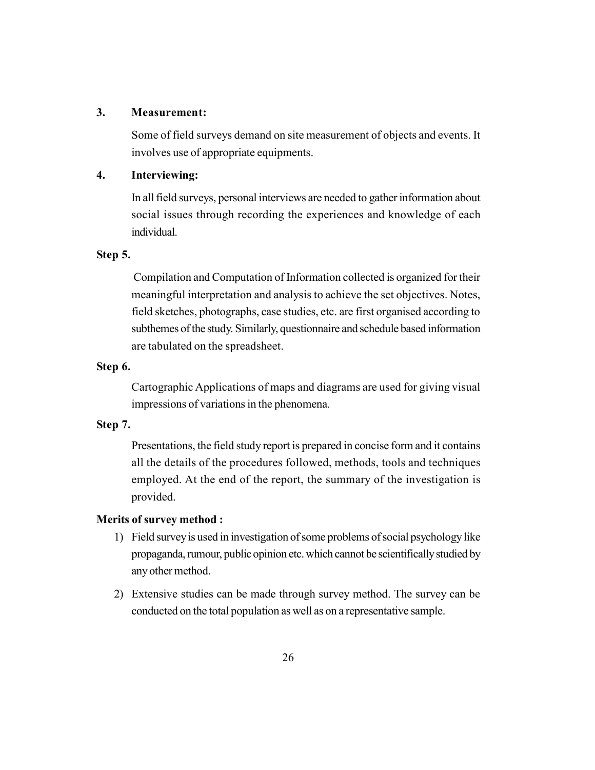# **3. Measurement:**

Some of field surveys demand on site measurement of objects and events. It involves use of appropriate equipments.

#### **4. Interviewing:**

In all field surveys, personal interviews are needed to gather information about social issues through recording the experiences and knowledge of each individual.

#### **Step 5.**

 Compilation and Computation of Information collected is organized for their meaningful interpretation and analysis to achieve the set objectives. Notes, field sketches, photographs, case studies, etc. are first organised according to subthemes of the study. Similarly, questionnaire and schedule based information are tabulated on the spreadsheet.

### **Step 6.**

Cartographic Applications of maps and diagrams are used for giving visual impressions of variations in the phenomena.

#### **Step 7.**

Presentations, the field study report is prepared in concise form and it contains all the details of the procedures followed, methods, tools and techniques employed. At the end of the report, the summary of the investigation is provided.

# **Merits of survey method :**

- 1) Field survey is used in investigation of some problems of social psychology like propaganda, rumour, public opinion etc. which cannot be scientifically studied by any other method.
- 2) Extensive studies can be made through survey method. The survey can be conducted on the total population as well as on a representative sample.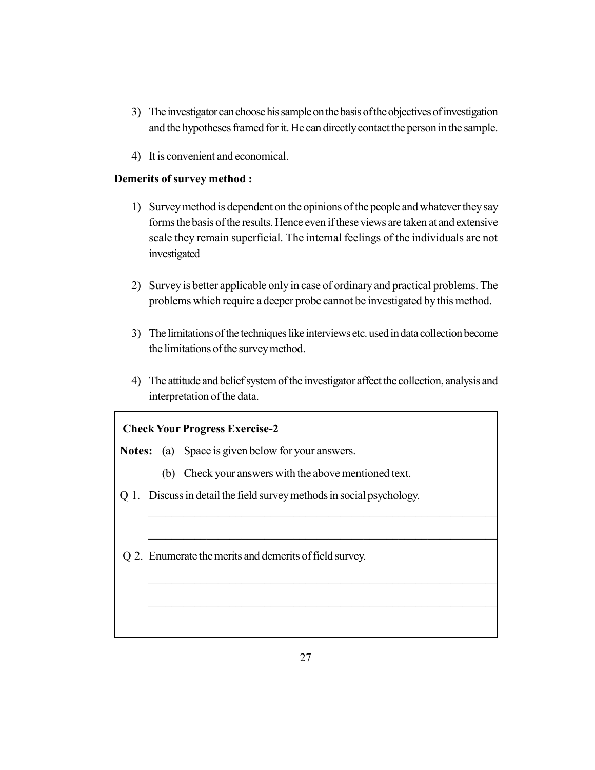- 3) The investigator can choose his sample on the basis of the objectives of investigation and the hypotheses framed for it. He can directly contact the person in the sample.
- 4) It is convenient and economical.

#### **Demerits of survey method :**

- 1) Survey method is dependent on the opinions of the people and whatever they say forms the basis of the results. Hence even if these views are taken at and extensive scale they remain superficial. The internal feelings of the individuals are not investigated
- 2) Survey is better applicable only in case of ordinary and practical problems. The problems which require a deeper probe cannot be investigated by this method.
- 3) The limitations of the techniques like interviews etc. used in data collection become the limitations of the survey method.
- 4) The attitude and belief system of the investigator affect the collection, analysis and interpretation of the data.

\_\_\_\_\_\_\_\_\_\_\_\_\_\_\_\_\_\_\_\_\_\_\_\_\_\_\_\_\_\_\_\_\_\_\_\_\_\_\_\_\_\_\_\_\_\_\_\_\_\_\_\_\_\_\_\_\_\_\_\_

\_\_\_\_\_\_\_\_\_\_\_\_\_\_\_\_\_\_\_\_\_\_\_\_\_\_\_\_\_\_\_\_\_\_\_\_\_\_\_\_\_\_\_\_\_\_\_\_\_\_\_\_\_\_\_\_\_\_\_\_

\_\_\_\_\_\_\_\_\_\_\_\_\_\_\_\_\_\_\_\_\_\_\_\_\_\_\_\_\_\_\_\_\_\_\_\_\_\_\_\_\_\_\_\_\_\_\_\_\_\_\_\_\_\_\_\_\_\_\_\_

\_\_\_\_\_\_\_\_\_\_\_\_\_\_\_\_\_\_\_\_\_\_\_\_\_\_\_\_\_\_\_\_\_\_\_\_\_\_\_\_\_\_\_\_\_\_\_\_\_\_\_\_\_\_\_\_\_\_\_\_

#### **Check Your Progress Exercise-2**

- **Notes:** (a) Space is given below for your answers.
	- (b) Check your answers with the above mentioned text.
- Q 1. Discuss in detail the field survey methods in social psychology.
- Q 2. Enumerate the merits and demerits of field survey.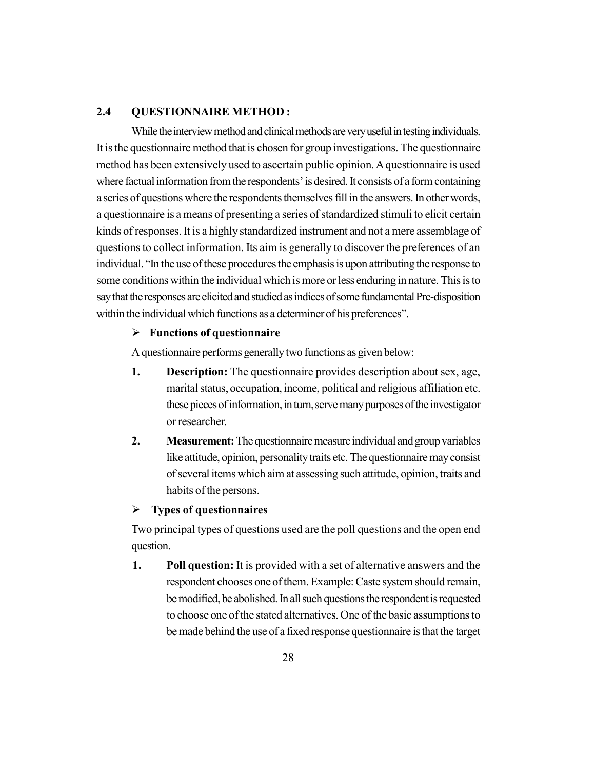#### **2.4 QUESTIONNAIRE METHOD :**

While the interview method and clinical methods are very useful in testing individuals. It is the questionnaire method that is chosen for group investigations. The questionnaire method has been extensively used to ascertain public opinion. A questionnaire is used where factual information from the respondents' is desired. It consists of a form containing a series of questions where the respondents themselves fill in the answers. In other words, a questionnaire is a means of presenting a series of standardized stimuli to elicit certain kinds of responses. It is a highly standardized instrument and not a mere assemblage of questions to collect information. Its aim is generally to discover the preferences of an individual. "In the use of these procedures the emphasis is upon attributing the response to some conditions within the individual which is more or less enduring in nature. This is to say that the responses are elicited and studied as indices of some fundamental Pre-disposition within the individual which functions as a determiner of his preferences".

#### **Functions of questionnaire**

A questionnaire performs generally two functions as given below:

- **1. Description:** The questionnaire provides description about sex, age, marital status, occupation, income, political and religious affiliation etc. these pieces of information, in turn, serve many purposes of the investigator or researcher.
- **2. Measurement:** The questionnaire measure individual and group variables like attitude, opinion, personality traits etc. The questionnaire may consist of several items which aim at assessing such attitude, opinion, traits and habits of the persons.

#### **Types of questionnaires**

Two principal types of questions used are the poll questions and the open end question.

**1. Poll question:** It is provided with a set of alternative answers and the respondent chooses one of them. Example: Caste system should remain, be modified, be abolished. In all such questions the respondent is requested to choose one of the stated alternatives. One of the basic assumptions to be made behind the use of a fixed response questionnaire is that the target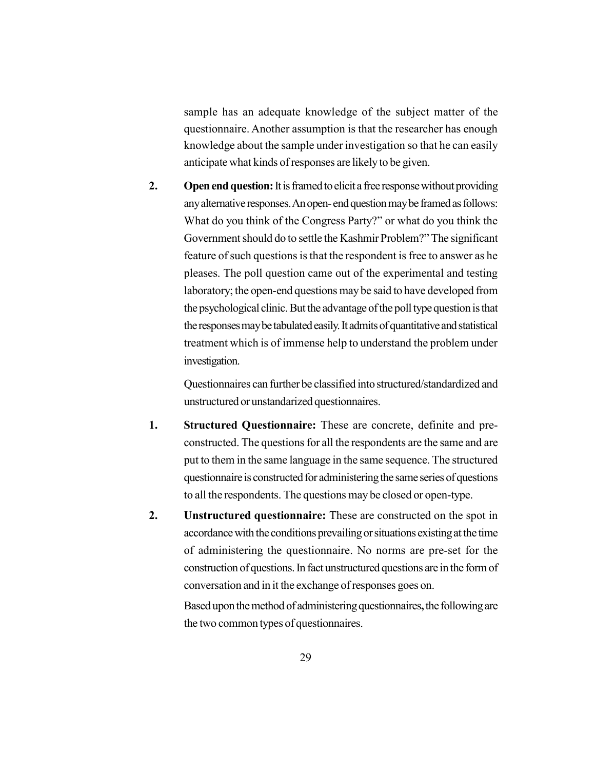sample has an adequate knowledge of the subject matter of the questionnaire. Another assumption is that the researcher has enough knowledge about the sample under investigation so that he can easily anticipate what kinds of responses are likely to be given.

**2. Open end question:** It is framed to elicit a free response without providing any alternative responses. An open- end question may be framed as follows: What do you think of the Congress Party?" or what do you think the Government should do to settle the Kashmir Problem?" The significant feature of such questions is that the respondent is free to answer as he pleases. The poll question came out of the experimental and testing laboratory; the open-end questions may be said to have developed from the psychological clinic. But the advantage of the poll type question is that the responses may be tabulated easily. It admits of quantitative and statistical treatment which is of immense help to understand the problem under investigation.

Questionnaires can further be classified into structured/standardized and unstructured or unstandarized questionnaires.

- **1. Structured Questionnaire:** These are concrete, definite and preconstructed. The questions for all the respondents are the same and are put to them in the same language in the same sequence. The structured questionnaire is constructed for administering the same series of questions to all the respondents. The questions may be closed or open-type.
- **2. Unstructured questionnaire:** These are constructed on the spot in accordance with the conditions prevailing or situations existing at the time of administering the questionnaire. No norms are pre-set for the construction of questions. In fact unstructured questions are in the form of conversation and in it the exchange of responses goes on.

Based upon the method of administering questionnaires**,** the following are the two common types of questionnaires.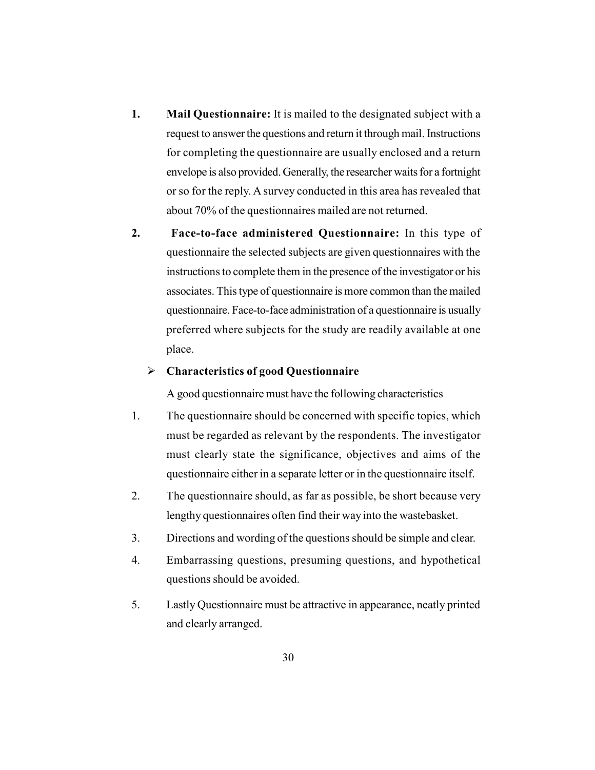- **1. Mail Questionnaire:** It is mailed to the designated subject with a request to answer the questions and return it through mail. Instructions for completing the questionnaire are usually enclosed and a return envelope is also provided. Generally, the researcher waits for a fortnight or so for the reply. A survey conducted in this area has revealed that about 70% of the questionnaires mailed are not returned.
- **2. Face-to-face administered Questionnaire:** In this type of questionnaire the selected subjects are given questionnaires with the instructions to complete them in the presence of the investigator or his associates. This type of questionnaire is more common than the mailed questionnaire. Face-to-face administration of a questionnaire is usually preferred where subjects for the study are readily available at one place.

### **Characteristics of good Questionnaire**

A good questionnaire must have the following characteristics

- 1. The questionnaire should be concerned with specific topics, which must be regarded as relevant by the respondents. The investigator must clearly state the significance, objectives and aims of the questionnaire either in a separate letter or in the questionnaire itself.
- 2. The questionnaire should, as far as possible, be short because very lengthy questionnaires often find their way into the wastebasket.
- 3. Directions and wording of the questions should be simple and clear.
- 4. Embarrassing questions, presuming questions, and hypothetical questions should be avoided.
- 5. Lastly Questionnaire must be attractive in appearance, neatly printed and clearly arranged.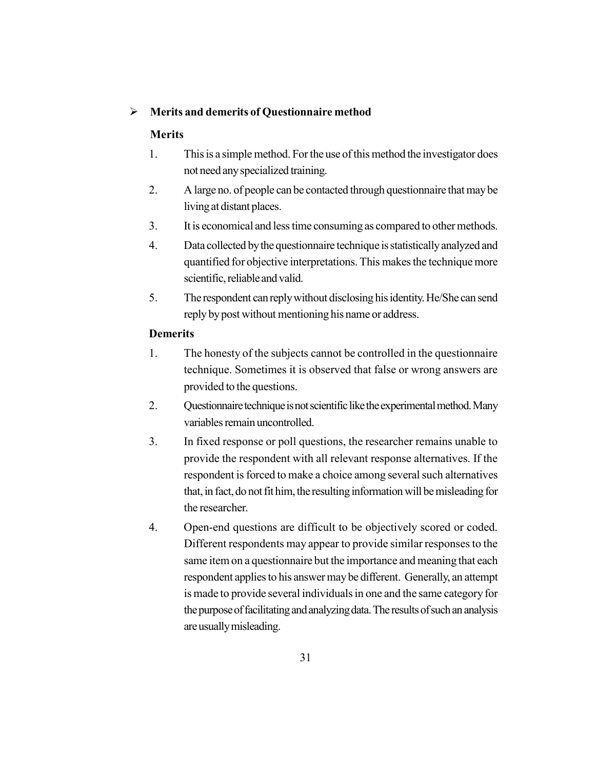# **Merits and demerits of Questionnaire method**

#### **Merits**

- 1. This is a simple method. For the use of this method the investigator does not need any specialized training.
- 2. A large no. of people can be contacted through questionnaire that may be living at distant places.
- 3. It is economical and less time consuming as compared to other methods.
- 4. Data collected by the questionnaire technique is statistically analyzed and quantified for objective interpretations. This makes the technique more scientific, reliable and valid.
- 5. The respondent can reply without disclosing his identity. He/She can send reply by post without mentioning his name or address.

#### **Demerits**

- 1. The honesty of the subjects cannot be controlled in the questionnaire technique. Sometimes it is observed that false or wrong answers are provided to the questions.
- 2. Questionnaire technique is not scientific like the experimental method. Many variables remain uncontrolled.
- 3. In fixed response or poll questions, the researcher remains unable to provide the respondent with all relevant response alternatives. If the respondent is forced to make a choice among several such alternatives that, in fact, do not fit him, the resulting information will be misleading for the researcher.
- 4. Open-end questions are difficult to be objectively scored or coded. Different respondents may appear to provide similar responses to the same item on a questionnaire but the importance and meaning that each respondent applies to his answer may be different. Generally, an attempt is made to provide several individuals in one and the same category for the purpose of facilitating and analyzing data. The results of such an analysis are usually misleading.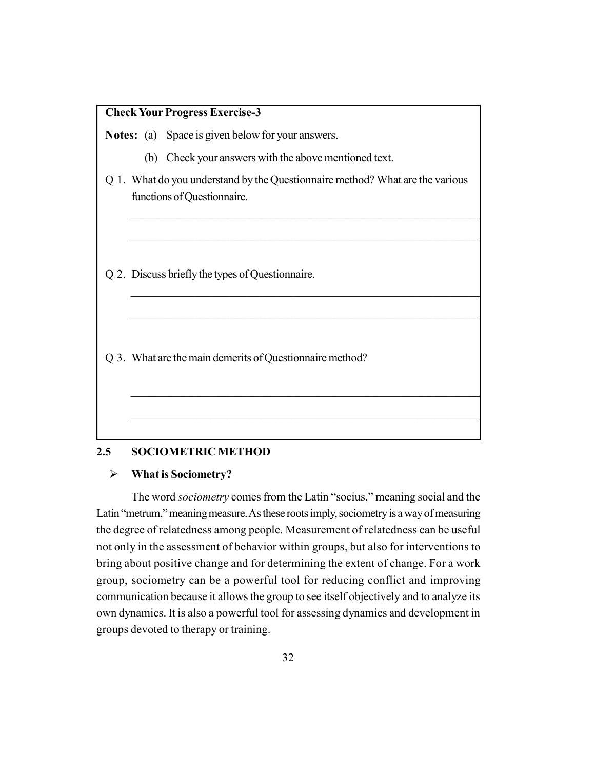| <b>Check Your Progress Exercise-3</b>                                                                        |
|--------------------------------------------------------------------------------------------------------------|
| <b>Notes:</b> (a) Space is given below for your answers.                                                     |
| (b) Check your answers with the above mentioned text.                                                        |
| Q 1. What do you understand by the Questionnaire method? What are the various<br>functions of Questionnaire. |
|                                                                                                              |
| Q 2. Discuss briefly the types of Questionnaire.                                                             |
|                                                                                                              |
| Q 3. What are the main demerits of Questionnaire method?                                                     |
|                                                                                                              |
|                                                                                                              |

# **2.5 SOCIOMETRIC METHOD**

#### **What is Sociometry?**

The word *sociometry* comes from the Latin "socius," meaning social and the Latin "metrum," meaning measure. As these roots imply, sociometry is a way of measuring the degree of relatedness among people. Measurement of relatedness can be useful not only in the assessment of behavior within groups, but also for interventions to bring about positive change and for determining the extent of change. For a work group, sociometry can be a powerful tool for reducing conflict and improving communication because it allows the group to see itself objectively and to analyze its own dynamics. It is also a powerful tool for assessing dynamics and development in groups devoted to therapy or training.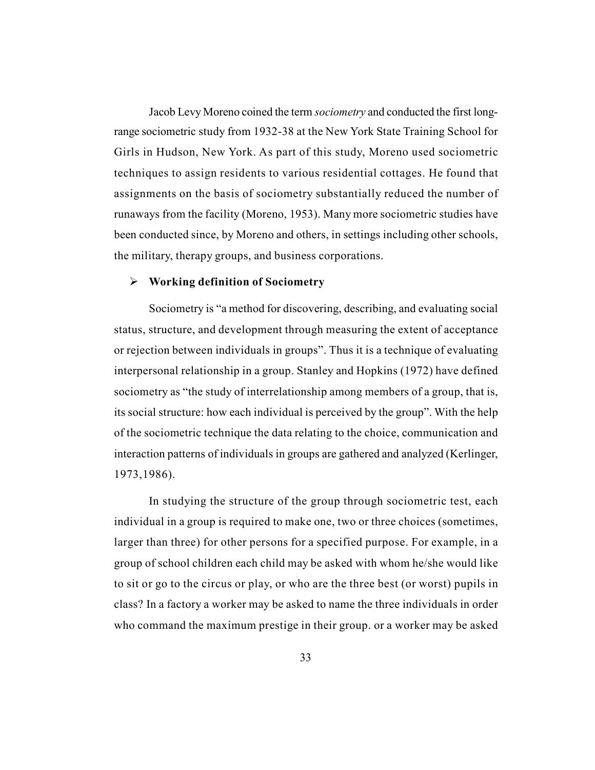Jacob Levy Moreno coined the term *sociometry* and conducted the first longrange sociometric study from 1932-38 at the New York State Training School for Girls in Hudson, New York. As part of this study, Moreno used sociometric techniques to assign residents to various residential cottages. He found that assignments on the basis of sociometry substantially reduced the number of runaways from the facility (Moreno, 1953). Many more sociometric studies have been conducted since, by Moreno and others, in settings including other schools, the military, therapy groups, and business corporations.

#### **Working definition of Sociometry**

Sociometry is "a method for discovering, describing, and evaluating social status, structure, and development through measuring the extent of acceptance or rejection between individuals in groups". Thus it is a technique of evaluating interpersonal relationship in a group. Stanley and Hopkins (1972) have defined sociometry as "the study of interrelationship among members of a group, that is, its social structure: how each individual is perceived by the group". With the help of the sociometric technique the data relating to the choice, communication and interaction patterns of individuals in groups are gathered and analyzed (Kerlinger, 1973,1986).

In studying the structure of the group through sociometric test, each individual in a group is required to make one, two or three choices (sometimes, larger than three) for other persons for a specified purpose. For example, in a group of school children each child may be asked with whom he/she would like to sit or go to the circus or play, or who are the three best (or worst) pupils in class? In a factory a worker may be asked to name the three individuals in order who command the maximum prestige in their group. or a worker may be asked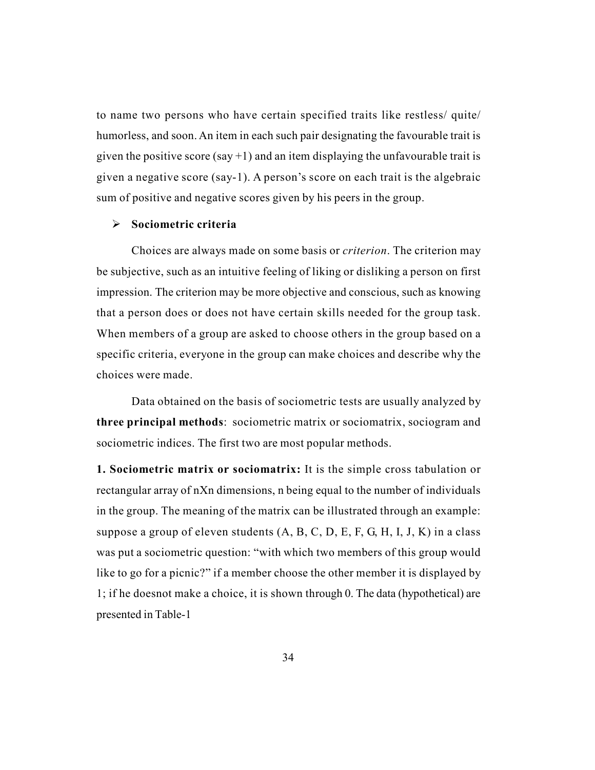to name two persons who have certain specified traits like restless/ quite/ humorless, and soon. An item in each such pair designating the favourable trait is given the positive score (say  $+1$ ) and an item displaying the unfavourable trait is given a negative score (say-1). A person's score on each trait is the algebraic sum of positive and negative scores given by his peers in the group.

#### **Sociometric criteria**

Choices are always made on some basis or *criterion*. The criterion may be subjective, such as an intuitive feeling of liking or disliking a person on first impression. The criterion may be more objective and conscious, such as knowing that a person does or does not have certain skills needed for the group task. When members of a group are asked to choose others in the group based on a specific criteria, everyone in the group can make choices and describe why the choices were made.

Data obtained on the basis of sociometric tests are usually analyzed by **three principal methods**: sociometric matrix or sociomatrix, sociogram and sociometric indices. The first two are most popular methods.

**1. Sociometric matrix or sociomatrix:** It is the simple cross tabulation or rectangular array of nXn dimensions, n being equal to the number of individuals in the group. The meaning of the matrix can be illustrated through an example: suppose a group of eleven students  $(A, B, C, D, E, F, G, H, I, J, K)$  in a class was put a sociometric question: "with which two members of this group would like to go for a picnic?" if a member choose the other member it is displayed by 1; if he doesnot make a choice, it is shown through 0. The data (hypothetical) are presented in Table-1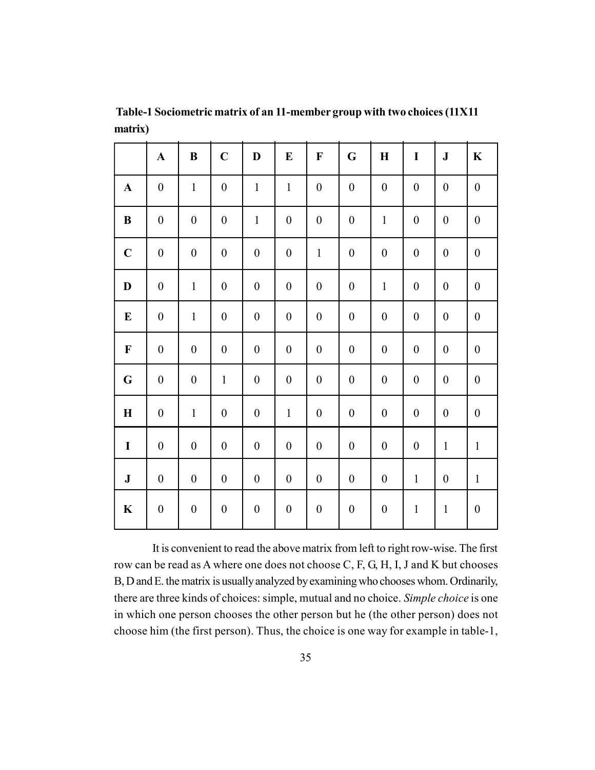|             | $\mathbf A$      | $\bf{B}$         | $\mathbf C$      | $\mathbf D$      | ${\bf E}$        | $\mathbf F$      | G                | $\mathbf H$      | $\mathbf I$      | $\bf J$          | $\bf K$          |
|-------------|------------------|------------------|------------------|------------------|------------------|------------------|------------------|------------------|------------------|------------------|------------------|
| $\mathbf A$ | $\boldsymbol{0}$ | $\mathbf{1}$     | $\boldsymbol{0}$ | $\mathbf{1}$     | $\mathbf{1}$     | $\boldsymbol{0}$ | $\mathbf{0}$     | $\boldsymbol{0}$ | $\boldsymbol{0}$ | $\boldsymbol{0}$ | $\boldsymbol{0}$ |
| $\bf B$     | $\boldsymbol{0}$ | $\boldsymbol{0}$ | $\boldsymbol{0}$ | $\mathbf{1}$     | $\boldsymbol{0}$ | $\boldsymbol{0}$ | $\boldsymbol{0}$ | $\mathbf{1}$     | $\boldsymbol{0}$ | $\boldsymbol{0}$ | $\boldsymbol{0}$ |
| $\mathbf C$ | $\boldsymbol{0}$ | $\boldsymbol{0}$ | $\boldsymbol{0}$ | $\boldsymbol{0}$ | $\boldsymbol{0}$ | $\mathbf{1}$     | $\boldsymbol{0}$ | $\boldsymbol{0}$ | $\boldsymbol{0}$ | $\boldsymbol{0}$ | $\boldsymbol{0}$ |
| $\mathbf D$ | $\boldsymbol{0}$ | $\,1$            | $\boldsymbol{0}$ | $\boldsymbol{0}$ | $\boldsymbol{0}$ | $\boldsymbol{0}$ | $\boldsymbol{0}$ | $\mathbf{1}$     | $\boldsymbol{0}$ | $\boldsymbol{0}$ | $\boldsymbol{0}$ |
| $\bf{E}$    | $\boldsymbol{0}$ | $\mathbf{1}$     | $\boldsymbol{0}$ | $\boldsymbol{0}$ | $\boldsymbol{0}$ | $\boldsymbol{0}$ | $\boldsymbol{0}$ | $\boldsymbol{0}$ | $\boldsymbol{0}$ | $\boldsymbol{0}$ | $\boldsymbol{0}$ |
| $\mathbf F$ | $\boldsymbol{0}$ | $\boldsymbol{0}$ | $\boldsymbol{0}$ | $\boldsymbol{0}$ | $\boldsymbol{0}$ | $\boldsymbol{0}$ | $\boldsymbol{0}$ | $\boldsymbol{0}$ | $\boldsymbol{0}$ | $\boldsymbol{0}$ | $\boldsymbol{0}$ |
| ${\bf G}$   | $\boldsymbol{0}$ | $\boldsymbol{0}$ | $\mathbf 1$      | $\boldsymbol{0}$ | $\boldsymbol{0}$ | $\boldsymbol{0}$ | $\boldsymbol{0}$ | $\boldsymbol{0}$ | $\boldsymbol{0}$ | $\boldsymbol{0}$ | $\boldsymbol{0}$ |
| $\mathbf H$ | $\boldsymbol{0}$ | $\mathbf{1}$     | $\boldsymbol{0}$ | $\boldsymbol{0}$ | $\mathbf{1}$     | $\boldsymbol{0}$ | $\boldsymbol{0}$ | $\boldsymbol{0}$ | $\boldsymbol{0}$ | $\boldsymbol{0}$ | $\boldsymbol{0}$ |
| $\mathbf I$ | $\boldsymbol{0}$ | $\boldsymbol{0}$ | $\boldsymbol{0}$ | $\boldsymbol{0}$ | $\boldsymbol{0}$ | $\boldsymbol{0}$ | $\boldsymbol{0}$ | $\boldsymbol{0}$ | $\boldsymbol{0}$ | $\mathbf{1}$     | $\mathbf{1}$     |
| $\bf J$     | $\boldsymbol{0}$ | $\boldsymbol{0}$ | $\boldsymbol{0}$ | $\boldsymbol{0}$ | $\boldsymbol{0}$ | $\boldsymbol{0}$ | $\boldsymbol{0}$ | $\boldsymbol{0}$ | $\mathbf{1}$     | $\boldsymbol{0}$ | $\mathbf{1}$     |
| $\bf K$     | $\boldsymbol{0}$ | $\boldsymbol{0}$ | $\boldsymbol{0}$ | $\boldsymbol{0}$ | $\boldsymbol{0}$ | $\boldsymbol{0}$ | $\boldsymbol{0}$ | $\boldsymbol{0}$ | $\,1$            | $\,1$            | $\boldsymbol{0}$ |

 **Table-1 Sociometric matrix of an 11-member group with two choices (11X11 matrix)**

It is convenient to read the above matrix from left to right row-wise. The first row can be read as A where one does not choose C, F, G, H, I, J and K but chooses B, D and E. the matrix is usually analyzed by examining who chooses whom. Ordinarily, there are three kinds of choices: simple, mutual and no choice. *Simple choice* is one in which one person chooses the other person but he (the other person) does not choose him (the first person). Thus, the choice is one way for example in table-1,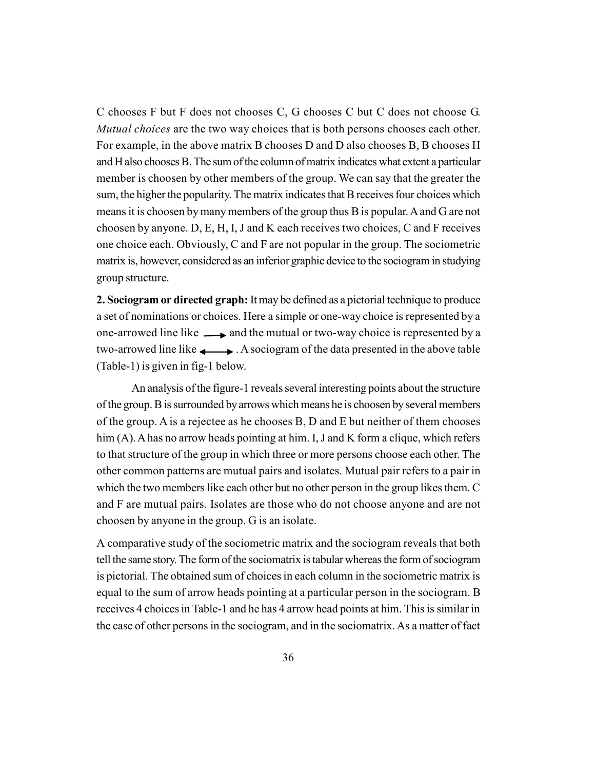C chooses F but F does not chooses C, G chooses C but C does not choose G. *Mutual choices* are the two way choices that is both persons chooses each other. For example, in the above matrix B chooses D and D also chooses B, B chooses H and H also chooses B. The sum of the column of matrix indicates what extent a particular member is choosen by other members of the group. We can say that the greater the sum, the higher the popularity. The matrix indicates that B receives four choices which means it is choosen by many members of the group thus B is popular. A and G are not choosen by anyone. D, E, H, I, J and K each receives two choices, C and F receives one choice each. Obviously, C and F are not popular in the group. The sociometric matrix is, however, considered as an inferior graphic device to the sociogram in studying group structure.

**2. Sociogram or directed graph:** It may be defined as a pictorial technique to produce a set of nominations or choices. Here a simple or one-way choice is represented by a one-arrowed line like  $\longrightarrow$  and the mutual or two-way choice is represented by a two-arrowed line like  $\longrightarrow$ . A sociogram of the data presented in the above table (Table-1) is given in fig-1 below.

An analysis of the figure-1 reveals several interesting points about the structure of the group. B is surrounded by arrows which means he is choosen by several members of the group. A is a rejectee as he chooses B, D and E but neither of them chooses him (A). A has no arrow heads pointing at him. I, J and K form a clique, which refers to that structure of the group in which three or more persons choose each other. The other common patterns are mutual pairs and isolates. Mutual pair refers to a pair in which the two members like each other but no other person in the group likes them. C and F are mutual pairs. Isolates are those who do not choose anyone and are not choosen by anyone in the group. G is an isolate.

A comparative study of the sociometric matrix and the sociogram reveals that both tell the same story. The form of the sociomatrix is tabular whereas the form of sociogram is pictorial. The obtained sum of choices in each column in the sociometric matrix is equal to the sum of arrow heads pointing at a particular person in the sociogram. B receives 4 choices in Table-1 and he has 4 arrow head points at him. This is similar in the case of other persons in the sociogram, and in the sociomatrix. As a matter of fact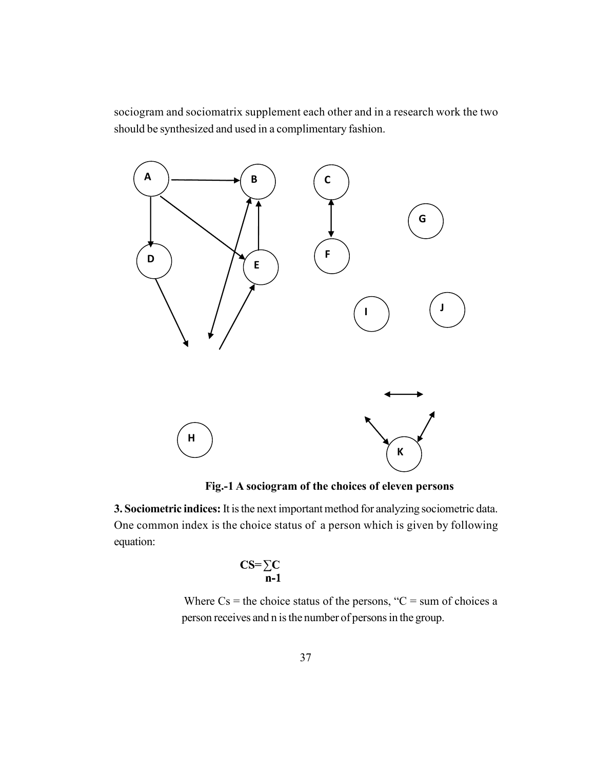sociogram and sociomatrix supplement each other and in a research work the two should be synthesized and used in a complimentary fashion.



**Fig.-1 A sociogram of the choices of eleven persons**

**3. Sociometric indices:** It is the next important method for analyzing sociometric data. One common index is the choice status of a person which is given by following equation:

$$
CS = \sum_{n=1}^{}
$$

Where  $Cs$  = the choice status of the persons, " $C$  = sum of choices a person receives and n is the number of persons in the group.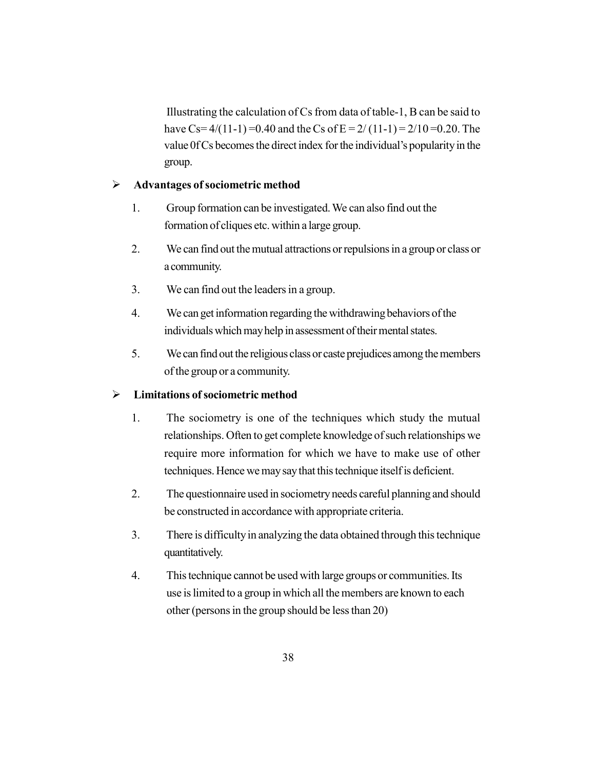Illustrating the calculation of Cs from data of table-1, B can be said to have Cs=  $4/(11-1) = 0.40$  and the Cs of E =  $2/(11-1) = 2/10 = 0.20$ . The value 0f Cs becomes the direct index for the individual's popularity in the group.

#### **Advantages of sociometric method**

- 1. Group formation can be investigated. We can also find out the formation of cliques etc. within a large group.
- 2. We can find out the mutual attractions or repulsions in a group or class or a community.
- 3. We can find out the leaders in a group.
- 4. We can get information regarding the withdrawing behaviors of the individuals which may help in assessment of their mental states.
- 5. We can find out the religious class or caste prejudices among the members of the group or a community.

#### **Limitations of sociometric method**

- 1. The sociometry is one of the techniques which study the mutual relationships. Often to get complete knowledge of such relationships we require more information for which we have to make use of other techniques. Hence we may say that this technique itself is deficient.
- 2. The questionnaire used in sociometry needs careful planning and should be constructed in accordance with appropriate criteria.
- 3. There is difficulty in analyzing the data obtained through this technique quantitatively.
- 4. This technique cannot be used with large groups or communities. Its use is limited to a group in which all the members are known to each other (persons in the group should be less than 20)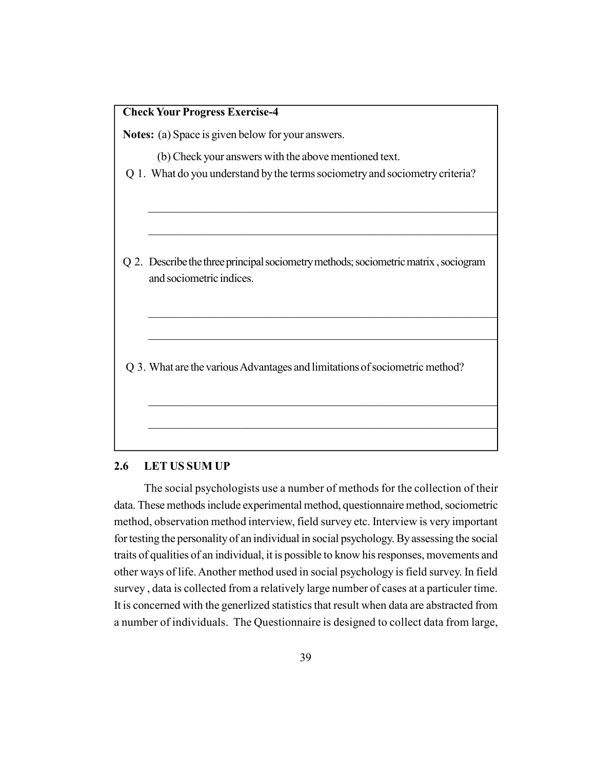| <b>Check Your Progress Exercise-4</b>                                                                           |
|-----------------------------------------------------------------------------------------------------------------|
| <b>Notes:</b> (a) Space is given below for your answers.                                                        |
| (b) Check your answers with the above mentioned text.                                                           |
| Q 1. What do you understand by the terms sociometry and sociometry criteria?                                    |
|                                                                                                                 |
|                                                                                                                 |
|                                                                                                                 |
| Q 2. Describe the three principal sociometry methods; sociometric matrix, sociogram<br>and sociometric indices. |
|                                                                                                                 |
|                                                                                                                 |
|                                                                                                                 |
|                                                                                                                 |
| Q 3. What are the various Advantages and limitations of sociometric method?                                     |
|                                                                                                                 |
|                                                                                                                 |
|                                                                                                                 |

## **2.6 LET US SUM UP**

The social psychologists use a number of methods for the collection of their data. These methods include experimental method, questionnaire method, sociometric method, observation method interview, field survey etc. Interview is very important for testing the personality of an individual in social psychology. By assessing the social traits of qualities of an individual, it is possible to know his responses, movements and other ways of life. Another method used in social psychology is field survey. In field survey , data is collected from a relatively large number of cases at a particuler time. It is concerned with the generlized statistics that result when data are abstracted from a number of individuals. The Questionnaire is designed to collect data from large,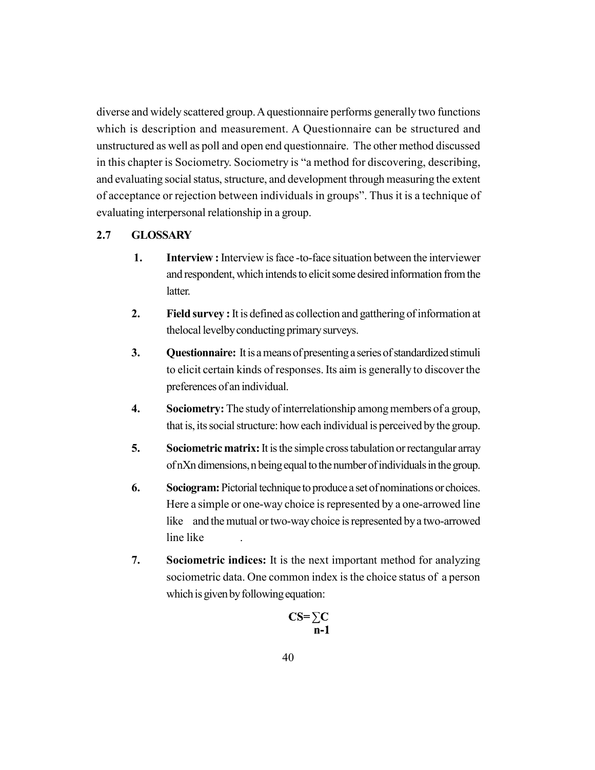diverse and widely scattered group. A questionnaire performs generally two functions which is description and measurement. A Questionnaire can be structured and unstructured as well as poll and open end questionnaire. The other method discussed in this chapter is Sociometry. Sociometry is "a method for discovering, describing, and evaluating social status, structure, and development through measuring the extent of acceptance or rejection between individuals in groups". Thus it is a technique of evaluating interpersonal relationship in a group.

## **2.7 GLOSSARY**

- **1. Interview :** Interview is face -to-face situation between the interviewer and respondent, which intends to elicit some desired information from the **latter**
- **2. Field survey :** It is defined as collection and gatthering of information at thelocal levelby conducting primary surveys.
- **3.** Questionnaire: It is a means of presenting a series of standardized stimuli to elicit certain kinds of responses. Its aim is generally to discover the preferences of an individual.
- **4. Sociometry:** The study of interrelationship among members of a group, that is, its social structure: how each individual is perceived by the group.
- **5.** Sociometric matrix: It is the simple cross tabulation or rectangular array of nXn dimensions, n being equal to the number of individuals in the group.
- **6. Sociogram:** Pictorial technique to produce a set of nominations or choices. Here a simple or one-way choice is represented by a one-arrowed line like and the mutual or two-way choice is represented by a two-arrowed line like
- **7. Sociometric indices:** It is the next important method for analyzing sociometric data. One common index is the choice status of a person which is given by following equation:

$$
CS=\sum_{n-1}
$$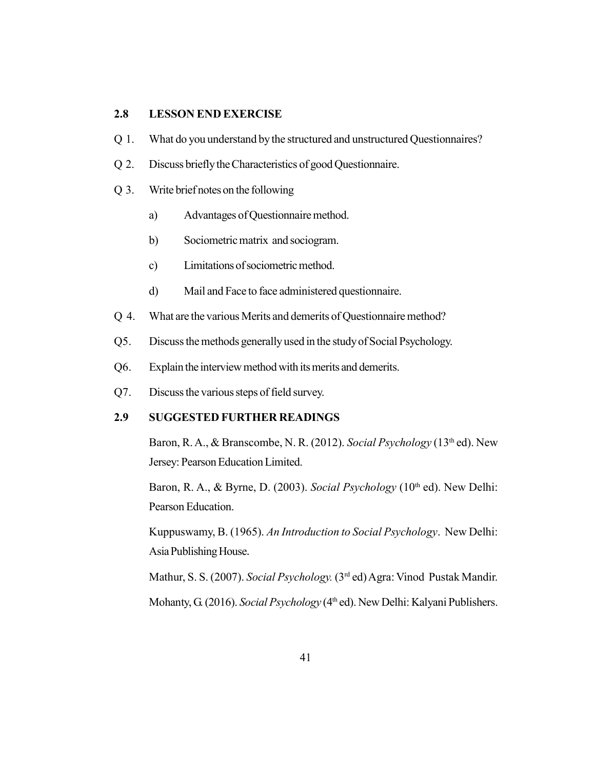#### **2.8 LESSON END EXERCISE**

- Q 1. What do you understand by the structured and unstructured Questionnaires?
- Q 2. Discuss briefly the Characteristics of good Questionnaire.
- Q 3. Write brief notes on the following
	- a) Advantages of Questionnaire method.
	- b) Sociometric matrix and sociogram.
	- c) Limitations of sociometric method.
	- d) Mail and Face to face administered questionnaire.
- Q 4. What are the various Merits and demerits of Questionnaire method?
- Q5. Discuss the methods generally used in the study of Social Psychology.
- Q6. Explain the interview method with its merits and demerits.
- Q7. Discuss the various steps of field survey.

#### **2.9 SUGGESTED FURTHER READINGS**

Baron, R. A., & Branscombe, N. R. (2012). *Social Psychology* (13th ed). New Jersey: Pearson Education Limited.

Baron, R. A., & Byrne, D. (2003). *Social Psychology* (10<sup>th</sup> ed). New Delhi: Pearson Education.

Kuppuswamy, B. (1965). *An Introduction to Social Psychology*. New Delhi: Asia Publishing House.

Mathur, S. S. (2007). *Social Psychology.* (3rd ed) Agra: Vinod Pustak Mandir.

Mohanty, G. (2016). *Social Psychology* (4<sup>th</sup> ed). New Delhi: Kalyani Publishers.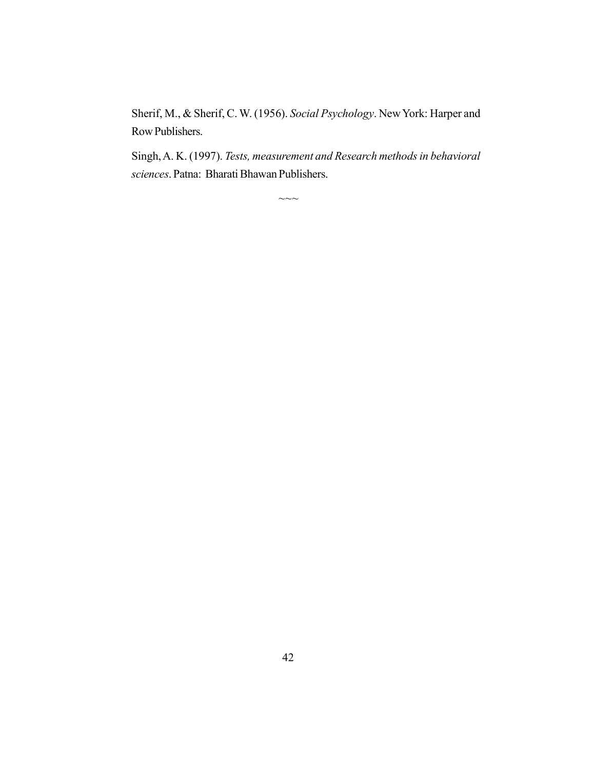Sherif, M., & Sherif, C. W. (1956). *Social Psychology*. New York: Harper and Row Publishers.

Singh, A. K. (1997). *Tests, measurement and Research methods in behavioral sciences*. Patna: Bharati Bhawan Publishers.

 $\sim\sim\sim$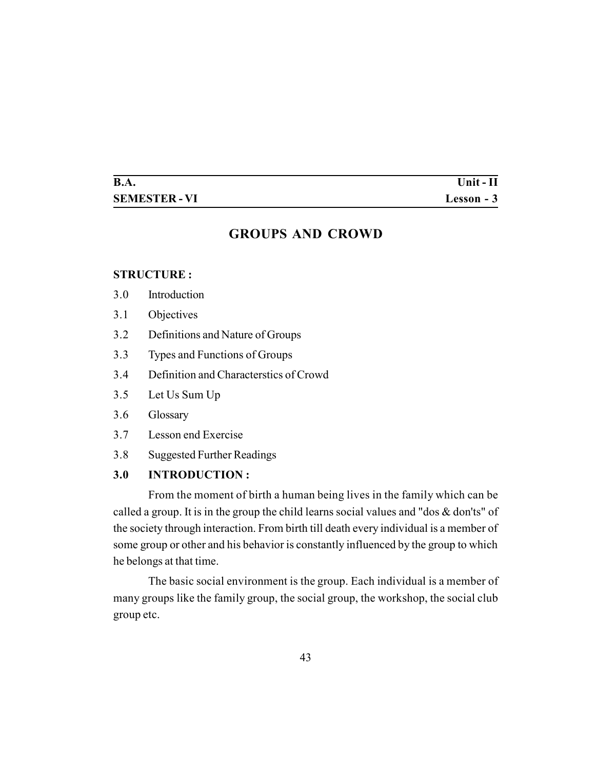| <b>B.A.</b>        | Unit - II  |
|--------------------|------------|
| <b>SEMESTER-VI</b> | Lesson - 3 |

# **GROUPS AND CROWD**

#### **STRUCTURE :**

- 3.0 Introduction
- 3.1 Objectives
- 3.2 Definitions and Nature of Groups
- 3.3 Types and Functions of Groups
- 3.4 Definition and Characterstics of Crowd
- 3.5 Let Us Sum Up
- 3.6 Glossary
- 3.7 Lesson end Exercise
- 3.8 Suggested Further Readings

#### **3.0 INTRODUCTION :**

From the moment of birth a human being lives in the family which can be called a group. It is in the group the child learns social values and "dos & don'ts" of the society through interaction. From birth till death every individual is a member of some group or other and his behavior is constantly influenced by the group to which he belongs at that time.

The basic social environment is the group. Each individual is a member of many groups like the family group, the social group, the workshop, the social club group etc.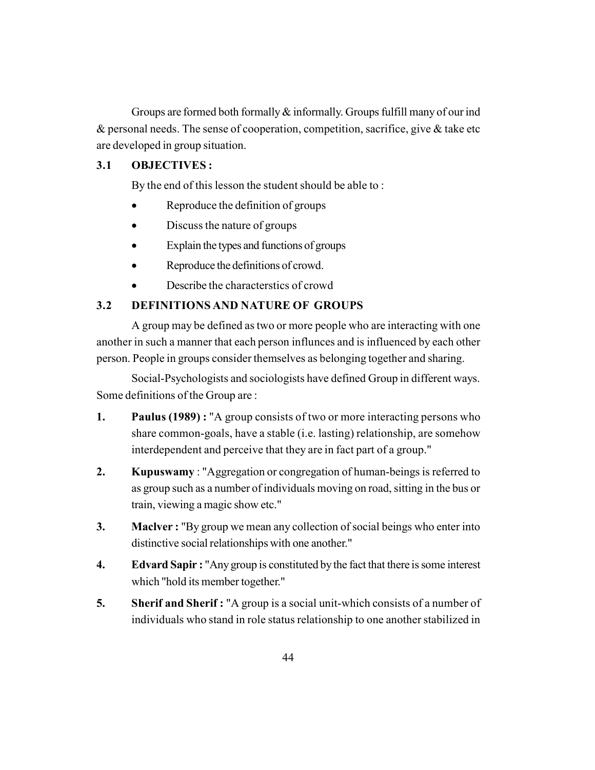Groups are formed both formally & informally. Groups fulfill many of our ind & personal needs. The sense of cooperation, competition, sacrifice, give & take etc are developed in group situation.

## **3.1 OBJECTIVES :**

By the end of this lesson the student should be able to :

- Reproduce the definition of groups
- Discuss the nature of groups
- Explain the types and functions of groups
- Reproduce the definitions of crowd.
- Describe the characterstics of crowd

# **3.2 DEFINITIONS AND NATURE OF GROUPS**

A group may be defined as two or more people who are interacting with one another in such a manner that each person influnces and is influenced by each other person. People in groups consider themselves as belonging together and sharing.

Social-Psychologists and sociologists have defined Group in different ways. Some definitions of the Group are :

- **1. Paulus (1989) :** "A group consists of two or more interacting persons who share common-goals, have a stable (i.e. lasting) relationship, are somehow interdependent and perceive that they are in fact part of a group."
- **2. Kupuswamy** : "Aggregation or congregation of human-beings is referred to as group such as a number of individuals moving on road, sitting in the bus or train, viewing a magic show etc."
- **3. Maclver :** "By group we mean any collection of social beings who enter into distinctive social relationships with one another."
- **4. Edvard Sapir :** "Any group is constituted by the fact that there is some interest which "hold its member together."
- **5. Sherif and Sherif :** "A group is a social unit-which consists of a number of individuals who stand in role status relationship to one another stabilized in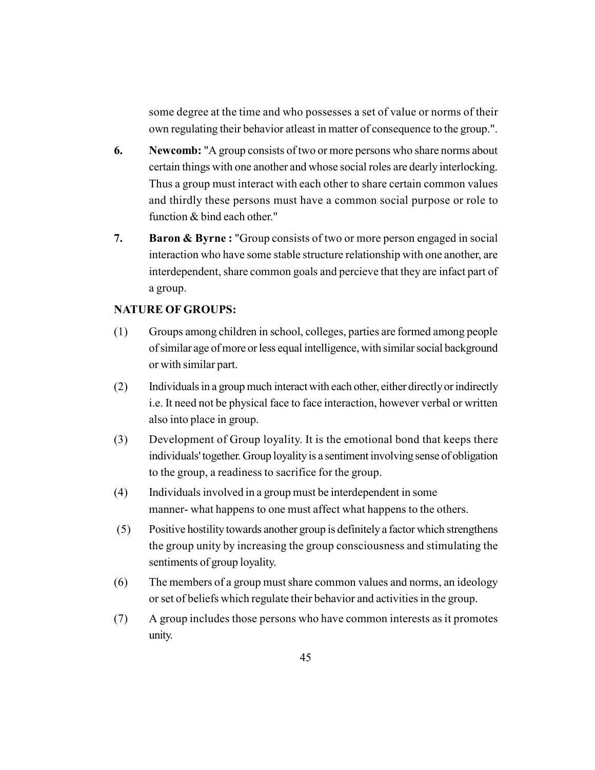some degree at the time and who possesses a set of value or norms of their own regulating their behavior atleast in matter of consequence to the group.".

- **6. Newcomb:** "A group consists of two or more persons who share norms about certain things with one another and whose social roles are dearly interlocking. Thus a group must interact with each other to share certain common values and thirdly these persons must have a common social purpose or role to function & bind each other."
- **7. Baron & Byrne :** "Group consists of two or more person engaged in social interaction who have some stable structure relationship with one another, are interdependent, share common goals and percieve that they are infact part of a group.

#### **NATURE OF GROUPS:**

- (1) Groups among children in school, colleges, parties are formed among people of similar age of more or less equal intelligence, with similar social background or with similar part.
- (2) Individuals in a group much interact with each other, either directly or indirectly i.e. It need not be physical face to face interaction, however verbal or written also into place in group.
- (3) Development of Group loyality. It is the emotional bond that keeps there individuals' together. Group loyality is a sentiment involving sense of obligation to the group, a readiness to sacrifice for the group.
- (4) Individuals involved in a group must be interdependent in some manner- what happens to one must affect what happens to the others.
- (5) Positive hostility towards another group is definitely a factor which strengthens the group unity by increasing the group consciousness and stimulating the sentiments of group loyality.
- (6) The members of a group must share common values and norms, an ideology or set of beliefs which regulate their behavior and activities in the group.
- (7) A group includes those persons who have common interests as it promotes unity.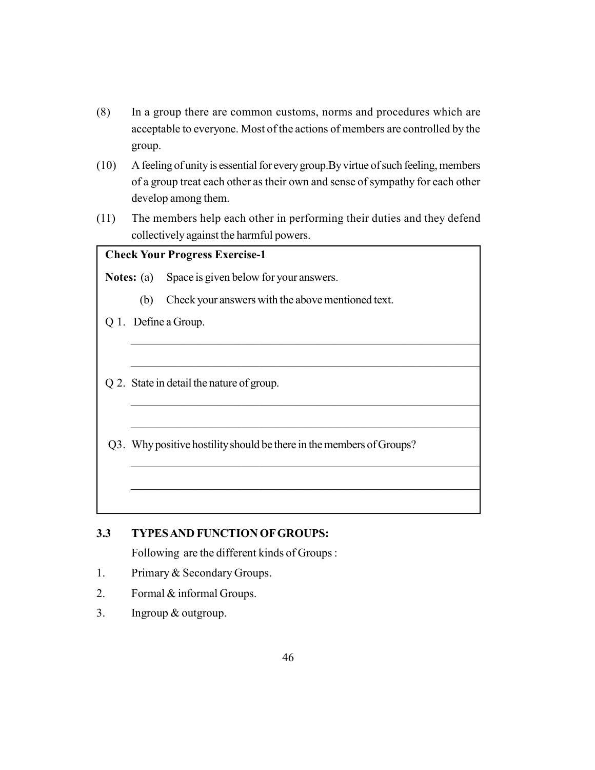- (8) In a group there are common customs, norms and procedures which are acceptable to everyone. Most of the actions of members are controlled by the group.
- (10) A feeling of unity is essential for every group.By virtue of such feeling, members of a group treat each other as their own and sense of sympathy for each other develop among them.
- (11) The members help each other in performing their duties and they defend collectively against the harmful powers.

\_\_\_\_\_\_\_\_\_\_\_\_\_\_\_\_\_\_\_\_\_\_\_\_\_\_\_\_\_\_\_\_\_\_\_\_\_\_\_\_\_\_\_\_\_\_\_\_\_\_\_\_\_\_\_\_\_\_\_\_

\_\_\_\_\_\_\_\_\_\_\_\_\_\_\_\_\_\_\_\_\_\_\_\_\_\_\_\_\_\_\_\_\_\_\_\_\_\_\_\_\_\_\_\_\_\_\_\_\_\_\_\_\_\_\_\_\_\_\_\_

\_\_\_\_\_\_\_\_\_\_\_\_\_\_\_\_\_\_\_\_\_\_\_\_\_\_\_\_\_\_\_\_\_\_\_\_\_\_\_\_\_\_\_\_\_\_\_\_\_\_\_\_\_\_\_\_\_\_\_\_

\_\_\_\_\_\_\_\_\_\_\_\_\_\_\_\_\_\_\_\_\_\_\_\_\_\_\_\_\_\_\_\_\_\_\_\_\_\_\_\_\_\_\_\_\_\_\_\_\_\_\_\_\_\_\_\_\_\_\_\_

\_\_\_\_\_\_\_\_\_\_\_\_\_\_\_\_\_\_\_\_\_\_\_\_\_\_\_\_\_\_\_\_\_\_\_\_\_\_\_\_\_\_\_\_\_\_\_\_\_\_\_\_\_\_\_\_\_\_\_\_

\_\_\_\_\_\_\_\_\_\_\_\_\_\_\_\_\_\_\_\_\_\_\_\_\_\_\_\_\_\_\_\_\_\_\_\_\_\_\_\_\_\_\_\_\_\_\_\_\_\_\_\_\_\_\_\_\_\_\_\_

## **Check Your Progress Exercise-1**

Notes: (a) Space is given below for your answers.

- (b) Check your answers with the above mentioned text.
- Q 1. Define a Group.
- Q 2. State in detail the nature of group.
- Q3. Why positive hostility should be there in the members of Groups?

#### **3.3 TYPES AND FUNCTION OF GROUPS:**

Following are the different kinds of Groups :

- 1. Primary & Secondary Groups.
- 2. Formal & informal Groups.
- 3. Ingroup & outgroup.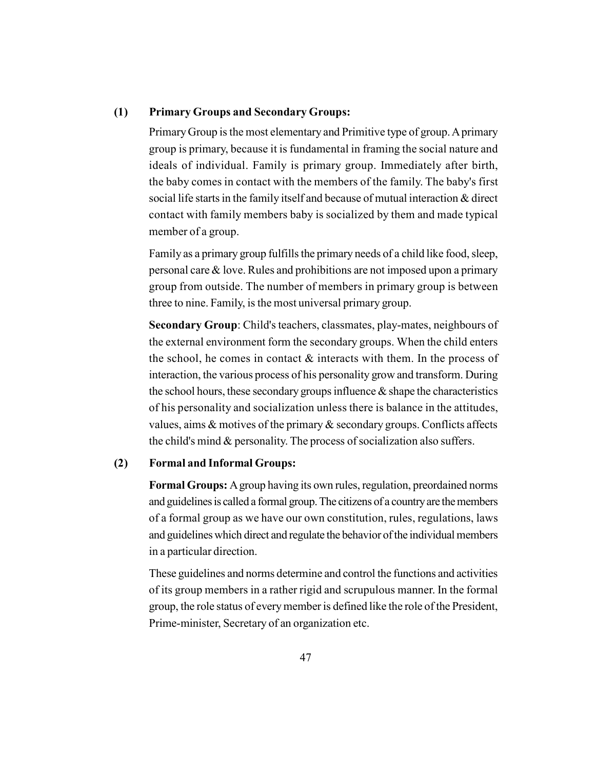#### **(1) Primary Groups and Secondary Groups:**

Primary Group is the most elementary and Primitive type of group. A primary group is primary, because it is fundamental in framing the social nature and ideals of individual. Family is primary group. Immediately after birth, the baby comes in contact with the members of the family. The baby's first social life starts in the family itself and because of mutual interaction & direct contact with family members baby is socialized by them and made typical member of a group.

Family as a primary group fulfills the primary needs of a child like food, sleep, personal care & love. Rules and prohibitions are not imposed upon a primary group from outside. The number of members in primary group is between three to nine. Family, is the most universal primary group.

**Secondary Group**: Child's teachers, classmates, play-mates, neighbours of the external environment form the secondary groups. When the child enters the school, he comes in contact  $\&$  interacts with them. In the process of interaction, the various process of his personality grow and transform. During the school hours, these secondary groups influence  $\&$  shape the characteristics of his personality and socialization unless there is balance in the attitudes, values, aims  $\&$  motives of the primary  $\&$  secondary groups. Conflicts affects the child's mind  $&$  personality. The process of socialization also suffers.

#### **(2) Formal and Informal Groups:**

**Formal Groups:** A group having its own rules, regulation, preordained norms and guidelines is called a formal group. The citizens of a country are the members of a formal group as we have our own constitution, rules, regulations, laws and guidelines which direct and regulate the behavior of the individual members in a particular direction.

These guidelines and norms determine and control the functions and activities of its group members in a rather rigid and scrupulous manner. In the formal group, the role status of every member is defined like the role of the President, Prime-minister, Secretary of an organization etc.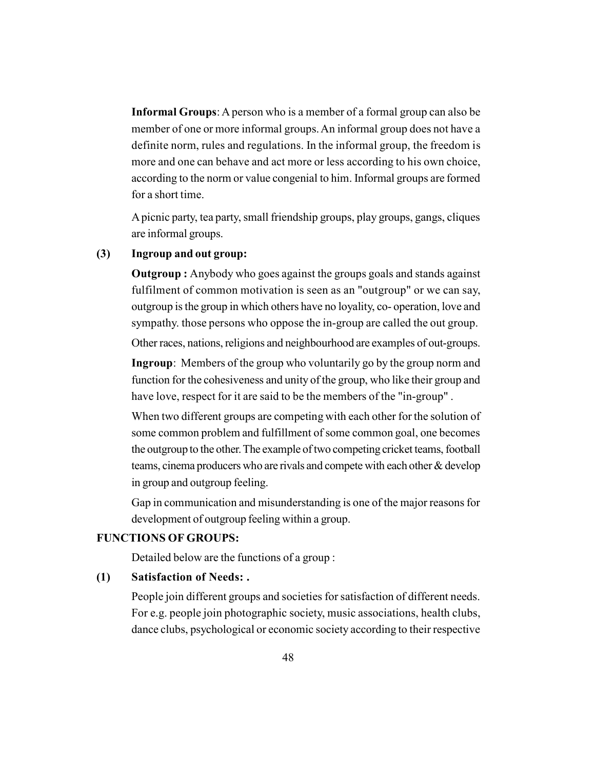**Informal Groups**: A person who is a member of a formal group can also be member of one or more informal groups. An informal group does not have a definite norm, rules and regulations. In the informal group, the freedom is more and one can behave and act more or less according to his own choice, according to the norm or value congenial to him. Informal groups are formed for a short time.

A picnic party, tea party, small friendship groups, play groups, gangs, cliques are informal groups.

#### **(3) Ingroup and out group:**

**Outgroup :** Anybody who goes against the groups goals and stands against fulfilment of common motivation is seen as an "outgroup" or we can say, outgroup is the group in which others have no loyality, co- operation, love and sympathy. those persons who oppose the in-group are called the out group.

Other races, nations, religions and neighbourhood are examples of out-groups.

**Ingroup**: Members of the group who voluntarily go by the group norm and function for the cohesiveness and unity of the group, who like their group and have love, respect for it are said to be the members of the "in-group" .

When two different groups are competing with each other for the solution of some common problem and fulfillment of some common goal, one becomes the outgroup to the other. The example of two competing cricket teams, football teams, cinema producers who are rivals and compete with each other & develop in group and outgroup feeling.

Gap in communication and misunderstanding is one of the major reasons for development of outgroup feeling within a group.

#### **FUNCTIONS OF GROUPS:**

Detailed below are the functions of a group :

## **(1) Satisfaction of Needs: .**

People join different groups and societies for satisfaction of different needs. For e.g. people join photographic society, music associations, health clubs, dance clubs, psychological or economic society according to their respective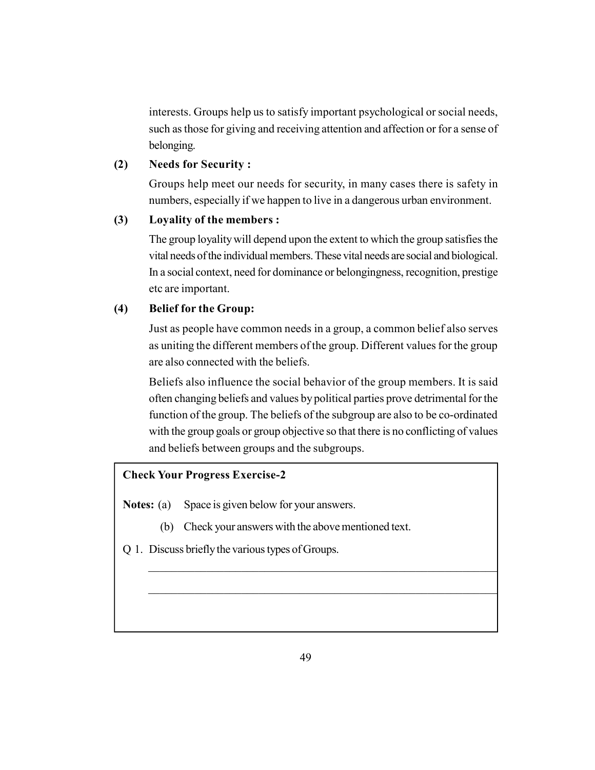interests. Groups help us to satisfy important psychological or social needs, such as those for giving and receiving attention and affection or for a sense of belonging.

## **(2) Needs for Security :**

Groups help meet our needs for security, in many cases there is safety in numbers, especially if we happen to live in a dangerous urban environment.

## **(3) Loyality of the members :**

The group loyality will depend upon the extent to which the group satisfies the vital needs of the individual members. These vital needs are social and biological. In a social context, need for dominance or belongingness, recognition, prestige etc are important.

## **(4) Belief for the Group:**

Just as people have common needs in a group, a common belief also serves as uniting the different members of the group. Different values for the group are also connected with the beliefs.

Beliefs also influence the social behavior of the group members. It is said often changing beliefs and values by political parties prove detrimental for the function of the group. The beliefs of the subgroup are also to be co-ordinated with the group goals or group objective so that there is no conflicting of values and beliefs between groups and the subgroups.

\_\_\_\_\_\_\_\_\_\_\_\_\_\_\_\_\_\_\_\_\_\_\_\_\_\_\_\_\_\_\_\_\_\_\_\_\_\_\_\_\_\_\_\_\_\_\_\_\_\_\_\_\_\_\_\_\_\_\_\_

\_\_\_\_\_\_\_\_\_\_\_\_\_\_\_\_\_\_\_\_\_\_\_\_\_\_\_\_\_\_\_\_\_\_\_\_\_\_\_\_\_\_\_\_\_\_\_\_\_\_\_\_\_\_\_\_\_\_\_\_

## **Check Your Progress Exercise-2**

Notes: (a) Space is given below for your answers.

- (b) Check your answers with the above mentioned text.
- Q 1. Discuss briefly the various types of Groups.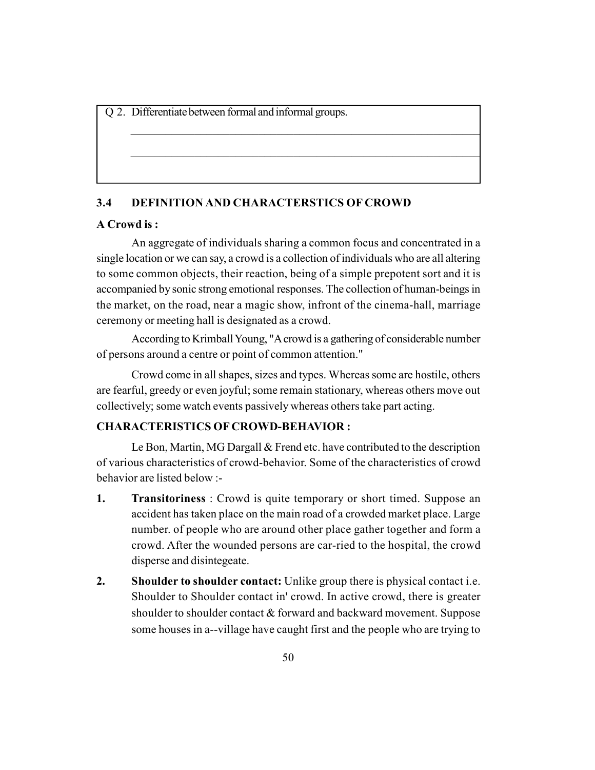Q 2. Differentiate between formal and informal groups.

#### **3.4 DEFINITION AND CHARACTERSTICS OF CROWD**

#### **A Crowd is :**

An aggregate of individuals sharing a common focus and concentrated in a single location or we can say, a crowd is a collection of individuals who are all altering to some common objects, their reaction, being of a simple prepotent sort and it is accompanied by sonic strong emotional responses. The collection of human-beings in the market, on the road, near a magic show, infront of the cinema-hall, marriage ceremony or meeting hall is designated as a crowd.

 $\mathcal{L}_\text{max}$  , and the contribution of the contribution of the contribution of the contribution of the contribution of the contribution of the contribution of the contribution of the contribution of the contribution of t

\_\_\_\_\_\_\_\_\_\_\_\_\_\_\_\_\_\_\_\_\_\_\_\_\_\_\_\_\_\_\_\_\_\_\_\_\_\_\_\_\_\_\_\_\_\_\_\_\_\_\_\_\_\_\_\_\_\_\_\_

According to Krimball Young, "A crowd is a gathering of considerable number of persons around a centre or point of common attention."

Crowd come in all shapes, sizes and types. Whereas some are hostile, others are fearful, greedy or even joyful; some remain stationary, whereas others move out collectively; some watch events passively whereas others take part acting.

#### **CHARACTERISTICS OF CROWD-BEHAVIOR :**

Le Bon, Martin, MG Dargall & Frend etc. have contributed to the description of various characteristics of crowd-behavior. Some of the characteristics of crowd behavior are listed below :-

- **1. Transitoriness** : Crowd is quite temporary or short timed. Suppose an accident has taken place on the main road of a crowded market place. Large number. of people who are around other place gather together and form a crowd. After the wounded persons are car-ried to the hospital, the crowd disperse and disintegeate.
- **2. Shoulder to shoulder contact:** Unlike group there is physical contact i.e. Shoulder to Shoulder contact in' crowd. In active crowd, there is greater shoulder to shoulder contact & forward and backward movement. Suppose some houses in a--village have caught first and the people who are trying to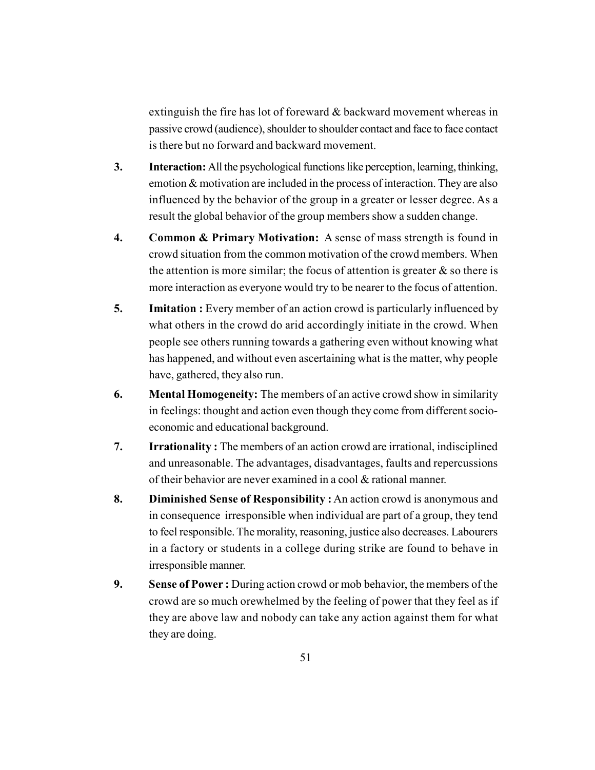extinguish the fire has lot of foreward  $\&$  backward movement whereas in passive crowd (audience), shoulder to shoulder contact and face to face contact is there but no forward and backward movement.

- **3. Interaction:** All the psychological functions like perception, learning, thinking, emotion & motivation are included in the process of interaction. They are also influenced by the behavior of the group in a greater or lesser degree. As a result the global behavior of the group members show a sudden change.
- **4. Common & Primary Motivation:** A sense of mass strength is found in crowd situation from the common motivation of the crowd members. When the attention is more similar; the focus of attention is greater  $\&$  so there is more interaction as everyone would try to be nearer to the focus of attention.
- **5.** Imitation : Every member of an action crowd is particularly influenced by what others in the crowd do arid accordingly initiate in the crowd. When people see others running towards a gathering even without knowing what has happened, and without even ascertaining what is the matter, why people have, gathered, they also run.
- **6. Mental Homogeneity:** The members of an active crowd show in similarity in feelings: thought and action even though they come from different socioeconomic and educational background.
- **7.** Irrationality: The members of an action crowd are irrational, indisciplined and unreasonable. The advantages, disadvantages, faults and repercussions of their behavior are never examined in a cool & rational manner.
- **8. Diminished Sense of Responsibility :** An action crowd is anonymous and in consequence irresponsible when individual are part of a group, they tend to feel responsible. The morality, reasoning, justice also decreases. Labourers in a factory or students in a college during strike are found to behave in irresponsible manner.
- **9. Sense of Power :** During action crowd or mob behavior, the members of the crowd are so much orewhelmed by the feeling of power that they feel as if they are above law and nobody can take any action against them for what they are doing.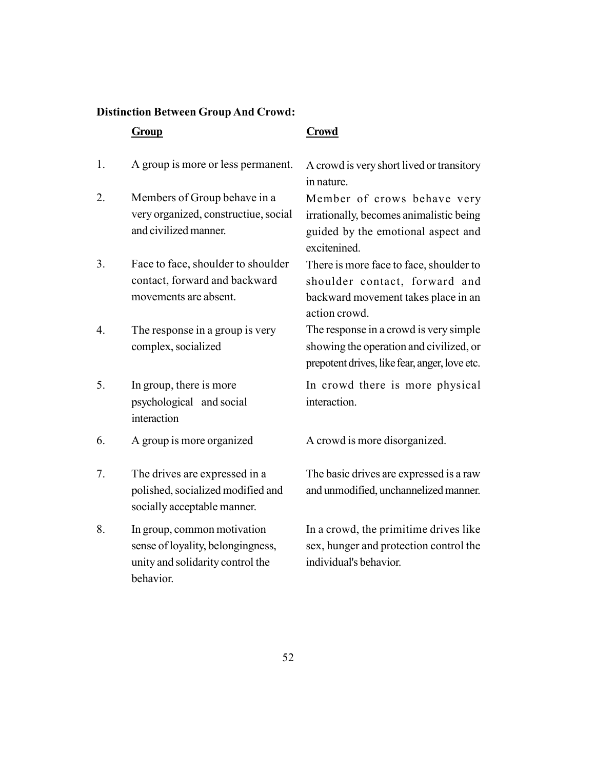#### **Distinction Between Group And Crowd:**

| Group |  |
|-------|--|
|-------|--|

- 1. A group is more or less permanent.
- 2. Members of Group behave in a very organized, constructiue, social and civilized manner.
- 3. Face to face, shoulder to shoulder contact, forward and backward movements are absent.
- 4. The response in a group is very complex, socialized
- 5. In group, there is more psychological and social interaction
- 6. A group is more organized
- 7. The drives are expressed in a polished, socialized modified and socially acceptable manner.
- 8. In group, common motivation sense of loyality, belongingness, unity and solidarity control the behavior.

#### **Group Crowd**

A crowd is very short lived or transitory in nature.

Member of crows behave very irrationally, becomes animalistic being guided by the emotional aspect and excitenined.

There is more face to face, shoulder to shoulder contact, forward and backward movement takes place in an action crowd.

The response in a crowd is very simple showing the operation and civilized, or prepotent drives, like fear, anger, love etc.

In crowd there is more physical interaction.

A crowd is more disorganized.

The basic drives are expressed is a raw and unmodified, unchannelized manner.

In a crowd, the primitime drives like sex, hunger and protection control the individual's behavior.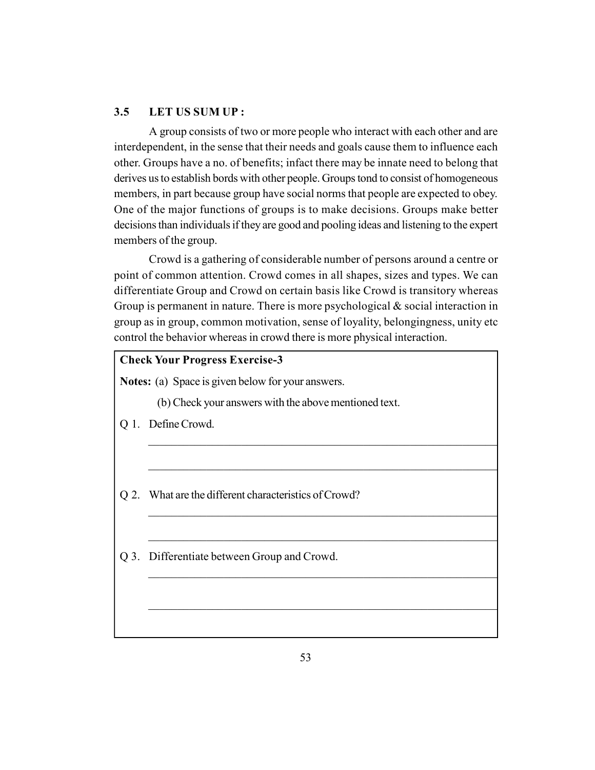## **3.5 LET US SUM UP :**

A group consists of two or more people who interact with each other and are interdependent, in the sense that their needs and goals cause them to influence each other. Groups have a no. of benefits; infact there may be innate need to belong that derives us to establish bords with other people. Groups tond to consist of homogeneous members, in part because group have social norms that people are expected to obey. One of the major functions of groups is to make decisions. Groups make better decisions than individuals if they are good and pooling ideas and listening to the expert members of the group.

Crowd is a gathering of considerable number of persons around a centre or point of common attention. Crowd comes in all shapes, sizes and types. We can differentiate Group and Crowd on certain basis like Crowd is transitory whereas Group is permanent in nature. There is more psychological & social interaction in group as in group, common motivation, sense of loyality, belongingness, unity etc control the behavior whereas in crowd there is more physical interaction.

\_\_\_\_\_\_\_\_\_\_\_\_\_\_\_\_\_\_\_\_\_\_\_\_\_\_\_\_\_\_\_\_\_\_\_\_\_\_\_\_\_\_\_\_\_\_\_\_\_\_\_\_\_\_\_\_\_\_\_\_

\_\_\_\_\_\_\_\_\_\_\_\_\_\_\_\_\_\_\_\_\_\_\_\_\_\_\_\_\_\_\_\_\_\_\_\_\_\_\_\_\_\_\_\_\_\_\_\_\_\_\_\_\_\_\_\_\_\_\_\_

\_\_\_\_\_\_\_\_\_\_\_\_\_\_\_\_\_\_\_\_\_\_\_\_\_\_\_\_\_\_\_\_\_\_\_\_\_\_\_\_\_\_\_\_\_\_\_\_\_\_\_\_\_\_\_\_\_\_\_\_

\_\_\_\_\_\_\_\_\_\_\_\_\_\_\_\_\_\_\_\_\_\_\_\_\_\_\_\_\_\_\_\_\_\_\_\_\_\_\_\_\_\_\_\_\_\_\_\_\_\_\_\_\_\_\_\_\_\_\_\_

\_\_\_\_\_\_\_\_\_\_\_\_\_\_\_\_\_\_\_\_\_\_\_\_\_\_\_\_\_\_\_\_\_\_\_\_\_\_\_\_\_\_\_\_\_\_\_\_\_\_\_\_\_\_\_\_\_\_\_\_

\_\_\_\_\_\_\_\_\_\_\_\_\_\_\_\_\_\_\_\_\_\_\_\_\_\_\_\_\_\_\_\_\_\_\_\_\_\_\_\_\_\_\_\_\_\_\_\_\_\_\_\_\_\_\_\_\_\_\_\_

## **Check Your Progress Exercise-3**

**Notes:** (a) Space is given below for your answers.

- (b) Check your answers with the above mentioned text.
- Q 1. Define Crowd.
- Q 2. What are the different characteristics of Crowd?
- Q 3. Differentiate between Group and Crowd.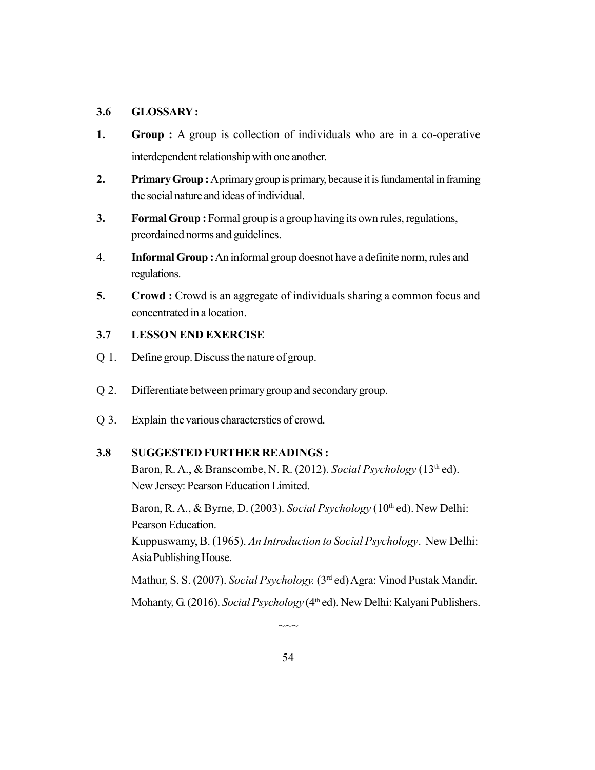#### **3.6 GLOSSARY :**

- **1.** Group : A group is collection of individuals who are in a co-operative interdependent relationship with one another.
- **2.** Primary Group : A primary group is primary, because it is fundamental in framing the social nature and ideas of individual.
- **3.** Formal Group : Formal group is a group having its own rules, regulations, preordained norms and guidelines.
- 4. **Informal Group :** An informal group doesnot have a definite norm, rules and regulations.
- **5.** Crowd: Crowd is an aggregate of individuals sharing a common focus and concentrated in a location.

#### **3.7 LESSON END EXERCISE**

- Q 1. Define group. Discuss the nature of group.
- Q 2. Differentiate between primary group and secondary group.
- Q 3. Explain the various characterstics of crowd.

#### **3.8 SUGGESTED FURTHER READINGS :**

Baron, R. A., & Branscombe, N. R. (2012). *Social Psychology* (13<sup>th</sup> ed). New Jersey: Pearson Education Limited.

Baron, R. A., & Byrne, D. (2003). *Social Psychology* (10<sup>th</sup> ed). New Delhi: Pearson Education.

Kuppuswamy, B. (1965). *An Introduction to Social Psychology*. New Delhi: Asia Publishing House.

Mathur, S. S. (2007). *Social Psychology.* (3rd ed) Agra: Vinod Pustak Mandir. Mohanty, G. (2016). *Social Psychology* (4<sup>th</sup> ed). New Delhi: Kalyani Publishers.

 $\sim\sim\sim$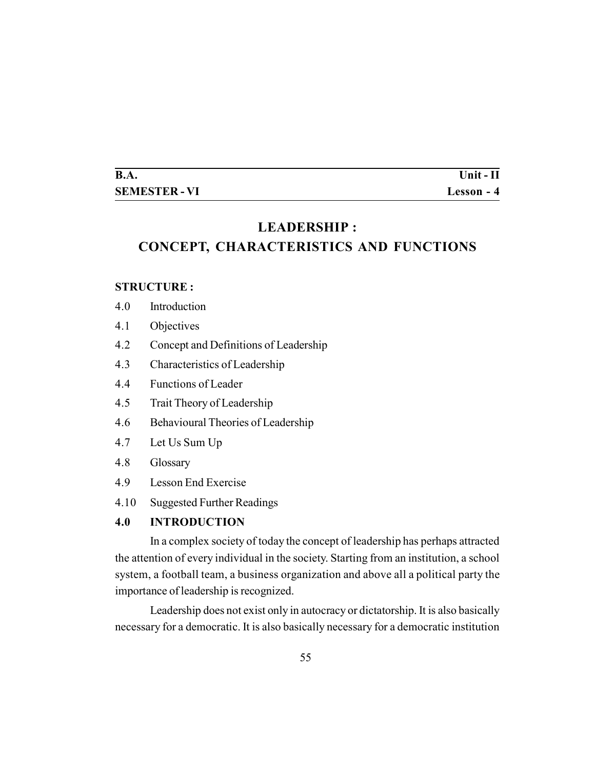| B.A.                 | Unit - II  |
|----------------------|------------|
| <b>SEMESTER - VI</b> | Lesson - 4 |

## **LEADERSHIP :**

# **CONCEPT, CHARACTERISTICS AND FUNCTIONS**

#### **STRUCTURE :**

- 4.0 Introduction
- 4.1 Objectives
- 4.2 Concept and Definitions of Leadership
- 4.3 Characteristics of Leadership
- 4.4 Functions of Leader
- 4.5 Trait Theory of Leadership
- 4.6 Behavioural Theories of Leadership
- 4.7 Let Us Sum Up
- 4.8 Glossary
- 4.9 Lesson End Exercise
- 4.10 Suggested Further Readings

#### **4.0 INTRODUCTION**

In a complex society of today the concept of leadership has perhaps attracted the attention of every individual in the society. Starting from an institution, a school system, a football team, a business organization and above all a political party the importance of leadership is recognized.

Leadership does not exist only in autocracy or dictatorship. It is also basically necessary for a democratic. It is also basically necessary for a democratic institution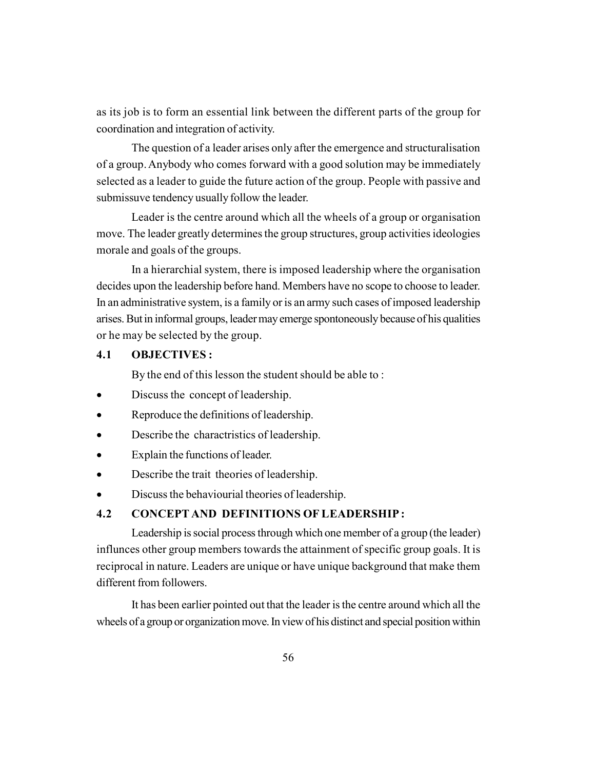as its job is to form an essential link between the different parts of the group for coordination and integration of activity.

The question of a leader arises only after the emergence and structuralisation of a group. Anybody who comes forward with a good solution may be immediately selected as a leader to guide the future action of the group. People with passive and submissuve tendency usually follow the leader.

Leader is the centre around which all the wheels of a group or organisation move. The leader greatly determines the group structures, group activities ideologies morale and goals of the groups.

In a hierarchial system, there is imposed leadership where the organisation decides upon the leadership before hand. Members have no scope to choose to leader. In an administrative system, is a family or is an army such cases of imposed leadership arises. But in informal groups, leader may emerge spontoneously because of his qualities or he may be selected by the group.

## **4.1 OBJECTIVES :**

By the end of this lesson the student should be able to :

- Discuss the concept of leadership.
- Reproduce the definitions of leadership.
- Describe the charactristics of leadership.
- Explain the functions of leader.
- Describe the trait theories of leadership.
- Discuss the behaviourial theories of leadership.

## **4.2 CONCEPT AND DEFINITIONS OF LEADERSHIP :**

Leadership is social process through which one member of a group (the leader) influnces other group members towards the attainment of specific group goals. It is reciprocal in nature. Leaders are unique or have unique background that make them different from followers.

It has been earlier pointed out that the leader is the centre around which all the wheels of a group or organization move. In view of his distinct and special position within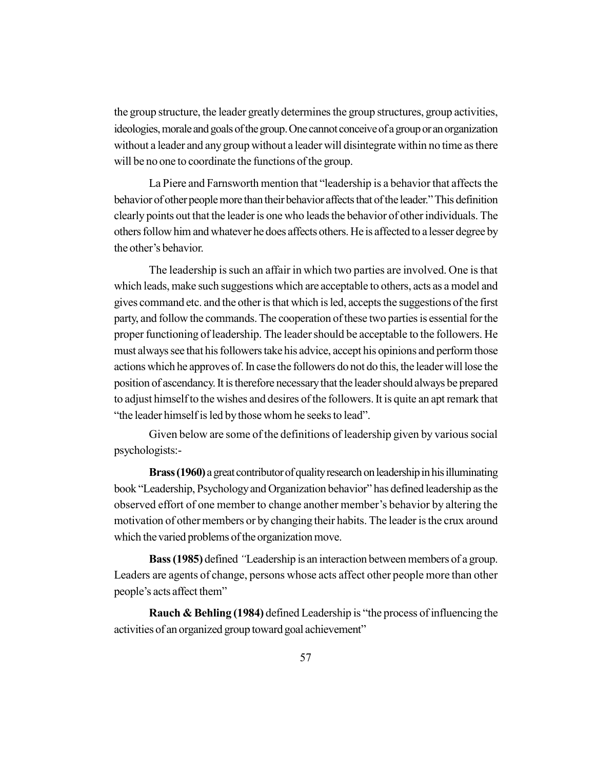the group structure, the leader greatly determines the group structures, group activities, ideologies, morale and goals of the group. One cannot conceive of a group or an organization without a leader and any group without a leader will disintegrate within no time as there will be no one to coordinate the functions of the group.

La Piere and Farnsworth mention that "leadership is a behavior that affects the behavior of other people more than their behavior affects that of the leader." This definition clearly points out that the leader is one who leads the behavior of other individuals. The others follow him and whatever he does affects others. He is affected to a lesser degree by the other's behavior.

The leadership is such an affair in which two parties are involved. One is that which leads, make such suggestions which are acceptable to others, acts as a model and gives command etc. and the other is that which is led, accepts the suggestions of the first party, and follow the commands. The cooperation of these two parties is essential for the proper functioning of leadership. The leader should be acceptable to the followers. He must always see that his followers take his advice, accept his opinions and perform those actions which he approves of. In case the followers do not do this, the leader will lose the position of ascendancy. It is therefore necessary that the leader should always be prepared to adjust himself to the wishes and desires of the followers. It is quite an apt remark that "the leader himself is led by those whom he seeks to lead".

Given below are some of the definitions of leadership given by various social psychologists:-

**Brass (1960)** a great contributor of quality research on leadership in his illuminating book "Leadership, Psychology and Organization behavior" has defined leadership as the observed effort of one member to change another member's behavior by altering the motivation of other members or by changing their habits. The leader is the crux around which the varied problems of the organization move.

**Bass (1985)** defined *"*Leadership is an interaction between members of a group. Leaders are agents of change, persons whose acts affect other people more than other people's acts affect them"

**Rauch & Behling (1984)** defined Leadership is "the process of influencing the activities of an organized group toward goal achievement"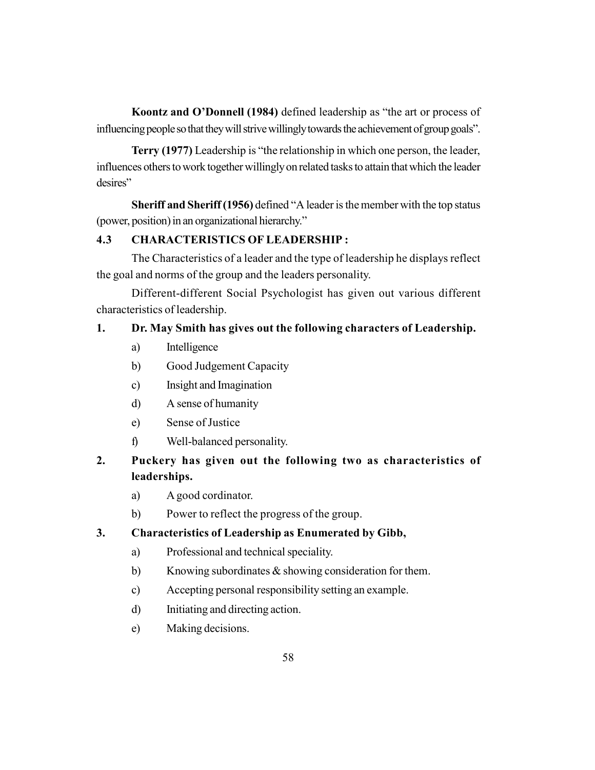**Koontz and O'Donnell (1984)** defined leadership as "the art or process of influencing people so that they will strive willingly towards the achievement of group goals".

**Terry (1977)** Leadership is "the relationship in which one person, the leader, influences others to work together willingly on related tasks to attain that which the leader desires"

**Sheriff and Sheriff (1956)** defined "A leader is the member with the top status (power, position) in an organizational hierarchy."

## **4.3 CHARACTERISTICS OF LEADERSHIP :**

The Characteristics of a leader and the type of leadership he displays reflect the goal and norms of the group and the leaders personality.

Different-different Social Psychologist has given out various different characteristics of leadership.

## **1. Dr. May Smith has gives out the following characters of Leadership.**

- a) Intelligence
- b) Good Judgement Capacity
- c) Insight and Imagination
- d) A sense of humanity
- e) Sense of Justice
- f) Well-balanced personality.
- **2. Puckery has given out the following two as characteristics of leaderships.**
	- a) A good cordinator.
	- b) Power to reflect the progress of the group.

#### **3. Characteristics of Leadership as Enumerated by Gibb,**

- a) Professional and technical speciality.
- b) Knowing subordinates & showing consideration for them.
- c) Accepting personal responsibility setting an example.
- d) Initiating and directing action.
- e) Making decisions.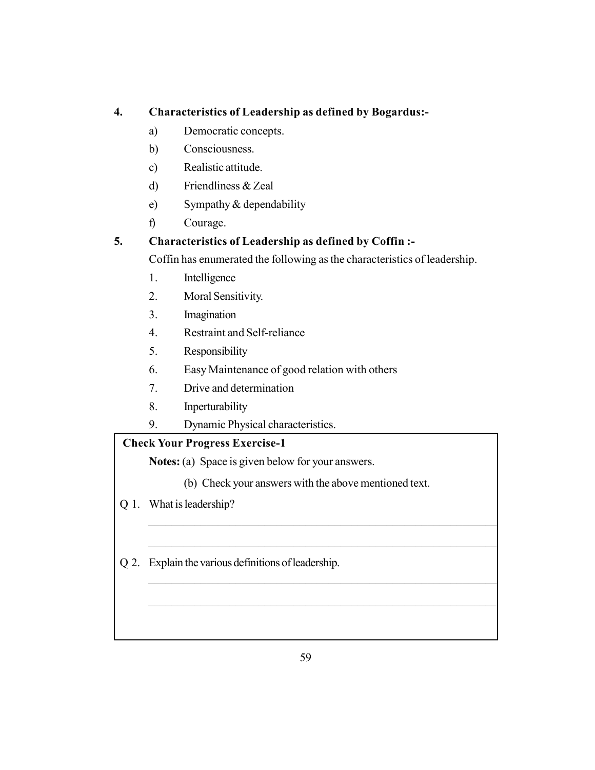# **4. Characteristics of Leadership as defined by Bogardus:-**

- a) Democratic concepts.
- b) Consciousness.
- c) Realistic attitude.
- d) Friendliness & Zeal
- e) Sympathy & dependability
- f) Courage.

# **5. Characteristics of Leadership as defined by Coffin :-**

Coffin has enumerated the following as the characteristics of leadership.

- 1. Intelligence
- 2. Moral Sensitivity.
- 3. Imagination
- 4. Restraint and Self-reliance
- 5. Responsibility
- 6. Easy Maintenance of good relation with others
- 7. Drive and determination
- 8. Inperturability
- 9. Dynamic Physical characteristics.

# **Check Your Progress Exercise-1**

Notes: (a) Space is given below for your answers.

(b) Check your answers with the above mentioned text.

\_\_\_\_\_\_\_\_\_\_\_\_\_\_\_\_\_\_\_\_\_\_\_\_\_\_\_\_\_\_\_\_\_\_\_\_\_\_\_\_\_\_\_\_\_\_\_\_\_\_\_\_\_\_\_\_\_\_\_\_

\_\_\_\_\_\_\_\_\_\_\_\_\_\_\_\_\_\_\_\_\_\_\_\_\_\_\_\_\_\_\_\_\_\_\_\_\_\_\_\_\_\_\_\_\_\_\_\_\_\_\_\_\_\_\_\_\_\_\_\_

\_\_\_\_\_\_\_\_\_\_\_\_\_\_\_\_\_\_\_\_\_\_\_\_\_\_\_\_\_\_\_\_\_\_\_\_\_\_\_\_\_\_\_\_\_\_\_\_\_\_\_\_\_\_\_\_\_\_\_\_

\_\_\_\_\_\_\_\_\_\_\_\_\_\_\_\_\_\_\_\_\_\_\_\_\_\_\_\_\_\_\_\_\_\_\_\_\_\_\_\_\_\_\_\_\_\_\_\_\_\_\_\_\_\_\_\_\_\_\_\_

- Q 1. What is leadership?
- Q 2. Explain the various definitions of leadership.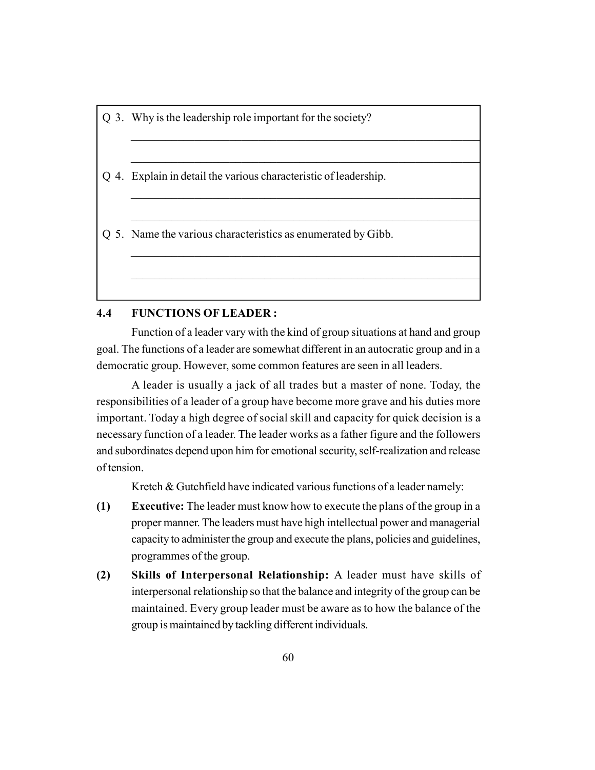- Q 3. Why is the leadership role important for the society?
- Q 4. Explain in detail the various characteristic of leadership.
- Q 5. Name the various characteristics as enumerated by Gibb.

#### **4.4 FUNCTIONS OF LEADER :**

Function of a leader vary with the kind of group situations at hand and group goal. The functions of a leader are somewhat different in an autocratic group and in a democratic group. However, some common features are seen in all leaders.

\_\_\_\_\_\_\_\_\_\_\_\_\_\_\_\_\_\_\_\_\_\_\_\_\_\_\_\_\_\_\_\_\_\_\_\_\_\_\_\_\_\_\_\_\_\_\_\_\_\_\_\_\_\_\_\_\_\_\_\_

\_\_\_\_\_\_\_\_\_\_\_\_\_\_\_\_\_\_\_\_\_\_\_\_\_\_\_\_\_\_\_\_\_\_\_\_\_\_\_\_\_\_\_\_\_\_\_\_\_\_\_\_\_\_\_\_\_\_\_\_

\_\_\_\_\_\_\_\_\_\_\_\_\_\_\_\_\_\_\_\_\_\_\_\_\_\_\_\_\_\_\_\_\_\_\_\_\_\_\_\_\_\_\_\_\_\_\_\_\_\_\_\_\_\_\_\_\_\_\_\_

\_\_\_\_\_\_\_\_\_\_\_\_\_\_\_\_\_\_\_\_\_\_\_\_\_\_\_\_\_\_\_\_\_\_\_\_\_\_\_\_\_\_\_\_\_\_\_\_\_\_\_\_\_\_\_\_\_\_\_\_

\_\_\_\_\_\_\_\_\_\_\_\_\_\_\_\_\_\_\_\_\_\_\_\_\_\_\_\_\_\_\_\_\_\_\_\_\_\_\_\_\_\_\_\_\_\_\_\_\_\_\_\_\_\_\_\_\_\_\_\_

\_\_\_\_\_\_\_\_\_\_\_\_\_\_\_\_\_\_\_\_\_\_\_\_\_\_\_\_\_\_\_\_\_\_\_\_\_\_\_\_\_\_\_\_\_\_\_\_\_\_\_\_\_\_\_\_\_\_\_\_

A leader is usually a jack of all trades but a master of none. Today, the responsibilities of a leader of a group have become more grave and his duties more important. Today a high degree of social skill and capacity for quick decision is a necessary function of a leader. The leader works as a father figure and the followers and subordinates depend upon him for emotional security, self-realization and release of tension.

Kretch & Gutchfield have indicated various functions of a leader namely:

- **(1) Executive:** The leader must know how to execute the plans of the group in a proper manner. The leaders must have high intellectual power and managerial capacity to administer the group and execute the plans, policies and guidelines, programmes of the group.
- **(2) Skills of Interpersonal Relationship:** A leader must have skills of interpersonal relationship so that the balance and integrity of the group can be maintained. Every group leader must be aware as to how the balance of the group is maintained by tackling different individuals.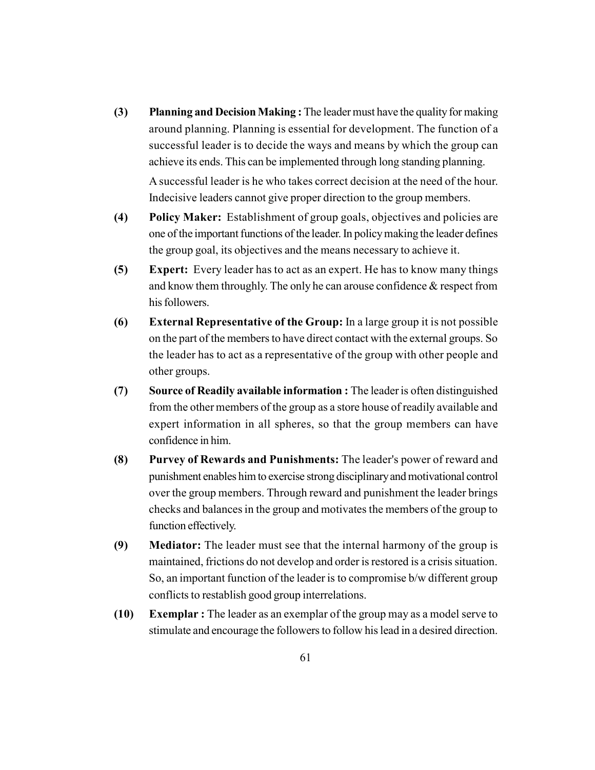**(3) Planning and Decision Making :** The leader must have the quality for making around planning. Planning is essential for development. The function of a successful leader is to decide the ways and means by which the group can achieve its ends. This can be implemented through long standing planning.

A successful leader is he who takes correct decision at the need of the hour. Indecisive leaders cannot give proper direction to the group members.

- **(4) Policy Maker:** Establishment of group goals, objectives and policies are one of the important functions of the leader. In policy making the leader defines the group goal, its objectives and the means necessary to achieve it.
- **(5) Expert:** Every leader has to act as an expert. He has to know many things and know them throughly. The only he can arouse confidence & respect from his followers.
- **(6) External Representative of the Group:** In a large group it is not possible on the part of the members to have direct contact with the external groups. So the leader has to act as a representative of the group with other people and other groups.
- **(7) Source of Readily available information :** The leader is often distinguished from the other members of the group as a store house of readily available and expert information in all spheres, so that the group members can have confidence in him.
- **(8) Purvey of Rewards and Punishments:** The leader's power of reward and punishment enables him to exercise strong disciplinary and motivational control over the group members. Through reward and punishment the leader brings checks and balances in the group and motivates the members of the group to function effectively.
- **(9) Mediator:** The leader must see that the internal harmony of the group is maintained, frictions do not develop and order is restored is a crisis situation. So, an important function of the leader is to compromise b/w different group conflicts to restablish good group interrelations.
- **(10) Exemplar :** The leader as an exemplar of the group may as a model serve to stimulate and encourage the followers to follow his lead in a desired direction.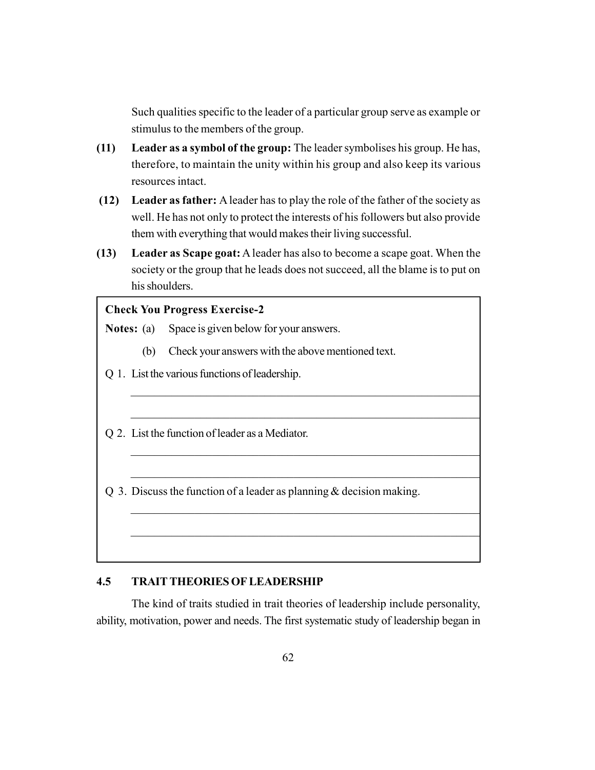Such qualities specific to the leader of a particular group serve as example or stimulus to the members of the group.

- **(11) Leader as a symbol of the group:** The leader symbolises his group. He has, therefore, to maintain the unity within his group and also keep its various resources intact.
- **(12) Leader as father:** A leader has to play the role of the father of the society as well. He has not only to protect the interests of his followers but also provide them with everything that would makes their living successful.
- **(13) Leader as Scape goat:** A leader has also to become a scape goat. When the society or the group that he leads does not succeed, all the blame is to put on his shoulders.

\_\_\_\_\_\_\_\_\_\_\_\_\_\_\_\_\_\_\_\_\_\_\_\_\_\_\_\_\_\_\_\_\_\_\_\_\_\_\_\_\_\_\_\_\_\_\_\_\_\_\_\_\_\_\_\_\_\_\_\_

 $\mathcal{L}_\text{max}$  , and the contribution of the contribution of the contribution of the contribution of the contribution of the contribution of the contribution of the contribution of the contribution of the contribution of t

\_\_\_\_\_\_\_\_\_\_\_\_\_\_\_\_\_\_\_\_\_\_\_\_\_\_\_\_\_\_\_\_\_\_\_\_\_\_\_\_\_\_\_\_\_\_\_\_\_\_\_\_\_\_\_\_\_\_\_\_

\_\_\_\_\_\_\_\_\_\_\_\_\_\_\_\_\_\_\_\_\_\_\_\_\_\_\_\_\_\_\_\_\_\_\_\_\_\_\_\_\_\_\_\_\_\_\_\_\_\_\_\_\_\_\_\_\_\_\_\_

\_\_\_\_\_\_\_\_\_\_\_\_\_\_\_\_\_\_\_\_\_\_\_\_\_\_\_\_\_\_\_\_\_\_\_\_\_\_\_\_\_\_\_\_\_\_\_\_\_\_\_\_\_\_\_\_\_\_\_\_

\_\_\_\_\_\_\_\_\_\_\_\_\_\_\_\_\_\_\_\_\_\_\_\_\_\_\_\_\_\_\_\_\_\_\_\_\_\_\_\_\_\_\_\_\_\_\_\_\_\_\_\_\_\_\_\_\_\_\_\_

## **Check You Progress Exercise-2**

- **Notes:** (a) Space is given below for your answers.
	- (b) Check your answers with the above mentioned text.
- Q 1. List the various functions of leadership.
- Q 2. List the function of leader as a Mediator.
- Q 3. Discuss the function of a leader as planning & decision making.

#### **4.5 TRAIT THEORIES OF LEADERSHIP**

The kind of traits studied in trait theories of leadership include personality, ability, motivation, power and needs. The first systematic study of leadership began in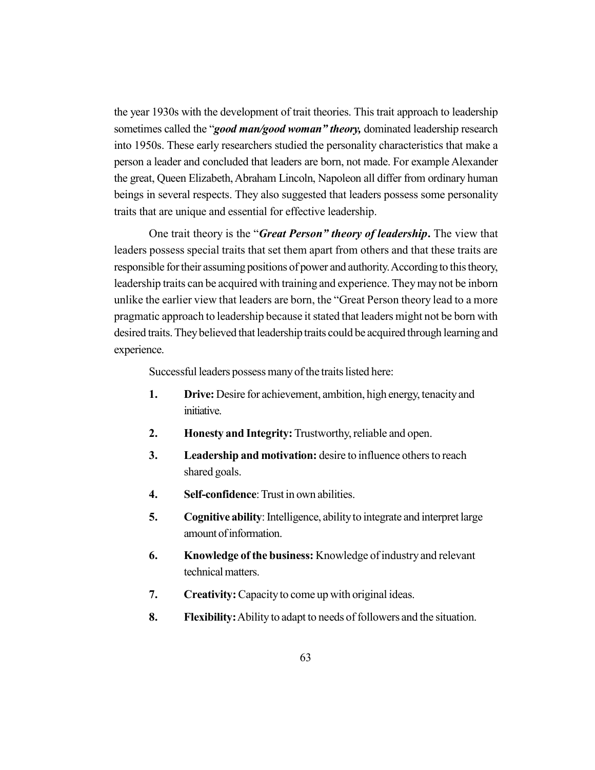the year 1930s with the development of trait theories. This trait approach to leadership sometimes called the "*good man/good woman" theory,* dominated leadership research into 1950s. These early researchers studied the personality characteristics that make a person a leader and concluded that leaders are born, not made. For example Alexander the great, Queen Elizabeth, Abraham Lincoln, Napoleon all differ from ordinary human beings in several respects. They also suggested that leaders possess some personality traits that are unique and essential for effective leadership.

One trait theory is the "*Great Person" theory of leadership***.** The view that leaders possess special traits that set them apart from others and that these traits are responsible for their assuming positions of power and authority. According to this theory, leadership traits can be acquired with training and experience. They may not be inborn unlike the earlier view that leaders are born, the "Great Person theory lead to a more pragmatic approach to leadership because it stated that leaders might not be born with desired traits. They believed that leadership traits could be acquired through learning and experience.

Successful leaders possess many of the traits listed here:

- **1. Drive:** Desire for achievement, ambition, high energy, tenacity and initiative.
- **2. Honesty and Integrity:** Trustworthy, reliable and open.
- **3. Leadership and motivation:** desire to influence others to reach shared goals.
- **4. Self-confidence**: Trust in own abilities.
- **5. Cognitive ability**: Intelligence, ability to integrate and interpret large amount of information.
- **6. Knowledge of the business:** Knowledge of industry and relevant technical matters.
- **7. Creativity:** Capacity to come up with original ideas.
- **8. Flexibility:** Ability to adapt to needs of followers and the situation.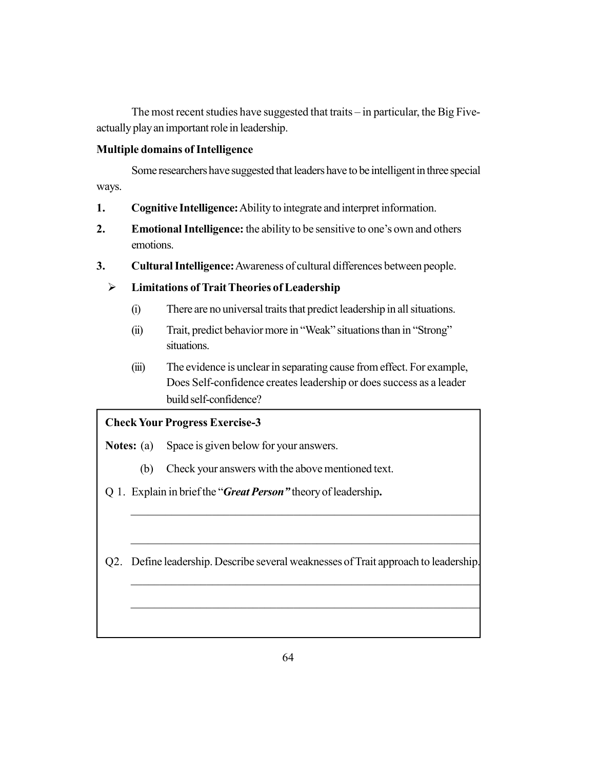The most recent studies have suggested that traits – in particular, the Big Fiveactually play an important role in leadership.

## **Multiple domains of Intelligence**

Some researchers have suggested that leaders have to be intelligent in three special ways.

- **1. Cognitive Intelligence:** Ability to integrate and interpret information.
- **2. Emotional Intelligence:** the ability to be sensitive to one's own and others emotions.
- **3. Cultural Intelligence:** Awareness of cultural differences between people.

#### **Limitations of Trait Theories of Leadership**

- (i) There are no universal traits that predict leadership in all situations.
- (ii) Trait, predict behavior more in "Weak" situations than in "Strong" situations.
- (iii) The evidence is unclear in separating cause from effect. For example, Does Self-confidence creates leadership or does success as a leader build self-confidence?

#### **Check Your Progress Exercise-3**

Notes: (a) Space is given below for your answers.

- (b) Check your answers with the above mentioned text.
- Q 1. Explain in brief the "*Great Person"* theory of leadership**.**
- Q2. Define leadership. Describe several weaknesses of Trait approach to leadership.

 $\Box$  . The contract of the contract of the contract of the contract of the contract of the contract of the contract of the contract of the contract of the contract of the contract of the contract of the contract of the co

 $\mathcal{L}_\text{max}$  , and the contribution of the contribution of the contribution of the contribution of the contribution of the contribution of the contribution of the contribution of the contribution of the contribution of t

 $\mathcal{L}_\text{max}$  , and the contribution of the contribution of the contribution of the contribution of the contribution of the contribution of the contribution of the contribution of the contribution of the contribution of t

\_\_\_\_\_\_\_\_\_\_\_\_\_\_\_\_\_\_\_\_\_\_\_\_\_\_\_\_\_\_\_\_\_\_\_\_\_\_\_\_\_\_\_\_\_\_\_\_\_\_\_\_\_\_\_\_\_\_\_\_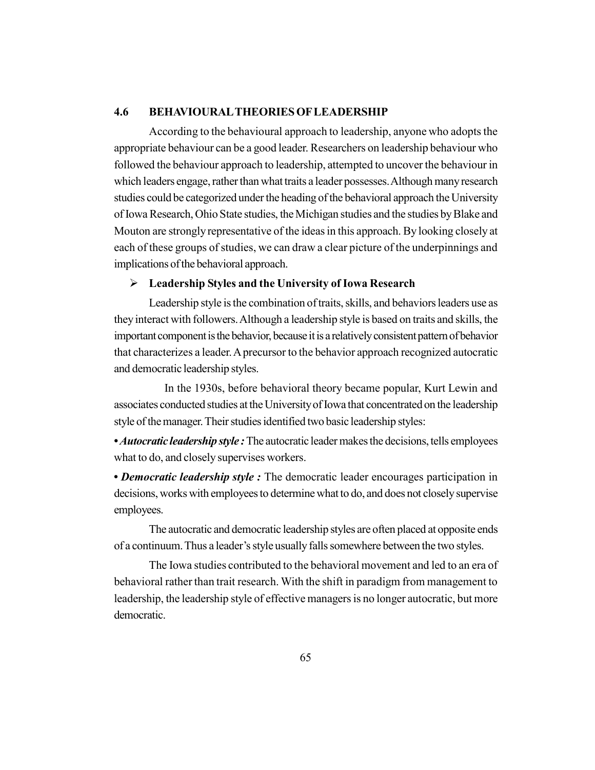#### **4.6 BEHAVIOURAL THEORIES OF LEADERSHIP**

According to the behavioural approach to leadership, anyone who adopts the appropriate behaviour can be a good leader. Researchers on leadership behaviour who followed the behaviour approach to leadership, attempted to uncover the behaviour in which leaders engage, rather than what traits a leader possesses. Although many research studies could be categorized under the heading of the behavioral approach the University of Iowa Research, Ohio State studies, the Michigan studies and the studies by Blake and Mouton are strongly representative of the ideas in this approach. By looking closely at each of these groups of studies, we can draw a clear picture of the underpinnings and implications of the behavioral approach.

#### **Leadership Styles and the University of Iowa Research**

Leadership style is the combination of traits, skills, and behaviors leaders use as they interact with followers. Although a leadership style is based on traits and skills, the important component is the behavior, because it is a relatively consistent pattern of behavior that characterizes a leader. A precursor to the behavior approach recognized autocratic and democratic leadership styles.

 In the 1930s, before behavioral theory became popular, Kurt Lewin and associates conducted studies at the University of Iowa that concentrated on the leadership style of the manager. Their studies identified two basic leadership styles:

**•** *Autocratic leadership style :*The autocratic leader makes the decisions, tells employees what to do, and closely supervises workers.

**•** *Democratic leadership style :* The democratic leader encourages participation in decisions, works with employees to determine what to do, and does not closely supervise employees.

The autocratic and democratic leadership styles are often placed at opposite ends of a continuum. Thus a leader's style usually falls somewhere between the two styles.

The Iowa studies contributed to the behavioral movement and led to an era of behavioral rather than trait research. With the shift in paradigm from management to leadership, the leadership style of effective managers is no longer autocratic, but more democratic.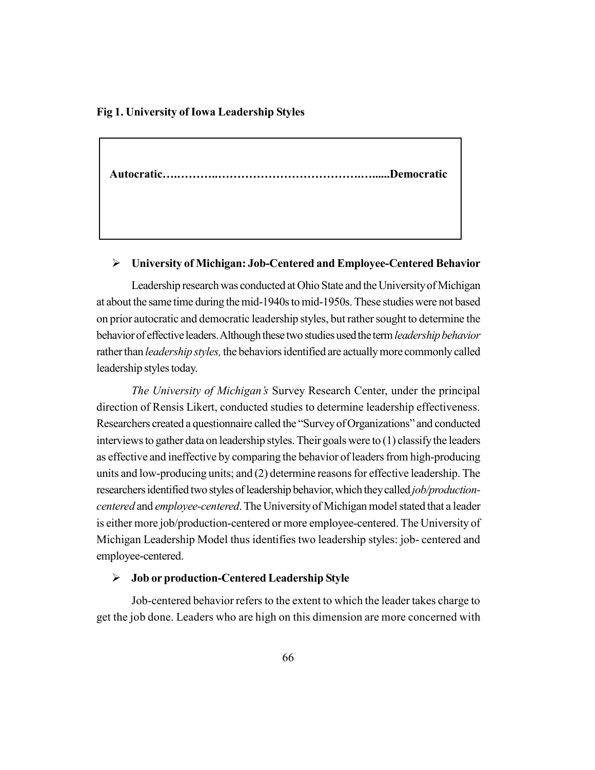#### **Fig 1. University of Iowa Leadership Styles**

**Autocratic….………..……………………………….…......Democratic** 

## **University of Michigan: Job-Centered and Employee-Centered Behavior**

Leadership research was conducted at Ohio State and the University of Michigan at about the same time during the mid-1940s to mid-1950s. These studies were not based on prior autocratic and democratic leadership styles, but rather sought to determine the behavior of effective leaders. Although these two studies used the term *leadership behavior* rather than *leadership styles,* the behaviors identified are actually more commonly called leadership styles today.

*The University of Michigan's* Survey Research Center, under the principal direction of Rensis Likert, conducted studies to determine leadership effectiveness. Researchers created a questionnaire called the "Survey of Organizations" and conducted interviews to gather data on leadership styles. Their goals were to (1) classify the leaders as effective and ineffective by comparing the behavior of leaders from high-producing units and low-producing units; and (2) determine reasons for effective leadership. The researchers identified two styles of leadership behavior, which they called *job/productioncentered* and *employee-centered*. The University of Michigan model stated that a leader is either more job/production-centered or more employee-centered. The University of Michigan Leadership Model thus identifies two leadership styles: job- centered and employee-centered.

#### **Job or production-Centered Leadership Style**

Job-centered behavior refers to the extent to which the leader takes charge to get the job done. Leaders who are high on this dimension are more concerned with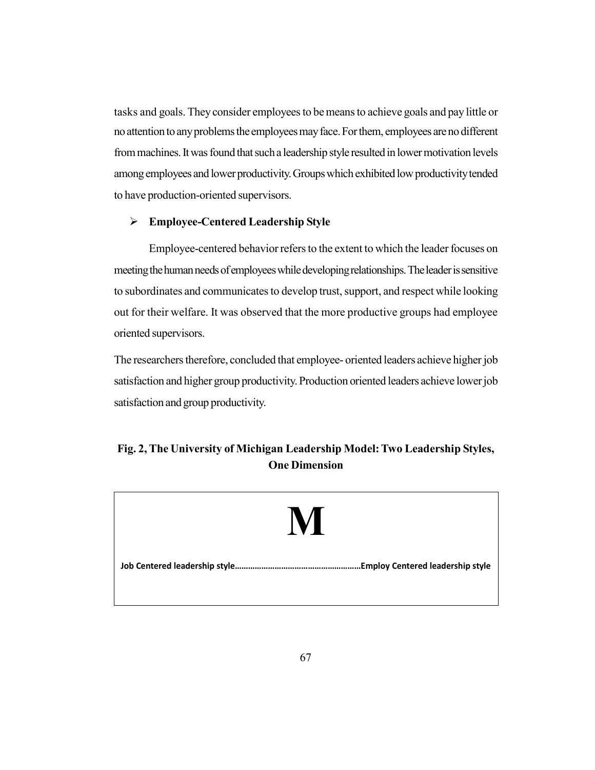tasks and goals. They consider employees to be means to achieve goals and pay little or no attention to any problems the employees may face. For them, employees are no different from machines. It was found that such a leadership style resulted in lower motivation levels among employees and lower productivity. Groups which exhibited low productivity tended to have production-oriented supervisors.

#### **Employee-Centered Leadership Style**

Employee-centered behavior refers to the extent to which the leader focuses on meeting the human needs of employees while developing relationships. The leader is sensitive to subordinates and communicates to develop trust, support, and respect while looking out for their welfare. It was observed that the more productive groups had employee oriented supervisors.

The researchers therefore, concluded that employee- oriented leaders achieve higher job satisfaction and higher group productivity. Production oriented leaders achieve lower job satisfaction and group productivity.

# **Fig. 2, The University of Michigan Leadership Model: Two Leadership Styles, One Dimension**

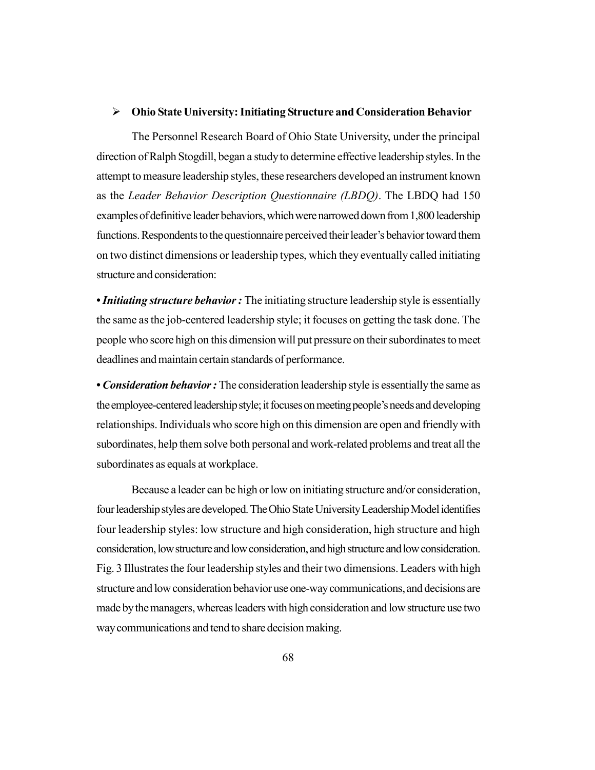#### **Ohio State University: Initiating Structure and Consideration Behavior**

The Personnel Research Board of Ohio State University, under the principal direction of Ralph Stogdill, began a study to determine effective leadership styles. In the attempt to measure leadership styles, these researchers developed an instrument known as the *Leader Behavior Description Questionnaire (LBDQ)*. The LBDQ had 150 examples of definitive leader behaviors, which were narrowed down from 1,800 leadership functions. Respondents to the questionnaire perceived their leader's behavior toward them on two distinct dimensions or leadership types, which they eventually called initiating structure and consideration:

**•** *Initiating structure behavior :* The initiating structure leadership style is essentially the same as the job-centered leadership style; it focuses on getting the task done. The people who score high on this dimension will put pressure on their subordinates to meet deadlines and maintain certain standards of performance.

**•** *Consideration behavior :* The consideration leadership style is essentially the same as the employee-centered leadership style; it focuses on meeting people's needs and developing relationships. Individuals who score high on this dimension are open and friendly with subordinates, help them solve both personal and work-related problems and treat all the subordinates as equals at workplace.

Because a leader can be high or low on initiating structure and/or consideration, four leadership styles are developed. The Ohio State University Leadership Model identifies four leadership styles: low structure and high consideration, high structure and high consideration, low structure and low consideration, and high structure and low consideration. Fig. 3 Illustrates the four leadership styles and their two dimensions. Leaders with high structure and low consideration behavior use one-way communications, and decisions are made by the managers, whereas leaders with high consideration and low structure use two way communications and tend to share decision making.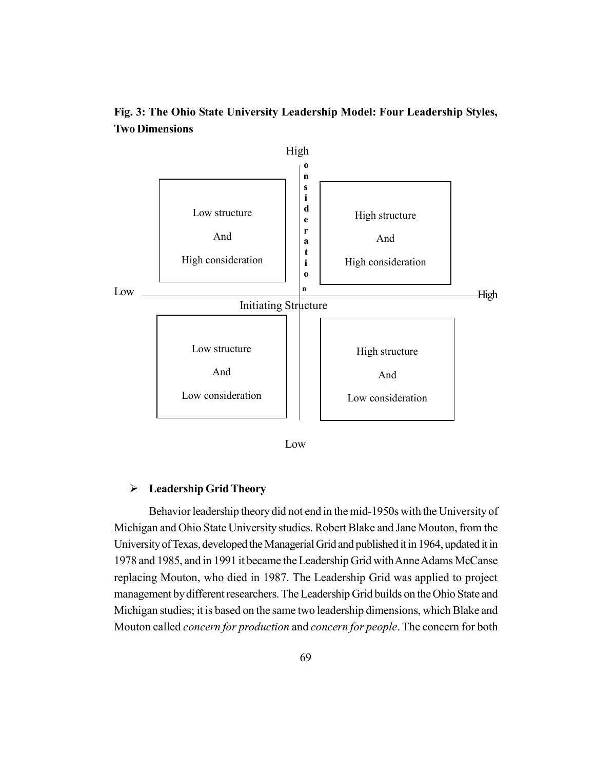# **Fig. 3: The Ohio State University Leadership Model: Four Leadership Styles, Two Dimensions**



Low

#### **Leadership Grid Theory**

Behavior leadership theory did not end in the mid-1950s with the University of Michigan and Ohio State University studies. Robert Blake and Jane Mouton, from the University of Texas, developed the Managerial Grid and published it in 1964, updated it in 1978 and 1985, and in 1991 it became the Leadership Grid with Anne Adams McCanse replacing Mouton, who died in 1987. The Leadership Grid was applied to project management by different researchers. The Leadership Grid builds on the Ohio State and Michigan studies; it is based on the same two leadership dimensions, which Blake and Mouton called *concern for production* and *concern for people*. The concern for both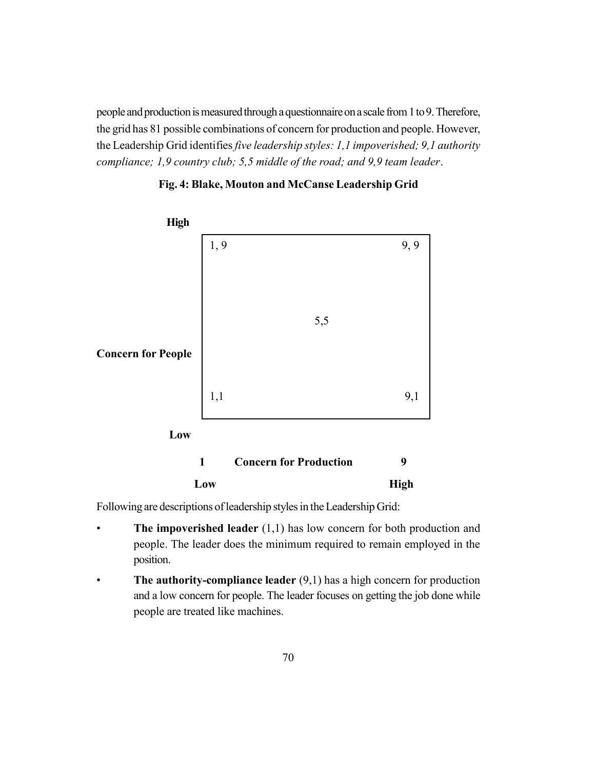people and production is measured through a questionnaire on a scale from 1 to 9. Therefore, the grid has 81 possible combinations of concern for production and people. However, the Leadership Grid identifies *five leadership styles: 1,1 impoverished; 9,1 authority compliance; 1,9 country club; 5,5 middle of the road; and 9,9 team leader*.



**Fig. 4: Blake, Mouton and McCanse Leadership Grid**

Following are descriptions of leadership styles in the Leadership Grid:

- **The impoverished leader** (1,1) has low concern for both production and people. The leader does the minimum required to remain employed in the position.
- **The authority-compliance leader** (9,1) has a high concern for production and a low concern for people. The leader focuses on getting the job done while people are treated like machines.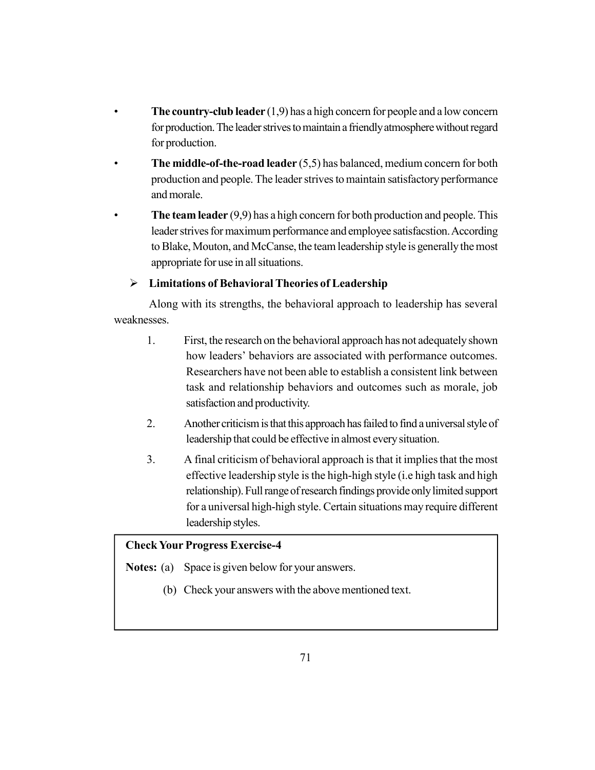- **The country-club leader** (1,9) has a high concern for people and a low concern for production. The leader strives to maintain a friendly atmosphere without regard for production.
- **The middle-of-the-road leader** (5,5) has balanced, medium concern for both production and people. The leader strives to maintain satisfactory performance and morale.
- **The team leader** (9,9) has a high concern for both production and people. This leader strives for maximum performance and employee satisfacstion. According to Blake, Mouton, and McCanse, the team leadership style is generally the most appropriate for use in all situations.

# **Limitations of Behavioral Theories of Leadership**

Along with its strengths, the behavioral approach to leadership has several weaknesses.

- 1. First, the research on the behavioral approach has not adequately shown how leaders' behaviors are associated with performance outcomes. Researchers have not been able to establish a consistent link between task and relationship behaviors and outcomes such as morale, job satisfaction and productivity.
- 2. Another criticism is that this approach has failed to find a universal style of leadership that could be effective in almost every situation.
- 3. A final criticism of behavioral approach is that it implies that the most effective leadership style is the high-high style (i.e high task and high relationship). Full range of research findings provide only limited support for a universal high-high style. Certain situations may require different leadership styles.

# **Check Your Progress Exercise-4**

Notes: (a) Space is given below for your answers.

(b) Check your answers with the above mentioned text.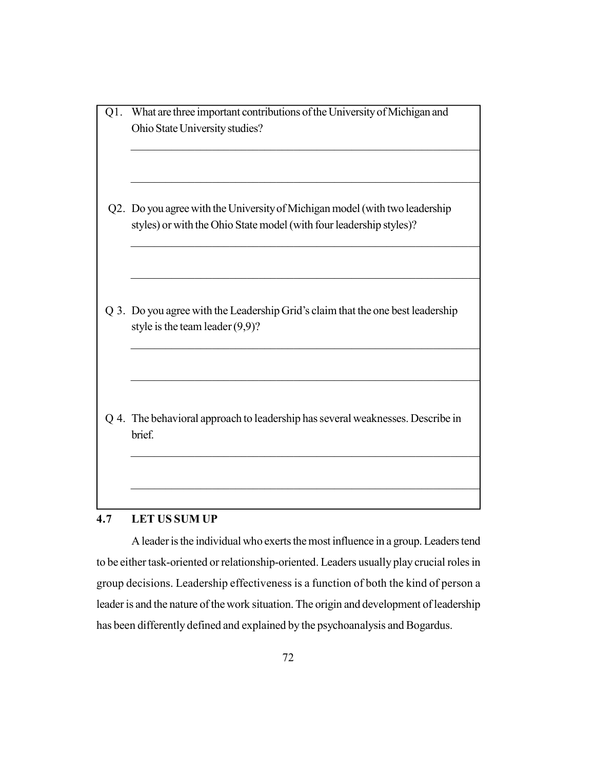Q1. What are three important contributions of the University of Michigan and Ohio State University studies?

\_\_\_\_\_\_\_\_\_\_\_\_\_\_\_\_\_\_\_\_\_\_\_\_\_\_\_\_\_\_\_\_\_\_\_\_\_\_\_\_\_\_\_\_\_\_\_\_\_\_\_\_\_\_\_\_\_\_\_\_

\_\_\_\_\_\_\_\_\_\_\_\_\_\_\_\_\_\_\_\_\_\_\_\_\_\_\_\_\_\_\_\_\_\_\_\_\_\_\_\_\_\_\_\_\_\_\_\_\_\_\_\_\_\_\_\_\_\_\_\_

\_\_\_\_\_\_\_\_\_\_\_\_\_\_\_\_\_\_\_\_\_\_\_\_\_\_\_\_\_\_\_\_\_\_\_\_\_\_\_\_\_\_\_\_\_\_\_\_\_\_\_\_\_\_\_\_\_\_\_\_

\_\_\_\_\_\_\_\_\_\_\_\_\_\_\_\_\_\_\_\_\_\_\_\_\_\_\_\_\_\_\_\_\_\_\_\_\_\_\_\_\_\_\_\_\_\_\_\_\_\_\_\_\_\_\_\_\_\_\_\_

\_\_\_\_\_\_\_\_\_\_\_\_\_\_\_\_\_\_\_\_\_\_\_\_\_\_\_\_\_\_\_\_\_\_\_\_\_\_\_\_\_\_\_\_\_\_\_\_\_\_\_\_\_\_\_\_\_\_\_\_

\_\_\_\_\_\_\_\_\_\_\_\_\_\_\_\_\_\_\_\_\_\_\_\_\_\_\_\_\_\_\_\_\_\_\_\_\_\_\_\_\_\_\_\_\_\_\_\_\_\_\_\_\_\_\_\_\_\_\_\_

\_\_\_\_\_\_\_\_\_\_\_\_\_\_\_\_\_\_\_\_\_\_\_\_\_\_\_\_\_\_\_\_\_\_\_\_\_\_\_\_\_\_\_\_\_\_\_\_\_\_\_\_\_\_\_\_\_\_\_\_

\_\_\_\_\_\_\_\_\_\_\_\_\_\_\_\_\_\_\_\_\_\_\_\_\_\_\_\_\_\_\_\_\_\_\_\_\_\_\_\_\_\_\_\_\_\_\_\_\_\_\_\_\_\_\_\_\_\_\_\_

- Q2. Do you agree with the University of Michigan model (with two leadership styles) or with the Ohio State model (with four leadership styles)?
- Q 3. Do you agree with the Leadership Grid's claim that the one best leadership style is the team leader (9,9)?

Q 4. The behavioral approach to leadership has several weaknesses. Describe in brief.

# **4.7 LET US SUM UP**

A leader is the individual who exerts the most influence in a group. Leaders tend to be either task-oriented or relationship-oriented. Leaders usually play crucial roles in group decisions. Leadership effectiveness is a function of both the kind of person a leader is and the nature of the work situation. The origin and development of leadership has been differently defined and explained by the psychoanalysis and Bogardus.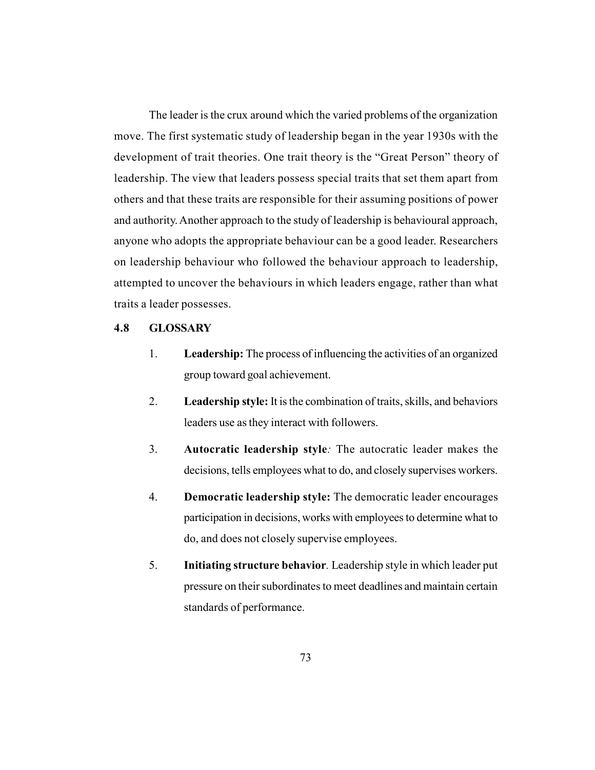The leader is the crux around which the varied problems of the organization move. The first systematic study of leadership began in the year 1930s with the development of trait theories. One trait theory is the "Great Person" theory of leadership. The view that leaders possess special traits that set them apart from others and that these traits are responsible for their assuming positions of power and authority. Another approach to the study of leadership is behavioural approach, anyone who adopts the appropriate behaviour can be a good leader. Researchers on leadership behaviour who followed the behaviour approach to leadership, attempted to uncover the behaviours in which leaders engage, rather than what traits a leader possesses.

## **4.8 GLOSSARY**

- 1. **Leadership:** The process of influencing the activities of an organized group toward goal achievement.
- 2. **Leadership style:** It is the combination of traits, skills, and behaviors leaders use as they interact with followers.
- 3. **Autocratic leadership style***:* The autocratic leader makes the decisions, tells employees what to do, and closely supervises workers.
- 4. **Democratic leadership style:** The democratic leader encourages participation in decisions, works with employees to determine what to do, and does not closely supervise employees.
- 5. **Initiating structure behavior***.* Leadership style in which leader put pressure on their subordinates to meet deadlines and maintain certain standards of performance.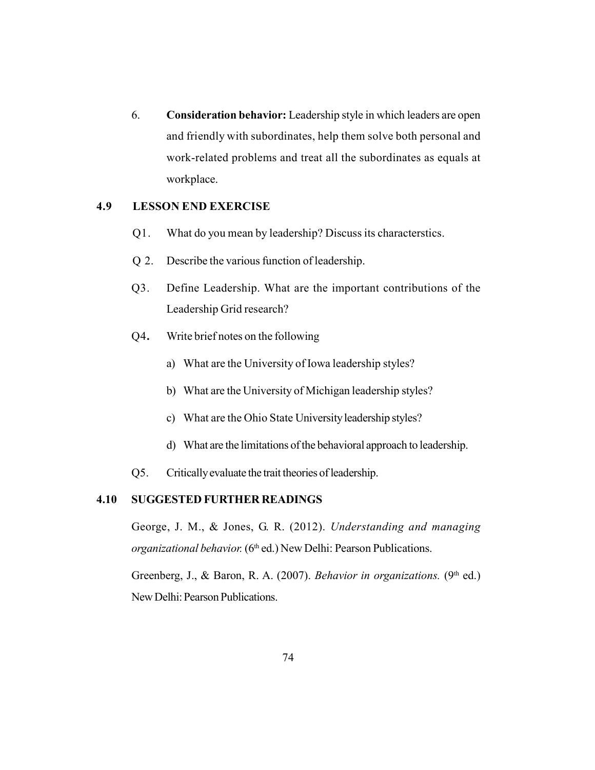6. **Consideration behavior:** Leadership style in which leaders are open and friendly with subordinates, help them solve both personal and work-related problems and treat all the subordinates as equals at workplace.

# **4.9 LESSON END EXERCISE**

- Q1. What do you mean by leadership? Discuss its characterstics.
- Q 2. Describe the various function of leadership.
- Q3. Define Leadership. What are the important contributions of the Leadership Grid research?
- Q4**.** Write brief notes on the following
	- a) What are the University of Iowa leadership styles?
	- b) What are the University of Michigan leadership styles?
	- c) What are the Ohio State University leadership styles?
	- d) What are the limitations of the behavioral approach to leadership.
- Q5. Critically evaluate the trait theories of leadership.

# **4.10 SUGGESTED FURTHER READINGS**

George, J. M., & Jones, G. R. (2012). *Understanding and managing organizational behavior.* (6<sup>th</sup> ed.) New Delhi: Pearson Publications.

Greenberg, J., & Baron, R. A. (2007). *Behavior in organizations*. (9<sup>th</sup> ed.) New Delhi: Pearson Publications.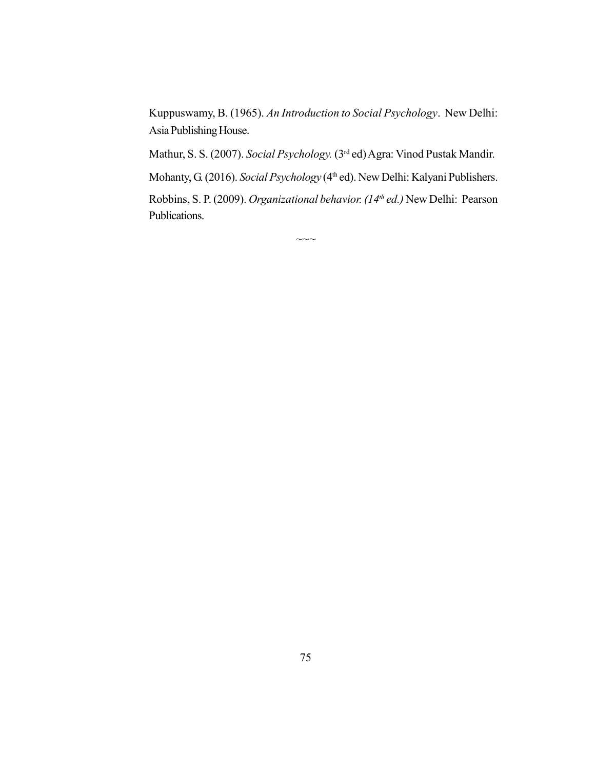Kuppuswamy, B. (1965). *An Introduction to Social Psychology*. New Delhi: Asia Publishing House.

Mathur, S. S. (2007). *Social Psychology.* (3rd ed) Agra: Vinod Pustak Mandir.

Mohanty, G. (2016). *Social Psychology* (4<sup>th</sup> ed). New Delhi: Kalyani Publishers.

Robbins, S. P. (2009). *Organizational behavior. (14th ed.)* New Delhi: Pearson Publications.

 $\sim\sim$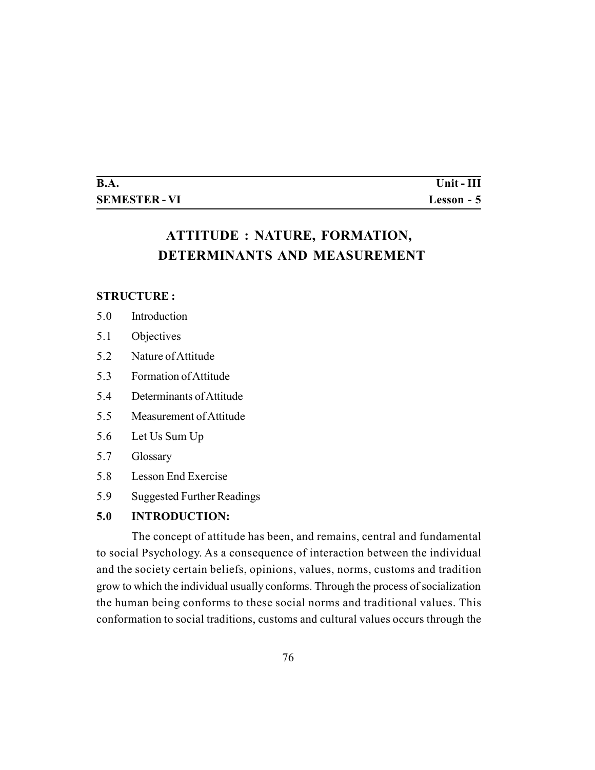| <b>B.A.</b>          | Unit - III |
|----------------------|------------|
| <b>SEMESTER - VI</b> | Lesson - 5 |

# **ATTITUDE : NATURE, FORMATION, DETERMINANTS AND MEASUREMENT**

## **STRUCTURE :**

- 5.0 Introduction
- 5.1 Objectives
- 5.2 Nature of Attitude
- 5.3 Formation of Attitude
- 5.4 Determinants of Attitude
- 5.5 Measurement of Attitude
- 5.6 Let Us Sum Up
- 5.7 Glossary
- 5.8 Lesson End Exercise
- 5.9 Suggested Further Readings

# **5.0 INTRODUCTION:**

The concept of attitude has been, and remains, central and fundamental to social Psychology. As a consequence of interaction between the individual and the society certain beliefs, opinions, values, norms, customs and tradition grow to which the individual usually conforms. Through the process of socialization the human being conforms to these social norms and traditional values. This conformation to social traditions, customs and cultural values occurs through the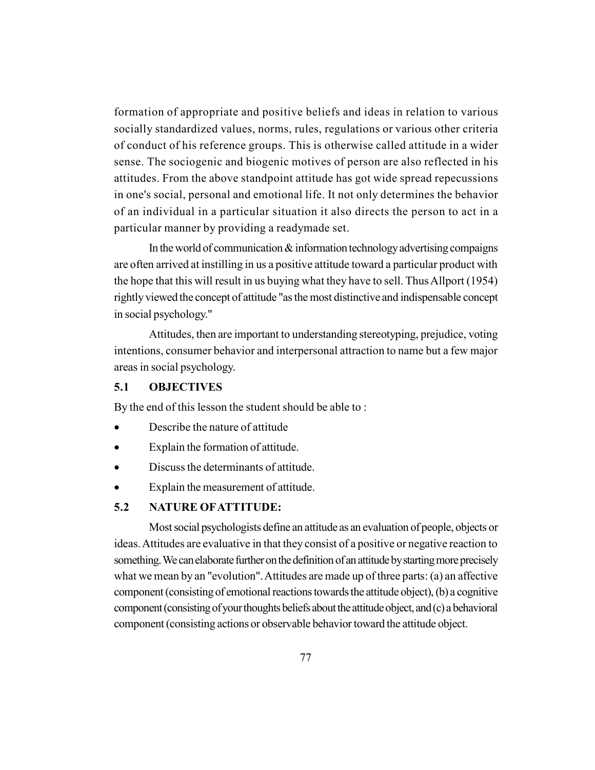formation of appropriate and positive beliefs and ideas in relation to various socially standardized values, norms, rules, regulations or various other criteria of conduct of his reference groups. This is otherwise called attitude in a wider sense. The sociogenic and biogenic motives of person are also reflected in his attitudes. From the above standpoint attitude has got wide spread repecussions in one's social, personal and emotional life. It not only determines the behavior of an individual in a particular situation it also directs the person to act in a particular manner by providing a readymade set.

In the world of communication  $\&$  information technology advertising compaigns are often arrived at instilling in us a positive attitude toward a particular product with the hope that this will result in us buying what they have to sell. Thus Allport (1954) rightly viewed the concept of attitude "as the most distinctive and indispensable concept in social psychology."

Attitudes, then are important to understanding stereotyping, prejudice, voting intentions, consumer behavior and interpersonal attraction to name but a few major areas in social psychology.

# **5.1 OBJECTIVES**

By the end of this lesson the student should be able to :

- Describe the nature of attitude
- Explain the formation of attitude.
- Discuss the determinants of attitude.
- Explain the measurement of attitude.

#### **5.2 NATURE OF ATTITUDE:**

Most social psychologists define an attitude as an evaluation of people, objects or ideas. Attitudes are evaluative in that they consist of a positive or negative reaction to something. We can elaborate further on the definition of an attitude by starting more precisely what we mean by an "evolution". Attitudes are made up of three parts: (a) an affective component (consisting of emotional reactions towards the attitude object), (b) a cognitive component (consisting of your thoughts beliefs about the attitude object, and (c) a behavioral component (consisting actions or observable behavior toward the attitude object.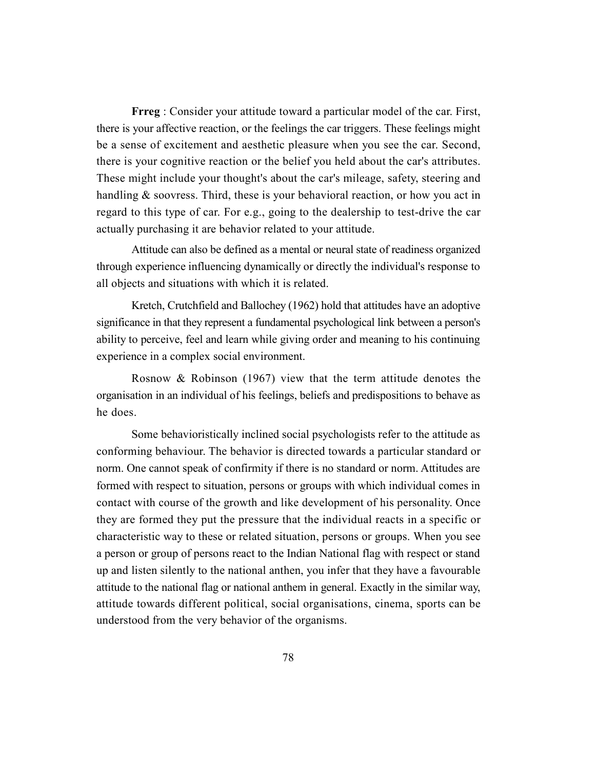**Frreg** : Consider your attitude toward a particular model of the car. First, there is your affective reaction, or the feelings the car triggers. These feelings might be a sense of excitement and aesthetic pleasure when you see the car. Second, there is your cognitive reaction or the belief you held about the car's attributes. These might include your thought's about the car's mileage, safety, steering and handling & soovress. Third, these is your behavioral reaction, or how you act in regard to this type of car. For e.g., going to the dealership to test-drive the car actually purchasing it are behavior related to your attitude.

Attitude can also be defined as a mental or neural state of readiness organized through experience influencing dynamically or directly the individual's response to all objects and situations with which it is related.

Kretch, Crutchfield and Ballochey (1962) hold that attitudes have an adoptive significance in that they represent a fundamental psychological link between a person's ability to perceive, feel and learn while giving order and meaning to his continuing experience in a complex social environment.

Rosnow & Robinson (1967) view that the term attitude denotes the organisation in an individual of his feelings, beliefs and predispositions to behave as he does.

Some behavioristically inclined social psychologists refer to the attitude as conforming behaviour. The behavior is directed towards a particular standard or norm. One cannot speak of confirmity if there is no standard or norm. Attitudes are formed with respect to situation, persons or groups with which individual comes in contact with course of the growth and like development of his personality. Once they are formed they put the pressure that the individual reacts in a specific or characteristic way to these or related situation, persons or groups. When you see a person or group of persons react to the Indian National flag with respect or stand up and listen silently to the national anthen, you infer that they have a favourable attitude to the national flag or national anthem in general. Exactly in the similar way, attitude towards different political, social organisations, cinema, sports can be understood from the very behavior of the organisms.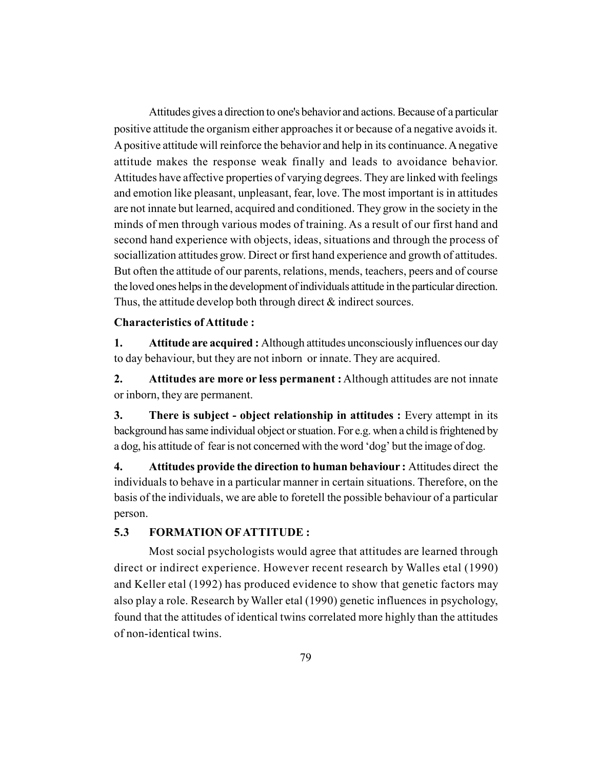Attitudes gives a direction to one's behavior and actions. Because of a particular positive attitude the organism either approaches it or because of a negative avoids it. A positive attitude will reinforce the behavior and help in its continuance. A negative attitude makes the response weak finally and leads to avoidance behavior. Attitudes have affective properties of varying degrees. They are linked with feelings and emotion like pleasant, unpleasant, fear, love. The most important is in attitudes are not innate but learned, acquired and conditioned. They grow in the society in the minds of men through various modes of training. As a result of our first hand and second hand experience with objects, ideas, situations and through the process of sociallization attitudes grow. Direct or first hand experience and growth of attitudes. But often the attitude of our parents, relations, mends, teachers, peers and of course the loved ones helps in the development of individuals attitude in the particular direction. Thus, the attitude develop both through direct  $\&$  indirect sources.

### **Characteristics of Attitude :**

**1.** Attitude are acquired: Although attitudes unconsciously influences our day to day behaviour, but they are not inborn or innate. They are acquired.

**2. Attitudes are more or less permanent :** Although attitudes are not innate or inborn, they are permanent.

**3. There is subject - object relationship in attitudes :** Every attempt in its background has same individual object or stuation. For e.g. when a child is frightened by a dog, his attitude of fear is not concerned with the word 'dog' but the image of dog.

**4. Attitudes provide the direction to human behaviour :** Attitudes direct the individuals to behave in a particular manner in certain situations. Therefore, on the basis of the individuals, we are able to foretell the possible behaviour of a particular person.

## **5.3 FORMATION OF ATTITUDE :**

Most social psychologists would agree that attitudes are learned through direct or indirect experience. However recent research by Walles etal (1990) and Keller etal (1992) has produced evidence to show that genetic factors may also play a role. Research by Waller etal (1990) genetic influences in psychology, found that the attitudes of identical twins correlated more highly than the attitudes of non-identical twins.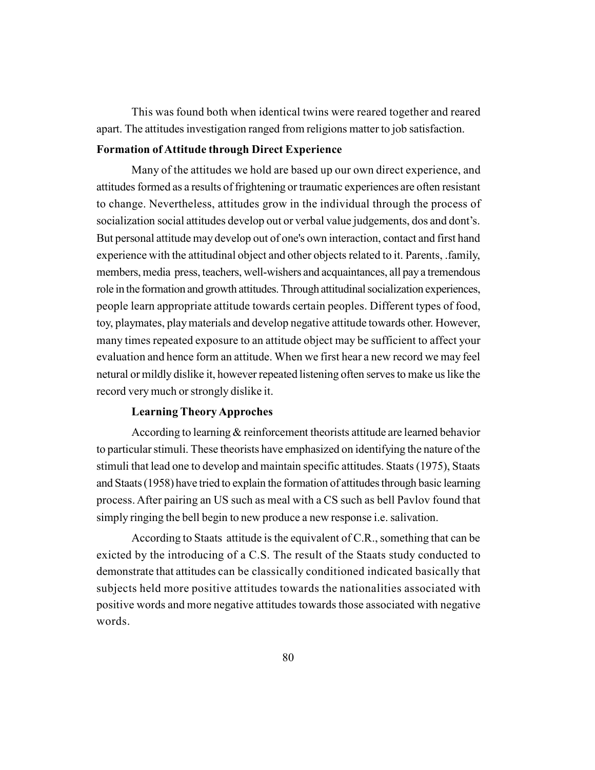This was found both when identical twins were reared together and reared apart. The attitudes investigation ranged from religions matter to job satisfaction.

#### **Formation of Attitude through Direct Experience**

Many of the attitudes we hold are based up our own direct experience, and attitudes formed as a results of frightening or traumatic experiences are often resistant to change. Nevertheless, attitudes grow in the individual through the process of socialization social attitudes develop out or verbal value judgements, dos and dont's. But personal attitude may develop out of one's own interaction, contact and first hand experience with the attitudinal object and other objects related to it. Parents, .family, members, media press, teachers, well-wishers and acquaintances, all pay a tremendous role in the formation and growth attitudes. Through attitudinal socialization experiences, people learn appropriate attitude towards certain peoples. Different types of food, toy, playmates, play materials and develop negative attitude towards other. However, many times repeated exposure to an attitude object may be sufficient to affect your evaluation and hence form an attitude. When we first hear a new record we may feel netural or mildly dislike it, however repeated listening often serves to make us like the record very much or strongly dislike it.

### **Learning Theory Approches**

According to learning & reinforcement theorists attitude are learned behavior to particular stimuli. These theorists have emphasized on identifying the nature of the stimuli that lead one to develop and maintain specific attitudes. Staats (1975), Staats and Staats (1958) have tried to explain the formation of attitudes through basic learning process. After pairing an US such as meal with a CS such as bell Pavlov found that simply ringing the bell begin to new produce a new response i.e. salivation.

According to Staats attitude is the equivalent of C.R., something that can be exicted by the introducing of a C.S. The result of the Staats study conducted to demonstrate that attitudes can be classically conditioned indicated basically that subjects held more positive attitudes towards the nationalities associated with positive words and more negative attitudes towards those associated with negative words.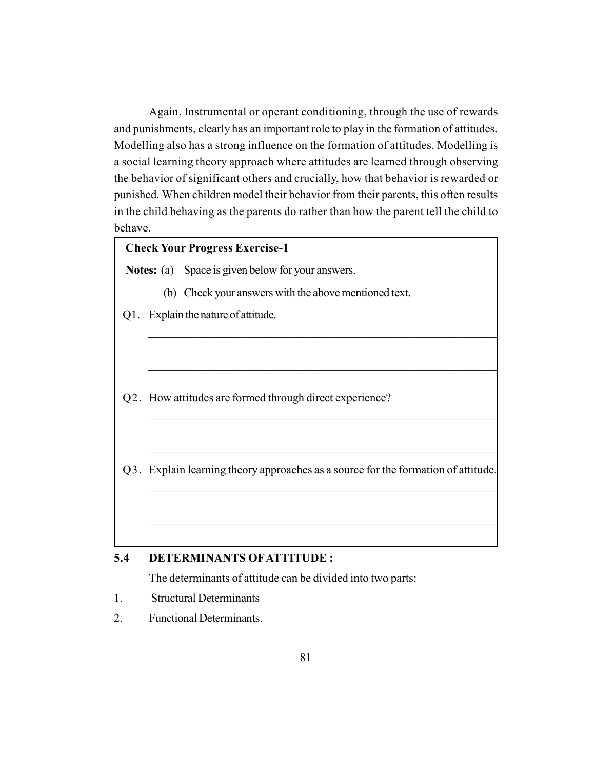Again, Instrumental or operant conditioning, through the use of rewards and punishments, clearly has an important role to play in the formation of attitudes. Modelling also has a strong influence on the formation of attitudes. Modelling is a social learning theory approach where attitudes are learned through observing the behavior of significant others and crucially, how that behavior is rewarded or punished. When children model their behavior from their parents, this often results in the child behaving as the parents do rather than how the parent tell the child to behave.

# **Check Your Progress Exercise-1**

**Notes:** (a) Space is given below for your answers.

(b) Check your answers with the above mentioned text.

 $\mathcal{L}_\text{max}$  , and the contribution of the contribution of the contribution of the contribution of the contribution of the contribution of the contribution of the contribution of the contribution of the contribution of t

 $\mathcal{L}_\text{max}$  , and the contribution of the contribution of the contribution of the contribution of the contribution of the contribution of the contribution of the contribution of the contribution of the contribution of t

 $\mathcal{L}_\text{max}$  , and the contribution of the contribution of the contribution of the contribution of the contribution of the contribution of the contribution of the contribution of the contribution of the contribution of t

 $\mathcal{L}_\text{max}$  , and the contribution of the contribution of the contribution of the contribution of the contribution of the contribution of the contribution of the contribution of the contribution of the contribution of t

 $\mathcal{L}_\text{max}$  , and the contribution of the contribution of the contribution of the contribution of the contribution of the contribution of the contribution of the contribution of the contribution of the contribution of t

 $\mathcal{L}_\text{max}$  , and the contribution of the contribution of the contribution of the contribution of the contribution of the contribution of the contribution of the contribution of the contribution of the contribution of t

- Q1. Explain the nature of attitude.
- Q2. How attitudes are formed through direct experience?
- Q3. Explain learning theory approaches as a source for the formation of attitude.

# **5.4 DETERMINANTS OF ATTITUDE :**

The determinants of attitude can be divided into two parts:

- 1. Structural Determinants
- 2. Functional Determinants.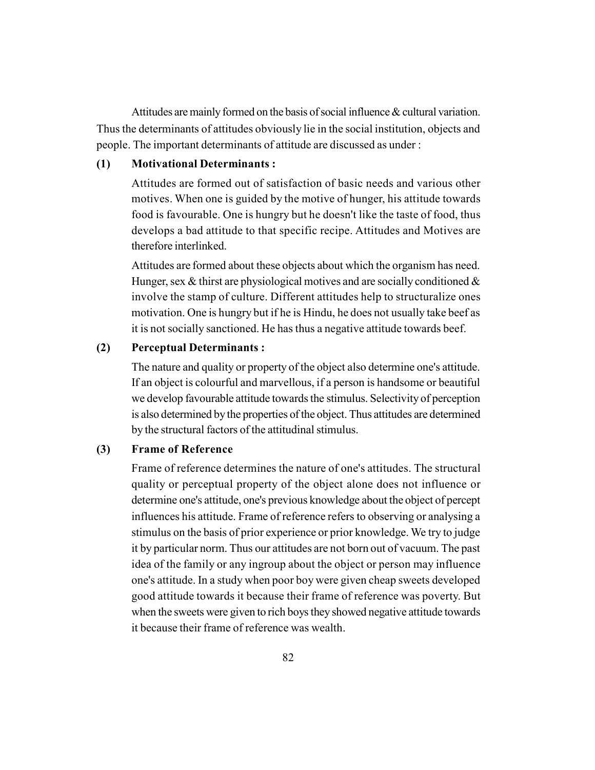Attitudes are mainly formed on the basis of social influence & cultural variation. Thus the determinants of attitudes obviously lie in the social institution, objects and people. The important determinants of attitude are discussed as under :

## **(1) Motivational Determinants :**

Attitudes are formed out of satisfaction of basic needs and various other motives. When one is guided by the motive of hunger, his attitude towards food is favourable. One is hungry but he doesn't like the taste of food, thus develops a bad attitude to that specific recipe. Attitudes and Motives are therefore interlinked.

Attitudes are formed about these objects about which the organism has need. Hunger, sex  $\&$  thirst are physiological motives and are socially conditioned  $\&$ involve the stamp of culture. Different attitudes help to structuralize ones motivation. One is hungry but if he is Hindu, he does not usually take beef as it is not socially sanctioned. He has thus a negative attitude towards beef.

### **(2) Perceptual Determinants :**

The nature and quality or property of the object also determine one's attitude. If an object is colourful and marvellous, if a person is handsome or beautiful we develop favourable attitude towards the stimulus. Selectivity of perception is also determined by the properties of the object. Thus attitudes are determined by the structural factors of the attitudinal stimulus.

# **(3) Frame of Reference**

Frame of reference determines the nature of one's attitudes. The structural quality or perceptual property of the object alone does not influence or determine one's attitude, one's previous knowledge about the object of percept influences his attitude. Frame of reference refers to observing or analysing a stimulus on the basis of prior experience or prior knowledge. We try to judge it by particular norm. Thus our attitudes are not born out of vacuum. The past idea of the family or any ingroup about the object or person may influence one's attitude. In a study when poor boy were given cheap sweets developed good attitude towards it because their frame of reference was poverty. But when the sweets were given to rich boys they showed negative attitude towards it because their frame of reference was wealth.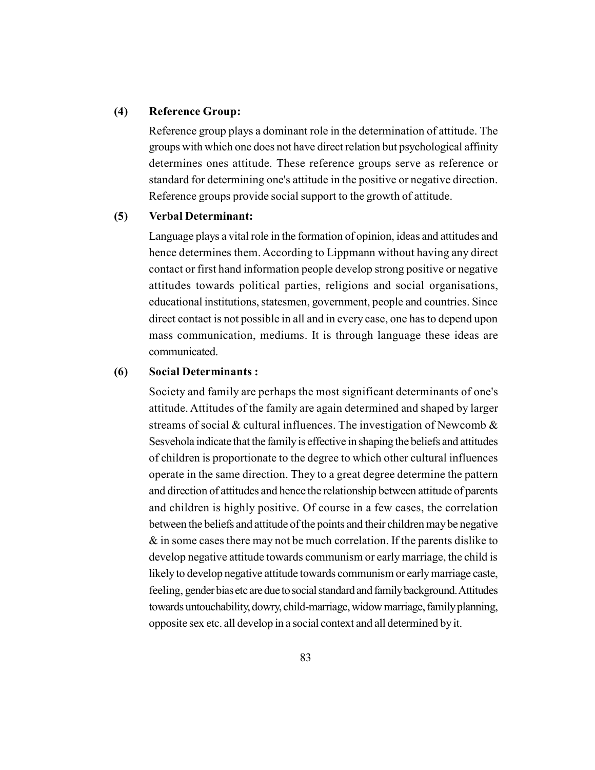#### **(4) Reference Group:**

Reference group plays a dominant role in the determination of attitude. The groups with which one does not have direct relation but psychological affinity determines ones attitude. These reference groups serve as reference or standard for determining one's attitude in the positive or negative direction. Reference groups provide social support to the growth of attitude.

# **(5) Verbal Determinant:**

Language plays a vital role in the formation of opinion, ideas and attitudes and hence determines them. According to Lippmann without having any direct contact or first hand information people develop strong positive or negative attitudes towards political parties, religions and social organisations, educational institutions, statesmen, government, people and countries. Since direct contact is not possible in all and in every case, one has to depend upon mass communication, mediums. It is through language these ideas are communicated.

## **(6) Social Determinants :**

Society and family are perhaps the most significant determinants of one's attitude. Attitudes of the family are again determined and shaped by larger streams of social  $&$  cultural influences. The investigation of Newcomb  $&$ Sesvehola indicate that the family is effective in shaping the beliefs and attitudes of children is proportionate to the degree to which other cultural influences operate in the same direction. They to a great degree determine the pattern and direction of attitudes and hence the relationship between attitude of parents and children is highly positive. Of course in a few cases, the correlation between the beliefs and attitude of the points and their children may be negative & in some cases there may not be much correlation. If the parents dislike to develop negative attitude towards communism or early marriage, the child is likely to develop negative attitude towards communism or early marriage caste, feeling, gender bias etc are due to social standard and family background. Attitudes towards untouchability, dowry, child-marriage, widow marriage, family planning, opposite sex etc. all develop in a social context and all determined by it.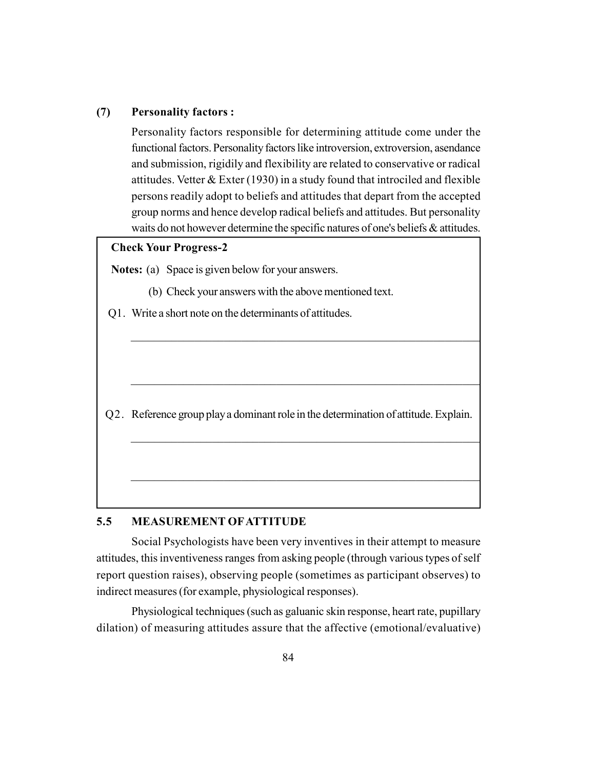## **(7) Personality factors :**

Personality factors responsible for determining attitude come under the functional factors. Personality factors like introversion, extroversion, asendance and submission, rigidily and flexibility are related to conservative or radical attitudes. Vetter & Exter (1930) in a study found that introciled and flexible persons readily adopt to beliefs and attitudes that depart from the accepted group norms and hence develop radical beliefs and attitudes. But personality waits do not however determine the specific natures of one's beliefs & attitudes.

# **Check Your Progress-2**

**Notes:** (a) Space is given below for your answers.

- (b) Check your answers with the above mentioned text.
- Q1. Write a short note on the determinants of attitudes.

Q2. Reference group play a dominant role in the determination of attitude. Explain.

\_\_\_\_\_\_\_\_\_\_\_\_\_\_\_\_\_\_\_\_\_\_\_\_\_\_\_\_\_\_\_\_\_\_\_\_\_\_\_\_\_\_\_\_\_\_\_\_\_\_\_\_\_\_\_\_\_\_\_\_

\_\_\_\_\_\_\_\_\_\_\_\_\_\_\_\_\_\_\_\_\_\_\_\_\_\_\_\_\_\_\_\_\_\_\_\_\_\_\_\_\_\_\_\_\_\_\_\_\_\_\_\_\_\_\_\_\_\_\_\_

 $\mathcal{L}_\text{G}$  , and the set of the set of the set of the set of the set of the set of the set of the set of the set of the set of the set of the set of the set of the set of the set of the set of the set of the set of the

\_\_\_\_\_\_\_\_\_\_\_\_\_\_\_\_\_\_\_\_\_\_\_\_\_\_\_\_\_\_\_\_\_\_\_\_\_\_\_\_\_\_\_\_\_\_\_\_\_\_\_\_\_\_\_\_\_\_\_\_

### **5.5 MEASUREMENT OF ATTITUDE**

Social Psychologists have been very inventives in their attempt to measure attitudes, this inventiveness ranges from asking people (through various types of self report question raises), observing people (sometimes as participant observes) to indirect measures (for example, physiological responses).

Physiological techniques (such as galuanic skin response, heart rate, pupillary dilation) of measuring attitudes assure that the affective (emotional/evaluative)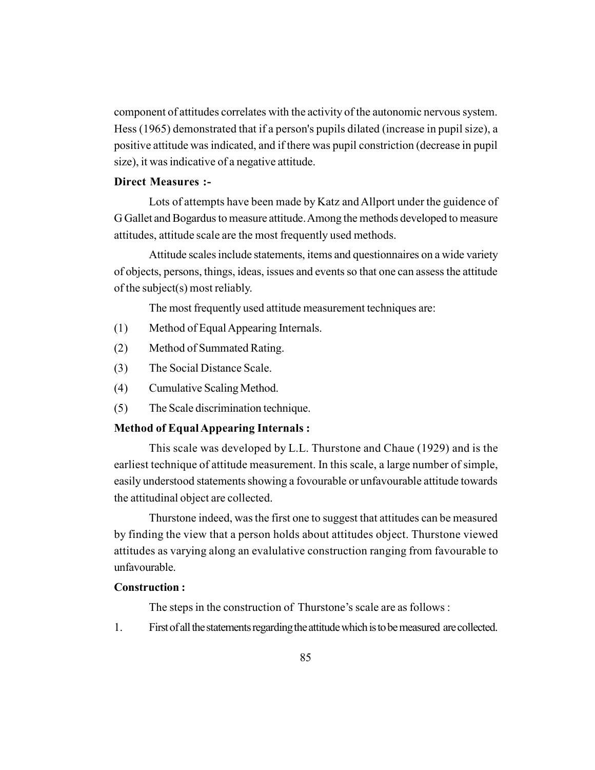component of attitudes correlates with the activity of the autonomic nervous system. Hess (1965) demonstrated that if a person's pupils dilated (increase in pupil size), a positive attitude was indicated, and if there was pupil constriction (decrease in pupil size), it was indicative of a negative attitude.

#### **Direct Measures :-**

Lots of attempts have been made by Katz and Allport under the guidence of G Gallet and Bogardus to measure attitude. Among the methods developed to measure attitudes, attitude scale are the most frequently used methods.

Attitude scales include statements, items and questionnaires on a wide variety of objects, persons, things, ideas, issues and events so that one can assess the attitude of the subject(s) most reliably.

The most frequently used attitude measurement techniques are:

- (1) Method of Equal Appearing Internals.
- (2) Method of Summated Rating.
- (3) The Social Distance Scale.
- (4) Cumulative Scaling Method.
- (5) The Scale discrimination technique.

## **Method of Equal Appearing Internals :**

This scale was developed by L.L. Thurstone and Chaue (1929) and is the earliest technique of attitude measurement. In this scale, a large number of simple, easily understood statements showing a fovourable or unfavourable attitude towards the attitudinal object are collected.

Thurstone indeed, was the first one to suggest that attitudes can be measured by finding the view that a person holds about attitudes object. Thurstone viewed attitudes as varying along an evalulative construction ranging from favourable to unfavourable.

#### **Construction :**

The steps in the construction of Thurstone's scale are as follows :

1. First of all the statements regarding the attitude which is to be measured are collected.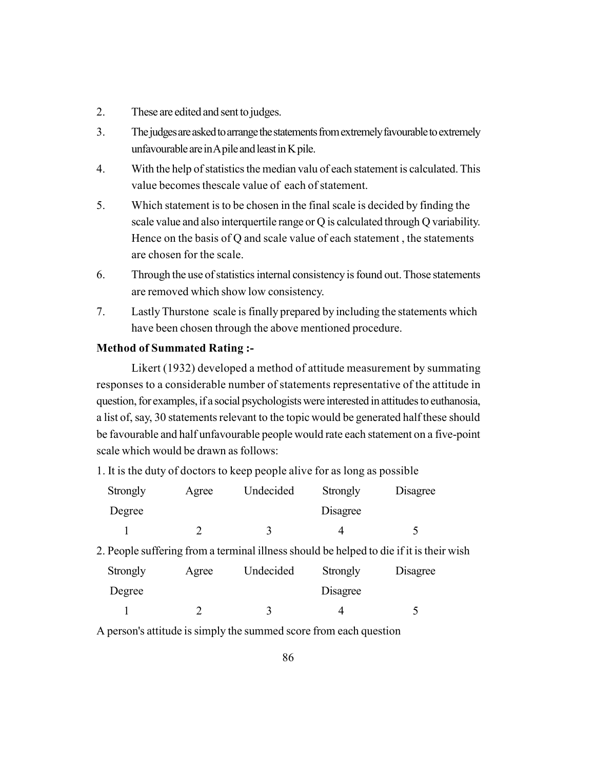- 2. These are edited and sent to judges.
- 3. The judges are asked to arrange the statements from extremely favourable to extremely unfavourable are in A pile and least in K pile.
- 4. With the help of statistics the median valu of each statement is calculated. This value becomes thescale value of each of statement.
- 5. Which statement is to be chosen in the final scale is decided by finding the scale value and also interquertile range or Q is calculated through Q variability. Hence on the basis of Q and scale value of each statement , the statements are chosen for the scale.
- 6. Through the use of statistics internal consistency is found out. Those statements are removed which show low consistency.
- 7. Lastly Thurstone scale is finally prepared by including the statements which have been chosen through the above mentioned procedure.

# **Method of Summated Rating :-**

Likert (1932) developed a method of attitude measurement by summating responses to a considerable number of statements representative of the attitude in question, for examples, if a social psychologists were interested in attitudes to euthanosia, a list of, say, 30 statements relevant to the topic would be generated half these should be favourable and half unfavourable people would rate each statement on a five-point scale which would be drawn as follows:

1. It is the duty of doctors to keep people alive for as long as possible

| Strongly | Agree | Undecided | Strongly | Disagree |
|----------|-------|-----------|----------|----------|
| Degree   |       |           | Disagree |          |
|          |       |           |          |          |

2. People suffering from a terminal illness should be helped to die if it is their wish

| Strongly | Agree | Undecided | Strongly | Disagree |
|----------|-------|-----------|----------|----------|
| Degree   |       |           | Disagree |          |
|          |       |           |          |          |

A person's attitude is simply the summed score from each question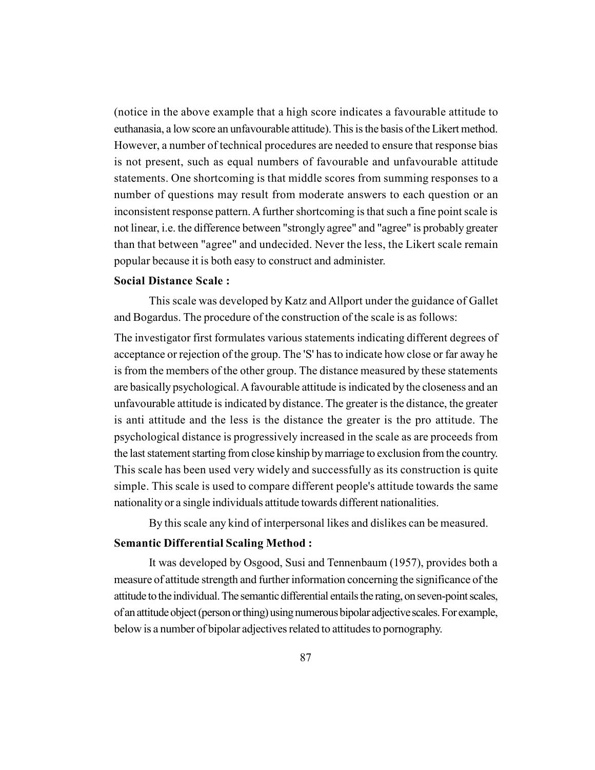(notice in the above example that a high score indicates a favourable attitude to euthanasia, a low score an unfavourable attitude). This is the basis of the Likert method. However, a number of technical procedures are needed to ensure that response bias is not present, such as equal numbers of favourable and unfavourable attitude statements. One shortcoming is that middle scores from summing responses to a number of questions may result from moderate answers to each question or an inconsistent response pattern. A further shortcoming is that such a fine point scale is not linear, i.e. the difference between "strongly agree" and "agree" is probably greater than that between "agree" and undecided. Never the less, the Likert scale remain popular because it is both easy to construct and administer.

#### **Social Distance Scale :**

This scale was developed by Katz and Allport under the guidance of Gallet and Bogardus. The procedure of the construction of the scale is as follows:

The investigator first formulates various statements indicating different degrees of acceptance or rejection of the group. The 'S' has to indicate how close or far away he is from the members of the other group. The distance measured by these statements are basically psychological. A favourable attitude is indicated by the closeness and an unfavourable attitude is indicated by distance. The greater is the distance, the greater is anti attitude and the less is the distance the greater is the pro attitude. The psychological distance is progressively increased in the scale as are proceeds from the last statement starting from close kinship by marriage to exclusion from the country. This scale has been used very widely and successfully as its construction is quite simple. This scale is used to compare different people's attitude towards the same nationality or a single individuals attitude towards different nationalities.

By this scale any kind of interpersonal likes and dislikes can be measured.

## **Semantic Differential Scaling Method :**

It was developed by Osgood, Susi and Tennenbaum (1957), provides both a measure of attitude strength and further information concerning the significance of the attitude to the individual. The semantic differential entails the rating, on seven-point scales, of an attitude object (person or thing) using numerous bipolar adjective scales. For example, below is a number of bipolar adjectives related to attitudes to pornography.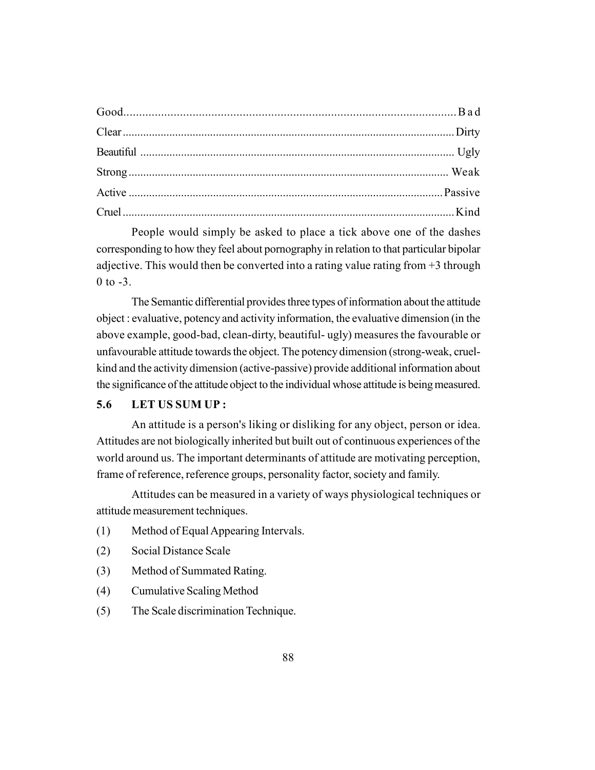People would simply be asked to place a tick above one of the dashes corresponding to how they feel about pornography in relation to that particular bipolar adjective. This would then be converted into a rating value rating from +3 through  $0$  to  $-3$ .

The Semantic differential provides three types of information about the attitude object : evaluative, potency and activity information, the evaluative dimension (in the above example, good-bad, clean-dirty, beautiful- ugly) measures the favourable or unfavourable attitude towards the object. The potency dimension (strong-weak, cruelkind and the activity dimension (active-passive) provide additional information about the significance of the attitude object to the individual whose attitude is being measured.

# **5.6 LET US SUM UP :**

An attitude is a person's liking or disliking for any object, person or idea. Attitudes are not biologically inherited but built out of continuous experiences of the world around us. The important determinants of attitude are motivating perception, frame of reference, reference groups, personality factor, society and family.

Attitudes can be measured in a variety of ways physiological techniques or attitude measurement techniques.

- (1) Method of Equal Appearing Intervals.
- (2) Social Distance Scale
- (3) Method of Summated Rating.
- (4) Cumulative Scaling Method
- (5) The Scale discrimination Technique.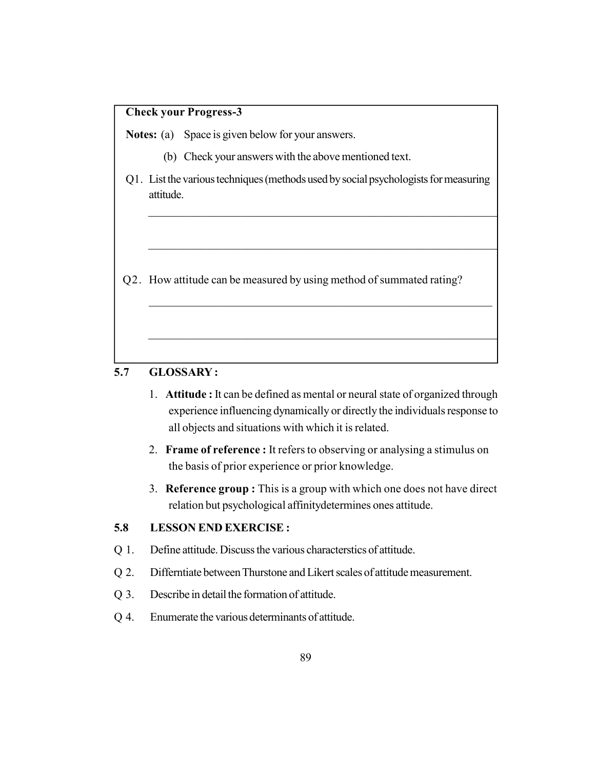# **Check your Progress-3**

Notes: (a) Space is given below for your answers.

- (b) Check your answers with the above mentioned text.
- Q1. List the various techniques (methods used by social psychologists for measuring attitude.

\_\_\_\_\_\_\_\_\_\_\_\_\_\_\_\_\_\_\_\_\_\_\_\_\_\_\_\_\_\_\_\_\_\_\_\_\_\_\_\_\_\_\_\_\_\_\_\_\_\_\_\_\_\_\_\_\_\_\_\_

\_\_\_\_\_\_\_\_\_\_\_\_\_\_\_\_\_\_\_\_\_\_\_\_\_\_\_\_\_\_\_\_\_\_\_\_\_\_\_\_\_\_\_\_\_\_\_\_\_\_\_\_\_\_\_\_\_\_\_\_

\_\_\_\_\_\_\_\_\_\_\_\_\_\_\_\_\_\_\_\_\_\_\_\_\_\_\_\_\_\_\_\_\_\_\_\_\_\_\_\_\_\_\_\_\_\_\_\_\_\_\_\_\_\_\_\_\_\_\_

\_\_\_\_\_\_\_\_\_\_\_\_\_\_\_\_\_\_\_\_\_\_\_\_\_\_\_\_\_\_\_\_\_\_\_\_\_\_\_\_\_\_\_\_\_\_\_\_\_\_\_\_\_\_\_\_\_\_\_\_

Q2. How attitude can be measured by using method of summated rating?

# **5.7 GLOSSARY :**

- 1. **Attitude :** It can be defined as mental or neural state of organized through experience influencing dynamically or directly the individuals response to all objects and situations with which it is related.
- 2. **Frame of reference :** It refers to observing or analysing a stimulus on the basis of prior experience or prior knowledge.
- 3. **Reference group :** This is a group with which one does not have direct relation but psychological affinitydetermines ones attitude.

# **5.8 LESSON END EXERCISE :**

- Q 1. Define attitude. Discuss the various characterstics of attitude.
- Q 2. Differntiate between Thurstone and Likert scales of attitude measurement.
- Q 3. Describe in detail the formation of attitude.
- Q 4. Enumerate the various determinants of attitude.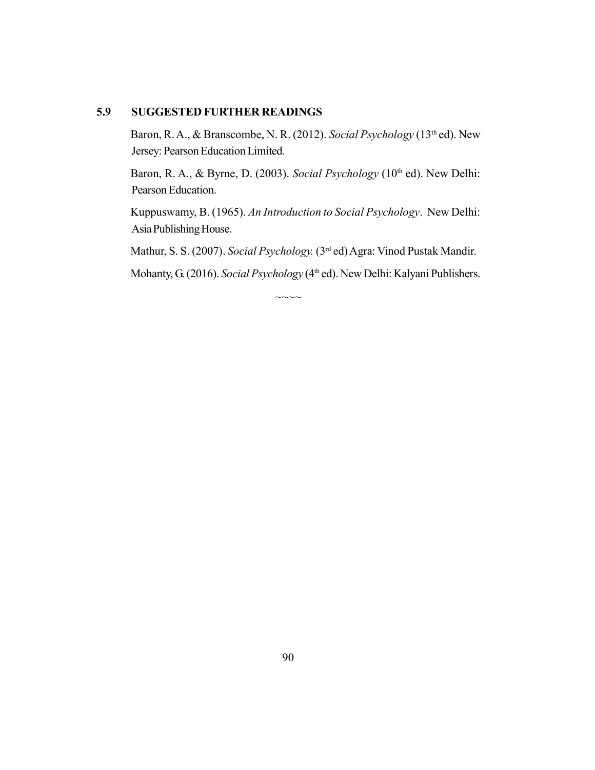### **5.9 SUGGESTED FURTHER READINGS**

Baron, R. A., & Branscombe, N. R. (2012). *Social Psychology* (13<sup>th</sup> ed). New Jersey: Pearson Education Limited.

Baron, R. A., & Byrne, D. (2003). *Social Psychology* (10<sup>th</sup> ed). New Delhi: Pearson Education.

Kuppuswamy, B. (1965). *An Introduction to Social Psychology*. New Delhi: Asia Publishing House.

Mathur, S. S. (2007). *Social Psychology.* (3rd ed) Agra: Vinod Pustak Mandir.

Mohanty, G. (2016). *Social Psychology* (4<sup>th</sup> ed). New Delhi: Kalyani Publishers.

 $\sim\sim\sim\sim$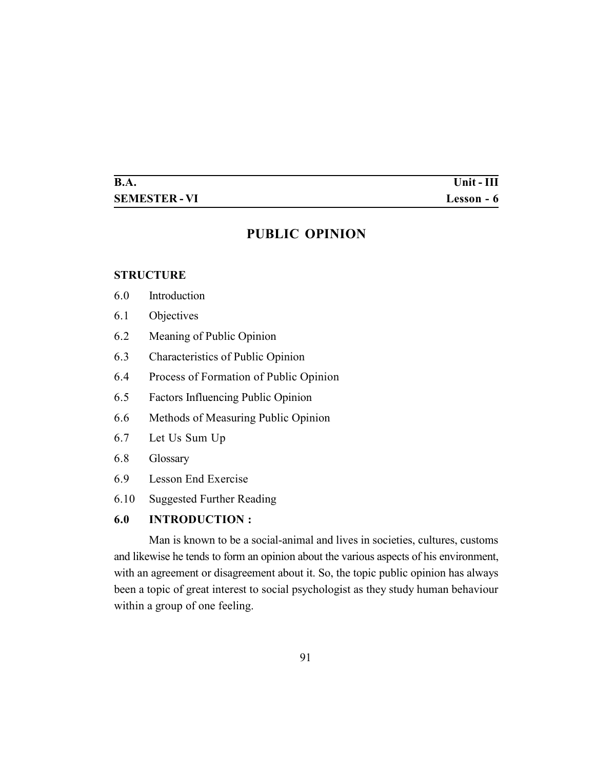| B.A.                 | Unit - III |
|----------------------|------------|
| <b>SEMESTER - VI</b> | Lesson - 6 |

# **PUBLIC OPINION**

#### **STRUCTURE**

- 6.0 Introduction
- 6.1 Objectives
- 6.2 Meaning of Public Opinion
- 6.3 Characteristics of Public Opinion
- 6.4 Process of Formation of Public Opinion
- 6.5 Factors Influencing Public Opinion
- 6.6 Methods of Measuring Public Opinion
- 6.7 Let Us Sum Up
- 6.8 Glossary
- 6.9 Lesson End Exercise
- 6.10 Suggested Further Reading

# **6.0 INTRODUCTION :**

Man is known to be a social-animal and lives in societies, cultures, customs and likewise he tends to form an opinion about the various aspects of his environment, with an agreement or disagreement about it. So, the topic public opinion has always been a topic of great interest to social psychologist as they study human behaviour within a group of one feeling.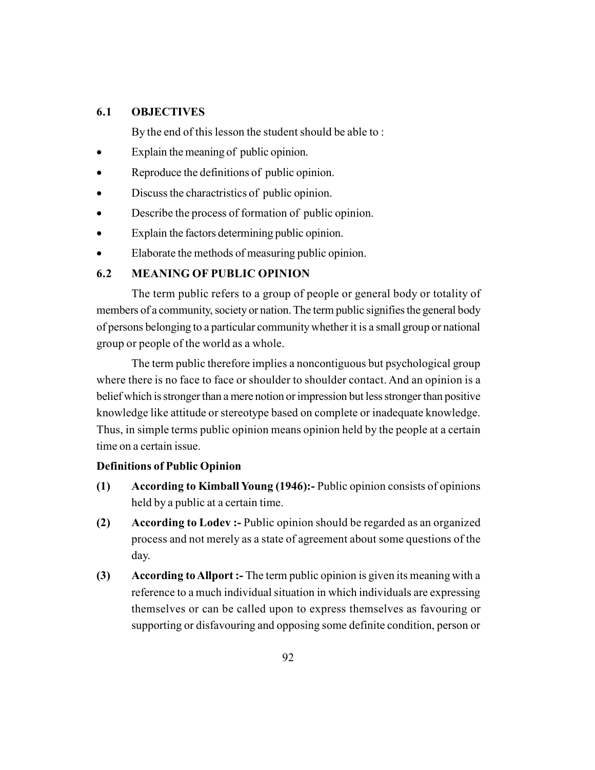# **6.1 OBJECTIVES**

By the end of this lesson the student should be able to :

- Explain the meaning of public opinion.
- Reproduce the definitions of public opinion.
- Discuss the charactristics of public opinion.
- Describe the process of formation of public opinion.
- Explain the factors determining public opinion.
- Elaborate the methods of measuring public opinion.

# **6.2 MEANING OF PUBLIC OPINION**

The term public refers to a group of people or general body or totality of members of a community, society or nation. The term public signifies the general body of persons belonging to a particular community whether it is a small group or national group or people of the world as a whole.

The term public therefore implies a noncontiguous but psychological group where there is no face to face or shoulder to shoulder contact. And an opinion is a belief which is stronger than a mere notion or impression but less stronger than positive knowledge like attitude or stereotype based on complete or inadequate knowledge. Thus, in simple terms public opinion means opinion held by the people at a certain time on a certain issue.

# **Definitions of Public Opinion**

- **(1) According to Kimball Young (1946):-** Public opinion consists of opinions held by a public at a certain time.
- **(2) According to Lodev :-** Public opinion should be regarded as an organized process and not merely as a state of agreement about some questions of the day.
- **(3) According to Allport :-** The term public opinion is given its meaning with a reference to a much individual situation in which individuals are expressing themselves or can be called upon to express themselves as favouring or supporting or disfavouring and opposing some definite condition, person or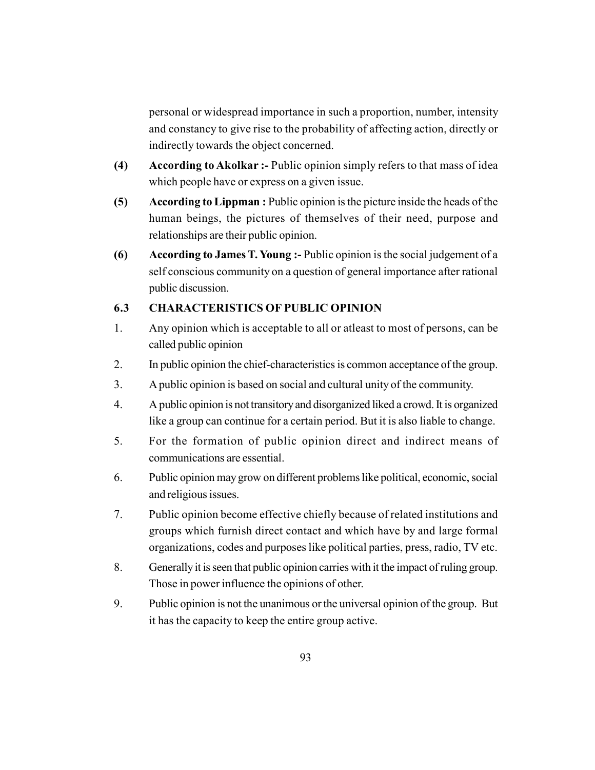personal or widespread importance in such a proportion, number, intensity and constancy to give rise to the probability of affecting action, directly or indirectly towards the object concerned.

- **(4) According to Akolkar :-** Public opinion simply refers to that mass of idea which people have or express on a given issue.
- **(5) According to Lippman :** Public opinion is the picture inside the heads of the human beings, the pictures of themselves of their need, purpose and relationships are their public opinion.
- **(6) According to James T. Young :-** Public opinion is the social judgement of a self conscious community on a question of general importance after rational public discussion.

# **6.3 CHARACTERISTICS OF PUBLIC OPINION**

- 1. Any opinion which is acceptable to all or atleast to most of persons, can be called public opinion
- 2. In public opinion the chief-characteristics is common acceptance of the group.
- 3. A public opinion is based on social and cultural unity of the community.
- 4. A public opinion is not transitory and disorganized liked a crowd. It is organized like a group can continue for a certain period. But it is also liable to change.
- 5. For the formation of public opinion direct and indirect means of communications are essential.
- 6. Public opinion may grow on different problems like political, economic, social and religious issues.
- 7. Public opinion become effective chiefly because of related institutions and groups which furnish direct contact and which have by and large formal organizations, codes and purposes like political parties, press, radio, TV etc.
- 8. Generally it is seen that public opinion carries with it the impact of ruling group. Those in power influence the opinions of other.
- 9. Public opinion is not the unanimous or the universal opinion of the group. But it has the capacity to keep the entire group active.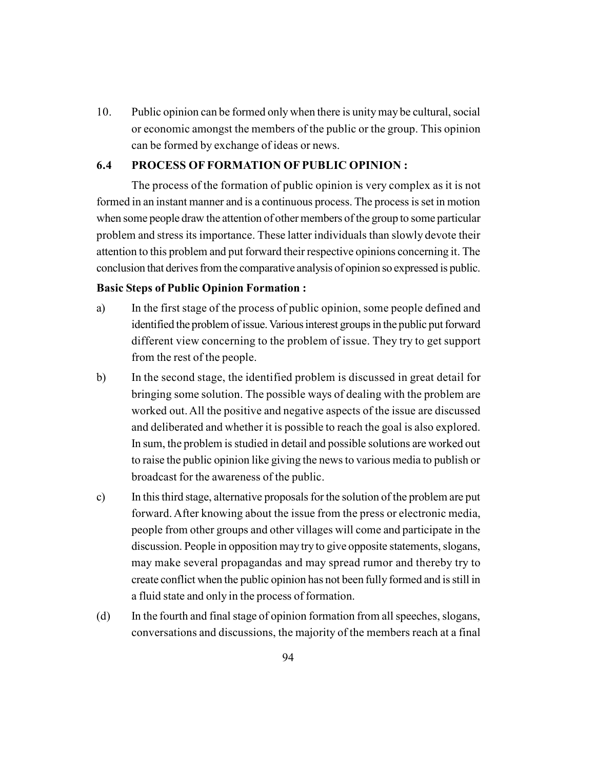10. Public opinion can be formed only when there is unity may be cultural, social or economic amongst the members of the public or the group. This opinion can be formed by exchange of ideas or news.

### **6.4 PROCESS OF FORMATION OF PUBLIC OPINION :**

The process of the formation of public opinion is very complex as it is not formed in an instant manner and is a continuous process. The process is set in motion when some people draw the attention of other members of the group to some particular problem and stress its importance. These latter individuals than slowly devote their attention to this problem and put forward their respective opinions concerning it. The conclusion that derives from the comparative analysis of opinion so expressed is public.

#### **Basic Steps of Public Opinion Formation :**

- a) In the first stage of the process of public opinion, some people defined and identified the problem of issue. Various interest groups in the public put forward different view concerning to the problem of issue. They try to get support from the rest of the people.
- b) In the second stage, the identified problem is discussed in great detail for bringing some solution. The possible ways of dealing with the problem are worked out. All the positive and negative aspects of the issue are discussed and deliberated and whether it is possible to reach the goal is also explored. In sum, the problem is studied in detail and possible solutions are worked out to raise the public opinion like giving the news to various media to publish or broadcast for the awareness of the public.
- c) In this third stage, alternative proposals for the solution of the problem are put forward. After knowing about the issue from the press or electronic media, people from other groups and other villages will come and participate in the discussion. People in opposition may try to give opposite statements, slogans, may make several propagandas and may spread rumor and thereby try to create conflict when the public opinion has not been fully formed and is still in a fluid state and only in the process of formation.
- (d) In the fourth and final stage of opinion formation from all speeches, slogans, conversations and discussions, the majority of the members reach at a final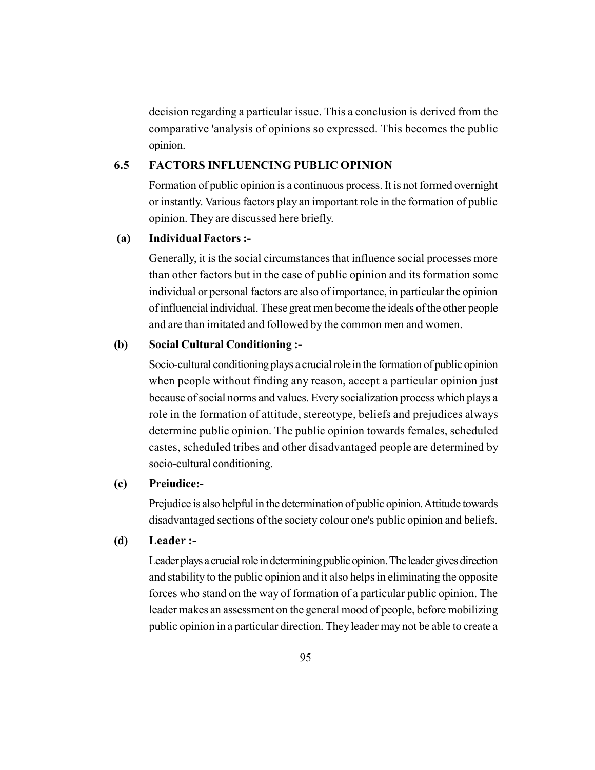decision regarding a particular issue. This a conclusion is derived from the comparative 'analysis of opinions so expressed. This becomes the public opinion.

### **6.5 FACTORS INFLUENCING PUBLIC OPINION**

Formation of public opinion is a continuous process. It is not formed overnight or instantly. Various factors play an important role in the formation of public opinion. They are discussed here briefly.

### **(a) Individual Factors :-**

Generally, it is the social circumstances that influence social processes more than other factors but in the case of public opinion and its formation some individual or personal factors are also of importance, in particular the opinion of influencial individual. These great men become the ideals of the other people and are than imitated and followed by the common men and women.

# **(b) Social Cultural Conditioning :-**

Socio-cultural conditioning plays a crucial role in the formation of public opinion when people without finding any reason, accept a particular opinion just because of social norms and values. Every socialization process which plays a role in the formation of attitude, stereotype, beliefs and prejudices always determine public opinion. The public opinion towards females, scheduled castes, scheduled tribes and other disadvantaged people are determined by socio-cultural conditioning.

### **(c) Preiudice:-**

Prejudice is also helpful in the determination of public opinion. Attitude towards disadvantaged sections of the society colour one's public opinion and beliefs.

# **(d) Leader :-**

Leader plays a crucial role in determining public opinion. The leader gives direction and stability to the public opinion and it also helps in eliminating the opposite forces who stand on the way of formation of a particular public opinion. The leader makes an assessment on the general mood of people, before mobilizing public opinion in a particular direction. They leader may not be able to create a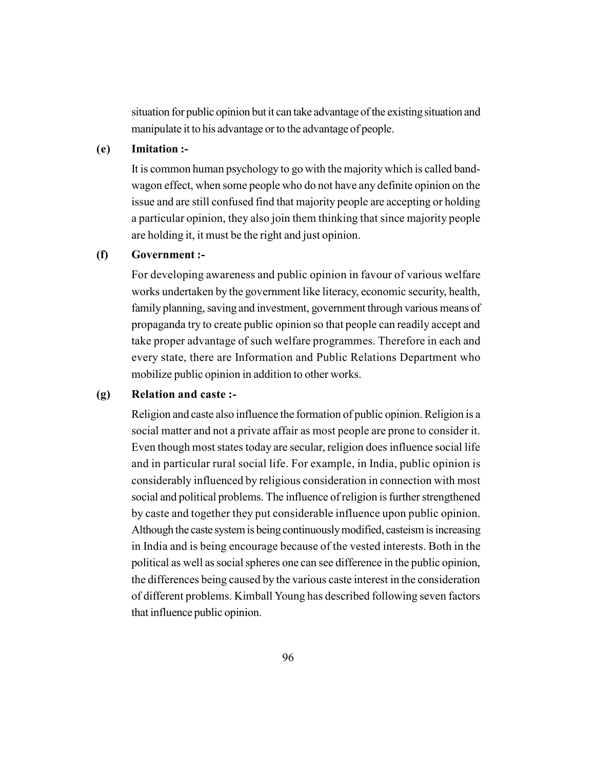situation for public opinion but it can take advantage of the existing situation and manipulate it to his advantage or to the advantage of people.

## **(e) Imitation :-**

It is common human psychology to go with the majority which is called bandwagon effect, when some people who do not have any definite opinion on the issue and are still confused find that majority people are accepting or holding a particular opinion, they also join them thinking that since majority people are holding it, it must be the right and just opinion.

#### **(f) Government :-**

For developing awareness and public opinion in favour of various welfare works undertaken by the government like literacy, economic security, health, family planning, saving and investment, government through various means of propaganda try to create public opinion so that people can readily accept and take proper advantage of such welfare programmes. Therefore in each and every state, there are Information and Public Relations Department who mobilize public opinion in addition to other works.

## **(g) Relation and caste :-**

Religion and caste also influence the formation of public opinion. Religion is a social matter and not a private affair as most people are prone to consider it. Even though most states today are secular, religion does influence social life and in particular rural social life. For example, in India, public opinion is considerably influenced by religious consideration in connection with most social and political problems. The influence of religion is further strengthened by caste and together they put considerable influence upon public opinion. Although the caste system is being continuously modified, casteism is increasing in India and is being encourage because of the vested interests. Both in the political as well as social spheres one can see difference in the public opinion, the differences being caused by the various caste interest in the consideration of different problems. Kimball Young has described following seven factors that influence public opinion.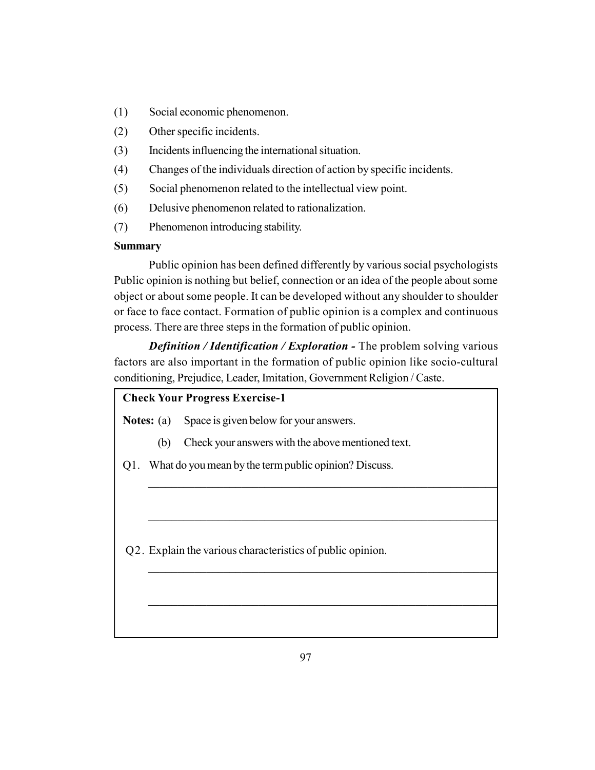- (1) Social economic phenomenon.
- (2) Other specific incidents.
- (3) Incidents influencing the international situation.
- (4) Changes of the individuals direction of action by specific incidents.
- (5) Social phenomenon related to the intellectual view point.
- (6) Delusive phenomenon related to rationalization.
- (7) Phenomenon introducing stability.

# **Summary**

Public opinion has been defined differently by various social psychologists Public opinion is nothing but belief, connection or an idea of the people about some object or about some people. It can be developed without any shoulder to shoulder or face to face contact. Formation of public opinion is a complex and continuous process. There are three steps in the formation of public opinion.

*Definition / Identification / Exploration -* The problem solving various factors are also important in the formation of public opinion like socio-cultural conditioning, Prejudice, Leader, Imitation, Government Religion / Caste.

\_\_\_\_\_\_\_\_\_\_\_\_\_\_\_\_\_\_\_\_\_\_\_\_\_\_\_\_\_\_\_\_\_\_\_\_\_\_\_\_\_\_\_\_\_\_\_\_\_\_\_\_\_\_\_\_\_\_\_\_

\_\_\_\_\_\_\_\_\_\_\_\_\_\_\_\_\_\_\_\_\_\_\_\_\_\_\_\_\_\_\_\_\_\_\_\_\_\_\_\_\_\_\_\_\_\_\_\_\_\_\_\_\_\_\_\_\_\_\_\_

\_\_\_\_\_\_\_\_\_\_\_\_\_\_\_\_\_\_\_\_\_\_\_\_\_\_\_\_\_\_\_\_\_\_\_\_\_\_\_\_\_\_\_\_\_\_\_\_\_\_\_\_\_\_\_\_\_\_\_\_

\_\_\_\_\_\_\_\_\_\_\_\_\_\_\_\_\_\_\_\_\_\_\_\_\_\_\_\_\_\_\_\_\_\_\_\_\_\_\_\_\_\_\_\_\_\_\_\_\_\_\_\_\_\_\_\_\_\_\_\_

# **Check Your Progress Exercise-1**

**Notes:** (a) Space is given below for your answers.

- (b) Check your answers with the above mentioned text.
- Q1. What do you mean by the term public opinion? Discuss.

Q2. Explain the various characteristics of public opinion.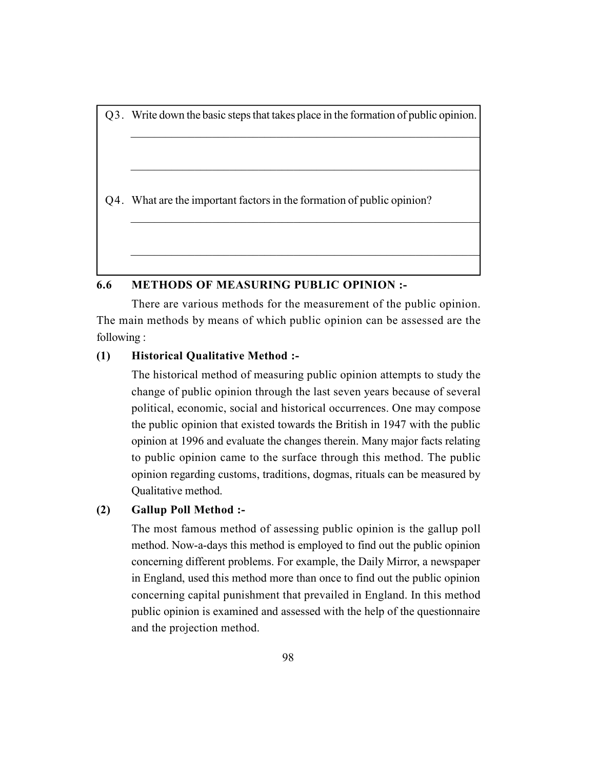Q3. Write down the basic steps that takes place in the formation of public opinion.

\_\_\_\_\_\_\_\_\_\_\_\_\_\_\_\_\_\_\_\_\_\_\_\_\_\_\_\_\_\_\_\_\_\_\_\_\_\_\_\_\_\_\_\_\_\_\_\_\_\_\_\_\_\_\_\_\_\_\_\_

\_\_\_\_\_\_\_\_\_\_\_\_\_\_\_\_\_\_\_\_\_\_\_\_\_\_\_\_\_\_\_\_\_\_\_\_\_\_\_\_\_\_\_\_\_\_\_\_\_\_\_\_\_\_\_\_\_\_\_\_

 $\mathcal{L}_\text{max}$  , and the contribution of the contribution of the contribution of the contribution of the contribution of the contribution of the contribution of the contribution of the contribution of the contribution of t

\_\_\_\_\_\_\_\_\_\_\_\_\_\_\_\_\_\_\_\_\_\_\_\_\_\_\_\_\_\_\_\_\_\_\_\_\_\_\_\_\_\_\_\_\_\_\_\_\_\_\_\_\_\_\_\_\_\_\_\_

Q4. What are the important factors in the formation of public opinion?

## **6.6 METHODS OF MEASURING PUBLIC OPINION :-**

There are various methods for the measurement of the public opinion. The main methods by means of which public opinion can be assessed are the following :

## **(1) Historical Qualitative Method :-**

The historical method of measuring public opinion attempts to study the change of public opinion through the last seven years because of several political, economic, social and historical occurrences. One may compose the public opinion that existed towards the British in 1947 with the public opinion at 1996 and evaluate the changes therein. Many major facts relating to public opinion came to the surface through this method. The public opinion regarding customs, traditions, dogmas, rituals can be measured by Qualitative method.

### **(2) Gallup Poll Method :-**

The most famous method of assessing public opinion is the gallup poll method. Now-a-days this method is employed to find out the public opinion concerning different problems. For example, the Daily Mirror, a newspaper in England, used this method more than once to find out the public opinion concerning capital punishment that prevailed in England. In this method public opinion is examined and assessed with the help of the questionnaire and the projection method.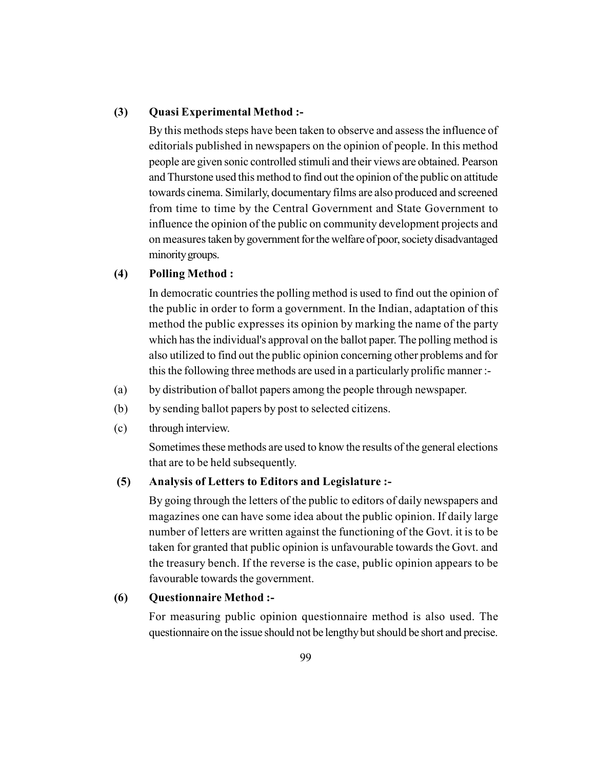#### **(3) Quasi Experimental Method :-**

By this methods steps have been taken to observe and assess the influence of editorials published in newspapers on the opinion of people. In this method people are given sonic controlled stimuli and their views are obtained. Pearson and Thurstone used this method to find out the opinion of the public on attitude towards cinema. Similarly, documentary films are also produced and screened from time to time by the Central Government and State Government to influence the opinion of the public on community development projects and on measures taken by government for the welfare of poor, society disadvantaged minority groups.

## **(4) Polling Method :**

In democratic countries the polling method is used to find out the opinion of the public in order to form a government. In the Indian, adaptation of this method the public expresses its opinion by marking the name of the party which has the individual's approval on the ballot paper. The polling method is also utilized to find out the public opinion concerning other problems and for this the following three methods are used in a particularly prolific manner :-

- (a) by distribution of ballot papers among the people through newspaper.
- (b) by sending ballot papers by post to selected citizens.
- (c) through interview.

Sometimes these methods are used to know the results of the general elections that are to be held subsequently.

# **(5) Analysis of Letters to Editors and Legislature :-**

By going through the letters of the public to editors of daily newspapers and magazines one can have some idea about the public opinion. If daily large number of letters are written against the functioning of the Govt. it is to be taken for granted that public opinion is unfavourable towards the Govt. and the treasury bench. If the reverse is the case, public opinion appears to be favourable towards the government.

#### **(6) Questionnaire Method :-**

For measuring public opinion questionnaire method is also used. The questionnaire on the issue should not be lengthy but should be short and precise.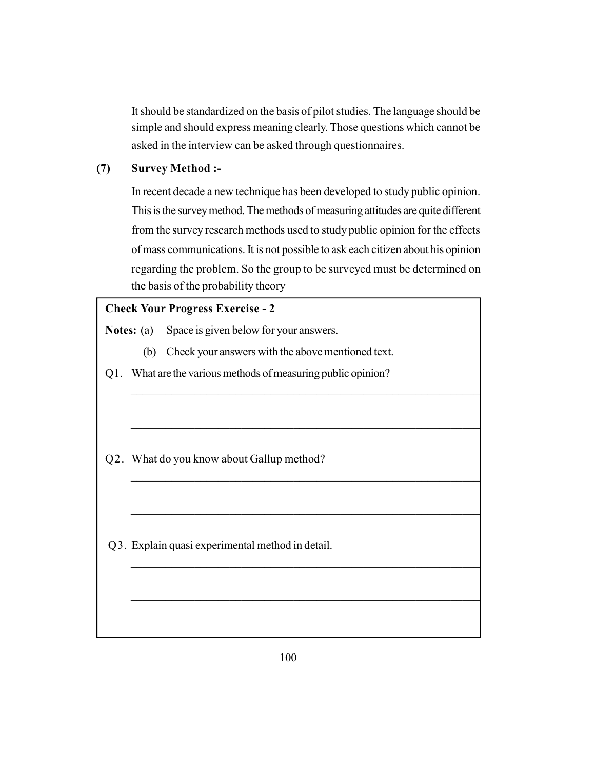It should be standardized on the basis of pilot studies. The language should be simple and should express meaning clearly. Those questions which cannot be asked in the interview can be asked through questionnaires.

# **(7) Survey Method :-**

In recent decade a new technique has been developed to study public opinion. This is the survey method. The methods of measuring attitudes are quite different from the survey research methods used to study public opinion for the effects of mass communications. It is not possible to ask each citizen about his opinion regarding the problem. So the group to be surveyed must be determined on the basis of the probability theory

\_\_\_\_\_\_\_\_\_\_\_\_\_\_\_\_\_\_\_\_\_\_\_\_\_\_\_\_\_\_\_\_\_\_\_\_\_\_\_\_\_\_\_\_\_\_\_\_\_\_\_\_\_\_\_\_\_\_\_\_

\_\_\_\_\_\_\_\_\_\_\_\_\_\_\_\_\_\_\_\_\_\_\_\_\_\_\_\_\_\_\_\_\_\_\_\_\_\_\_\_\_\_\_\_\_\_\_\_\_\_\_\_\_\_\_\_\_\_\_\_

\_\_\_\_\_\_\_\_\_\_\_\_\_\_\_\_\_\_\_\_\_\_\_\_\_\_\_\_\_\_\_\_\_\_\_\_\_\_\_\_\_\_\_\_\_\_\_\_\_\_\_\_\_\_\_\_\_\_\_\_

\_\_\_\_\_\_\_\_\_\_\_\_\_\_\_\_\_\_\_\_\_\_\_\_\_\_\_\_\_\_\_\_\_\_\_\_\_\_\_\_\_\_\_\_\_\_\_\_\_\_\_\_\_\_\_\_\_\_\_\_

\_\_\_\_\_\_\_\_\_\_\_\_\_\_\_\_\_\_\_\_\_\_\_\_\_\_\_\_\_\_\_\_\_\_\_\_\_\_\_\_\_\_\_\_\_\_\_\_\_\_\_\_\_\_\_\_\_\_\_\_

\_\_\_\_\_\_\_\_\_\_\_\_\_\_\_\_\_\_\_\_\_\_\_\_\_\_\_\_\_\_\_\_\_\_\_\_\_\_\_\_\_\_\_\_\_\_\_\_\_\_\_\_\_\_\_\_\_\_\_\_

# **Check Your Progress Exercise - 2**

- Notes: (a) Space is given below for your answers.
	- (b) Check your answers with the above mentioned text.
- Q1. What are the various methods of measuring public opinion?
- Q2. What do you know about Gallup method?
- Q3. Explain quasi experimental method in detail.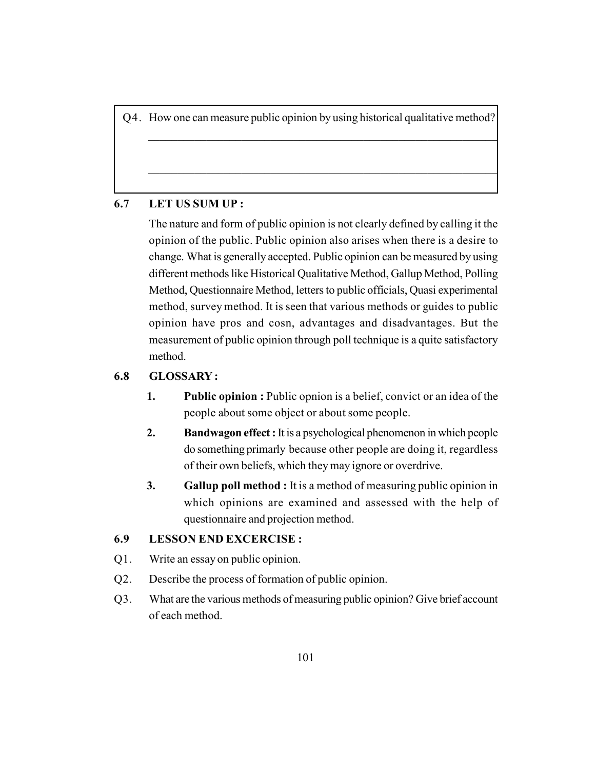Q4. How one can measure public opinion by using historical qualitative method?

\_\_\_\_\_\_\_\_\_\_\_\_\_\_\_\_\_\_\_\_\_\_\_\_\_\_\_\_\_\_\_\_\_\_\_\_\_\_\_\_\_\_\_\_\_\_\_\_\_\_\_\_\_\_\_\_\_\_\_\_

\_\_\_\_\_\_\_\_\_\_\_\_\_\_\_\_\_\_\_\_\_\_\_\_\_\_\_\_\_\_\_\_\_\_\_\_\_\_\_\_\_\_\_\_\_\_\_\_\_\_\_\_\_\_\_\_\_\_\_\_

# **6.7 LET US SUM UP :**

The nature and form of public opinion is not clearly defined by calling it the opinion of the public. Public opinion also arises when there is a desire to change. What is generally accepted. Public opinion can be measured by using different methods like Historical Qualitative Method, Gallup Method, Polling Method, Questionnaire Method, letters to public officials, Quasi experimental method, survey method. It is seen that various methods or guides to public opinion have pros and cosn, advantages and disadvantages. But the measurement of public opinion through poll technique is a quite satisfactory method.

# **6.8 GLOSSARY :**

- **1.** Public opinion: Public opnion is a belief, convict or an idea of the people about some object or about some people.
- **2.** Bandwagon effect : It is a psychological phenomenon in which people do something primarly because other people are doing it, regardless of their own beliefs, which they may ignore or overdrive.
- **3. Gallup poll method :** It is a method of measuring public opinion in which opinions are examined and assessed with the help of questionnaire and projection method.

# **6.9 LESSON END EXCERCISE :**

- Q1. Write an essay on public opinion.
- Q2. Describe the process of formation of public opinion.
- Q3. What are the various methods of measuring public opinion? Give brief account of each method.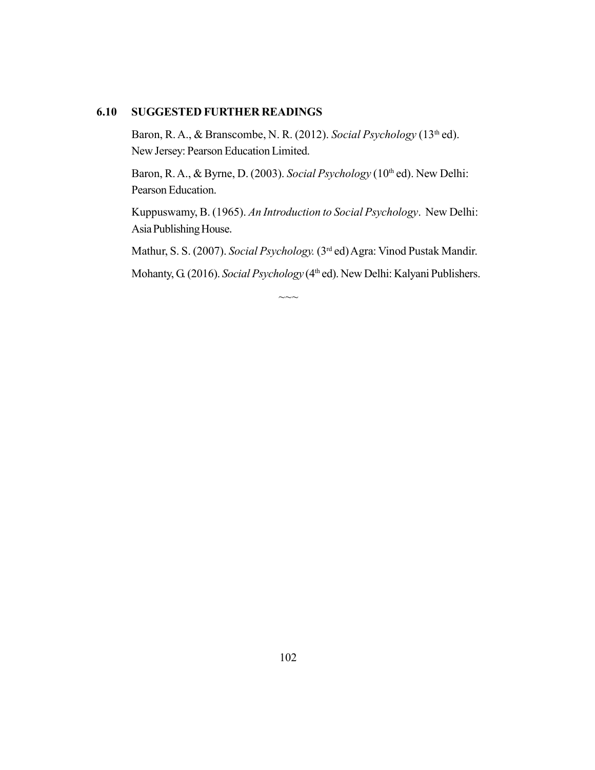## **6.10 SUGGESTED FURTHER READINGS**

Baron, R. A., & Branscombe, N. R. (2012). *Social Psychology* (13<sup>th</sup> ed). New Jersey: Pearson Education Limited.

Baron, R. A., & Byrne, D. (2003). *Social Psychology* (10<sup>th</sup> ed). New Delhi: Pearson Education.

Kuppuswamy, B. (1965). *An Introduction to Social Psychology*. New Delhi: Asia Publishing House.

Mathur, S. S. (2007). *Social Psychology.* (3rd ed) Agra: Vinod Pustak Mandir.

Mohanty, G. (2016). *Social Psychology* (4<sup>th</sup> ed). New Delhi: Kalyani Publishers.

 $\sim\sim\sim$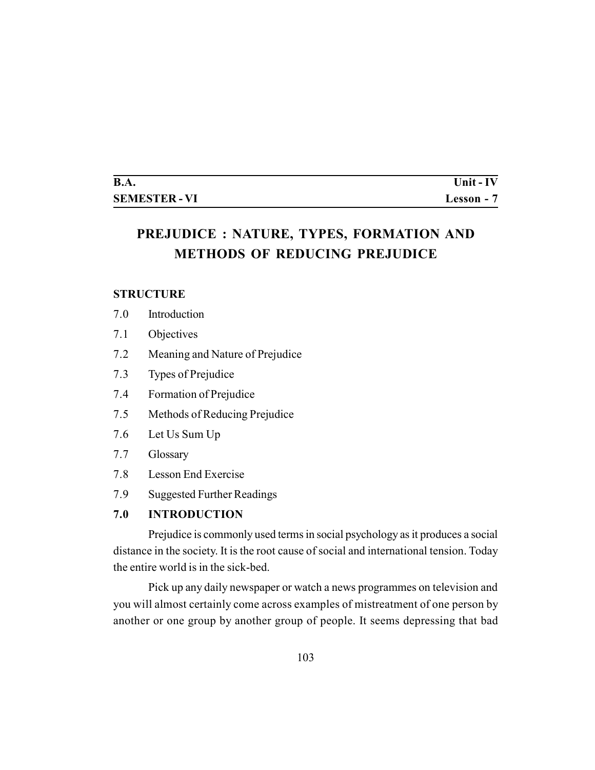| <b>B.A.</b>        | Unit - IV  |
|--------------------|------------|
| <b>SEMESTER-VI</b> | Lesson - 7 |

# **PREJUDICE : NATURE, TYPES, FORMATION AND METHODS OF REDUCING PREJUDICE**

### **STRUCTURE**

- 7.1 Objectives
- 7.2 Meaning and Nature of Prejudice
- 7.3 Types of Prejudice
- 7.4 Formation of Prejudice
- 7.5 Methods of Reducing Prejudice
- 7.6 Let Us Sum Up
- 7.7 Glossary
- 7.8 Lesson End Exercise
- 7.9 Suggested Further Readings

# **7.0 INTRODUCTION**

Prejudice is commonly used terms in social psychology as it produces a social distance in the society. It is the root cause of social and international tension. Today the entire world is in the sick-bed.

Pick up any daily newspaper or watch a news programmes on television and you will almost certainly come across examples of mistreatment of one person by another or one group by another group of people. It seems depressing that bad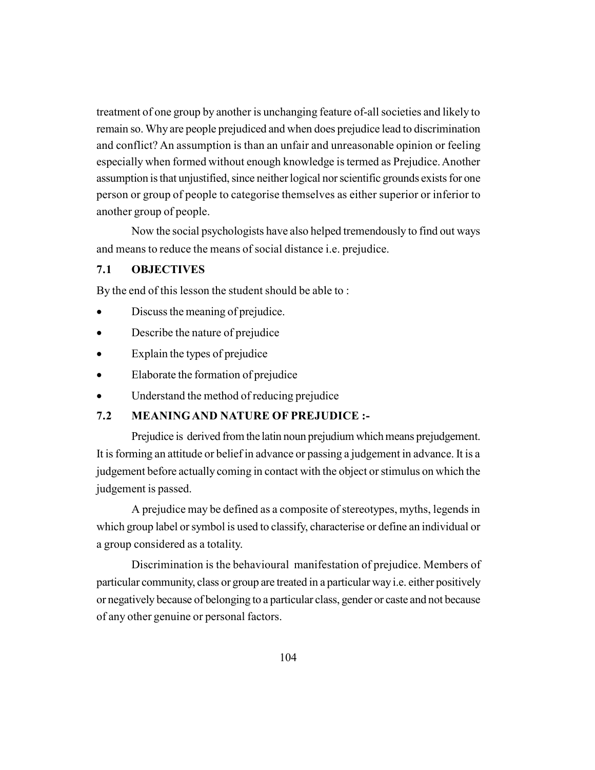treatment of one group by another is unchanging feature of-all societies and likely to remain so. Why are people prejudiced and when does prejudice lead to discrimination and conflict? An assumption is than an unfair and unreasonable opinion or feeling especially when formed without enough knowledge is termed as Prejudice. Another assumption is that unjustified, since neither logical nor scientific grounds exists for one person or group of people to categorise themselves as either superior or inferior to another group of people.

Now the social psychologists have also helped tremendously to find out ways and means to reduce the means of social distance i.e. prejudice.

## **7.1 OBJECTIVES**

By the end of this lesson the student should be able to :

- Discuss the meaning of prejudice.
- Describe the nature of prejudice
- Explain the types of prejudice
- Elaborate the formation of prejudice
- Understand the method of reducing prejudice

# **7.2 MEANING AND NATURE OF PREJUDICE :-**

Prejudice is derived from the latin noun prejudium which means prejudgement. It is forming an attitude or belief in advance or passing a judgement in advance. It is a judgement before actually coming in contact with the object or stimulus on which the judgement is passed.

A prejudice may be defined as a composite of stereotypes, myths, legends in which group label or symbol is used to classify, characterise or define an individual or a group considered as a totality.

Discrimination is the behavioural manifestation of prejudice. Members of particular community, class or group are treated in a particular way i.e. either positively or negatively because of belonging to a particular class, gender or caste and not because of any other genuine or personal factors.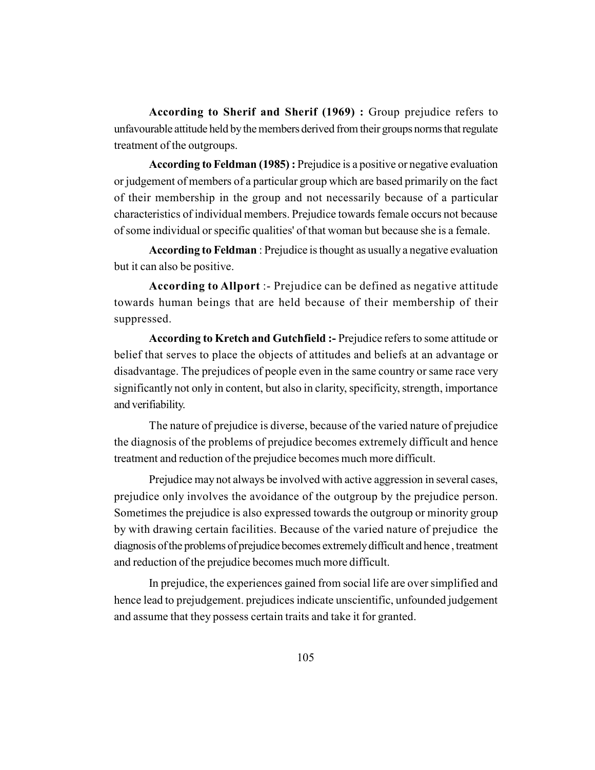**According to Sherif and Sherif (1969) :** Group prejudice refers to unfavourable attitude held by the members derived from their groups norms that regulate treatment of the outgroups.

**According to Feldman (1985) :** Prejudice is a positive or negative evaluation or judgement of members of a particular group which are based primarily on the fact of their membership in the group and not necessarily because of a particular characteristics of individual members. Prejudice towards female occurs not because of some individual or specific qualities' of that woman but because she is a female.

**According to Feldman** : Prejudice is thought as usually a negative evaluation but it can also be positive.

**According to Allport** :- Prejudice can be defined as negative attitude towards human beings that are held because of their membership of their suppressed.

**According to Kretch and Gutchfield :-** Prejudice refers to some attitude or belief that serves to place the objects of attitudes and beliefs at an advantage or disadvantage. The prejudices of people even in the same country or same race very significantly not only in content, but also in clarity, specificity, strength, importance and verifiability.

The nature of prejudice is diverse, because of the varied nature of prejudice the diagnosis of the problems of prejudice becomes extremely difficult and hence treatment and reduction of the prejudice becomes much more difficult.

Prejudice may not always be involved with active aggression in several cases, prejudice only involves the avoidance of the outgroup by the prejudice person. Sometimes the prejudice is also expressed towards the outgroup or minority group by with drawing certain facilities. Because of the varied nature of prejudice the diagnosis of the problems of prejudice becomes extremely difficult and hence , treatment and reduction of the prejudice becomes much more difficult.

In prejudice, the experiences gained from social life are over simplified and hence lead to prejudgement. prejudices indicate unscientific, unfounded judgement and assume that they possess certain traits and take it for granted.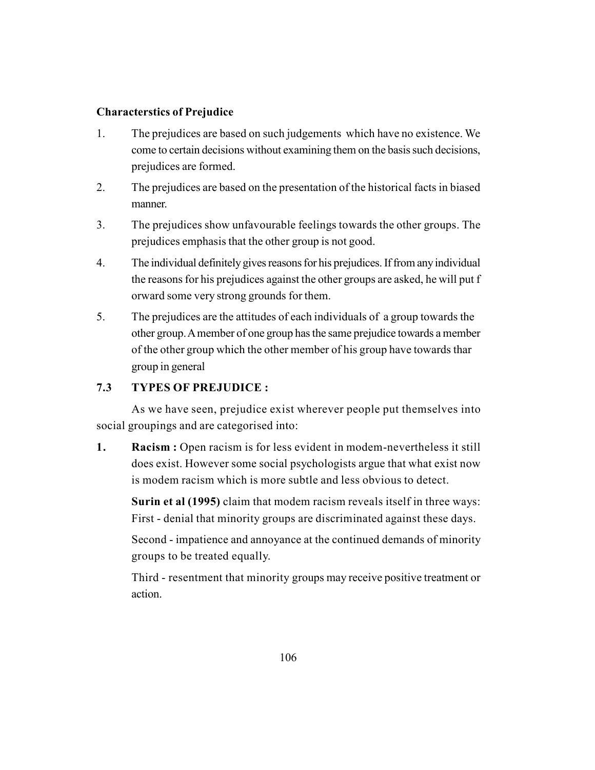# **Characterstics of Prejudice**

- 1. The prejudices are based on such judgements which have no existence. We come to certain decisions without examining them on the basis such decisions, prejudices are formed.
- 2. The prejudices are based on the presentation of the historical facts in biased manner.
- 3. The prejudices show unfavourable feelings towards the other groups. The prejudices emphasis that the other group is not good.
- 4. The individual definitely gives reasons for his prejudices. If from any individual the reasons for his prejudices against the other groups are asked, he will put f orward some very strong grounds for them.
- 5. The prejudices are the attitudes of each individuals of a group towards the other group. A member of one group has the same prejudice towards a member of the other group which the other member of his group have towards thar group in general

# **7.3 TYPES OF PREJUDICE :**

As we have seen, prejudice exist wherever people put themselves into social groupings and are categorised into:

**1.** Racism : Open racism is for less evident in modem-nevertheless it still does exist. However some social psychologists argue that what exist now is modem racism which is more subtle and less obvious to detect.

**Surin et al (1995)** claim that modem racism reveals itself in three ways: First - denial that minority groups are discriminated against these days.

Second - impatience and annoyance at the continued demands of minority groups to be treated equally.

Third - resentment that minority groups may receive positive treatment or action.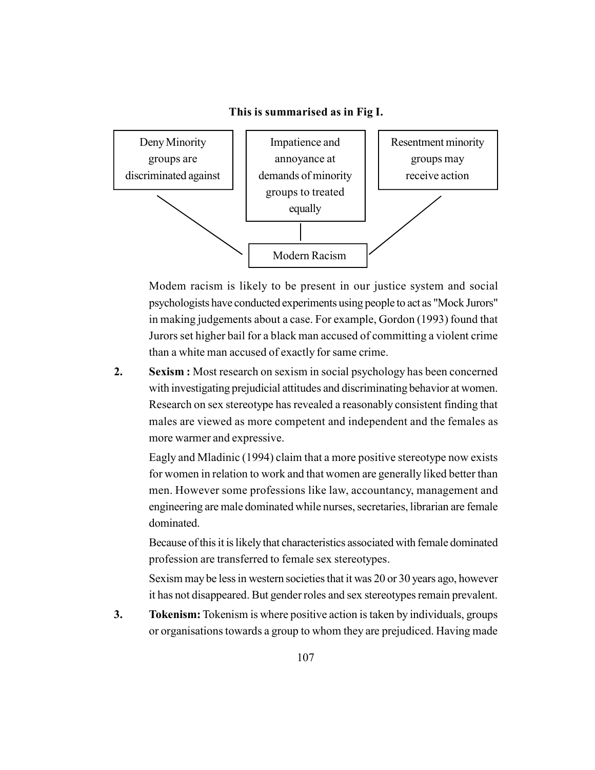#### **This is summarised as in Fig I.**



Modem racism is likely to be present in our justice system and social psychologists have conducted experiments using people to act as "Mock Jurors" in making judgements about a case. For example, Gordon (1993) found that Jurors set higher bail for a black man accused of committing a violent crime than a white man accused of exactly for same crime.

**2. Sexism :** Most research on sexism in social psychology has been concerned with investigating prejudicial attitudes and discriminating behavior at women. Research on sex stereotype has revealed a reasonably consistent finding that males are viewed as more competent and independent and the females as more warmer and expressive.

Eagly and Mladinic (1994) claim that a more positive stereotype now exists for women in relation to work and that women are generally liked better than men. However some professions like law, accountancy, management and engineering are male dominated while nurses, secretaries, librarian are female dominated.

Because of this it is likely that characteristics associated with female dominated profession are transferred to female sex stereotypes.

Sexism may be less in western societies that it was 20 or 30 years ago, however it has not disappeared. But gender roles and sex stereotypes remain prevalent.

**3. Tokenism:** Tokenism is where positive action is taken by individuals, groups or organisations towards a group to whom they are prejudiced. Having made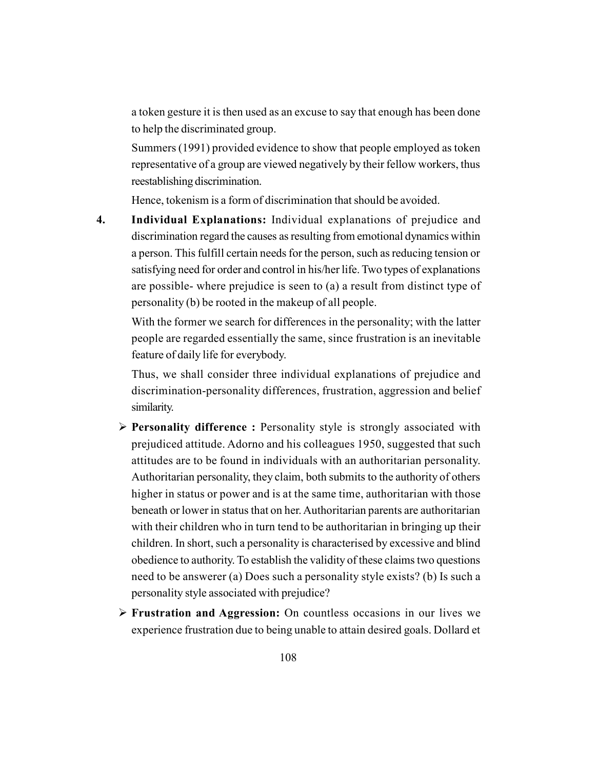a token gesture it is then used as an excuse to say that enough has been done to help the discriminated group.

Summers (1991) provided evidence to show that people employed as token representative of a group are viewed negatively by their fellow workers, thus reestablishing discrimination.

Hence, tokenism is a form of discrimination that should be avoided.

**4. Individual Explanations:** Individual explanations of prejudice and discrimination regard the causes as resulting from emotional dynamics within a person. This fulfill certain needs for the person, such as reducing tension or satisfying need for order and control in his/her life. Two types of explanations are possible- where prejudice is seen to (a) a result from distinct type of personality (b) be rooted in the makeup of all people.

With the former we search for differences in the personality; with the latter people are regarded essentially the same, since frustration is an inevitable feature of daily life for everybody.

Thus, we shall consider three individual explanations of prejudice and discrimination-personality differences, frustration, aggression and belief similarity.

- **Personality difference :** Personality style is strongly associated with prejudiced attitude. Adorno and his colleagues 1950, suggested that such attitudes are to be found in individuals with an authoritarian personality. Authoritarian personality, they claim, both submits to the authority of others higher in status or power and is at the same time, authoritarian with those beneath or lower in status that on her. Authoritarian parents are authoritarian with their children who in turn tend to be authoritarian in bringing up their children. In short, such a personality is characterised by excessive and blind obedience to authority. To establish the validity of these claims two questions need to be answerer (a) Does such a personality style exists? (b) Is such a personality style associated with prejudice?
- **Frustration and Aggression:** On countless occasions in our lives we experience frustration due to being unable to attain desired goals. Dollard et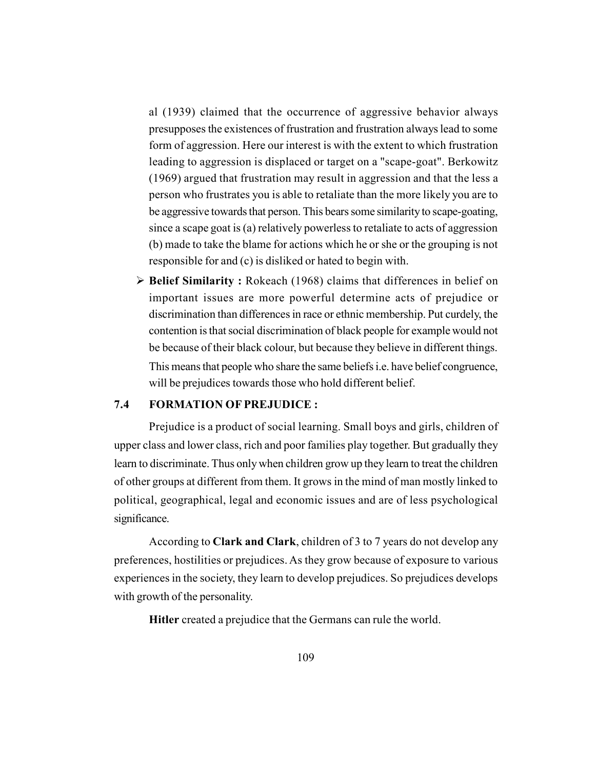al (1939) claimed that the occurrence of aggressive behavior always presupposes the existences of frustration and frustration always lead to some form of aggression. Here our interest is with the extent to which frustration leading to aggression is displaced or target on a "scape-goat". Berkowitz (1969) argued that frustration may result in aggression and that the less a person who frustrates you is able to retaliate than the more likely you are to be aggressive towards that person. This bears some similarity to scape-goating, since a scape goat is (a) relatively powerless to retaliate to acts of aggression (b) made to take the blame for actions which he or she or the grouping is not responsible for and (c) is disliked or hated to begin with.

 **Belief Similarity :** Rokeach (1968) claims that differences in belief on important issues are more powerful determine acts of prejudice or discrimination than differences in race or ethnic membership. Put curdely, the contention is that social discrimination of black people for example would not be because of their black colour, but because they believe in different things. This means that people who share the same beliefs i.e. have belief congruence, will be prejudices towards those who hold different belief.

#### **7.4 FORMATION OF PREJUDICE :**

Prejudice is a product of social learning. Small boys and girls, children of upper class and lower class, rich and poor families play together. But gradually they learn to discriminate. Thus only when children grow up they learn to treat the children of other groups at different from them. It grows in the mind of man mostly linked to political, geographical, legal and economic issues and are of less psychological significance.

According to **Clark and Clark**, children of 3 to 7 years do not develop any preferences, hostilities or prejudices. As they grow because of exposure to various experiences in the society, they learn to develop prejudices. So prejudices develops with growth of the personality.

**Hitler** created a prejudice that the Germans can rule the world.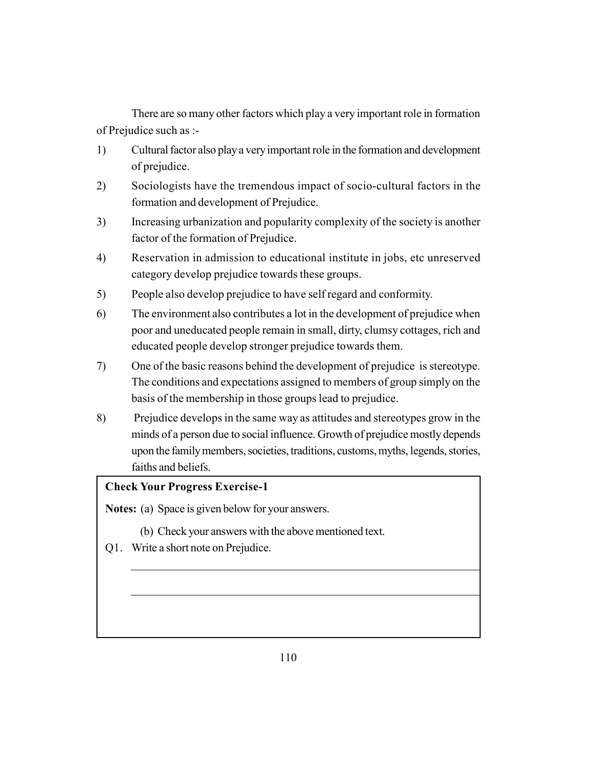There are so many other factors which play a very important role in formation of Prejudice such as :-

- 1) Cultural factor also play a very important role in the formation and development of prejudice.
- 2) Sociologists have the tremendous impact of socio-cultural factors in the formation and development of Prejudice.
- 3) Increasing urbanization and popularity complexity of the society is another factor of the formation of Prejudice.
- 4) Reservation in admission to educational institute in jobs, etc unreserved category develop prejudice towards these groups.
- 5) People also develop prejudice to have self regard and conformity.
- 6) The environment also contributes a lot in the development of prejudice when poor and uneducated people remain in small, dirty, clumsy cottages, rich and educated people develop stronger prejudice towards them.
- 7) One of the basic reasons behind the development of prejudice is stereotype. The conditions and expectations assigned to members of group simply on the basis of the membership in those groups lead to prejudice.
- 8) Prejudice develops in the same way as attitudes and stereotypes grow in the minds of a person due to social influence. Growth of prejudice mostly depends upon the family members, societies, traditions, customs, myths, legends, stories, faiths and beliefs.

## **Check Your Progress Exercise-1**

**Notes:** (a) Space is given below for your answers.

- (b) Check your answers with the above mentioned text.
- Q1. Write a short note on Prejudice.

\_\_\_\_\_\_\_\_\_\_\_\_\_\_\_\_\_\_\_\_\_\_\_\_\_\_\_\_\_\_\_\_\_\_\_\_\_\_\_\_\_\_\_\_\_\_\_\_\_\_\_\_\_\_\_\_\_\_\_\_

\_\_\_\_\_\_\_\_\_\_\_\_\_\_\_\_\_\_\_\_\_\_\_\_\_\_\_\_\_\_\_\_\_\_\_\_\_\_\_\_\_\_\_\_\_\_\_\_\_\_\_\_\_\_\_\_\_\_\_\_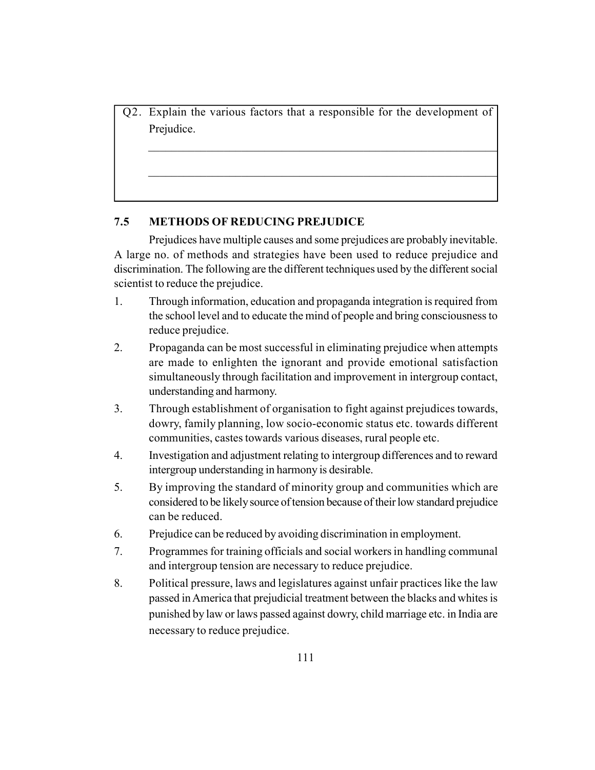Q2. Explain the various factors that a responsible for the development of Prejudice.

\_\_\_\_\_\_\_\_\_\_\_\_\_\_\_\_\_\_\_\_\_\_\_\_\_\_\_\_\_\_\_\_\_\_\_\_\_\_\_\_\_\_\_\_\_\_\_\_\_\_\_\_\_\_\_\_\_\_\_\_

\_\_\_\_\_\_\_\_\_\_\_\_\_\_\_\_\_\_\_\_\_\_\_\_\_\_\_\_\_\_\_\_\_\_\_\_\_\_\_\_\_\_\_\_\_\_\_\_\_\_\_\_\_\_\_\_\_\_\_\_

## **7.5 METHODS OF REDUCING PREJUDICE**

Prejudices have multiple causes and some prejudices are probably inevitable. A large no. of methods and strategies have been used to reduce prejudice and discrimination. The following are the different techniques used by the different social scientist to reduce the prejudice.

- 1. Through information, education and propaganda integration is required from the school level and to educate the mind of people and bring consciousness to reduce prejudice.
- 2. Propaganda can be most successful in eliminating prejudice when attempts are made to enlighten the ignorant and provide emotional satisfaction simultaneously through facilitation and improvement in intergroup contact, understanding and harmony.
- 3. Through establishment of organisation to fight against prejudices towards, dowry, family planning, low socio-economic status etc. towards different communities, castes towards various diseases, rural people etc.
- 4. Investigation and adjustment relating to intergroup differences and to reward intergroup understanding in harmony is desirable.
- 5. By improving the standard of minority group and communities which are considered to be likely source of tension because of their low standard prejudice can be reduced.
- 6. Prejudice can be reduced by avoiding discrimination in employment.
- 7. Programmes for training officials and social workers in handling communal and intergroup tension are necessary to reduce prejudice.
- 8. Political pressure, laws and legislatures against unfair practices like the law passed in America that prejudicial treatment between the blacks and whites is punished by law or laws passed against dowry, child marriage etc. in India are necessary to reduce prejudice.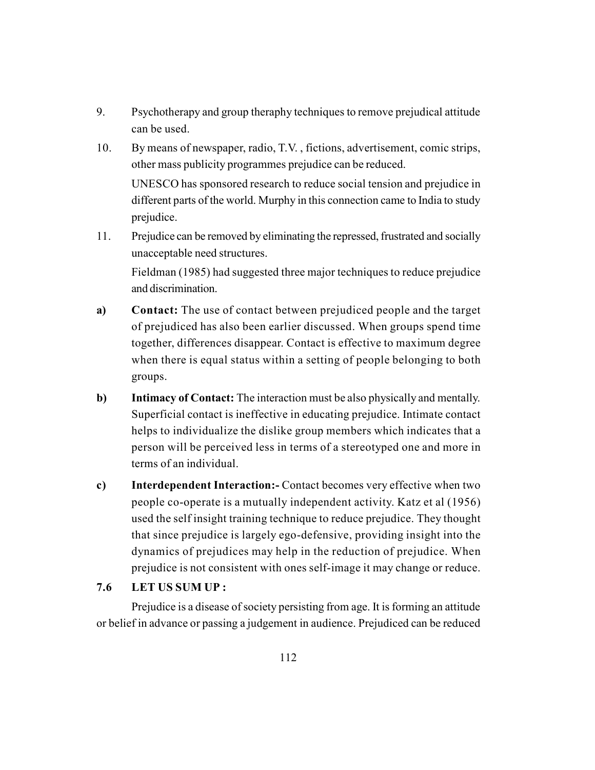- 9. Psychotherapy and group theraphy techniques to remove prejudical attitude can be used.
- 10. By means of newspaper, radio, T.V. , fictions, advertisement, comic strips, other mass publicity programmes prejudice can be reduced. UNESCO has sponsored research to reduce social tension and prejudice in different parts of the world. Murphy in this connection came to India to study prejudice.
- 11. Prejudice can be removed by eliminating the repressed, frustrated and socially unacceptable need structures.

Fieldman (1985) had suggested three major techniques to reduce prejudice and discrimination.

- **a) Contact:** The use of contact between prejudiced people and the target of prejudiced has also been earlier discussed. When groups spend time together, differences disappear. Contact is effective to maximum degree when there is equal status within a setting of people belonging to both groups.
- **b)** Intimacy of Contact: The interaction must be also physically and mentally. Superficial contact is ineffective in educating prejudice. Intimate contact helps to individualize the dislike group members which indicates that a person will be perceived less in terms of a stereotyped one and more in terms of an individual.
- **c) Interdependent Interaction:-** Contact becomes very effective when two people co-operate is a mutually independent activity. Katz et al (1956) used the self insight training technique to reduce prejudice. They thought that since prejudice is largely ego-defensive, providing insight into the dynamics of prejudices may help in the reduction of prejudice. When prejudice is not consistent with ones self-image it may change or reduce.

#### **7.6 LET US SUM UP :**

Prejudice is a disease of society persisting from age. It is forming an attitude or belief in advance or passing a judgement in audience. Prejudiced can be reduced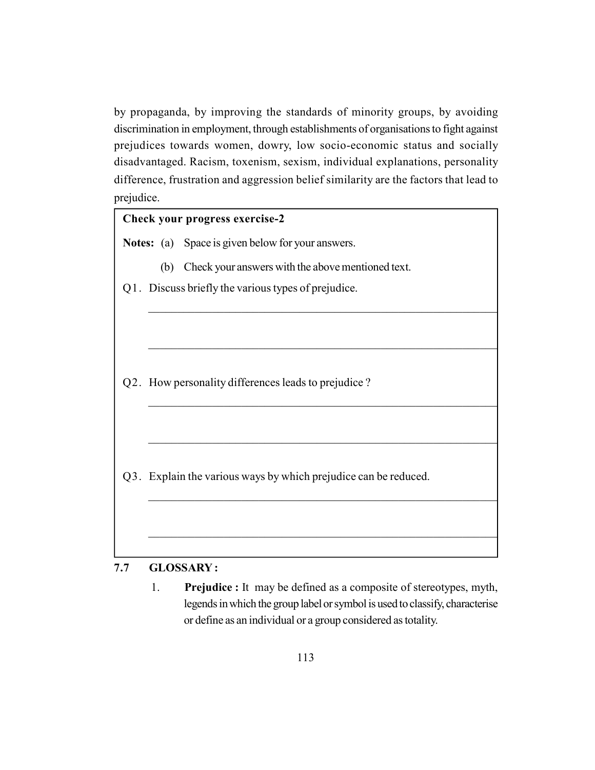by propaganda, by improving the standards of minority groups, by avoiding discrimination in employment, through establishments of organisations to fight against prejudices towards women, dowry, low socio-economic status and socially disadvantaged. Racism, toxenism, sexism, individual explanations, personality difference, frustration and aggression belief similarity are the factors that lead to prejudice.

# **Check your progress exercise-2 Notes:** (a) Space is given below for your answers. (b) Check your answers with the above mentioned text. Q1. Discuss briefly the various types of prejudice. \_\_\_\_\_\_\_\_\_\_\_\_\_\_\_\_\_\_\_\_\_\_\_\_\_\_\_\_\_\_\_\_\_\_\_\_\_\_\_\_\_\_\_\_\_\_\_\_\_\_\_\_\_\_\_\_\_\_\_\_ \_\_\_\_\_\_\_\_\_\_\_\_\_\_\_\_\_\_\_\_\_\_\_\_\_\_\_\_\_\_\_\_\_\_\_\_\_\_\_\_\_\_\_\_\_\_\_\_\_\_\_\_\_\_\_\_\_\_\_\_ Q2. How personality differences leads to prejudice ? \_\_\_\_\_\_\_\_\_\_\_\_\_\_\_\_\_\_\_\_\_\_\_\_\_\_\_\_\_\_\_\_\_\_\_\_\_\_\_\_\_\_\_\_\_\_\_\_\_\_\_\_\_\_\_\_\_\_\_\_ \_\_\_\_\_\_\_\_\_\_\_\_\_\_\_\_\_\_\_\_\_\_\_\_\_\_\_\_\_\_\_\_\_\_\_\_\_\_\_\_\_\_\_\_\_\_\_\_\_\_\_\_\_\_\_\_\_\_\_\_ Q3. Explain the various ways by which prejudice can be reduced. \_\_\_\_\_\_\_\_\_\_\_\_\_\_\_\_\_\_\_\_\_\_\_\_\_\_\_\_\_\_\_\_\_\_\_\_\_\_\_\_\_\_\_\_\_\_\_\_\_\_\_\_\_\_\_\_\_\_\_\_

## **7.7 GLOSSARY :**

1. **Prejudice :** It may be defined as a composite of stereotypes, myth, legends in which the group label or symbol is used to classify, characterise or define as an individual or a group considered as totality.

\_\_\_\_\_\_\_\_\_\_\_\_\_\_\_\_\_\_\_\_\_\_\_\_\_\_\_\_\_\_\_\_\_\_\_\_\_\_\_\_\_\_\_\_\_\_\_\_\_\_\_\_\_\_\_\_\_\_\_\_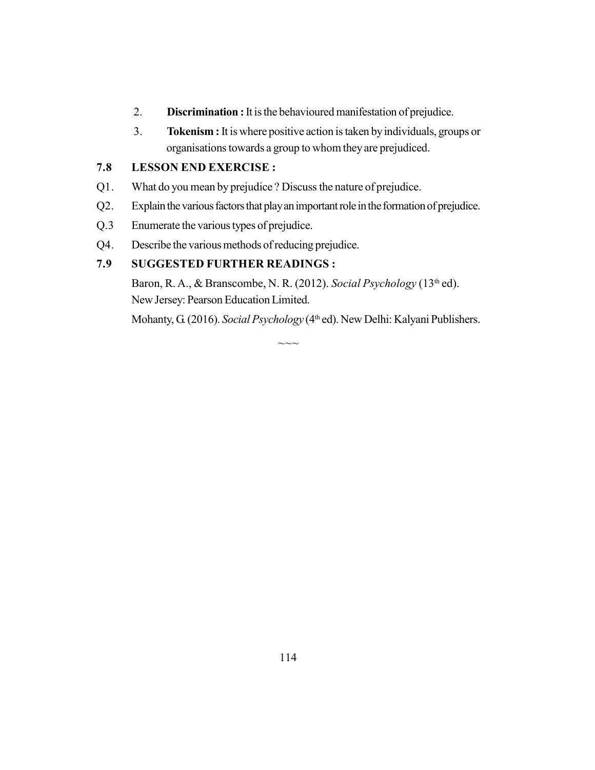- 2. **Discrimination :** It is the behavioured manifestation of prejudice.
- 3. **Tokenism :** It is where positive action is taken by individuals, groups or organisations towards a group to whom they are prejudiced.

## **7.8 LESSON END EXERCISE :**

- Q1. What do you mean by prejudice ? Discuss the nature of prejudice.
- Q2. Explain the various factors that play an important role in the formation of prejudice.
- Q.3 Enumerate the various types of prejudice.
- Q4. Describe the various methods of reducing prejudice.

## **7.9 SUGGESTED FURTHER READINGS :**

Baron, R. A., & Branscombe, N. R. (2012). *Social Psychology* (13<sup>th</sup> ed). New Jersey: Pearson Education Limited.

Mohanty, G. (2016). *Social Psychology* (4<sup>th</sup> ed). New Delhi: Kalyani Publishers.

 $\sim\sim\sim$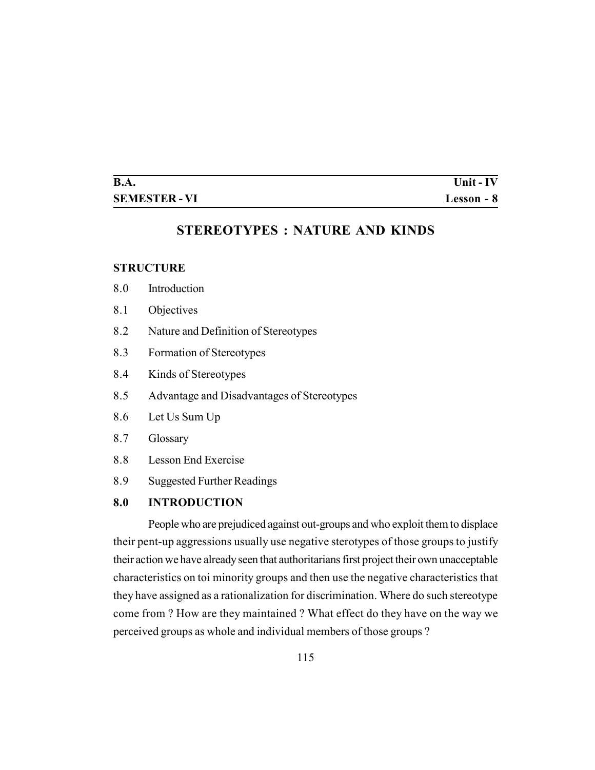| <b>B.A.</b>          | Unit - IV  |
|----------------------|------------|
| <b>SEMESTER - VI</b> | Lesson - 8 |

## **STEREOTYPES : NATURE AND KINDS**

#### **STRUCTURE**

- 8.0 Introduction
- 8.1 Objectives
- 8.2 Nature and Definition of Stereotypes
- 8.3 Formation of Stereotypes
- 8.4 Kinds of Stereotypes
- 8.5 Advantage and Disadvantages of Stereotypes
- 8.6 Let Us Sum Up
- 8.7 Glossary
- 8.8 Lesson End Exercise
- 8.9 Suggested Further Readings

## **8.0 INTRODUCTION**

People who are prejudiced against out-groups and who exploit them to displace their pent-up aggressions usually use negative sterotypes of those groups to justify their action we have already seen that authoritarians first project their own unacceptable characteristics on toi minority groups and then use the negative characteristics that they have assigned as a rationalization for discrimination. Where do such stereotype come from ? How are they maintained ? What effect do they have on the way we perceived groups as whole and individual members of those groups ?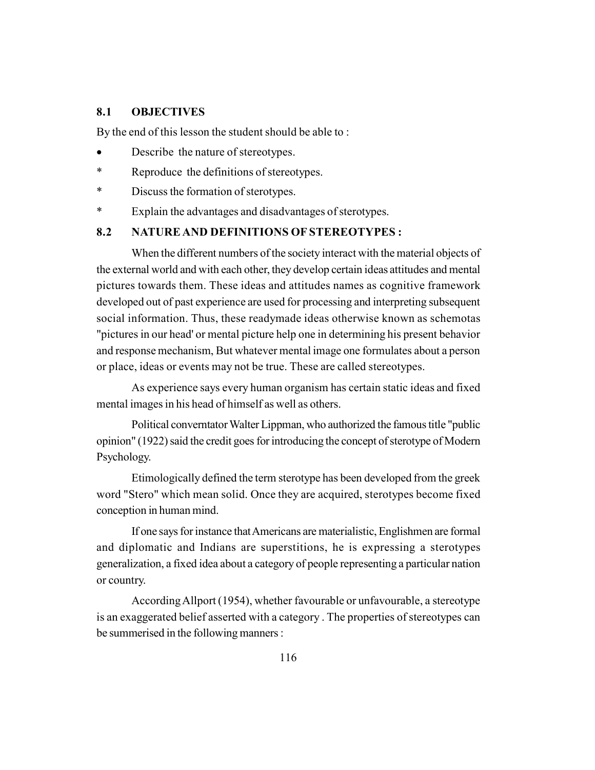#### **8.1 OBJECTIVES**

By the end of this lesson the student should be able to :

- Describe the nature of stereotypes.
- \* Reproduce the definitions of stereotypes.
- Discuss the formation of sterotypes.
- \* Explain the advantages and disadvantages of sterotypes.

## **8.2 NATURE AND DEFINITIONS OF STEREOTYPES :**

When the different numbers of the society interact with the material objects of the external world and with each other, they develop certain ideas attitudes and mental pictures towards them. These ideas and attitudes names as cognitive framework developed out of past experience are used for processing and interpreting subsequent social information. Thus, these readymade ideas otherwise known as schemotas "pictures in our head' or mental picture help one in determining his present behavior and response mechanism, But whatever mental image one formulates about a person or place, ideas or events may not be true. These are called stereotypes.

As experience says every human organism has certain static ideas and fixed mental images in his head of himself as well as others.

Political converntator Walter Lippman, who authorized the famous title "public opinion" (1922) said the credit goes for introducing the concept of sterotype of Modern Psychology.

Etimologically defined the term sterotype has been developed from the greek word "Stero" which mean solid. Once they are acquired, sterotypes become fixed conception in human mind.

If one says for instance that Americans are materialistic, Englishmen are formal and diplomatic and Indians are superstitions, he is expressing a sterotypes generalization, a fixed idea about a category of people representing a particular nation or country.

According Allport (1954), whether favourable or unfavourable, a stereotype is an exaggerated belief asserted with a category . The properties of stereotypes can be summerised in the following manners :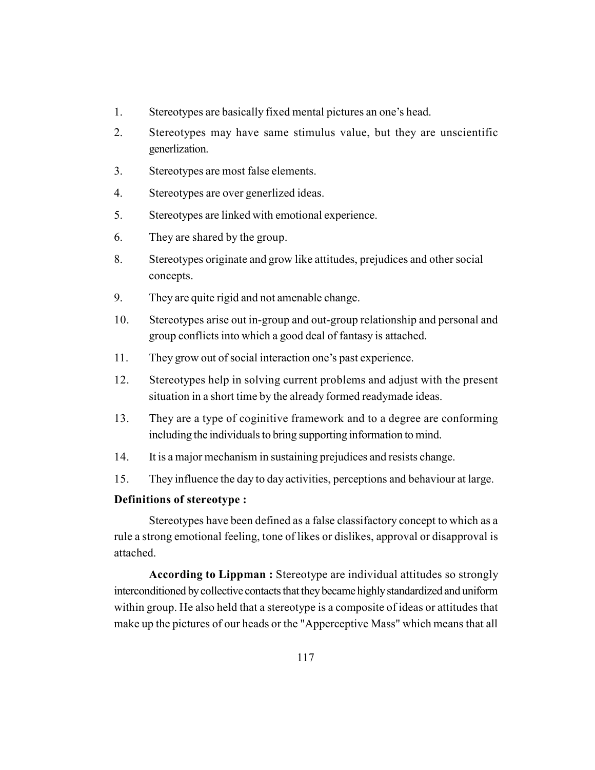- 1. Stereotypes are basically fixed mental pictures an one's head.
- 2. Stereotypes may have same stimulus value, but they are unscientific generlization.
- 3. Stereotypes are most false elements.
- 4. Stereotypes are over generlized ideas.
- 5. Stereotypes are linked with emotional experience.
- 6. They are shared by the group.
- 8. Stereotypes originate and grow like attitudes, prejudices and other social concepts.
- 9. They are quite rigid and not amenable change.
- 10. Stereotypes arise out in-group and out-group relationship and personal and group conflicts into which a good deal of fantasy is attached.
- 11. They grow out of social interaction one's past experience.
- 12. Stereotypes help in solving current problems and adjust with the present situation in a short time by the already formed readymade ideas.
- 13. They are a type of coginitive framework and to a degree are conforming including the individuals to bring supporting information to mind.
- 14. It is a major mechanism in sustaining prejudices and resists change.
- 15. They influence the day to day activities, perceptions and behaviour at large.

## **Definitions of stereotype :**

Stereotypes have been defined as a false classifactory concept to which as a rule a strong emotional feeling, tone of likes or dislikes, approval or disapproval is attached.

**According to Lippman :** Stereotype are individual attitudes so strongly interconditioned by collective contacts that they became highly standardized and uniform within group. He also held that a stereotype is a composite of ideas or attitudes that make up the pictures of our heads or the "Apperceptive Mass" which means that all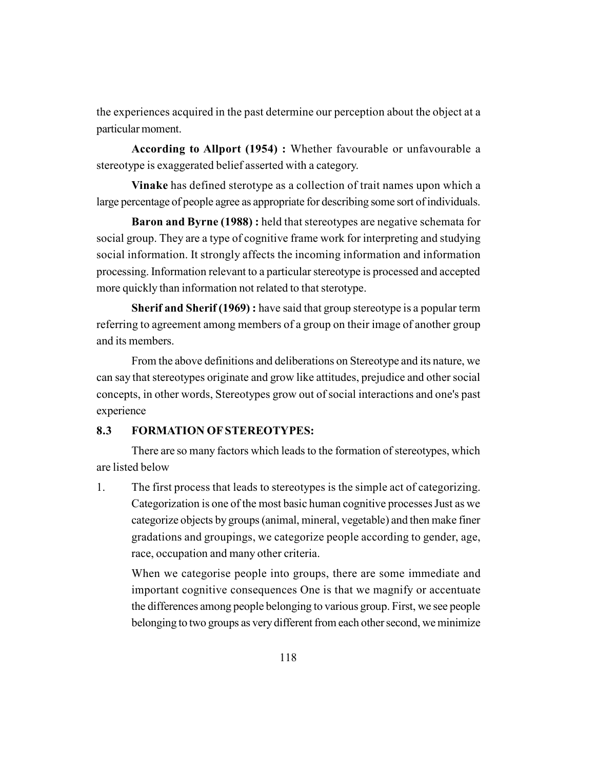the experiences acquired in the past determine our perception about the object at a particular moment.

**According to Allport (1954) :** Whether favourable or unfavourable a stereotype is exaggerated belief asserted with a category.

**Vinake** has defined sterotype as a collection of trait names upon which a large percentage of people agree as appropriate for describing some sort of individuals.

**Baron and Byrne (1988):** held that stereotypes are negative schemata for social group. They are a type of cognitive frame work for interpreting and studying social information. It strongly affects the incoming information and information processing. Information relevant to a particular stereotype is processed and accepted more quickly than information not related to that sterotype.

**Sherif and Sherif (1969) :** have said that group stereotype is a popular term referring to agreement among members of a group on their image of another group and its members.

From the above definitions and deliberations on Stereotype and its nature, we can say that stereotypes originate and grow like attitudes, prejudice and other social concepts, in other words, Stereotypes grow out of social interactions and one's past experience

#### **8.3 FORMATION OF STEREOTYPES:**

There are so many factors which leads to the formation of stereotypes, which are listed below

1. The first process that leads to stereotypes is the simple act of categorizing. Categorization is one of the most basic human cognitive processes Just as we categorize objects by groups (animal, mineral, vegetable) and then make finer gradations and groupings, we categorize people according to gender, age, race, occupation and many other criteria.

When we categorise people into groups, there are some immediate and important cognitive consequences One is that we magnify or accentuate the differences among people belonging to various group. First, we see people belonging to two groups as very different from each other second, we minimize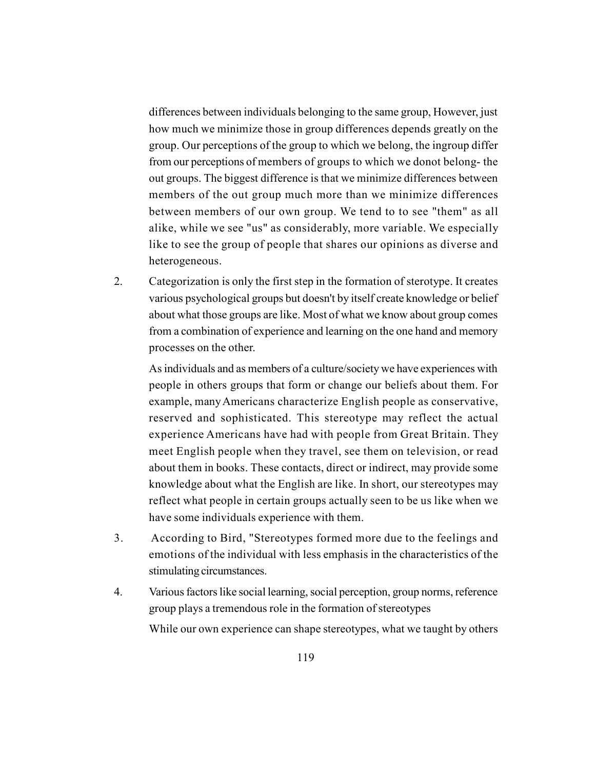differences between individuals belonging to the same group, However, just how much we minimize those in group differences depends greatly on the group. Our perceptions of the group to which we belong, the ingroup differ from our perceptions of members of groups to which we donot belong- the out groups. The biggest difference is that we minimize differences between members of the out group much more than we minimize differences between members of our own group. We tend to to see "them" as all alike, while we see "us" as considerably, more variable. We especially like to see the group of people that shares our opinions as diverse and heterogeneous.

2. Categorization is only the first step in the formation of sterotype. It creates various psychological groups but doesn't by itself create knowledge or belief about what those groups are like. Most of what we know about group comes from a combination of experience and learning on the one hand and memory processes on the other.

As individuals and as members of a culture/society we have experiences with people in others groups that form or change our beliefs about them. For example, many Americans characterize English people as conservative, reserved and sophisticated. This stereotype may reflect the actual experience Americans have had with people from Great Britain. They meet English people when they travel, see them on television, or read about them in books. These contacts, direct or indirect, may provide some knowledge about what the English are like. In short, our stereotypes may reflect what people in certain groups actually seen to be us like when we have some individuals experience with them.

- 3. According to Bird, "Stereotypes formed more due to the feelings and emotions of the individual with less emphasis in the characteristics of the stimulating circumstances.
- 4. Various factors like social learning, social perception, group norms, reference group plays a tremendous role in the formation of stereotypes While our own experience can shape stereotypes, what we taught by others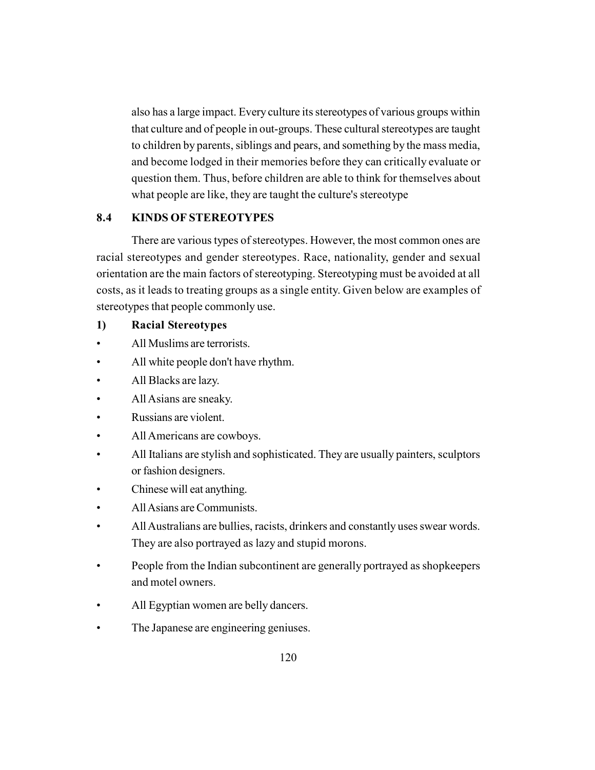also has a large impact. Every culture its stereotypes of various groups within that culture and of people in out-groups. These cultural stereotypes are taught to children by parents, siblings and pears, and something by the mass media, and become lodged in their memories before they can critically evaluate or question them. Thus, before children are able to think for themselves about what people are like, they are taught the culture's stereotype

## **8.4 KINDS OF STEREOTYPES**

There are various types of stereotypes. However, the most common ones are racial stereotypes and gender stereotypes. Race, nationality, gender and sexual orientation are the main factors of stereotyping. Stereotyping must be avoided at all costs, as it leads to treating groups as a single entity. Given below are examples of stereotypes that people commonly use.

## **1) Racial Stereotypes**

- All Muslims are terrorists.
- All white people don't have rhythm.
- All Blacks are lazy.
- All Asians are sneaky.
- Russians are violent.
- All Americans are cowboys.
- All Italians are stylish and sophisticated. They are usually painters, sculptors or fashion designers.
- Chinese will eat anything.
- All Asians are Communists.
- All Australians are bullies, racists, drinkers and constantly uses swear words. They are also portrayed as lazy and stupid morons.
- People from the Indian subcontinent are generally portrayed as shopkeepers and motel owners.
- All Egyptian women are belly dancers.
- The Japanese are engineering geniuses.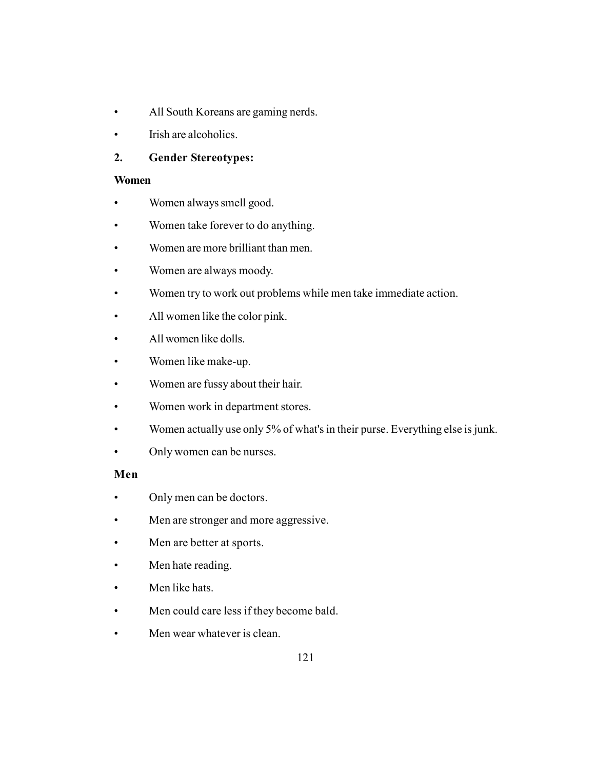- All South Koreans are gaming nerds.
- Irish are alcoholics.

## **2. Gender Stereotypes:**

## **Women**

- Women always smell good.
- Women take forever to do anything.
- Women are more brilliant than men.
- Women are always moody.
- Women try to work out problems while men take immediate action.
- All women like the color pink.
- All women like dolls.
- Women like make-up.
- Women are fussy about their hair.
- Women work in department stores.
- Women actually use only 5% of what's in their purse. Everything else is junk.
- Only women can be nurses.

## **Men**

- Only men can be doctors.
- Men are stronger and more aggressive.
- Men are better at sports.
- Men hate reading.
- Men like hats.
- Men could care less if they become bald.
- Men wear whatever is clean.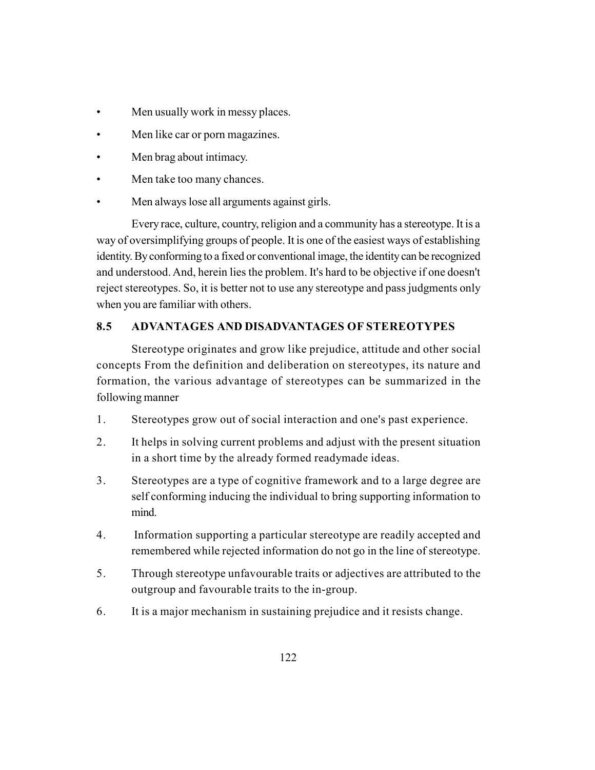- Men usually work in messy places.
- Men like car or porn magazines.
- Men brag about intimacy.
- Men take too many chances.
- Men always lose all arguments against girls.

Every race, culture, country, religion and a community has a stereotype. It is a way of oversimplifying groups of people. It is one of the easiest ways of establishing identity. By conforming to a fixed or conventional image, the identity can be recognized and understood. And, herein lies the problem. It's hard to be objective if one doesn't reject stereotypes. So, it is better not to use any stereotype and pass judgments only when you are familiar with others.

## **8.5 ADVANTAGES AND DISADVANTAGES OF STEREOTYPES**

Stereotype originates and grow like prejudice, attitude and other social concepts From the definition and deliberation on stereotypes, its nature and formation, the various advantage of stereotypes can be summarized in the following manner

- 1. Stereotypes grow out of social interaction and one's past experience.
- 2. It helps in solving current problems and adjust with the present situation in a short time by the already formed readymade ideas.
- 3. Stereotypes are a type of cognitive framework and to a large degree are self conforming inducing the individual to bring supporting information to mind.
- 4. Information supporting a particular stereotype are readily accepted and remembered while rejected information do not go in the line of stereotype.
- 5. Through stereotype unfavourable traits or adjectives are attributed to the outgroup and favourable traits to the in-group.
- 6. It is a major mechanism in sustaining prejudice and it resists change.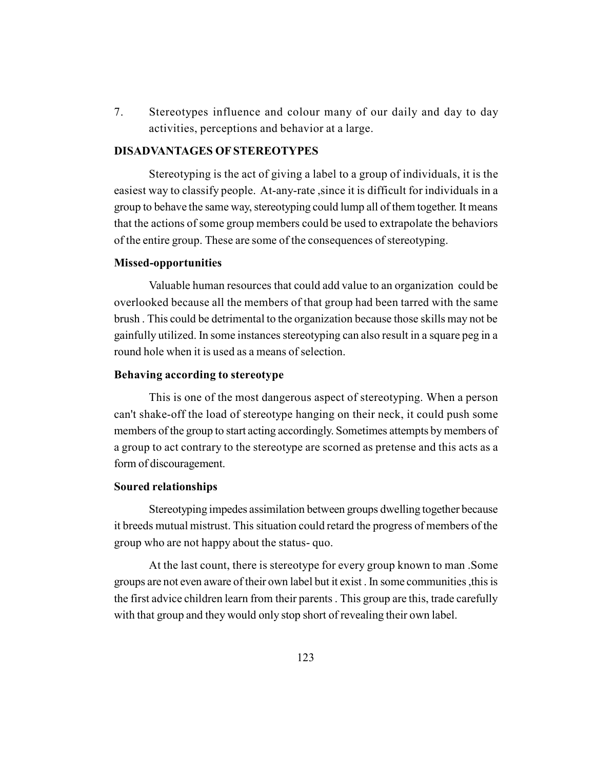7. Stereotypes influence and colour many of our daily and day to day activities, perceptions and behavior at a large.

#### **DISADVANTAGES OF STEREOTYPES**

Stereotyping is the act of giving a label to a group of individuals, it is the easiest way to classify people. At-any-rate ,since it is difficult for individuals in a group to behave the same way, stereotyping could lump all of them together. It means that the actions of some group members could be used to extrapolate the behaviors of the entire group. These are some of the consequences of stereotyping.

#### **Missed-opportunities**

Valuable human resources that could add value to an organization could be overlooked because all the members of that group had been tarred with the same brush . This could be detrimental to the organization because those skills may not be gainfully utilized. In some instances stereotyping can also result in a square peg in a round hole when it is used as a means of selection.

#### **Behaving according to stereotype**

This is one of the most dangerous aspect of stereotyping. When a person can't shake-off the load of stereotype hanging on their neck, it could push some members of the group to start acting accordingly. Sometimes attempts by members of a group to act contrary to the stereotype are scorned as pretense and this acts as a form of discouragement.

#### **Soured relationships**

Stereotyping impedes assimilation between groups dwelling together because it breeds mutual mistrust. This situation could retard the progress of members of the group who are not happy about the status- quo.

At the last count, there is stereotype for every group known to man .Some groups are not even aware of their own label but it exist . In some communities ,this is the first advice children learn from their parents . This group are this, trade carefully with that group and they would only stop short of revealing their own label.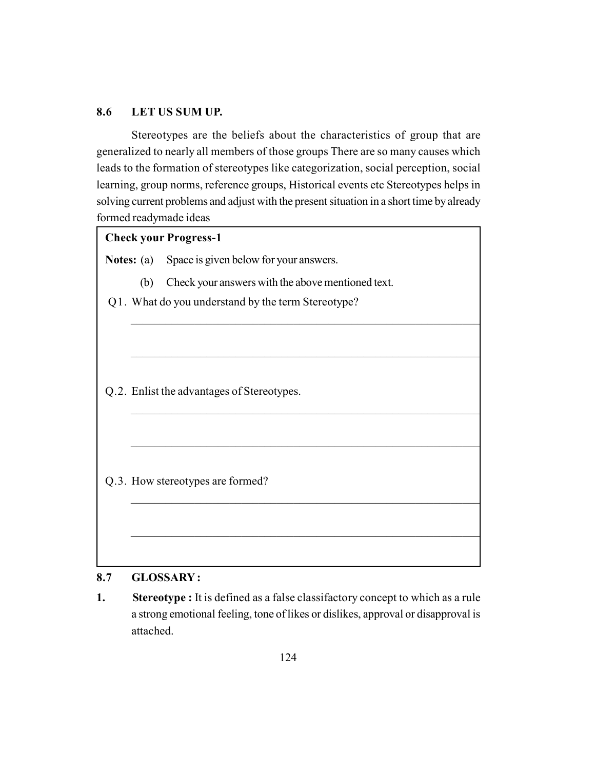## **8.6 LET US SUM UP.**

Stereotypes are the beliefs about the characteristics of group that are generalized to nearly all members of those groups There are so many causes which leads to the formation of stereotypes like categorization, social perception, social learning, group norms, reference groups, Historical events etc Stereotypes helps in solving current problems and adjust with the present situation in a short time by already formed readymade ideas

| <b>Check your Progress-1</b>                             |  |  |
|----------------------------------------------------------|--|--|
| <b>Notes:</b> (a) Space is given below for your answers. |  |  |
| Check your answers with the above mentioned text.<br>(b) |  |  |
| Q1. What do you understand by the term Stereotype?       |  |  |
|                                                          |  |  |
|                                                          |  |  |
|                                                          |  |  |
| Q.2. Enlist the advantages of Stereotypes.               |  |  |
|                                                          |  |  |
|                                                          |  |  |
|                                                          |  |  |
| Q.3. How stereotypes are formed?                         |  |  |
|                                                          |  |  |
|                                                          |  |  |
|                                                          |  |  |
|                                                          |  |  |

## **8.7 GLOSSARY :**

**1. Stereotype :** It is defined as a false classifactory concept to which as a rule a strong emotional feeling, tone of likes or dislikes, approval or disapproval is attached.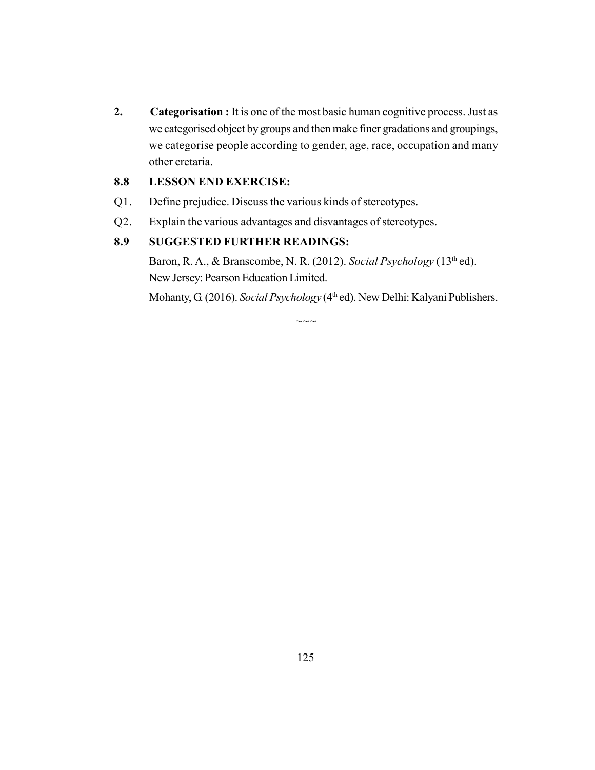**2.** Categorisation : It is one of the most basic human cognitive process. Just as we categorised object by groups and then make finer gradations and groupings, we categorise people according to gender, age, race, occupation and many other cretaria.

## **8.8 LESSON END EXERCISE:**

- Q1. Define prejudice. Discuss the various kinds of stereotypes.
- Q2. Explain the various advantages and disvantages of stereotypes.

## **8.9 SUGGESTED FURTHER READINGS:**

Baron, R. A., & Branscombe, N. R. (2012). *Social Psychology* (13<sup>th</sup> ed). New Jersey: Pearson Education Limited.

Mohanty, G. (2016). *Social Psychology* (4<sup>th</sup> ed). New Delhi: Kalyani Publishers.

 $\sim\sim\sim$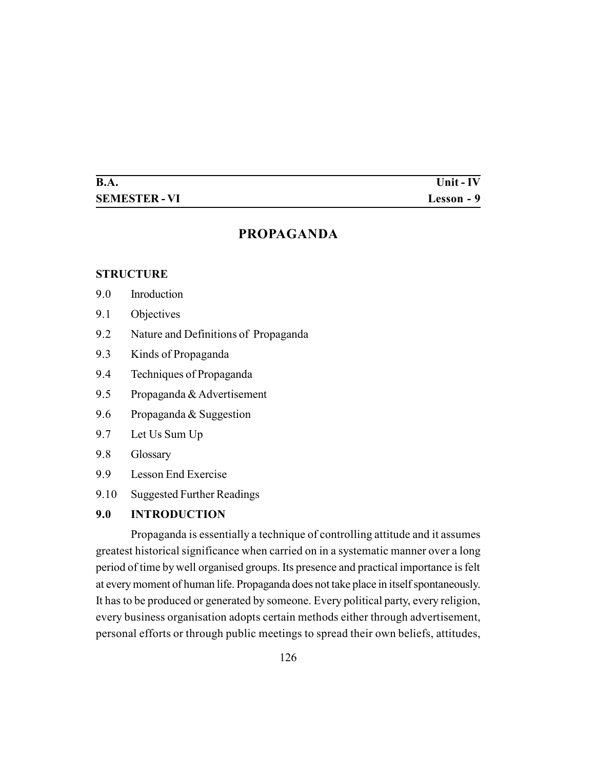| <b>B.A.</b>          | Unit - IV  |
|----------------------|------------|
| <b>SEMESTER - VI</b> | Lesson - 9 |

## **PROPAGANDA**

#### **STRUCTURE**

- 9.1 Objectives
- 9.2 Nature and Definitions of Propaganda
- 9.3 Kinds of Propaganda
- 9.4 Techniques of Propaganda
- 9.5 Propaganda & Advertisement
- 9.6 Propaganda & Suggestion
- 9.7 Let Us Sum Up
- 9.8 Glossary
- 9.9 Lesson End Exercise
- 9.10 Suggested Further Readings

## **9.0 INTRODUCTION**

Propaganda is essentially a technique of controlling attitude and it assumes greatest historical significance when carried on in a systematic manner over a long period of time by well organised groups. Its presence and practical importance is felt at every moment of human life. Propaganda does not take place in itself spontaneously. It has to be produced or generated by someone. Every political party, every religion, every business organisation adopts certain methods either through advertisement, personal efforts or through public meetings to spread their own beliefs, attitudes,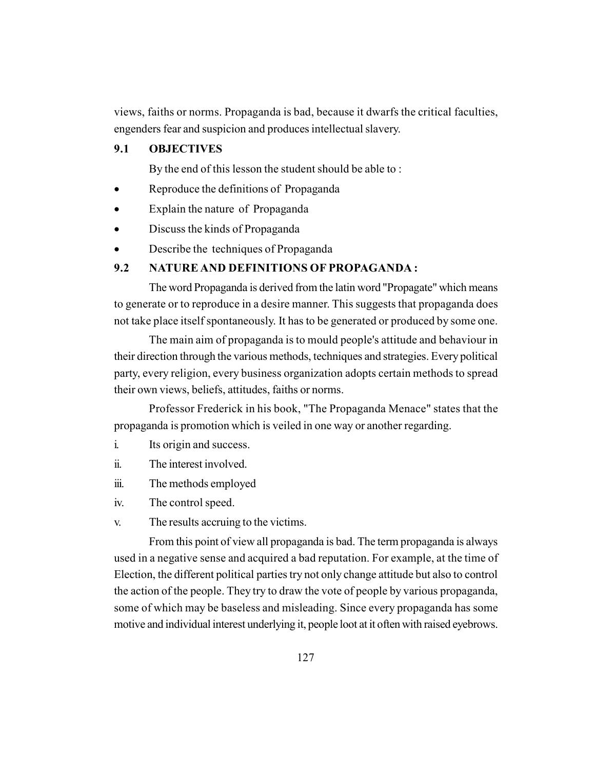views, faiths or norms. Propaganda is bad, because it dwarfs the critical faculties, engenders fear and suspicion and produces intellectual slavery.

#### **9.1 OBJECTIVES**

By the end of this lesson the student should be able to :

- Reproduce the definitions of Propaganda
- Explain the nature of Propaganda
- Discuss the kinds of Propaganda
- Describe the techniques of Propaganda

#### **9.2 NATURE AND DEFINITIONS OF PROPAGANDA :**

The word Propaganda is derived from the latin word "Propagate" which means to generate or to reproduce in a desire manner. This suggests that propaganda does not take place itself spontaneously. It has to be generated or produced by some one.

The main aim of propaganda is to mould people's attitude and behaviour in their direction through the various methods, techniques and strategies. Every political party, every religion, every business organization adopts certain methods to spread their own views, beliefs, attitudes, faiths or norms.

Professor Frederick in his book, "The Propaganda Menace" states that the propaganda is promotion which is veiled in one way or another regarding.

- i. Its origin and success.
- ii. The interest involved.
- iii. The methods employed
- iv. The control speed.
- v. The results accruing to the victims.

From this point of view all propaganda is bad. The term propaganda is always used in a negative sense and acquired a bad reputation. For example, at the time of Election, the different political parties try not only change attitude but also to control the action of the people. They try to draw the vote of people by various propaganda, some of which may be baseless and misleading. Since every propaganda has some motive and individual interest underlying it, people loot at it often with raised eyebrows.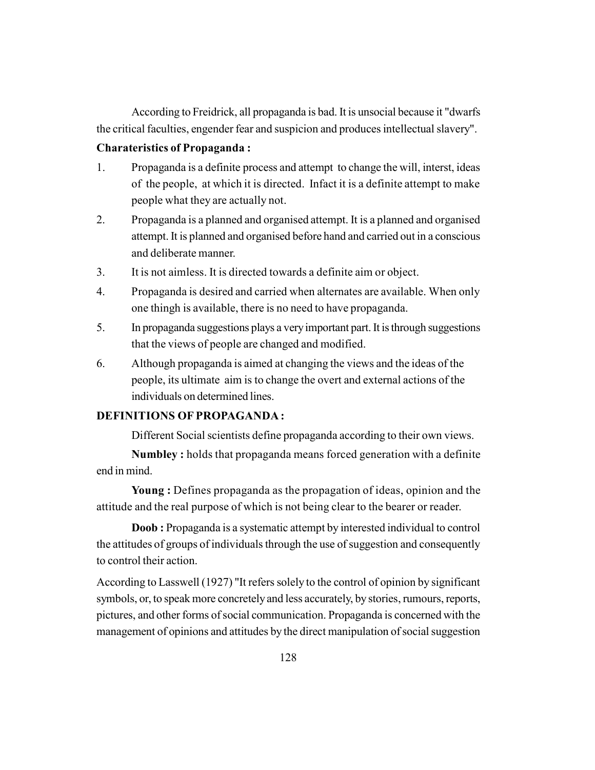According to Freidrick, all propaganda is bad. It is unsocial because it "dwarfs the critical faculties, engender fear and suspicion and produces intellectual slavery".

#### **Charateristics of Propaganda :**

- 1. Propaganda is a definite process and attempt to change the will, interst, ideas of the people, at which it is directed. Infact it is a definite attempt to make people what they are actually not.
- 2. Propaganda is a planned and organised attempt. It is a planned and organised attempt. It is planned and organised before hand and carried out in a conscious and deliberate manner.
- 3. It is not aimless. It is directed towards a definite aim or object.
- 4. Propaganda is desired and carried when alternates are available. When only one thingh is available, there is no need to have propaganda.
- 5. In propaganda suggestions plays a very important part. It is through suggestions that the views of people are changed and modified.
- 6. Although propaganda is aimed at changing the views and the ideas of the people, its ultimate aim is to change the overt and external actions of the individuals on determined lines.

## **DEFINITIONS OF PROPAGANDA :**

Different Social scientists define propaganda according to their own views.

**Numbley :** holds that propaganda means forced generation with a definite end in mind.

**Young :** Defines propaganda as the propagation of ideas, opinion and the attitude and the real purpose of which is not being clear to the bearer or reader.

**Doob :** Propaganda is a systematic attempt by interested individual to control the attitudes of groups of individuals through the use of suggestion and consequently to control their action.

According to Lasswell (1927) "It refers solely to the control of opinion by significant symbols, or, to speak more concretely and less accurately, by stories, rumours, reports, pictures, and other forms of social communication. Propaganda is concerned with the management of opinions and attitudes by the direct manipulation of social suggestion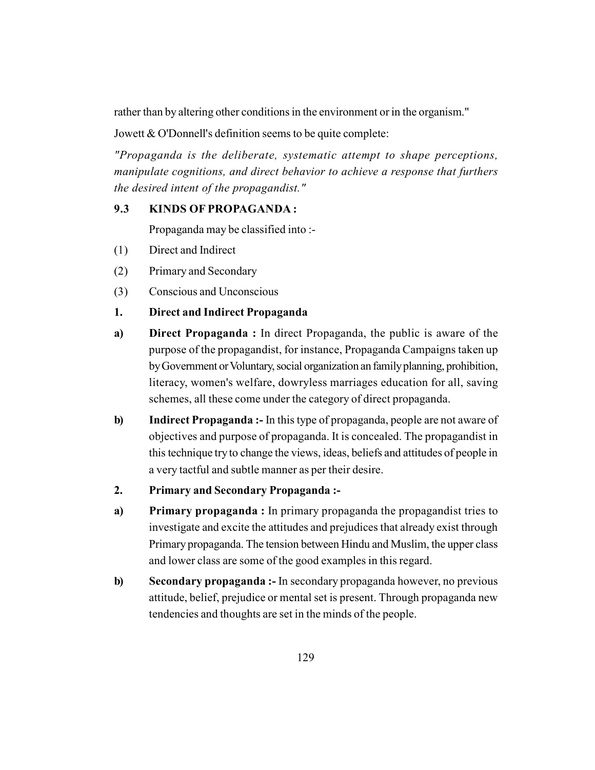rather than by altering other conditions in the environment or in the organism."

Jowett & O'Donnell's definition seems to be quite complete:

*"Propaganda is the deliberate, systematic attempt to shape perceptions, manipulate cognitions, and direct behavior to achieve a response that furthers the desired intent of the propagandist."*

## **9.3 KINDS OF PROPAGANDA :**

Propaganda may be classified into :-

- (1) Direct and Indirect
- (2) Primary and Secondary
- (3) Conscious and Unconscious
- **1. Direct and Indirect Propaganda**
- **a) Direct Propaganda :** In direct Propaganda, the public is aware of the purpose of the propagandist, for instance, Propaganda Campaigns taken up by Government or Voluntary, social organization an family planning, prohibition, literacy, women's welfare, dowryless marriages education for all, saving schemes, all these come under the category of direct propaganda.
- **b) Indirect Propaganda :-** In this type of propaganda, people are not aware of objectives and purpose of propaganda. It is concealed. The propagandist in this technique try to change the views, ideas, beliefs and attitudes of people in a very tactful and subtle manner as per their desire.
- **2. Primary and Secondary Propaganda :-**
- **a) Primary propaganda :** In primary propaganda the propagandist tries to investigate and excite the attitudes and prejudices that already exist through Primary propaganda. The tension between Hindu and Muslim, the upper class and lower class are some of the good examples in this regard.
- **b) Secondary propaganda :-** In secondary propaganda however, no previous attitude, belief, prejudice or mental set is present. Through propaganda new tendencies and thoughts are set in the minds of the people.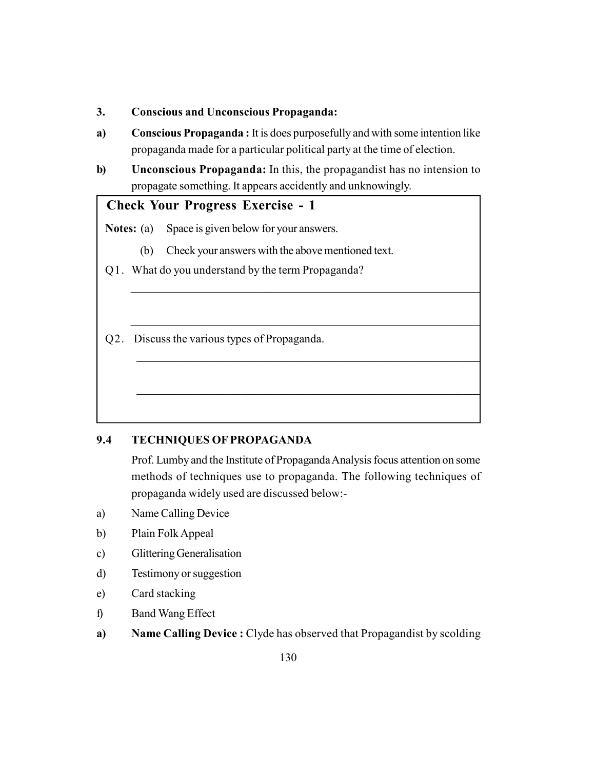- **3. Conscious and Unconscious Propaganda:**
- **a) Conscious Propaganda :** It is does purposefully and with some intention like propaganda made for a particular political party at the time of election.
- **b) Unconscious Propaganda:** In this, the propagandist has no intension to propagate something. It appears accidently and unknowingly.

\_\_\_\_\_\_\_\_\_\_\_\_\_\_\_\_\_\_\_\_\_\_\_\_\_\_\_\_\_\_\_\_\_\_\_\_\_\_\_\_\_\_\_\_\_\_\_\_\_\_\_\_\_\_\_\_\_\_\_\_

\_\_\_\_\_\_\_\_\_\_\_\_\_\_\_\_\_\_\_\_\_\_\_\_\_\_\_\_\_\_\_\_\_\_\_\_\_\_\_\_\_\_\_\_\_\_\_\_\_\_\_\_\_\_\_\_\_\_\_\_

 $\frac{1}{2}$  ,  $\frac{1}{2}$  ,  $\frac{1}{2}$  ,  $\frac{1}{2}$  ,  $\frac{1}{2}$  ,  $\frac{1}{2}$  ,  $\frac{1}{2}$  ,  $\frac{1}{2}$  ,  $\frac{1}{2}$  ,  $\frac{1}{2}$  ,  $\frac{1}{2}$  ,  $\frac{1}{2}$  ,  $\frac{1}{2}$  ,  $\frac{1}{2}$  ,  $\frac{1}{2}$  ,  $\frac{1}{2}$  ,  $\frac{1}{2}$  ,  $\frac{1}{2}$  ,  $\frac{1$ 

 $\mathcal{L}_\text{G}$ 

## **Check Your Progress Exercise - 1**

- **Notes:** (a) Space is given below for your answers.
	- (b) Check your answers with the above mentioned text.
- Q1. What do you understand by the term Propaganda?
- Q2. Discuss the various types of Propaganda.

## **9.4 TECHNIQUES OF PROPAGANDA**

Prof. Lumby and the Institute of Propaganda Analysis focus attention on some methods of techniques use to propaganda. The following techniques of propaganda widely used are discussed below:-

- a) Name Calling Device
- b) Plain Folk Appeal
- c) Glittering Generalisation
- d) Testimony or suggestion
- e) Card stacking
- f) Band Wang Effect
- **a) Name Calling Device :** Clyde has observed that Propagandist by scolding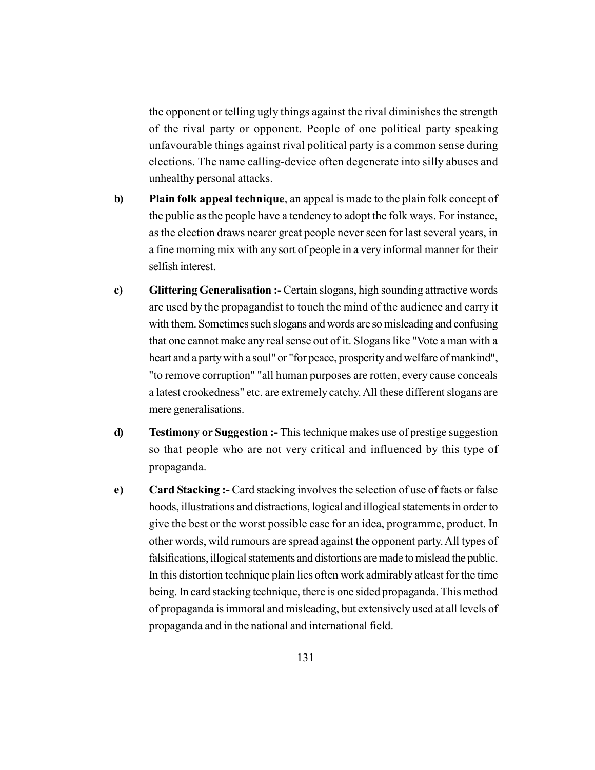the opponent or telling ugly things against the rival diminishes the strength of the rival party or opponent. People of one political party speaking unfavourable things against rival political party is a common sense during elections. The name calling-device often degenerate into silly abuses and unhealthy personal attacks.

- **b) Plain folk appeal technique**, an appeal is made to the plain folk concept of the public as the people have a tendency to adopt the folk ways. For instance, as the election draws nearer great people never seen for last several years, in a fine morning mix with any sort of people in a very informal manner for their selfish interest.
- **c) Glittering Generalisation :-** Certain slogans, high sounding attractive words are used by the propagandist to touch the mind of the audience and carry it with them. Sometimes such slogans and words are so misleading and confusing that one cannot make any real sense out of it. Slogans like "Vote a man with a heart and a party with a soul" or "for peace, prosperity and welfare of mankind", "to remove corruption" "all human purposes are rotten, every cause conceals a latest crookedness" etc. are extremely catchy. All these different slogans are mere generalisations.
- **d) Testimony or Suggestion :-** This technique makes use of prestige suggestion so that people who are not very critical and influenced by this type of propaganda.
- **e) Card Stacking :-** Card stacking involves the selection of use of facts or false hoods, illustrations and distractions, logical and illogical statements in order to give the best or the worst possible case for an idea, programme, product. In other words, wild rumours are spread against the opponent party. All types of falsifications, illogical statements and distortions are made to mislead the public. In this distortion technique plain lies often work admirably atleast for the time being. In card stacking technique, there is one sided propaganda. This method of propaganda is immoral and misleading, but extensively used at all levels of propaganda and in the national and international field.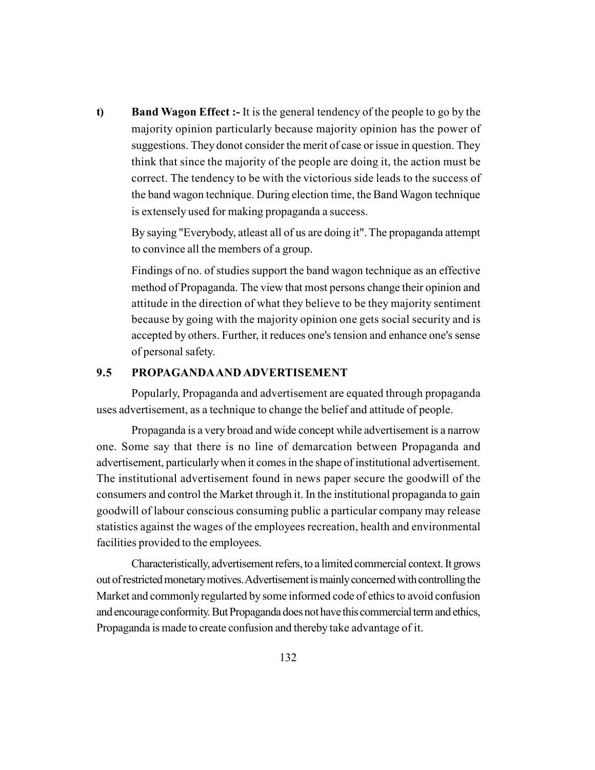**t) Band Wagon Effect :-** It is the general tendency of the people to go by the majority opinion particularly because majority opinion has the power of suggestions. They donot consider the merit of case or issue in question. They think that since the majority of the people are doing it, the action must be correct. The tendency to be with the victorious side leads to the success of the band wagon technique. During election time, the Band Wagon technique is extensely used for making propaganda a success.

By saying "Everybody, atleast all of us are doing it". The propaganda attempt to convince all the members of a group.

Findings of no. of studies support the band wagon technique as an effective method of Propaganda. The view that most persons change their opinion and attitude in the direction of what they believe to be they majority sentiment because by going with the majority opinion one gets social security and is accepted by others. Further, it reduces one's tension and enhance one's sense of personal safety.

#### **9.5 PROPAGANDA AND ADVERTISEMENT**

Popularly, Propaganda and advertisement are equated through propaganda uses advertisement, as a technique to change the belief and attitude of people.

Propaganda is a very broad and wide concept while advertisement is a narrow one. Some say that there is no line of demarcation between Propaganda and advertisement, particularly when it comes in the shape of institutional advertisement. The institutional advertisement found in news paper secure the goodwill of the consumers and control the Market through it. In the institutional propaganda to gain goodwill of labour conscious consuming public a particular company may release statistics against the wages of the employees recreation, health and environmental facilities provided to the employees.

Characteristically, advertisement refers, to a limited commercial context. It grows out of restricted monetary motives. Advertisement is mainly concerned with controlling the Market and commonly regularted by some informed code of ethics to avoid confusion and encourage conformity. But Propaganda does not have this commercial term and ethics, Propaganda is made to create confusion and thereby take advantage of it.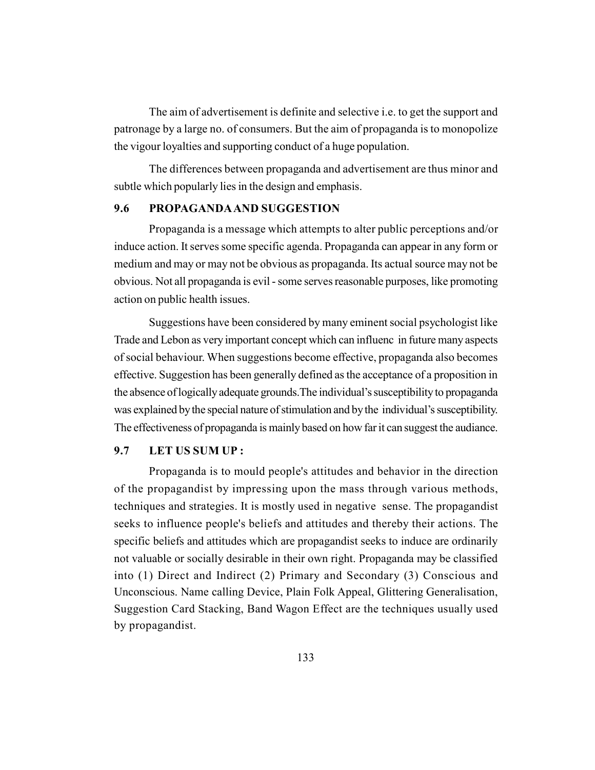The aim of advertisement is definite and selective i.e. to get the support and patronage by a large no. of consumers. But the aim of propaganda is to monopolize the vigour loyalties and supporting conduct of a huge population.

The differences between propaganda and advertisement are thus minor and subtle which popularly lies in the design and emphasis.

#### **9.6 PROPAGANDA AND SUGGESTION**

Propaganda is a message which attempts to alter public perceptions and/or induce action. It serves some specific agenda. Propaganda can appear in any form or medium and may or may not be obvious as propaganda. Its actual source may not be obvious. Not all propaganda is evil - some serves reasonable purposes, like promoting action on public health issues.

Suggestions have been considered by many eminent social psychologist like Trade and Lebon as very important concept which can influenc in future many aspects of social behaviour. When suggestions become effective, propaganda also becomes effective. Suggestion has been generally defined as the acceptance of a proposition in the absence of logically adequate grounds.The individual's susceptibility to propaganda was explained by the special nature of stimulation and by the individual's susceptibility. The effectiveness of propaganda is mainly based on how far it can suggest the audiance.

#### **9.7 LET US SUM UP :**

Propaganda is to mould people's attitudes and behavior in the direction of the propagandist by impressing upon the mass through various methods, techniques and strategies. It is mostly used in negative sense. The propagandist seeks to influence people's beliefs and attitudes and thereby their actions. The specific beliefs and attitudes which are propagandist seeks to induce are ordinarily not valuable or socially desirable in their own right. Propaganda may be classified into (1) Direct and Indirect (2) Primary and Secondary (3) Conscious and Unconscious. Name calling Device, Plain Folk Appeal, Glittering Generalisation, Suggestion Card Stacking, Band Wagon Effect are the techniques usually used by propagandist.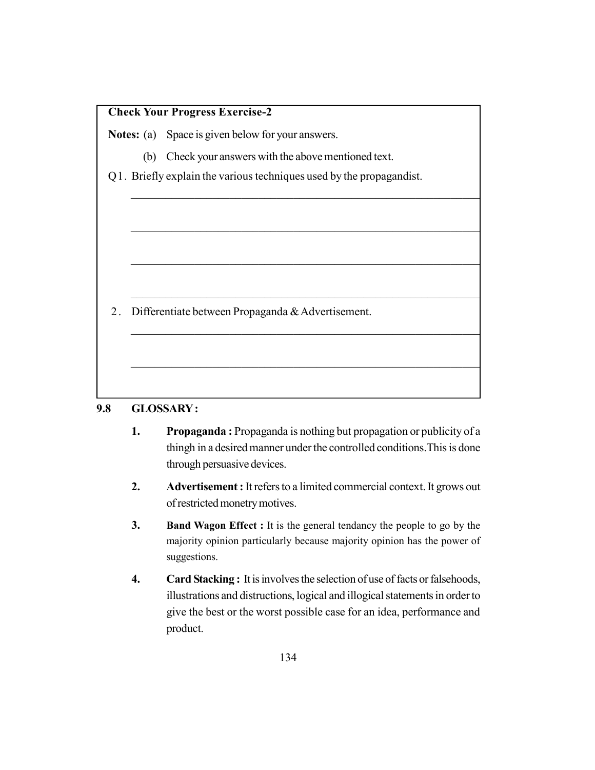| <b>Check Your Progress Exercise-2</b>                                |  |
|----------------------------------------------------------------------|--|
| Space is given below for your answers.<br>Notes: $(a)$               |  |
| Check your answers with the above mentioned text.<br>(b)             |  |
| Q1. Briefly explain the various techniques used by the propagandist. |  |
|                                                                      |  |
|                                                                      |  |
|                                                                      |  |
|                                                                      |  |
|                                                                      |  |
| Differentiate between Propaganda & Advertisement.<br>2 <sub>1</sub>  |  |
|                                                                      |  |
|                                                                      |  |
|                                                                      |  |
|                                                                      |  |

## **9.8 GLOSSARY :**

- **1. Propaganda :** Propaganda is nothing but propagation or publicity of a thingh in a desired manner under the controlled conditions.This is done through persuasive devices.
- **2. Advertisement :** It refers to a limited commercial context. It grows out of restricted monetry motives.
- **3. Band Wagon Effect :** It is the general tendancy the people to go by the majority opinion particularly because majority opinion has the power of suggestions.
- **4. Card Stacking :** It is involves the selection of use of facts or falsehoods, illustrations and distructions, logical and illogical statements in order to give the best or the worst possible case for an idea, performance and product.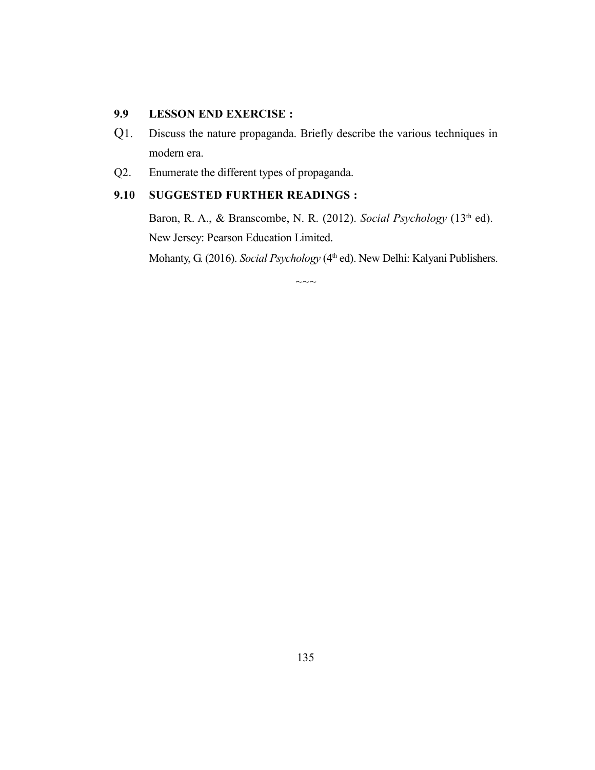#### **9.9 LESSON END EXERCISE :**

- Q1. Discuss the nature propaganda. Briefly describe the various techniques in modern era.
- Q2. Enumerate the different types of propaganda.

## **9.10 SUGGESTED FURTHER READINGS :**

Baron, R. A., & Branscombe, N. R. (2012). *Social Psychology* (13<sup>th</sup> ed). New Jersey: Pearson Education Limited. Mohanty, G. (2016). *Social Psychology* (4<sup>th</sup> ed). New Delhi: Kalyani Publishers.

 $\sim\sim\sim$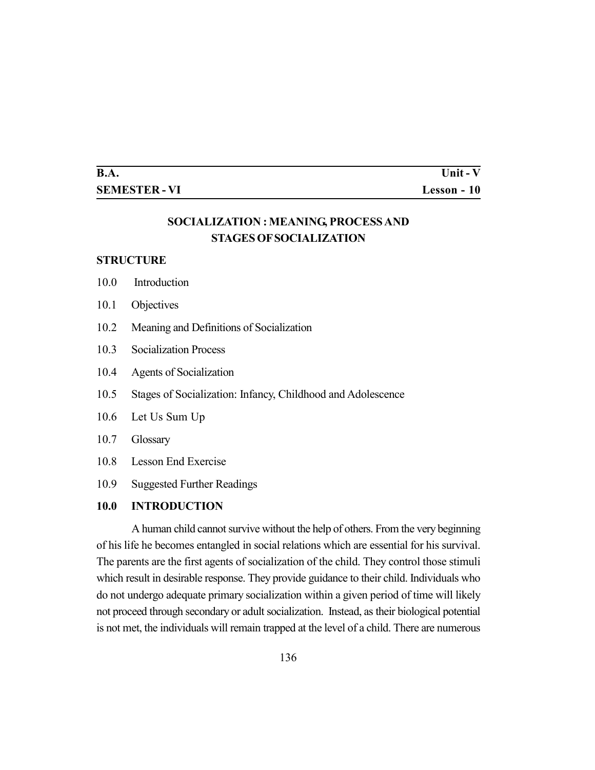| <b>B.A.</b>          | Unit - V    |
|----------------------|-------------|
| <b>SEMESTER - VI</b> | Lesson - 10 |

## **Lesson - 10**

## **SOCIALIZATION : MEANING, PROCESS AND STAGES OF SOCIALIZATION**

#### **STRUCTURE**

- 10.0 Introduction
- 10.1 Objectives
- 10.2 Meaning and Definitions of Socialization
- 10.3 Socialization Process
- 10.4 Agents of Socialization
- 10.5 Stages of Socialization: Infancy, Childhood and Adolescence
- 10.6 Let Us Sum Up
- 10.7 Glossary
- 10.8 Lesson End Exercise
- 10.9 Suggested Further Readings

#### **10.0 INTRODUCTION**

A human child cannot survive without the help of others. From the very beginning of his life he becomes entangled in social relations which are essential for his survival. The parents are the first agents of socialization of the child. They control those stimuli which result in desirable response. They provide guidance to their child. Individuals who do not undergo adequate primary socialization within a given period of time will likely not proceed through secondary or adult socialization. Instead, as their biological potential is not met, the individuals will remain trapped at the level of a child. There are numerous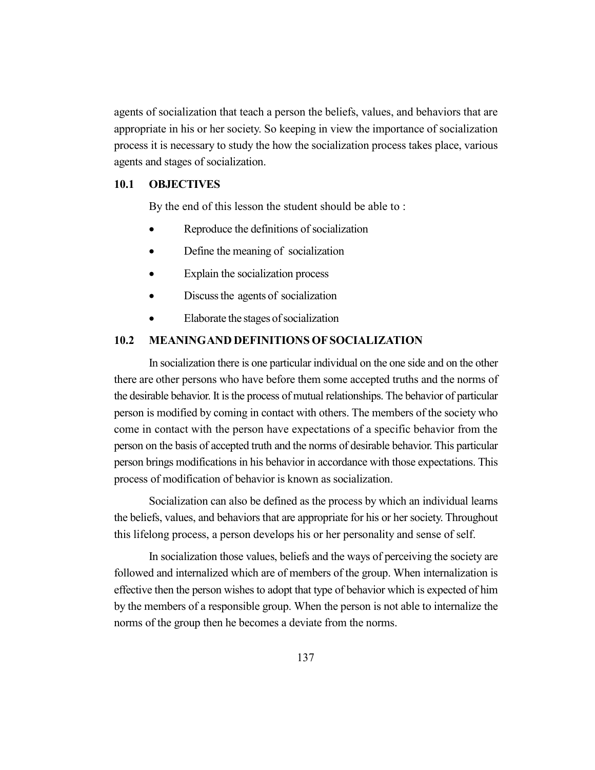agents of socialization that teach a person the beliefs, values, and behaviors that are appropriate in his or her society. So keeping in view the importance of socialization process it is necessary to study the how the socialization process takes place, various agents and stages of socialization.

#### **10.1 OBJECTIVES**

By the end of this lesson the student should be able to :

- Reproduce the definitions of socialization
- Define the meaning of socialization
- Explain the socialization process
- Discuss the agents of socialization
- Elaborate the stages of socialization

#### **10.2 MEANING AND DEFINITIONS OF SOCIALIZATION**

In socialization there is one particular individual on the one side and on the other there are other persons who have before them some accepted truths and the norms of the desirable behavior. It is the process of mutual relationships. The behavior of particular person is modified by coming in contact with others. The members of the society who come in contact with the person have expectations of a specific behavior from the person on the basis of accepted truth and the norms of desirable behavior. This particular person brings modifications in his behavior in accordance with those expectations. This process of modification of behavior is known as socialization.

Socialization can also be defined as the process by which an individual learns the beliefs, values, and behaviors that are appropriate for his or her society. Throughout this lifelong process, a person develops his or her personality and sense of self.

In socialization those values, beliefs and the ways of perceiving the society are followed and internalized which are of members of the group. When internalization is effective then the person wishes to adopt that type of behavior which is expected of him by the members of a responsible group. When the person is not able to internalize the norms of the group then he becomes a deviate from the norms.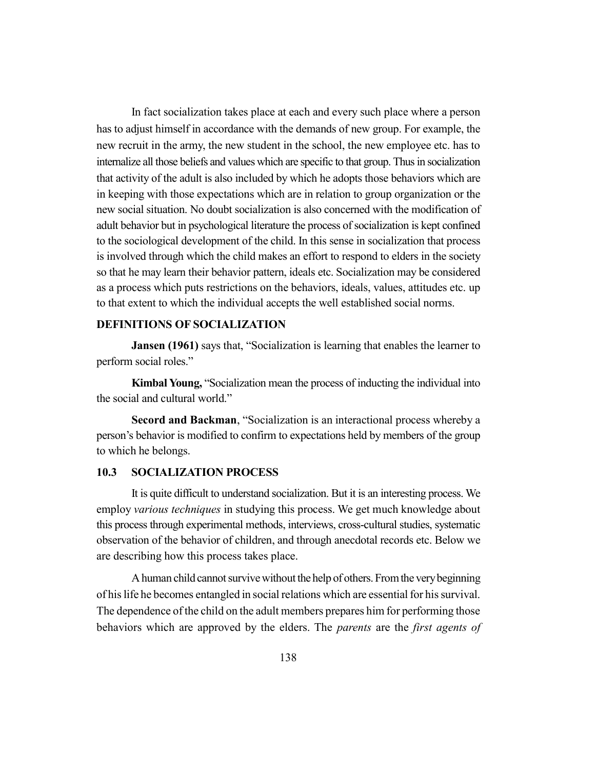In fact socialization takes place at each and every such place where a person has to adjust himself in accordance with the demands of new group. For example, the new recruit in the army, the new student in the school, the new employee etc. has to internalize all those beliefs and values which are specific to that group. Thus in socialization that activity of the adult is also included by which he adopts those behaviors which are in keeping with those expectations which are in relation to group organization or the new social situation. No doubt socialization is also concerned with the modification of adult behavior but in psychological literature the process of socialization is kept confined to the sociological development of the child. In this sense in socialization that process is involved through which the child makes an effort to respond to elders in the society so that he may learn their behavior pattern, ideals etc. Socialization may be considered as a process which puts restrictions on the behaviors, ideals, values, attitudes etc. up to that extent to which the individual accepts the well established social norms.

#### **DEFINITIONS OF SOCIALIZATION**

**Jansen (1961)** says that, "Socialization is learning that enables the learner to perform social roles."

**Kimbal Young,** "Socialization mean the process of inducting the individual into the social and cultural world."

**Secord and Backman**, "Socialization is an interactional process whereby a person's behavior is modified to confirm to expectations held by members of the group to which he belongs.

#### **10.3 SOCIALIZATION PROCESS**

It is quite difficult to understand socialization. But it is an interesting process. We employ *various techniques* in studying this process. We get much knowledge about this process through experimental methods, interviews, cross-cultural studies, systematic observation of the behavior of children, and through anecdotal records etc. Below we are describing how this process takes place.

A human child cannot survive without the help of others. From the very beginning of his life he becomes entangled in social relations which are essential for his survival. The dependence of the child on the adult members prepares him for performing those behaviors which are approved by the elders. The *parents* are the *first agents of*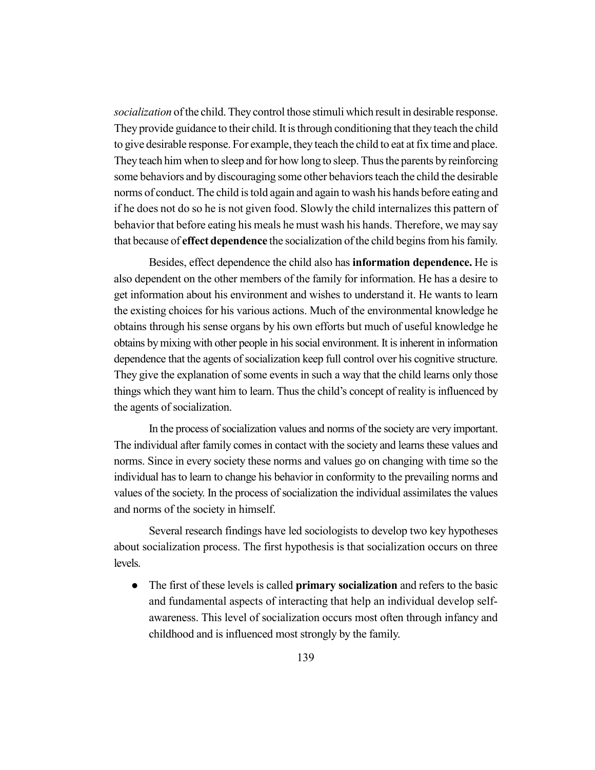*socialization* of the child. They control those stimuli which result in desirable response. They provide guidance to their child. It is through conditioning that they teach the child to give desirable response. For example, they teach the child to eat at fix time and place. They teach him when to sleep and for how long to sleep. Thus the parents by reinforcing some behaviors and by discouraging some other behaviors teach the child the desirable norms of conduct. The child is told again and again to wash his hands before eating and if he does not do so he is not given food. Slowly the child internalizes this pattern of behavior that before eating his meals he must wash his hands. Therefore, we may say that because of **effect dependence** the socialization of the child begins from his family.

Besides, effect dependence the child also has **information dependence.** He is also dependent on the other members of the family for information. He has a desire to get information about his environment and wishes to understand it. He wants to learn the existing choices for his various actions. Much of the environmental knowledge he obtains through his sense organs by his own efforts but much of useful knowledge he obtains by mixing with other people in his social environment. It is inherent in information dependence that the agents of socialization keep full control over his cognitive structure. They give the explanation of some events in such a way that the child learns only those things which they want him to learn. Thus the child's concept of reality is influenced by the agents of socialization.

In the process of socialization values and norms of the society are very important. The individual after family comes in contact with the society and learns these values and norms. Since in every society these norms and values go on changing with time so the individual has to learn to change his behavior in conformity to the prevailing norms and values of the society. In the process of socialization the individual assimilates the values and norms of the society in himself.

Several research findings have led sociologists to develop two key hypotheses about socialization process. The first hypothesis is that socialization occurs on three levels.

 The first of these levels is called **primary socialization** and refers to the basic and fundamental aspects of interacting that help an individual develop selfawareness. This level of socialization occurs most often through infancy and childhood and is influenced most strongly by the family.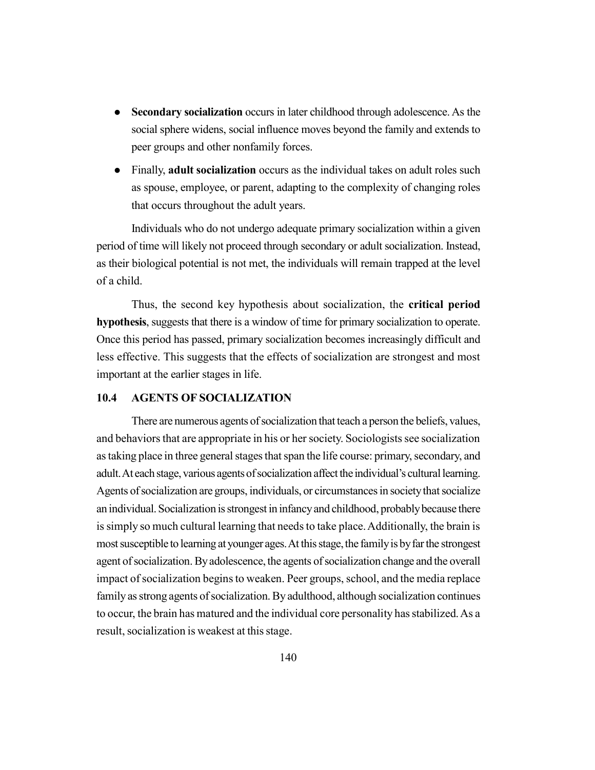- **Secondary socialization** occurs in later childhood through adolescence. As the social sphere widens, social influence moves beyond the family and extends to peer groups and other nonfamily forces.
- Finally, **adult socialization** occurs as the individual takes on adult roles such as spouse, employee, or parent, adapting to the complexity of changing roles that occurs throughout the adult years.

Individuals who do not undergo adequate primary socialization within a given period of time will likely not proceed through secondary or adult socialization. Instead, as their biological potential is not met, the individuals will remain trapped at the level of a child.

Thus, the second key hypothesis about socialization, the **critical period hypothesis**, suggests that there is a window of time for primary socialization to operate. Once this period has passed, primary socialization becomes increasingly difficult and less effective. This suggests that the effects of socialization are strongest and most important at the earlier stages in life.

## **10.4 AGENTS OF SOCIALIZATION**

There are numerous agents of socialization that teach a person the beliefs, values, and behaviors that are appropriate in his or her society. Sociologists see socialization as taking place in three general stages that span the life course: primary, secondary, and adult. At each stage, various agents of socialization affect the individual's cultural learning. Agents of socialization are groups, individuals, or circumstances in society that socialize an individual. Socialization is strongest in infancy and childhood, probably because there is simply so much cultural learning that needs to take place. Additionally, the brain is most susceptible to learning at younger ages. At this stage, the family is by far the strongest agent of socialization. By adolescence, the agents of socialization change and the overall impact of socialization begins to weaken. Peer groups, school, and the media replace family as strong agents of socialization. By adulthood, although socialization continues to occur, the brain has matured and the individual core personality has stabilized. As a result, socialization is weakest at this stage.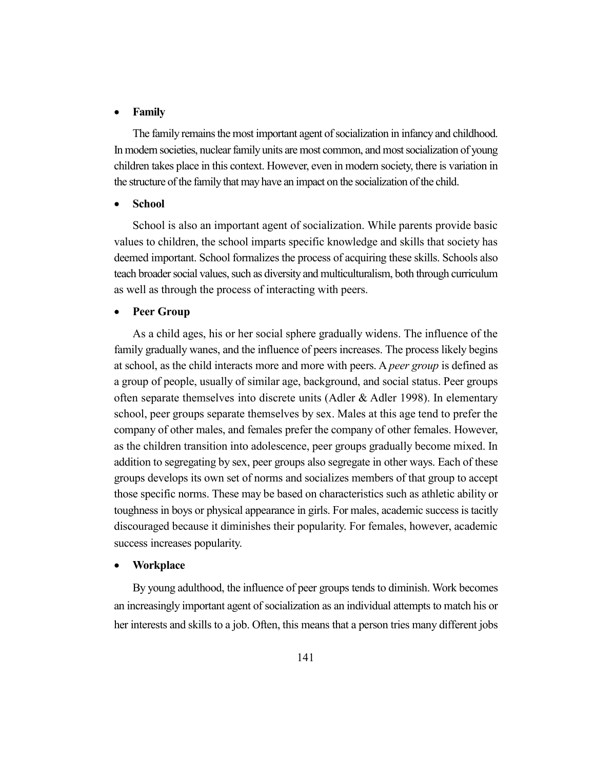#### • **Family**

The family remains the most important agent of socialization in infancy and childhood. In modern societies, nuclear family units are most common, and most socialization of young children takes place in this context. However, even in modern society, there is variation in the structure of the family that may have an impact on the socialization of the child.

#### • **School**

School is also an important agent of socialization. While parents provide basic values to children, the school imparts specific knowledge and skills that society has deemed important. School formalizes the process of acquiring these skills. Schools also teach broader social values, such as diversity and multiculturalism, both through curriculum as well as through the process of interacting with peers.

#### Peer Group

As a child ages, his or her social sphere gradually widens. The influence of the family gradually wanes, and the influence of peers increases. The process likely begins at school, as the child interacts more and more with peers. A *peer group* is defined as a group of people, usually of similar age, background, and social status. Peer groups often separate themselves into discrete units (Adler & Adler 1998). In elementary school, peer groups separate themselves by sex. Males at this age tend to prefer the company of other males, and females prefer the company of other females. However, as the children transition into adolescence, peer groups gradually become mixed. In addition to segregating by sex, peer groups also segregate in other ways. Each of these groups develops its own set of norms and socializes members of that group to accept those specific norms. These may be based on characteristics such as athletic ability or toughness in boys or physical appearance in girls. For males, academic success is tacitly discouraged because it diminishes their popularity. For females, however, academic success increases popularity.

#### • **Workplace**

By young adulthood, the influence of peer groups tends to diminish. Work becomes an increasingly important agent of socialization as an individual attempts to match his or her interests and skills to a job. Often, this means that a person tries many different jobs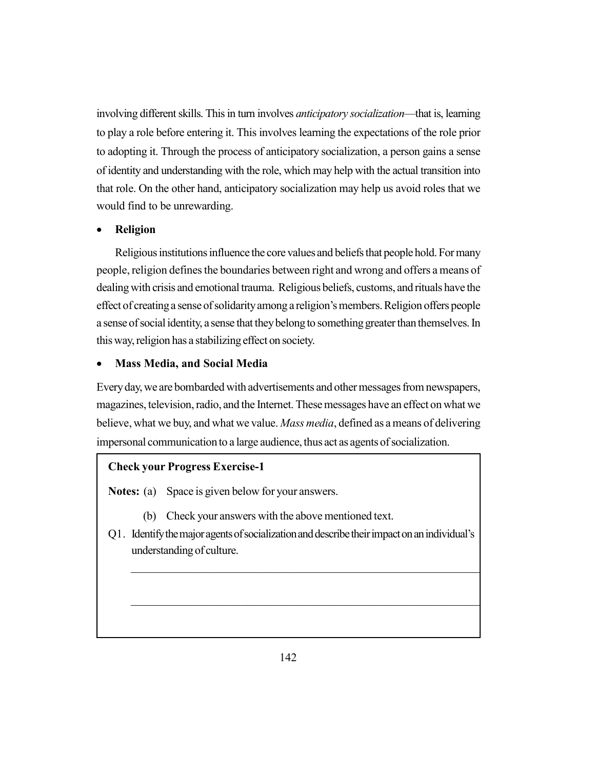involving different skills. This in turn involves *anticipatory socialization*—that is, learning to play a role before entering it. This involves learning the expectations of the role prior to adopting it. Through the process of anticipatory socialization, a person gains a sense of identity and understanding with the role, which may help with the actual transition into that role. On the other hand, anticipatory socialization may help us avoid roles that we would find to be unrewarding.

#### • **Religion**

Religious institutions influence the core values and beliefs that people hold. For many people, religion defines the boundaries between right and wrong and offers a means of dealing with crisis and emotional trauma. Religious beliefs, customs, and rituals have the effect of creating a sense of solidarity among a religion's members. Religion offers people a sense of social identity, a sense that they belong to something greater than themselves. In this way, religion has a stabilizing effect on society.

#### • **Mass Media, and Social Media**

Every day, we are bombarded with advertisements and other messages from newspapers, magazines, television, radio, and the Internet. These messages have an effect on what we believe, what we buy, and what we value. *Mass media*, defined as a means of delivering impersonal communication to a large audience, thus act as agents of socialization.

#### **Check your Progress Exercise-1**

- **Notes:** (a) Space is given below for your answers.
	- (b) Check your answers with the above mentioned text.
- Q1. Identify the major agents of socialization and describe their impact on an individual's understanding of culture.

\_\_\_\_\_\_\_\_\_\_\_\_\_\_\_\_\_\_\_\_\_\_\_\_\_\_\_\_\_\_\_\_\_\_\_\_\_\_\_\_\_\_\_\_\_\_\_\_\_\_\_\_\_\_\_\_\_\_\_\_

\_\_\_\_\_\_\_\_\_\_\_\_\_\_\_\_\_\_\_\_\_\_\_\_\_\_\_\_\_\_\_\_\_\_\_\_\_\_\_\_\_\_\_\_\_\_\_\_\_\_\_\_\_\_\_\_\_\_\_\_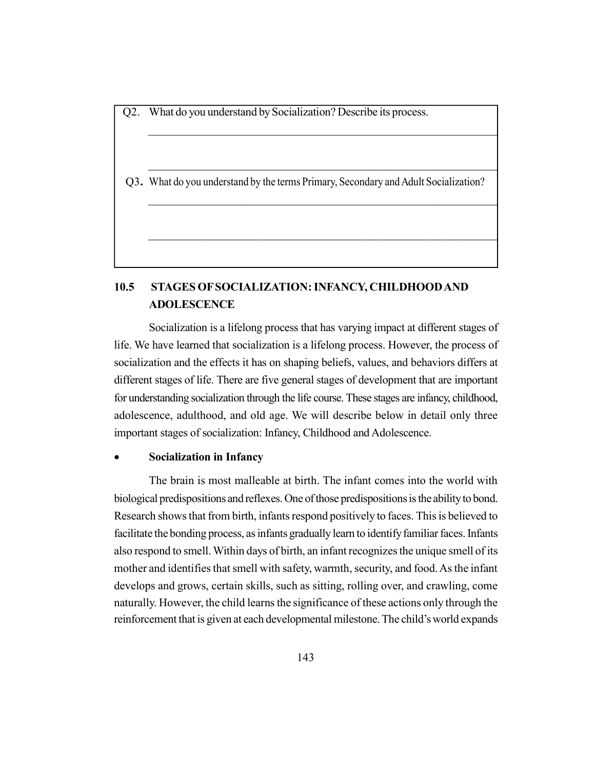- Q2. What do you understand by Socialization? Describe its process.
- Q3**.** What do you understand by the terms Primary, Secondary and Adult Socialization?

\_\_\_\_\_\_\_\_\_\_\_\_\_\_\_\_\_\_\_\_\_\_\_\_\_\_\_\_\_\_\_\_\_\_\_\_\_\_\_\_\_\_\_\_\_\_\_\_\_\_\_\_\_\_\_\_\_\_\_\_

\_\_\_\_\_\_\_\_\_\_\_\_\_\_\_\_\_\_\_\_\_\_\_\_\_\_\_\_\_\_\_\_\_\_\_\_\_\_\_\_\_\_\_\_\_\_\_\_\_\_\_\_\_\_\_\_\_\_\_\_

\_\_\_\_\_\_\_\_\_\_\_\_\_\_\_\_\_\_\_\_\_\_\_\_\_\_\_\_\_\_\_\_\_\_\_\_\_\_\_\_\_\_\_\_\_\_\_\_\_\_\_\_\_\_\_\_\_\_\_\_

\_\_\_\_\_\_\_\_\_\_\_\_\_\_\_\_\_\_\_\_\_\_\_\_\_\_\_\_\_\_\_\_\_\_\_\_\_\_\_\_\_\_\_\_\_\_\_\_\_\_\_\_\_\_\_\_\_\_\_\_

# **10.5 STAGES OF SOCIALIZATION: INFANCY, CHILDHOOD AND ADOLESCENCE**

Socialization is a lifelong process that has varying impact at different stages of life. We have learned that socialization is a lifelong process. However, the process of socialization and the effects it has on shaping beliefs, values, and behaviors differs at different stages of life. There are five general stages of development that are important for understanding socialization through the life course. These stages are infancy, childhood, adolescence, adulthood, and old age. We will describe below in detail only three important stages of socialization: Infancy, Childhood and Adolescence.

#### • **Socialization in Infancy**

The brain is most malleable at birth. The infant comes into the world with biological predispositions and reflexes. One of those predispositions is the ability to bond. Research shows that from birth, infants respond positively to faces. This is believed to facilitate the bonding process, as infants gradually learn to identify familiar faces. Infants also respond to smell. Within days of birth, an infant recognizes the unique smell of its mother and identifies that smell with safety, warmth, security, and food. As the infant develops and grows, certain skills, such as sitting, rolling over, and crawling, come naturally. However, the child learns the significance of these actions only through the reinforcement that is given at each developmental milestone. The child's world expands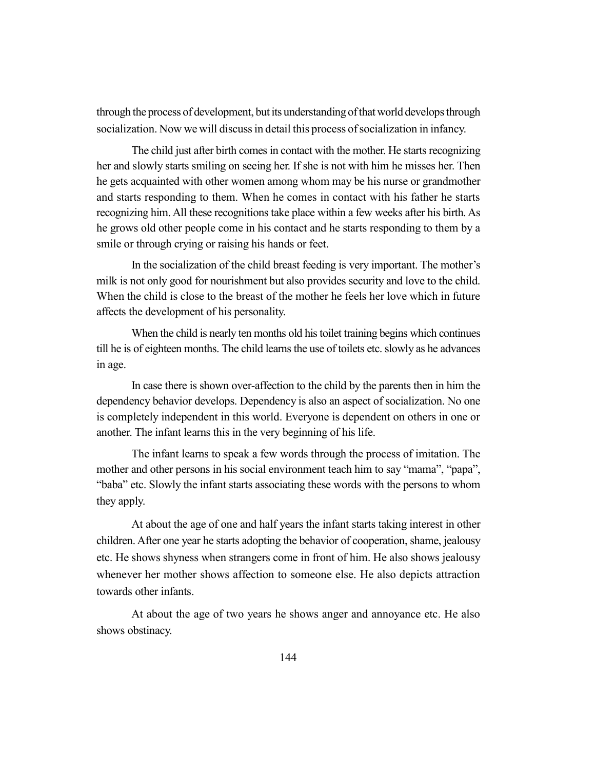through the process of development, but its understanding of that world develops through socialization. Now we will discuss in detail this process of socialization in infancy.

The child just after birth comes in contact with the mother. He starts recognizing her and slowly starts smiling on seeing her. If she is not with him he misses her. Then he gets acquainted with other women among whom may be his nurse or grandmother and starts responding to them. When he comes in contact with his father he starts recognizing him. All these recognitions take place within a few weeks after his birth. As he grows old other people come in his contact and he starts responding to them by a smile or through crying or raising his hands or feet.

In the socialization of the child breast feeding is very important. The mother's milk is not only good for nourishment but also provides security and love to the child. When the child is close to the breast of the mother he feels her love which in future affects the development of his personality.

When the child is nearly ten months old his toilet training begins which continues till he is of eighteen months. The child learns the use of toilets etc. slowly as he advances in age.

In case there is shown over-affection to the child by the parents then in him the dependency behavior develops. Dependency is also an aspect of socialization. No one is completely independent in this world. Everyone is dependent on others in one or another. The infant learns this in the very beginning of his life.

The infant learns to speak a few words through the process of imitation. The mother and other persons in his social environment teach him to say "mama", "papa", "baba" etc. Slowly the infant starts associating these words with the persons to whom they apply.

At about the age of one and half years the infant starts taking interest in other children. After one year he starts adopting the behavior of cooperation, shame, jealousy etc. He shows shyness when strangers come in front of him. He also shows jealousy whenever her mother shows affection to someone else. He also depicts attraction towards other infants.

At about the age of two years he shows anger and annoyance etc. He also shows obstinacy.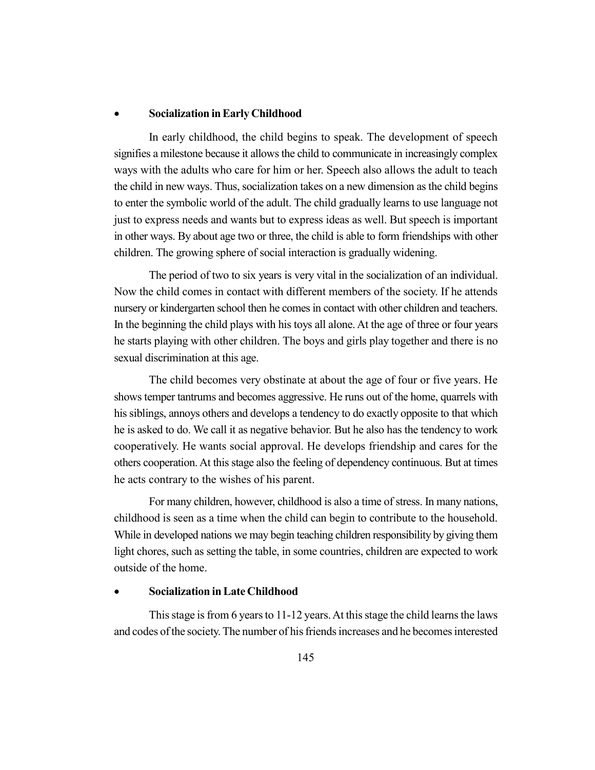#### • **Socialization in Early Childhood**

In early childhood, the child begins to speak. The development of speech signifies a milestone because it allows the child to communicate in increasingly complex ways with the adults who care for him or her. Speech also allows the adult to teach the child in new ways. Thus, socialization takes on a new dimension as the child begins to enter the symbolic world of the adult. The child gradually learns to use language not just to express needs and wants but to express ideas as well. But speech is important in other ways. By about age two or three, the child is able to form friendships with other children. The growing sphere of social interaction is gradually widening.

The period of two to six years is very vital in the socialization of an individual. Now the child comes in contact with different members of the society. If he attends nursery or kindergarten school then he comes in contact with other children and teachers. In the beginning the child plays with his toys all alone. At the age of three or four years he starts playing with other children. The boys and girls play together and there is no sexual discrimination at this age.

The child becomes very obstinate at about the age of four or five years. He shows temper tantrums and becomes aggressive. He runs out of the home, quarrels with his siblings, annoys others and develops a tendency to do exactly opposite to that which he is asked to do. We call it as negative behavior. But he also has the tendency to work cooperatively. He wants social approval. He develops friendship and cares for the others cooperation. At this stage also the feeling of dependency continuous. But at times he acts contrary to the wishes of his parent.

For many children, however, childhood is also a time of stress. In many nations, childhood is seen as a time when the child can begin to contribute to the household. While in developed nations we may begin teaching children responsibility by giving them light chores, such as setting the table, in some countries, children are expected to work outside of the home.

#### • **Socialization in Late Childhood**

This stage is from 6 years to 11-12 years. At this stage the child learns the laws and codes of the society. The number of his friends increases and he becomes interested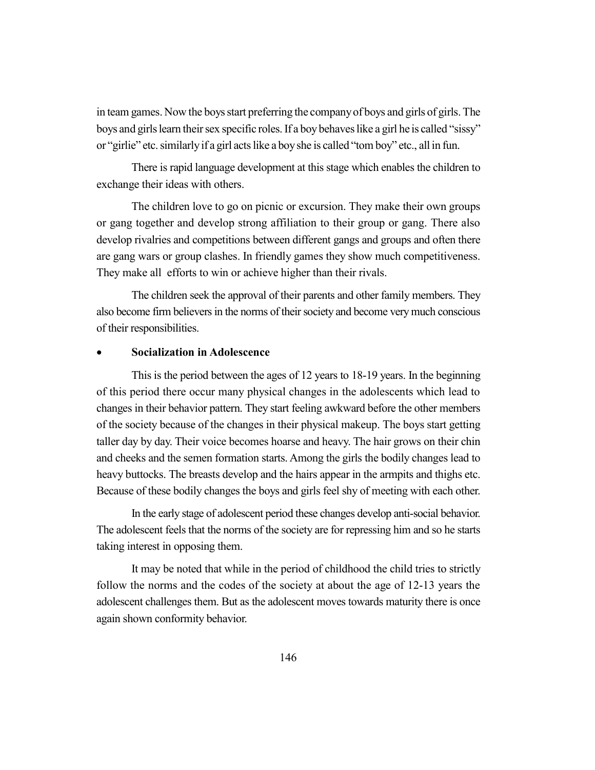in team games. Now the boys start preferring the company of boys and girls of girls. The boys and girls learn their sex specific roles. If a boy behaves like a girl he is called "sissy" or "girlie" etc. similarly if a girl acts like a boy she is called "tom boy" etc., all in fun.

There is rapid language development at this stage which enables the children to exchange their ideas with others.

The children love to go on picnic or excursion. They make their own groups or gang together and develop strong affiliation to their group or gang. There also develop rivalries and competitions between different gangs and groups and often there are gang wars or group clashes. In friendly games they show much competitiveness. They make all efforts to win or achieve higher than their rivals.

The children seek the approval of their parents and other family members. They also become firm believers in the norms of their society and become very much conscious of their responsibilities.

#### • **Socialization in Adolescence**

This is the period between the ages of 12 years to 18-19 years. In the beginning of this period there occur many physical changes in the adolescents which lead to changes in their behavior pattern. They start feeling awkward before the other members of the society because of the changes in their physical makeup. The boys start getting taller day by day. Their voice becomes hoarse and heavy. The hair grows on their chin and cheeks and the semen formation starts. Among the girls the bodily changes lead to heavy buttocks. The breasts develop and the hairs appear in the armpits and thighs etc. Because of these bodily changes the boys and girls feel shy of meeting with each other.

In the early stage of adolescent period these changes develop anti-social behavior. The adolescent feels that the norms of the society are for repressing him and so he starts taking interest in opposing them.

It may be noted that while in the period of childhood the child tries to strictly follow the norms and the codes of the society at about the age of 12-13 years the adolescent challenges them. But as the adolescent moves towards maturity there is once again shown conformity behavior.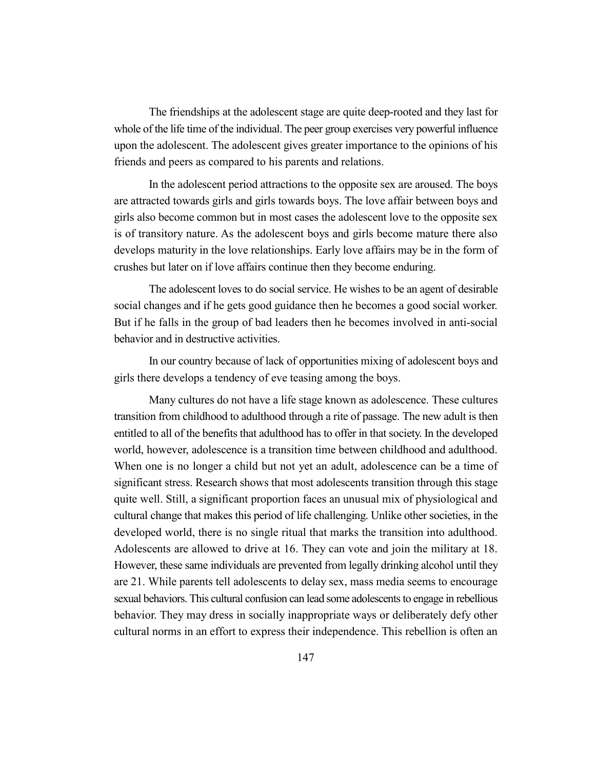The friendships at the adolescent stage are quite deep-rooted and they last for whole of the life time of the individual. The peer group exercises very powerful influence upon the adolescent. The adolescent gives greater importance to the opinions of his friends and peers as compared to his parents and relations.

In the adolescent period attractions to the opposite sex are aroused. The boys are attracted towards girls and girls towards boys. The love affair between boys and girls also become common but in most cases the adolescent love to the opposite sex is of transitory nature. As the adolescent boys and girls become mature there also develops maturity in the love relationships. Early love affairs may be in the form of crushes but later on if love affairs continue then they become enduring.

The adolescent loves to do social service. He wishes to be an agent of desirable social changes and if he gets good guidance then he becomes a good social worker. But if he falls in the group of bad leaders then he becomes involved in anti-social behavior and in destructive activities.

In our country because of lack of opportunities mixing of adolescent boys and girls there develops a tendency of eve teasing among the boys.

Many cultures do not have a life stage known as adolescence. These cultures transition from childhood to adulthood through a rite of passage. The new adult is then entitled to all of the benefits that adulthood has to offer in that society. In the developed world, however, adolescence is a transition time between childhood and adulthood. When one is no longer a child but not yet an adult, adolescence can be a time of significant stress. Research shows that most adolescents transition through this stage quite well. Still, a significant proportion faces an unusual mix of physiological and cultural change that makes this period of life challenging. Unlike other societies, in the developed world, there is no single ritual that marks the transition into adulthood. Adolescents are allowed to drive at 16. They can vote and join the military at 18. However, these same individuals are prevented from legally drinking alcohol until they are 21. While parents tell adolescents to delay sex, mass media seems to encourage sexual behaviors. This cultural confusion can lead some adolescents to engage in rebellious behavior. They may dress in socially inappropriate ways or deliberately defy other cultural norms in an effort to express their independence. This rebellion is often an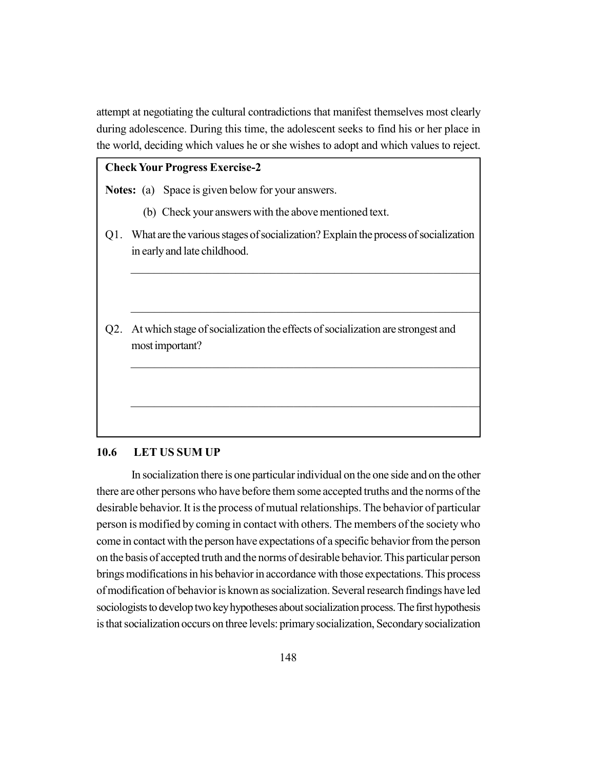attempt at negotiating the cultural contradictions that manifest themselves most clearly during adolescence. During this time, the adolescent seeks to find his or her place in the world, deciding which values he or she wishes to adopt and which values to reject.

#### **Check Your Progress Exercise-2**

**Notes:** (a) Space is given below for your answers.

- (b) Check your answers with the above mentioned text.
- Q1. What are the various stages of socialization? Explain the process of socialization in early and late childhood.

\_\_\_\_\_\_\_\_\_\_\_\_\_\_\_\_\_\_\_\_\_\_\_\_\_\_\_\_\_\_\_\_\_\_\_\_\_\_\_\_\_\_\_\_\_\_\_\_\_\_\_\_\_\_\_\_\_\_\_\_

\_\_\_\_\_\_\_\_\_\_\_\_\_\_\_\_\_\_\_\_\_\_\_\_\_\_\_\_\_\_\_\_\_\_\_\_\_\_\_\_\_\_\_\_\_\_\_\_\_\_\_\_\_\_\_\_\_\_\_\_

\_\_\_\_\_\_\_\_\_\_\_\_\_\_\_\_\_\_\_\_\_\_\_\_\_\_\_\_\_\_\_\_\_\_\_\_\_\_\_\_\_\_\_\_\_\_\_\_\_\_\_\_\_\_\_\_\_\_\_\_

\_\_\_\_\_\_\_\_\_\_\_\_\_\_\_\_\_\_\_\_\_\_\_\_\_\_\_\_\_\_\_\_\_\_\_\_\_\_\_\_\_\_\_\_\_\_\_\_\_\_\_\_\_\_\_\_\_\_\_\_

Q2. At which stage of socialization the effects of socialization are strongest and most important?

#### **10.6 LET US SUM UP**

In socialization there is one particular individual on the one side and on the other there are other persons who have before them some accepted truths and the norms of the desirable behavior. It is the process of mutual relationships. The behavior of particular person is modified by coming in contact with others. The members of the society who come in contact with the person have expectations of a specific behavior from the person on the basis of accepted truth and the norms of desirable behavior. This particular person brings modifications in his behavior in accordance with those expectations. This process of modification of behavior is known as socialization. Several research findings have led sociologists to develop two key hypotheses about socialization process. The first hypothesis is that socialization occurs on three levels: primary socialization, Secondary socialization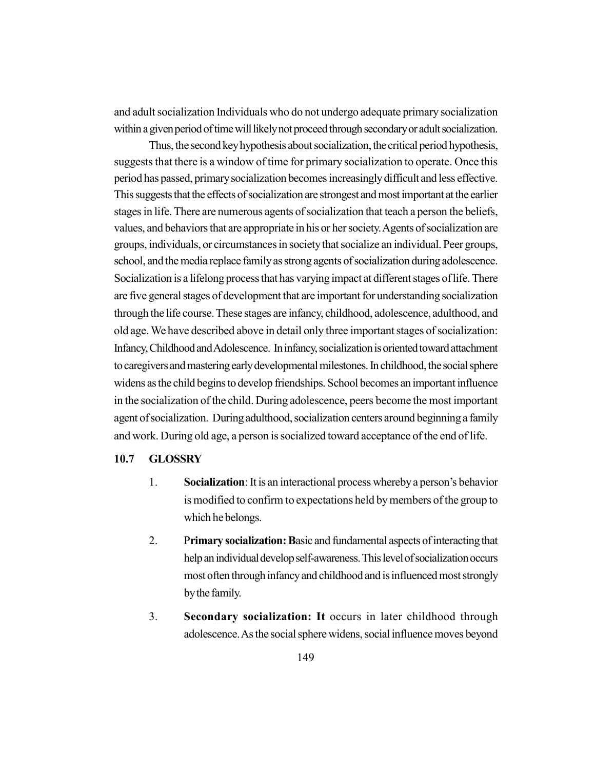and adult socialization Individuals who do not undergo adequate primary socialization within a given period of time will likely not proceed through secondary or adult socialization.

Thus, the second key hypothesis about socialization, the critical period hypothesis, suggests that there is a window of time for primary socialization to operate. Once this period has passed, primary socialization becomes increasingly difficult and less effective. This suggests that the effects of socialization are strongest and most important at the earlier stages in life. There are numerous agents of socialization that teach a person the beliefs, values, and behaviors that are appropriate in his or her society. Agents of socialization are groups, individuals, or circumstances in society that socialize an individual. Peer groups, school, and the media replace family as strong agents of socialization during adolescence. Socialization is a lifelong process that has varying impact at different stages of life. There are five general stages of development that are important for understanding socialization through the life course. These stages are infancy, childhood, adolescence, adulthood, and old age. We have described above in detail only three important stages of socialization: Infancy, Childhood and Adolescence. In infancy, socialization is oriented toward attachment to caregivers and mastering early developmental milestones. In childhood, the social sphere widens as the child begins to develop friendships. School becomes an important influence in the socialization of the child. During adolescence, peers become the most important agent of socialization. During adulthood, socialization centers around beginning a family and work. During old age, a person is socialized toward acceptance of the end of life.

#### **10.7 GLOSSRY**

- 1. **Socialization**: It is an interactional process whereby a person's behavior is modified to confirm to expectations held by members of the group to which he belongs.
- 2. P**rimary socialization: B**asic and fundamental aspects of interacting that help an individual develop self-awareness. This level of socialization occurs most often through infancy and childhood and is influenced most strongly by the family.
- 3. **Secondary socialization: It** occurs in later childhood through adolescence. As the social sphere widens, social influence moves beyond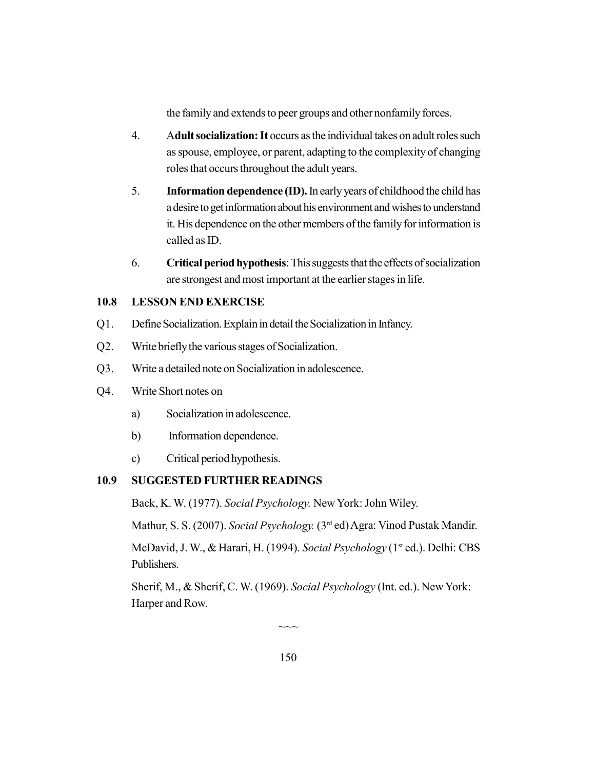the family and extends to peer groups and other nonfamily forces.

- 4. A**dult socialization: It** occurs as the individual takes on adult roles such as spouse, employee, or parent, adapting to the complexity of changing roles that occurs throughout the adult years.
- 5. **Information dependence (ID).** In early years of childhood the child has a desire to get information about his environment and wishes to understand it. His dependence on the other members of the family for information is called as ID.
- 6. **Critical period hypothesis**: This suggests that the effects of socialization are strongest and most important at the earlier stages in life.

## **10.8 LESSON END EXERCISE**

- Q1. Define Socialization. Explain in detail the Socialization in Infancy.
- Q2. Write briefly the various stages of Socialization.
- Q3. Write a detailed note on Socialization in adolescence.
- Q4. Write Short notes on
	- a) Socialization in adolescence.
	- b) Information dependence.
	- c) Critical period hypothesis.

## **10.9 SUGGESTED FURTHER READINGS**

Back, K. W. (1977). *Social Psychology.* New York: John Wiley.

Mathur, S. S. (2007). *Social Psychology.* (3rd ed) Agra: Vinod Pustak Mandir.

McDavid, J. W., & Harari, H. (1994). *Social Psychology* (1st ed.). Delhi: CBS Publishers.

Sherif, M., & Sherif, C. W. (1969). *Social Psychology* (Int. ed.). New York: Harper and Row.

 $\sim\sim\sim$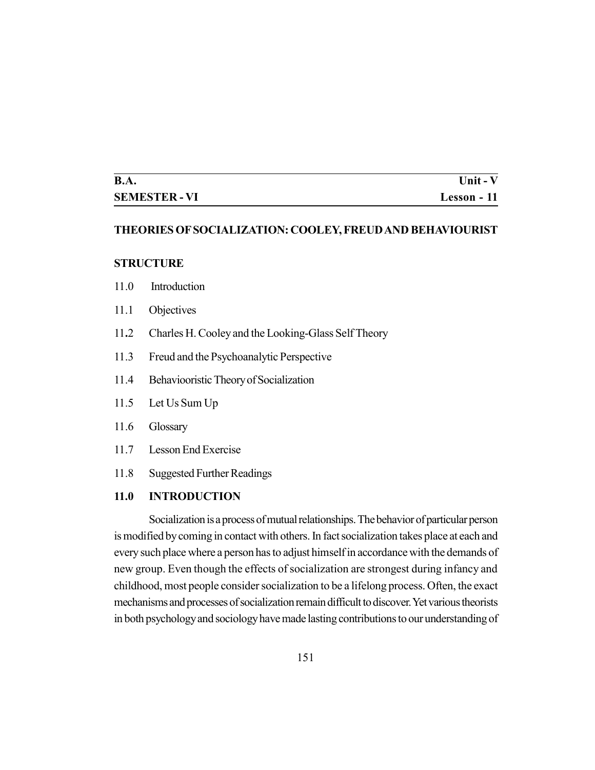| <b>B.A.</b>        | Unit - V    |
|--------------------|-------------|
| <b>SEMESTER-VI</b> | Lesson - 11 |

#### **THEORIES OF SOCIALIZATION: COOLEY, FREUD AND BEHAVIOURIST**

### **STRUCTURE**

- 11.0 Introduction
- 11.1 Objectives
- 11**.**2 Charles H. Cooley and the Looking-Glass Self Theory
- 11.3 Freud and the Psychoanalytic Perspective
- 11.4 Behaviooristic Theory of Socialization
- 11.5 Let Us Sum Up
- 11.6 Glossary
- 11.7 Lesson End Exercise
- 11.8 Suggested Further Readings

#### **11.0 INTRODUCTION**

Socialization is a process of mutual relationships. The behavior of particular person is modified by coming in contact with others. In fact socialization takes place at each and every such place where a person has to adjust himself in accordance with the demands of new group. Even though the effects of socialization are strongest during infancy and childhood, most people consider socialization to be a lifelong process. Often, the exact mechanisms and processes of socialization remain difficult to discover. Yet various theorists in both psychology and sociology have made lasting contributions to our understanding of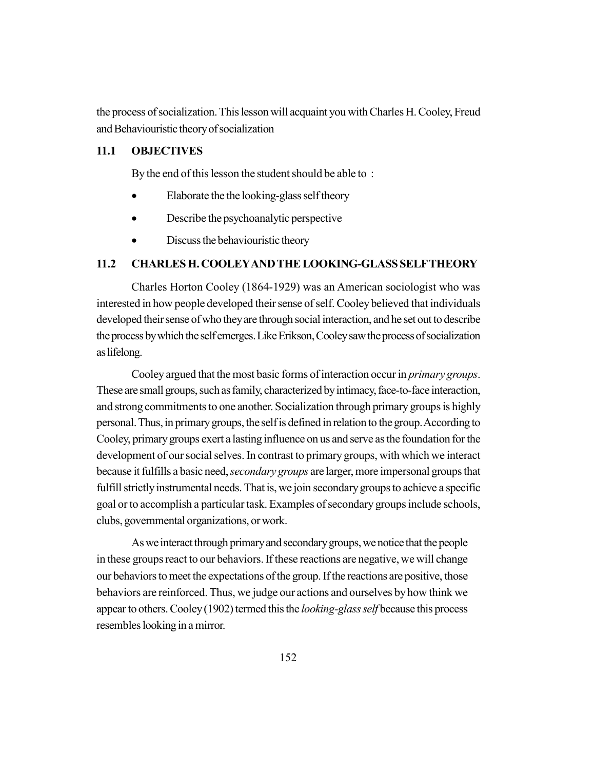the process of socialization. This lesson will acquaint you with Charles H. Cooley, Freud and Behaviouristic theory of socialization

### **11.1 OBJECTIVES**

By the end of this lesson the student should be able to :

- Elaborate the the looking-glass self theory
- Describe the psychoanalytic perspective
- Discuss the behaviouristic theory

### **11.2 CHARLES H. COOLEY AND THE LOOKING-GLASS SELF THEORY**

Charles Horton Cooley (1864-1929) was an American sociologist who was interested in how people developed their sense of self. Cooley believed that individuals developed their sense of who they are through social interaction, and he set out to describe the process by which the self emerges. Like Erikson, Cooley saw the process of socialization as lifelong.

Cooley argued that the most basic forms of interaction occur in *primary groups*. These are small groups, such as family, characterized by intimacy, face-to-face interaction, and strong commitments to one another. Socialization through primary groups is highly personal. Thus, in primary groups, the self is defined in relation to the group. According to Cooley, primary groups exert a lasting influence on us and serve as the foundation for the development of our social selves. In contrast to primary groups, with which we interact because it fulfills a basic need, *secondary groups* are larger, more impersonal groups that fulfill strictly instrumental needs. That is, we join secondary groups to achieve a specific goal or to accomplish a particular task. Examples of secondary groups include schools, clubs, governmental organizations, or work.

As we interact through primary and secondary groups, we notice that the people in these groups react to our behaviors. If these reactions are negative, we will change our behaviors to meet the expectations of the group. If the reactions are positive, those behaviors are reinforced. Thus, we judge our actions and ourselves by how think we appear to others. Cooley (1902) termed this the *looking-glass self* because this process resembles looking in a mirror.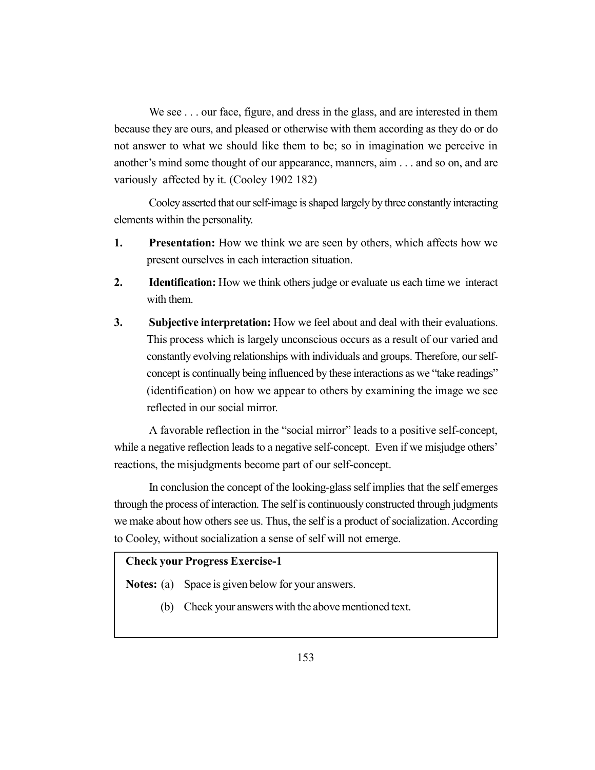We see . . . our face, figure, and dress in the glass, and are interested in them because they are ours, and pleased or otherwise with them according as they do or do not answer to what we should like them to be; so in imagination we perceive in another's mind some thought of our appearance, manners, aim . . . and so on, and are variously affected by it. (Cooley 1902 182)

Cooley asserted that our self-image is shaped largely by three constantly interacting elements within the personality.

- **1. Presentation:** How we think we are seen by others, which affects how we present ourselves in each interaction situation.
- **2. Identification:** How we think others judge or evaluate us each time we interact with them.
- **3. Subjective interpretation:** How we feel about and deal with their evaluations. This process which is largely unconscious occurs as a result of our varied and constantly evolving relationships with individuals and groups. Therefore, our selfconcept is continually being influenced by these interactions as we "take readings" (identification) on how we appear to others by examining the image we see reflected in our social mirror.

A favorable reflection in the "social mirror" leads to a positive self-concept, while a negative reflection leads to a negative self-concept. Even if we misjudge others' reactions, the misjudgments become part of our self-concept.

In conclusion the concept of the looking-glass self implies that the self emerges through the process of interaction. The self is continuously constructed through judgments we make about how others see us. Thus, the self is a product of socialization. According to Cooley, without socialization a sense of self will not emerge.

### **Check your Progress Exercise-1**

Notes: (a) Space is given below for your answers.

(b) Check your answers with the above mentioned text.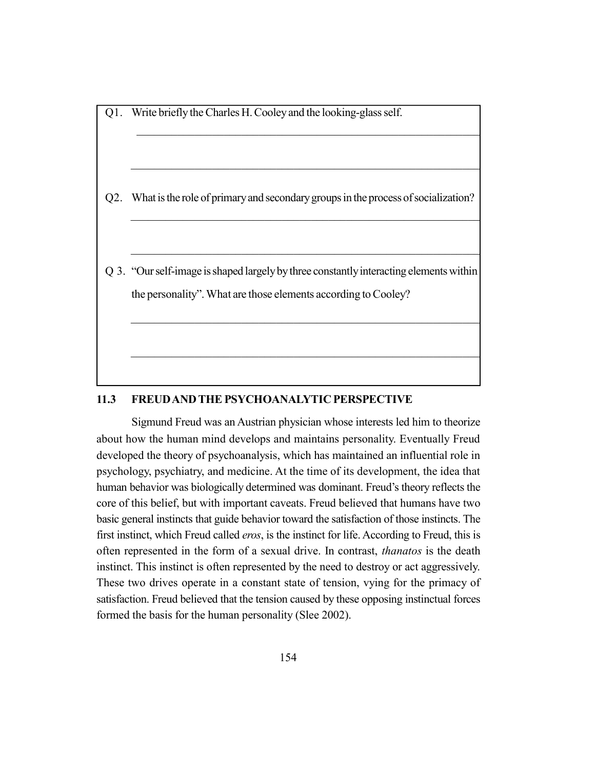- Q1. Write briefly the Charles H. Cooley and the looking-glass self.
- Q2. What is the role of primary and secondary groups in the process of socialization?

 $\mathcal{L} = \{ \mathcal{L}_1, \mathcal{L}_2, \ldots, \mathcal{L}_n \}$ 

 $\mathcal{L}_\text{G}$ 

\_\_\_\_\_\_\_\_\_\_\_\_\_\_\_\_\_\_\_\_\_\_\_\_\_\_\_\_\_\_\_\_\_\_\_\_\_\_\_\_\_\_\_\_\_\_\_\_\_\_\_\_\_\_\_\_\_\_\_\_

\_\_\_\_\_\_\_\_\_\_\_\_\_\_\_\_\_\_\_\_\_\_\_\_\_\_\_\_\_\_\_\_\_\_\_\_\_\_\_\_\_\_\_\_\_\_\_\_\_\_\_\_\_\_\_\_\_\_\_\_

\_\_\_\_\_\_\_\_\_\_\_\_\_\_\_\_\_\_\_\_\_\_\_\_\_\_\_\_\_\_\_\_\_\_\_\_\_\_\_\_\_\_\_\_\_\_\_\_\_\_\_\_\_\_\_\_\_\_\_\_

 $\mathcal{L}_\text{max}$  , and the contribution of the contribution of the contribution of the contribution of the contribution of the contribution of the contribution of the contribution of the contribution of the contribution of t

Q 3. "Our self-image is shaped largely by three constantly interacting elements within the personality". What are those elements according to Cooley?

### **11.3 FREUD AND THE PSYCHOANALYTIC PERSPECTIVE**

Sigmund Freud was an Austrian physician whose interests led him to theorize about how the human mind develops and maintains personality. Eventually Freud developed the theory of psychoanalysis, which has maintained an influential role in psychology, psychiatry, and medicine. At the time of its development, the idea that human behavior was biologically determined was dominant. Freud's theory reflects the core of this belief, but with important caveats. Freud believed that humans have two basic general instincts that guide behavior toward the satisfaction of those instincts. The first instinct, which Freud called *eros*, is the instinct for life. According to Freud, this is often represented in the form of a sexual drive. In contrast, *thanatos* is the death instinct. This instinct is often represented by the need to destroy or act aggressively. These two drives operate in a constant state of tension, vying for the primacy of satisfaction. Freud believed that the tension caused by these opposing instinctual forces formed the basis for the human personality (Slee 2002).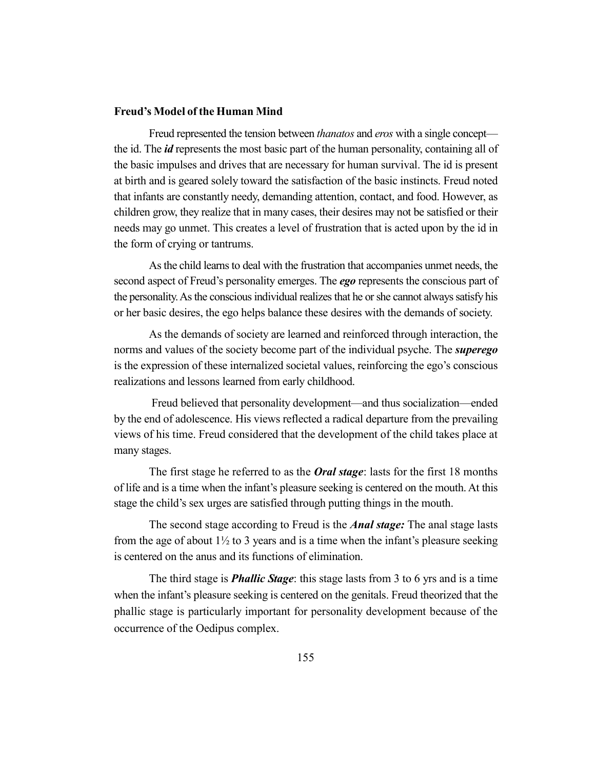#### **Freud's Model of the Human Mind**

Freud represented the tension between *thanatos* and *eros* with a single concept the id. The *id* represents the most basic part of the human personality, containing all of the basic impulses and drives that are necessary for human survival. The id is present at birth and is geared solely toward the satisfaction of the basic instincts. Freud noted that infants are constantly needy, demanding attention, contact, and food. However, as children grow, they realize that in many cases, their desires may not be satisfied or their needs may go unmet. This creates a level of frustration that is acted upon by the id in the form of crying or tantrums.

As the child learns to deal with the frustration that accompanies unmet needs, the second aspect of Freud's personality emerges. The *ego* represents the conscious part of the personality. As the conscious individual realizes that he or she cannot always satisfy his or her basic desires, the ego helps balance these desires with the demands of society.

As the demands of society are learned and reinforced through interaction, the norms and values of the society become part of the individual psyche. The *superego* is the expression of these internalized societal values, reinforcing the ego's conscious realizations and lessons learned from early childhood.

 Freud believed that personality development—and thus socialization—ended by the end of adolescence. His views reflected a radical departure from the prevailing views of his time. Freud considered that the development of the child takes place at many stages.

The first stage he referred to as the *Oral stage*: lasts for the first 18 months of life and is a time when the infant's pleasure seeking is centered on the mouth. At this stage the child's sex urges are satisfied through putting things in the mouth.

The second stage according to Freud is the *Anal stage:* The anal stage lasts from the age of about  $1\frac{1}{2}$  to 3 years and is a time when the infant's pleasure seeking is centered on the anus and its functions of elimination.

The third stage is *Phallic Stage*: this stage lasts from 3 to 6 yrs and is a time when the infant's pleasure seeking is centered on the genitals. Freud theorized that the phallic stage is particularly important for personality development because of the occurrence of the Oedipus complex.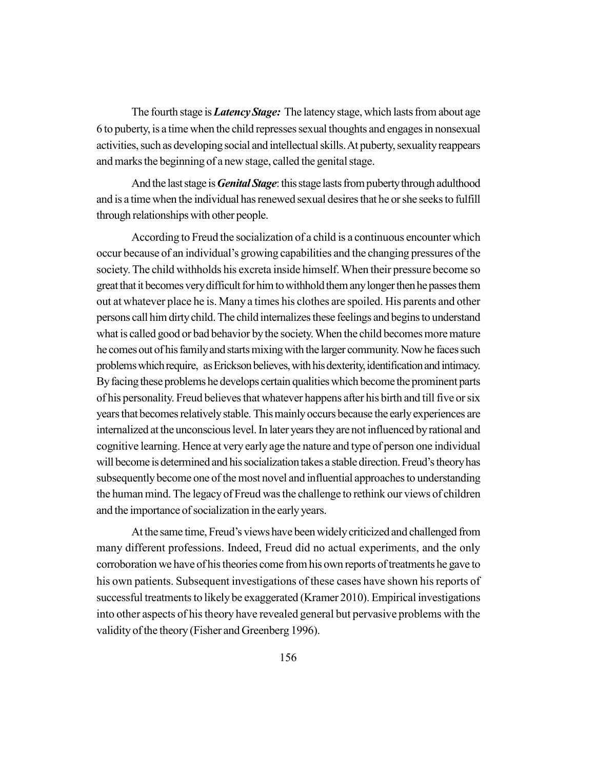The fourth stage is *Latency Stage:* The latency stage, which lasts from about age 6 to puberty, is a time when the child represses sexual thoughts and engages in nonsexual activities, such as developing social and intellectual skills. At puberty, sexuality reappears and marks the beginning of a new stage, called the genital stage.

And the last stage is *Genital Stage*: this stage lasts from puberty through adulthood and is a time when the individual has renewed sexual desires that he or she seeks to fulfill through relationships with other people.

According to Freud the socialization of a child is a continuous encounter which occur because of an individual's growing capabilities and the changing pressures of the society. The child withholds his excreta inside himself. When their pressure become so great that it becomes very difficult for him to withhold them any longer then he passes them out at whatever place he is. Many a times his clothes are spoiled. His parents and other persons call him dirty child. The child internalizes these feelings and begins to understand what is called good or bad behavior by the society. When the child becomes more mature he comes out of his family and starts mixing with the larger community. Now he faces such problems which require, as Erickson believes, with his dexterity, identification and intimacy. By facing these problems he develops certain qualities which become the prominent parts of his personality. Freud believes that whatever happens after his birth and till five or six years that becomes relatively stable. This mainly occurs because the early experiences are internalized at the unconscious level. In later years they are not influenced by rational and cognitive learning. Hence at very early age the nature and type of person one individual will become is determined and his socialization takes a stable direction. Freud's theory has subsequently become one of the most novel and influential approaches to understanding the human mind. The legacy of Freud was the challenge to rethink our views of children and the importance of socialization in the early years.

At the same time, Freud's views have been widely criticized and challenged from many different professions. Indeed, Freud did no actual experiments, and the only corroboration we have of his theories come from his own reports of treatments he gave to his own patients. Subsequent investigations of these cases have shown his reports of successful treatments to likely be exaggerated (Kramer 2010). Empirical investigations into other aspects of his theory have revealed general but pervasive problems with the validity of the theory (Fisher and Greenberg 1996).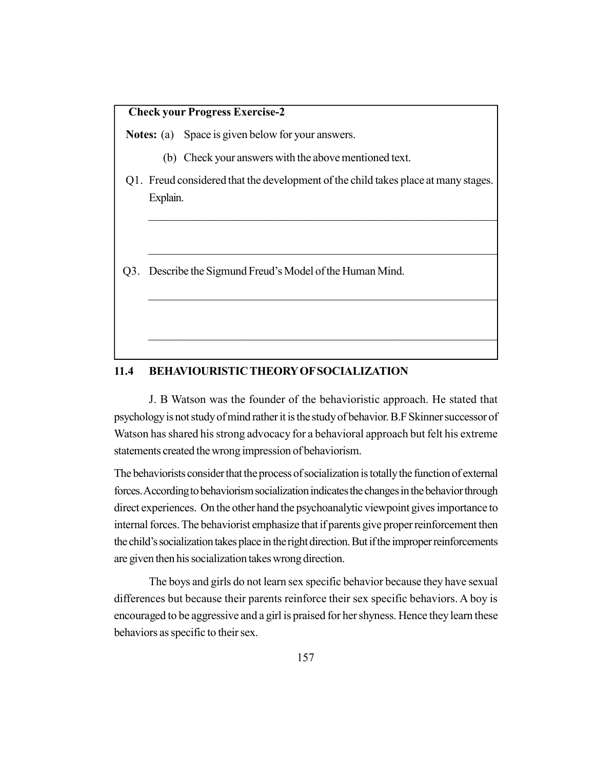### **Check your Progress Exercise-2**

**Notes:** (a) Space is given below for your answers.

- (b) Check your answers with the above mentioned text.
- Q1. Freud considered that the development of the child takes place at many stages. Explain.

 $\mathcal{L}_\text{G}$ 

 $\mathcal{L}_\text{G}$ 

 $\mathcal{L}_\text{G}$ 

 $\mathcal{L}_\text{G}$ 

Q3. Describe the Sigmund Freud's Model of the Human Mind.

#### **11.4 BEHAVIOURISTIC THEORY OF SOCIALIZATION**

J. B Watson was the founder of the behavioristic approach. He stated that psychology is not study of mind rather it is the study of behavior. B.F Skinner successor of Watson has shared his strong advocacy for a behavioral approach but felt his extreme statements created the wrong impression of behaviorism.

The behaviorists consider that the process of socialization is totally the function of external forces. According to behaviorism socialization indicates the changes in the behavior through direct experiences. On the other hand the psychoanalytic viewpoint gives importance to internal forces. The behaviorist emphasize that if parents give proper reinforcement then the child's socialization takes place in the right direction. But if the improper reinforcements are given then his socialization takes wrong direction.

The boys and girls do not learn sex specific behavior because they have sexual differences but because their parents reinforce their sex specific behaviors. A boy is encouraged to be aggressive and a girl is praised for her shyness. Hence they learn these behaviors as specific to their sex.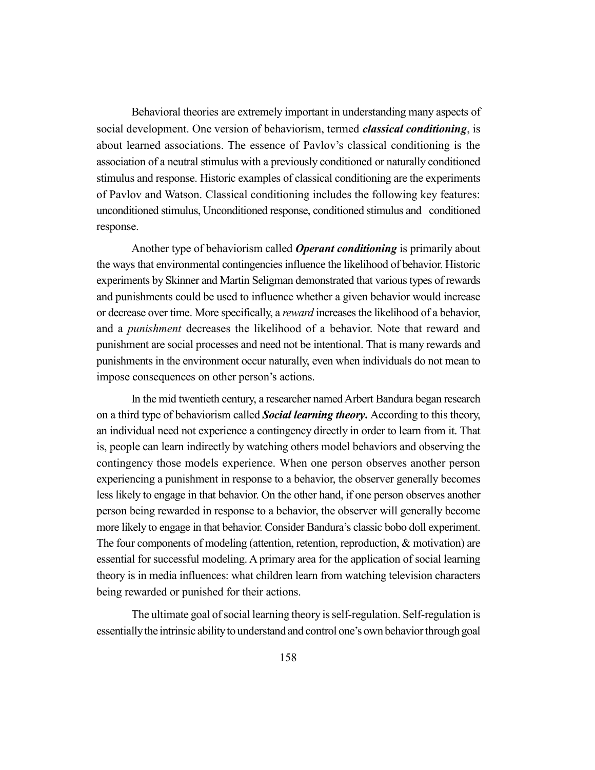Behavioral theories are extremely important in understanding many aspects of social development. One version of behaviorism, termed *classical conditioning*, is about learned associations. The essence of Pavlov's classical conditioning is the association of a neutral stimulus with a previously conditioned or naturally conditioned stimulus and response. Historic examples of classical conditioning are the experiments of Pavlov and Watson. Classical conditioning includes the following key features: unconditioned stimulus, Unconditioned response, conditioned stimulus and conditioned response.

Another type of behaviorism called *Operant conditioning* is primarily about the ways that environmental contingencies influence the likelihood of behavior. Historic experiments by Skinner and Martin Seligman demonstrated that various types of rewards and punishments could be used to influence whether a given behavior would increase or decrease over time. More specifically, a *reward* increases the likelihood of a behavior, and a *punishment* decreases the likelihood of a behavior. Note that reward and punishment are social processes and need not be intentional. That is many rewards and punishments in the environment occur naturally, even when individuals do not mean to impose consequences on other person's actions.

In the mid twentieth century, a researcher named Arbert Bandura began research on a third type of behaviorism called *Social learning theory***.** According to this theory, an individual need not experience a contingency directly in order to learn from it. That is, people can learn indirectly by watching others model behaviors and observing the contingency those models experience. When one person observes another person experiencing a punishment in response to a behavior, the observer generally becomes less likely to engage in that behavior. On the other hand, if one person observes another person being rewarded in response to a behavior, the observer will generally become more likely to engage in that behavior. Consider Bandura's classic bobo doll experiment. The four components of modeling (attention, retention, reproduction, & motivation) are essential for successful modeling. A primary area for the application of social learning theory is in media influences: what children learn from watching television characters being rewarded or punished for their actions.

The ultimate goal of social learning theory is self-regulation. Self-regulation is essentially the intrinsic ability to understand and control one's own behavior through goal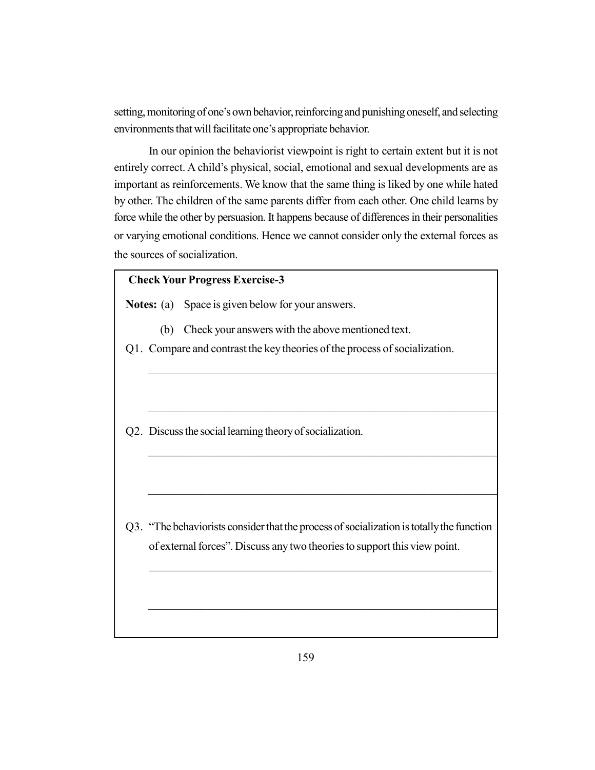setting, monitoring of one's own behavior, reinforcing and punishing oneself, and selecting environments that will facilitate one's appropriate behavior.

In our opinion the behaviorist viewpoint is right to certain extent but it is not entirely correct. A child's physical, social, emotional and sexual developments are as important as reinforcements. We know that the same thing is liked by one while hated by other. The children of the same parents differ from each other. One child learns by force while the other by persuasion. It happens because of differences in their personalities or varying emotional conditions. Hence we cannot consider only the external forces as the sources of socialization.

### **Check Your Progress Exercise-3**

Notes: (a) Space is given below for your answers.

- (b) Check your answers with the above mentioned text.
- Q1. Compare and contrast the key theories of the process of socialization.

\_\_\_\_\_\_\_\_\_\_\_\_\_\_\_\_\_\_\_\_\_\_\_\_\_\_\_\_\_\_\_\_\_\_\_\_\_\_\_\_\_\_\_\_\_\_\_\_\_\_\_\_\_\_\_\_\_\_\_\_

 $\mathcal{L}_\text{max}$  , and the contribution of the contribution of the contribution of the contribution of the contribution of the contribution of the contribution of the contribution of the contribution of the contribution of t

\_\_\_\_\_\_\_\_\_\_\_\_\_\_\_\_\_\_\_\_\_\_\_\_\_\_\_\_\_\_\_\_\_\_\_\_\_\_\_\_\_\_\_\_\_\_\_\_\_\_\_\_\_\_\_\_\_\_\_\_

\_\_\_\_\_\_\_\_\_\_\_\_\_\_\_\_\_\_\_\_\_\_\_\_\_\_\_\_\_\_\_\_\_\_\_\_\_\_\_\_\_\_\_\_\_\_\_\_\_\_\_\_\_\_\_\_\_\_\_\_

Q2. Discuss the social learning theory of socialization.

Q3. "The behaviorists consider that the process of socialization is totally the function of external forces". Discuss any two theories to support this view point.

\_\_\_\_\_\_\_\_\_\_\_\_\_\_\_\_\_\_\_\_\_\_\_\_\_\_\_\_\_\_\_\_\_\_\_\_\_\_\_\_\_\_\_\_\_\_\_\_\_\_\_\_\_\_\_\_\_\_\_\_

\_\_\_\_\_\_\_\_\_\_\_\_\_\_\_\_\_\_\_\_\_\_\_\_\_\_\_\_\_\_\_\_\_\_\_\_\_\_\_\_\_\_\_\_\_\_\_\_\_\_\_\_\_\_\_\_\_\_\_\_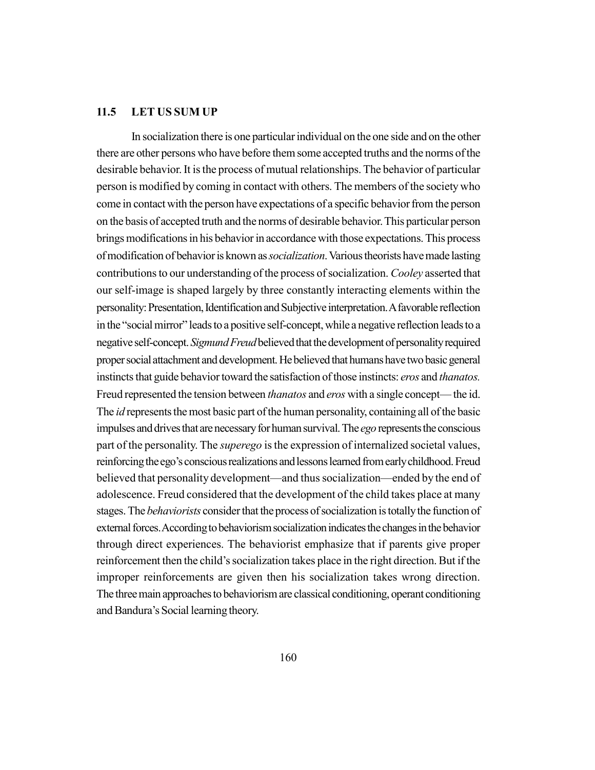### **11.5 LET US SUM UP**

In socialization there is one particular individual on the one side and on the other there are other persons who have before them some accepted truths and the norms of the desirable behavior. It is the process of mutual relationships. The behavior of particular person is modified by coming in contact with others. The members of the society who come in contact with the person have expectations of a specific behavior from the person on the basis of accepted truth and the norms of desirable behavior. This particular person brings modifications in his behavior in accordance with those expectations. This process of modification of behavior is known as *socialization*. Various theorists have made lasting contributions to our understanding of the process of socialization. *Cooley* asserted that our self-image is shaped largely by three constantly interacting elements within the personality: Presentation, Identification and Subjective interpretation. A favorable reflection in the "social mirror" leads to a positive self-concept, while a negative reflection leads to a negative self-concept. *Sigmund Freud* believed that the development of personality required proper social attachment and development. He believed that humans have two basic general instincts that guide behavior toward the satisfaction of those instincts: *eros* and *thanatos.* Freud represented the tension between *thanatos* and *eros* with a single concept— the id. The *id* represents the most basic part of the human personality, containing all of the basic impulses and drives that are necessary for human survival. The *ego* represents the conscious part of the personality. The *superego* is the expression of internalized societal values, reinforcing the ego's conscious realizations and lessons learned from early childhood. Freud believed that personality development—and thus socialization—ended by the end of adolescence. Freud considered that the development of the child takes place at many stages. The *behaviorists* consider that the process of socialization is totally the function of external forces. According to behaviorism socialization indicates the changes in the behavior through direct experiences. The behaviorist emphasize that if parents give proper reinforcement then the child's socialization takes place in the right direction. But if the improper reinforcements are given then his socialization takes wrong direction. The three main approaches to behaviorism are classical conditioning, operant conditioning and Bandura's Social learning theory.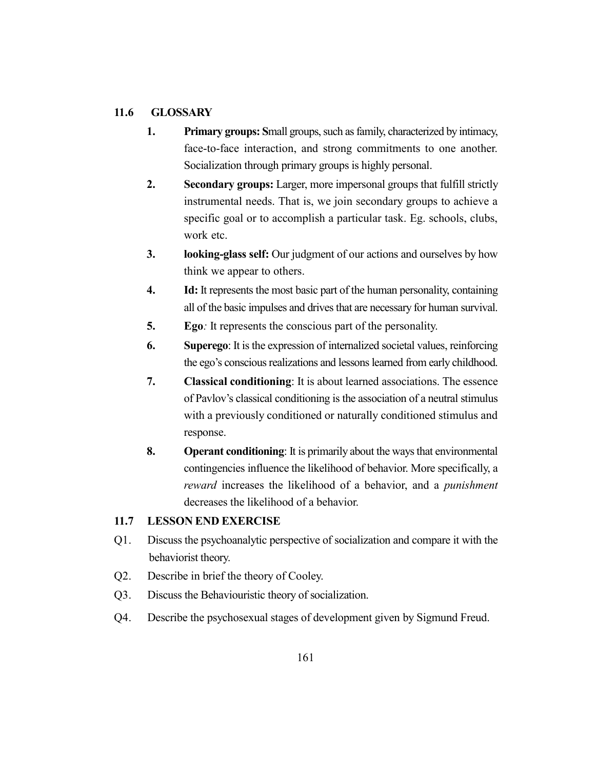### **11.6 GLOSSARY**

- **1. Primary groups: S**mall groups, such as family, characterized by intimacy, face-to-face interaction, and strong commitments to one another. Socialization through primary groups is highly personal.
- **2. Secondary groups:** Larger, more impersonal groups that fulfill strictly instrumental needs. That is, we join secondary groups to achieve a specific goal or to accomplish a particular task. Eg. schools, clubs, work etc.
- **3. looking-glass self:** Our judgment of our actions and ourselves by how think we appear to others.
- **4. Id:** It represents the most basic part of the human personality, containing all of the basic impulses and drives that are necessary for human survival.
- **5. Ego***:* It represents the conscious part of the personality.
- **6. Superego**: It is the expression of internalized societal values, reinforcing the ego's conscious realizations and lessons learned from early childhood.
- **7. Classical conditioning**: It is about learned associations. The essence of Pavlov's classical conditioning is the association of a neutral stimulus with a previously conditioned or naturally conditioned stimulus and response.
- **8. Operant conditioning**: It is primarily about the ways that environmental contingencies influence the likelihood of behavior. More specifically, a *reward* increases the likelihood of a behavior, and a *punishment* decreases the likelihood of a behavior.

## **11.7 LESSON END EXERCISE**

- Q1. Discuss the psychoanalytic perspective of socialization and compare it with the behaviorist theory.
- Q2. Describe in brief the theory of Cooley.
- Q3. Discuss the Behaviouristic theory of socialization.
- Q4. Describe the psychosexual stages of development given by Sigmund Freud.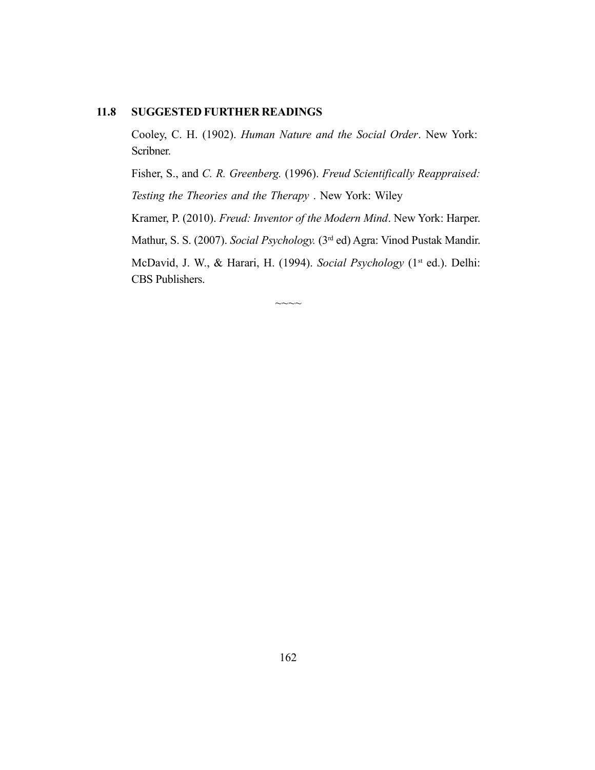#### **11.8 SUGGESTED FURTHER READINGS**

Cooley, C. H. (1902). *Human Nature and the Social Order*. New York: Scribner.

Fisher, S., and *C. R. Greenberg.* (1996). *Freud Scientifically Reappraised: Testing the Theories and the Therapy* . New York: Wiley

Kramer, P. (2010). *Freud: Inventor of the Modern Mind*. New York: Harper.

Mathur, S. S. (2007). *Social Psychology.* (3rd ed) Agra: Vinod Pustak Mandir.

McDavid, J. W., & Harari, H. (1994). *Social Psychology* (1<sup>st</sup> ed.). Delhi: CBS Publishers.

 $\sim\sim\sim\sim$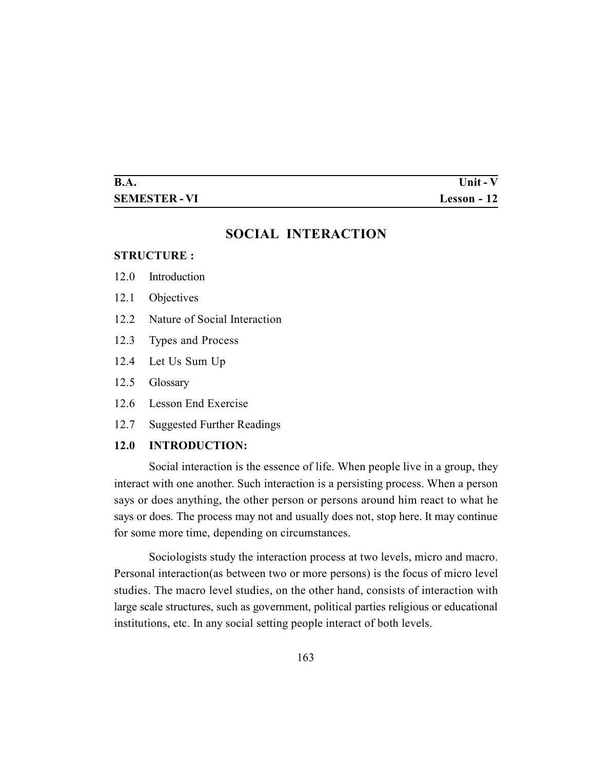| B.A.                 | Unit - V    |
|----------------------|-------------|
| <b>SEMESTER - VI</b> | Lesson - 12 |

## **SOCIAL INTERACTION**

#### **STRUCTURE :**

- 12.0 Introduction
- 12.1 Objectives
- 12.2 Nature of Social Interaction
- 12.3 Types and Process
- 12.4 Let Us Sum Up
- 12.5 Glossary
- 12.6 Lesson End Exercise
- 12.7 Suggested Further Readings

#### **12.0 INTRODUCTION:**

Social interaction is the essence of life. When people live in a group, they interact with one another. Such interaction is a persisting process. When a person says or does anything, the other person or persons around him react to what he says or does. The process may not and usually does not, stop here. It may continue for some more time, depending on circumstances.

Sociologists study the interaction process at two levels, micro and macro. Personal interaction(as between two or more persons) is the focus of micro level studies. The macro level studies, on the other hand, consists of interaction with large scale structures, such as government, political parties religious or educational institutions, etc. In any social setting people interact of both levels.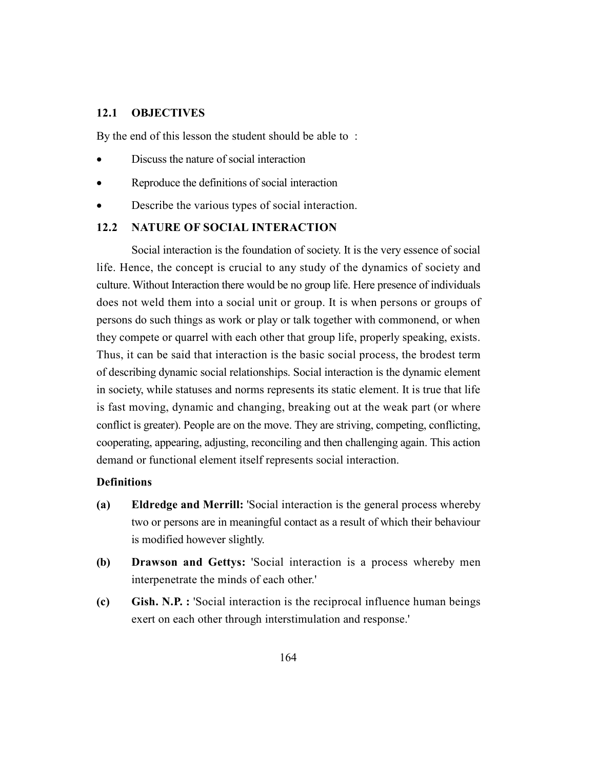### **12.1 OBJECTIVES**

By the end of this lesson the student should be able to:

- Discuss the nature of social interaction
- Reproduce the definitions of social interaction
- Describe the various types of social interaction.

### **12.2 NATURE OF SOCIAL INTERACTION**

Social interaction is the foundation of society. It is the very essence of social life. Hence, the concept is crucial to any study of the dynamics of society and culture. Without Interaction there would be no group life. Here presence of individuals does not weld them into a social unit or group. It is when persons or groups of persons do such things as work or play or talk together with commonend, or when they compete or quarrel with each other that group life, properly speaking, exists. Thus, it can be said that interaction is the basic social process, the brodest term of describing dynamic social relationships. Social interaction is the dynamic element in society, while statuses and norms represents its static element. It is true that life is fast moving, dynamic and changing, breaking out at the weak part (or where conflict is greater). People are on the move. They are striving, competing, conflicting, cooperating, appearing, adjusting, reconciling and then challenging again. This action demand or functional element itself represents social interaction.

## **Definitions**

- **(a) Eldredge and Merrill:** 'Social interaction is the general process whereby two or persons are in meaningful contact as a result of which their behaviour is modified however slightly.
- **(b) Drawson and Gettys:** 'Social interaction is a process whereby men interpenetrate the minds of each other.'
- **(c) Gish. N.P. :** 'Social interaction is the reciprocal influence human beings exert on each other through interstimulation and response.'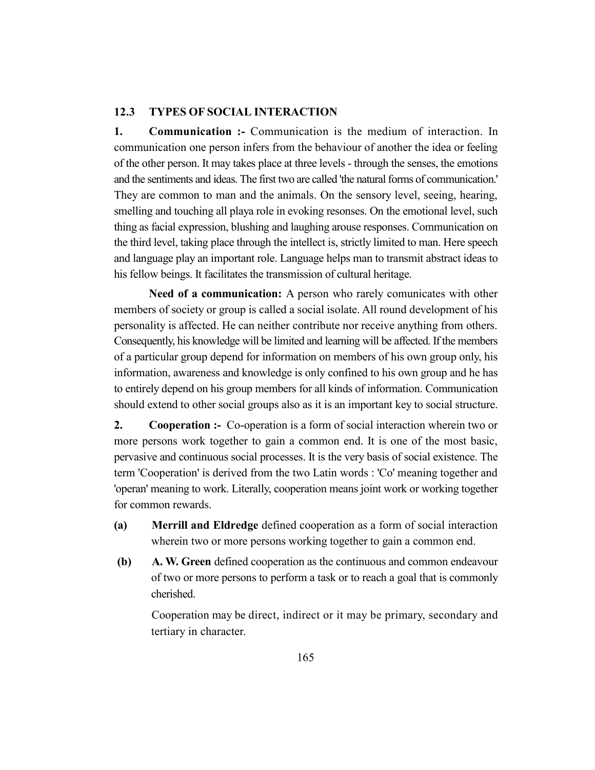### **12.3 TYPES OF SOCIAL INTERACTION**

**1. Communication :-** Communication is the medium of interaction. In communication one person infers from the behaviour of another the idea or feeling of the other person. It may takes place at three levels - through the senses, the emotions and the sentiments and ideas. The first two are called 'the natural forms of communication.' They are common to man and the animals. On the sensory level, seeing, hearing, smelling and touching all playa role in evoking resonses. On the emotional level, such thing as facial expression, blushing and laughing arouse responses. Communication on the third level, taking place through the intellect is, strictly limited to man. Here speech and language play an important role. Language helps man to transmit abstract ideas to his fellow beings. It facilitates the transmission of cultural heritage.

**Need of a communication:** A person who rarely comunicates with other members of society or group is called a social isolate. All round development of his personality is affected. He can neither contribute nor receive anything from others. Consequently, his knowledge will be limited and learning will be affected. If the members of a particular group depend for information on members of his own group only, his information, awareness and knowledge is only confined to his own group and he has to entirely depend on his group members for all kinds of information. Communication should extend to other social groups also as it is an important key to social structure.

**2. Cooperation :-** Co-operation is a form of social interaction wherein two or more persons work together to gain a common end. It is one of the most basic, pervasive and continuous social processes. It is the very basis of social existence. The term 'Cooperation' is derived from the two Latin words : 'Co' meaning together and 'operan' meaning to work. Literally, cooperation means joint work or working together for common rewards.

- **(a) Merrill and Eldredge** defined cooperation as a form of social interaction wherein two or more persons working together to gain a common end.
- **(b) A. W. Green** defined cooperation as the continuous and common endeavour of two or more persons to perform a task or to reach a goal that is commonly cherished.

Cooperation may be direct, indirect or it may be primary, secondary and tertiary in character.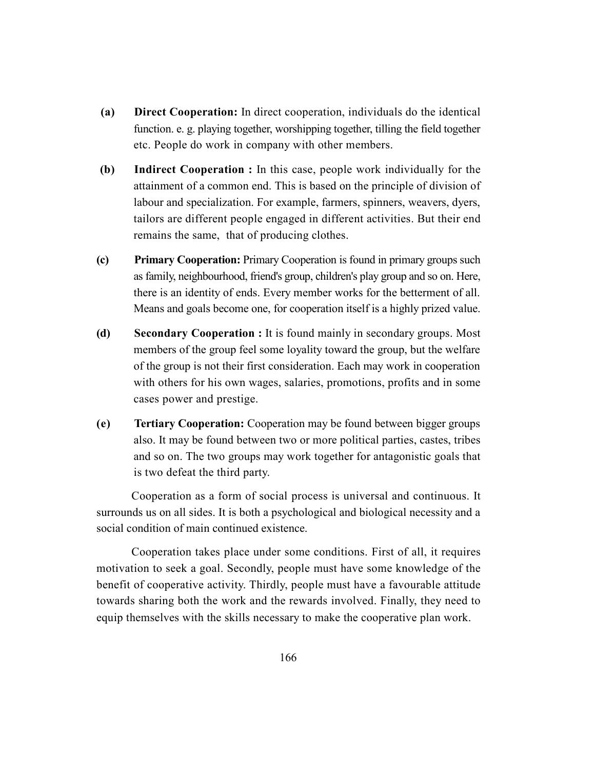- **(a) Direct Cooperation:** In direct cooperation, individuals do the identical function. e. g. playing together, worshipping together, tilling the field together etc. People do work in company with other members.
- **(b) Indirect Cooperation :** In this case, people work individually for the attainment of a common end. This is based on the principle of division of labour and specialization. For example, farmers, spinners, weavers, dyers, tailors are different people engaged in different activities. But their end remains the same, that of producing clothes.
- **(c) Primary Cooperation:** Primary Cooperation is found in primary groups such as family, neighbourhood, friend's group, children's play group and so on. Here, there is an identity of ends. Every member works for the betterment of all. Means and goals become one, for cooperation itself is a highly prized value.
- **(d) Secondary Cooperation :** It is found mainly in secondary groups. Most members of the group feel some loyality toward the group, but the welfare of the group is not their first consideration. Each may work in cooperation with others for his own wages, salaries, promotions, profits and in some cases power and prestige.
- **(e) Tertiary Cooperation:** Cooperation may be found between bigger groups also. It may be found between two or more political parties, castes, tribes and so on. The two groups may work together for antagonistic goals that is two defeat the third party.

Cooperation as a form of social process is universal and continuous. It surrounds us on all sides. It is both a psychological and biological necessity and a social condition of main continued existence.

Cooperation takes place under some conditions. First of all, it requires motivation to seek a goal. Secondly, people must have some knowledge of the benefit of cooperative activity. Thirdly, people must have a favourable attitude towards sharing both the work and the rewards involved. Finally, they need to equip themselves with the skills necessary to make the cooperative plan work.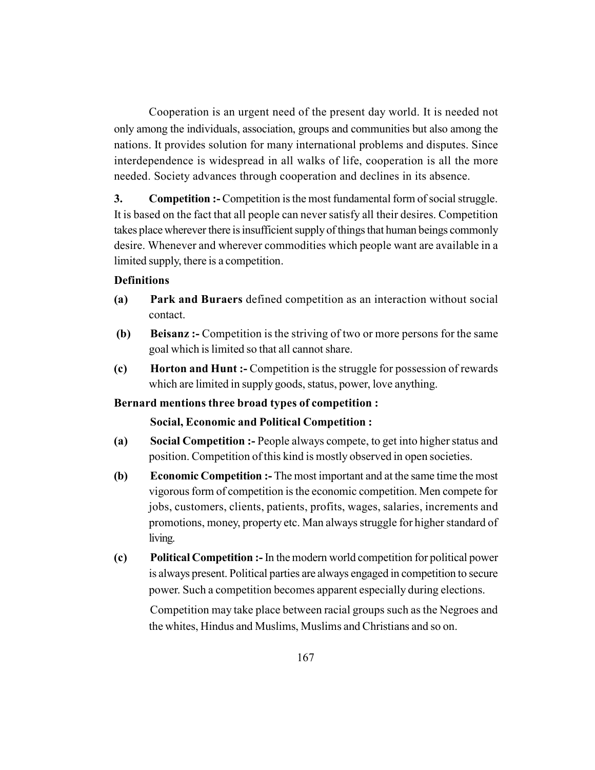Cooperation is an urgent need of the present day world. It is needed not only among the individuals, association, groups and communities but also among the nations. It provides solution for many international problems and disputes. Since interdependence is widespread in all walks of life, cooperation is all the more needed. Society advances through cooperation and declines in its absence.

**3.** Competition :- Competition is the most fundamental form of social struggle. It is based on the fact that all people can never satisfy all their desires. Competition takes place wherever there is insufficient supply of things that human beings commonly desire. Whenever and wherever commodities which people want are available in a limited supply, there is a competition.

### **Definitions**

- **(a) Park and Buraers** defined competition as an interaction without social contact.
- **(b) Beisanz :-** Competition is the striving of two or more persons for the same goal which is limited so that all cannot share.
- **(c) Horton and Hunt :-** Competition is the struggle for possession of rewards which are limited in supply goods, status, power, love anything.

### **Bernard mentions three broad types of competition :**

### **Social, Economic and Political Competition :**

- **(a) Social Competition :-** People always compete, to get into higher status and position. Competition of this kind is mostly observed in open societies.
- **(b) Economic Competition :-** The most important and at the same time the most vigorous form of competition is the economic competition. Men compete for jobs, customers, clients, patients, profits, wages, salaries, increments and promotions, money, property etc. Man always struggle for higher standard of living.
- **(c) Political Competition :-** In the modern world competition for political power is always present. Political parties are always engaged in competition to secure power. Such a competition becomes apparent especially during elections.

Competition may take place between racial groups such as the Negroes and the whites, Hindus and Muslims, Muslims and Christians and so on.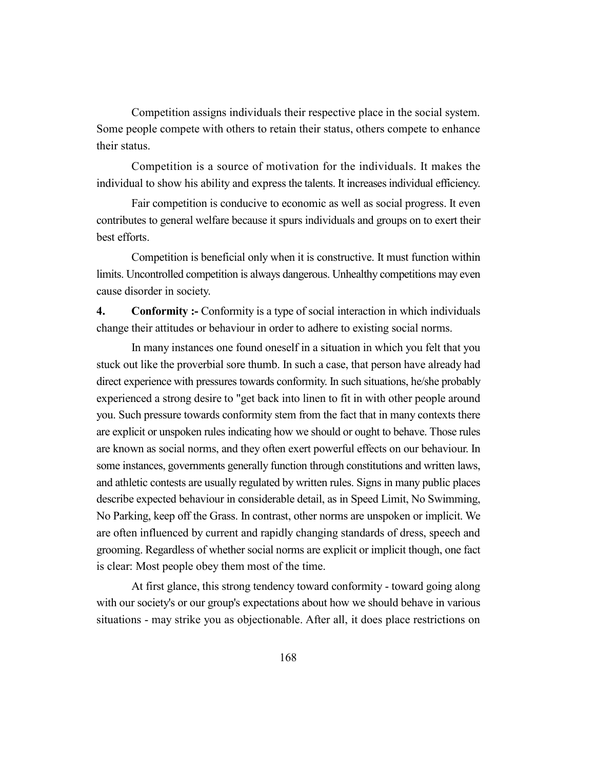Competition assigns individuals their respective place in the social system. Some people compete with others to retain their status, others compete to enhance their status.

Competition is a source of motivation for the individuals. It makes the individual to show his ability and express the talents. It increases individual efficiency.

Fair competition is conducive to economic as well as social progress. It even contributes to general welfare because it spurs individuals and groups on to exert their best efforts.

Competition is beneficial only when it is constructive. It must function within limits. Uncontrolled competition is always dangerous. Unhealthy competitions may even cause disorder in society.

**4. Conformity :-** Conformity is a type of social interaction in which individuals change their attitudes or behaviour in order to adhere to existing social norms.

In many instances one found oneself in a situation in which you felt that you stuck out like the proverbial sore thumb. In such a case, that person have already had direct experience with pressures towards conformity. In such situations, he/she probably experienced a strong desire to "get back into linen to fit in with other people around you. Such pressure towards conformity stem from the fact that in many contexts there are explicit or unspoken rules indicating how we should or ought to behave. Those rules are known as social norms, and they often exert powerful effects on our behaviour. In some instances, governments generally function through constitutions and written laws, and athletic contests are usually regulated by written rules. Signs in many public places describe expected behaviour in considerable detail, as in Speed Limit, No Swimming, No Parking, keep off the Grass. In contrast, other norms are unspoken or implicit. We are often influenced by current and rapidly changing standards of dress, speech and grooming. Regardless of whether social norms are explicit or implicit though, one fact is clear: Most people obey them most of the time.

At first glance, this strong tendency toward conformity - toward going along with our society's or our group's expectations about how we should behave in various situations - may strike you as objectionable. After all, it does place restrictions on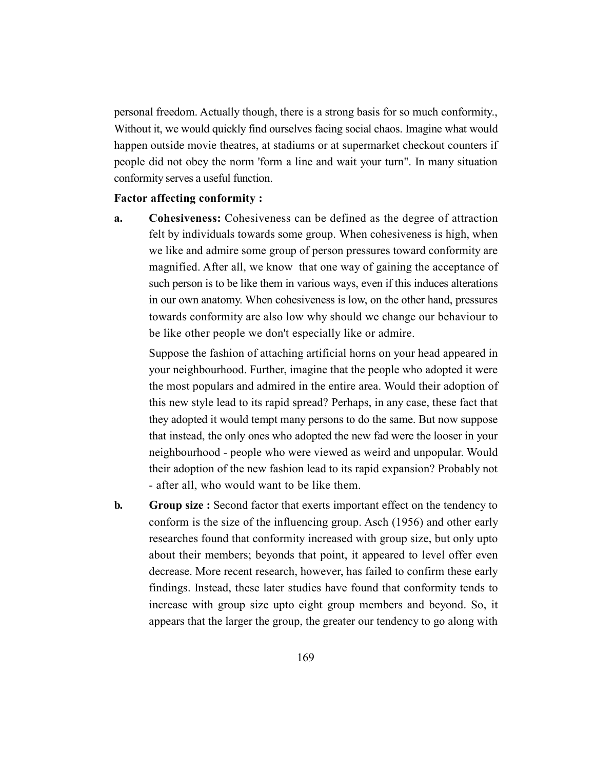personal freedom. Actually though, there is a strong basis for so much conformity., Without it, we would quickly find ourselves facing social chaos. Imagine what would happen outside movie theatres, at stadiums or at supermarket checkout counters if people did not obey the norm 'form a line and wait your turn". In many situation conformity serves a useful function.

#### **Factor affecting conformity :**

**a. Cohesiveness:** Cohesiveness can be defined as the degree of attraction felt by individuals towards some group. When cohesiveness is high, when we like and admire some group of person pressures toward conformity are magnified. After all, we know that one way of gaining the acceptance of such person is to be like them in various ways, even if this induces alterations in our own anatomy. When cohesiveness is low, on the other hand, pressures towards conformity are also low why should we change our behaviour to be like other people we don't especially like or admire.

Suppose the fashion of attaching artificial horns on your head appeared in your neighbourhood. Further, imagine that the people who adopted it were the most populars and admired in the entire area. Would their adoption of this new style lead to its rapid spread? Perhaps, in any case, these fact that they adopted it would tempt many persons to do the same. But now suppose that instead, the only ones who adopted the new fad were the looser in your neighbourhood - people who were viewed as weird and unpopular. Would their adoption of the new fashion lead to its rapid expansion? Probably not - after all, who would want to be like them.

**b.** Group size: Second factor that exerts important effect on the tendency to conform is the size of the influencing group. Asch (1956) and other early researches found that conformity increased with group size, but only upto about their members; beyonds that point, it appeared to level offer even decrease. More recent research, however, has failed to confirm these early findings. Instead, these later studies have found that conformity tends to increase with group size upto eight group members and beyond. So, it appears that the larger the group, the greater our tendency to go along with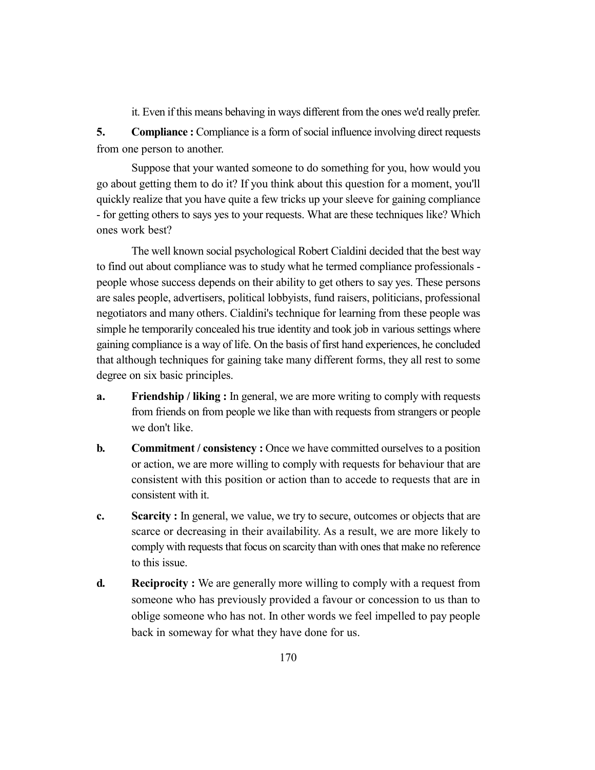it. Even if this means behaving in ways different from the ones we'd really prefer.

**5.** Compliance : Compliance is a form of social influence involving direct requests from one person to another.

Suppose that your wanted someone to do something for you, how would you go about getting them to do it? If you think about this question for a moment, you'll quickly realize that you have quite a few tricks up your sleeve for gaining compliance - for getting others to says yes to your requests. What are these techniques like? Which ones work best?

The well known social psychological Robert Cialdini decided that the best way to find out about compliance was to study what he termed compliance professionals people whose success depends on their ability to get others to say yes. These persons are sales people, advertisers, political lobbyists, fund raisers, politicians, professional negotiators and many others. Cialdini's technique for learning from these people was simple he temporarily concealed his true identity and took job in various settings where gaining compliance is a way of life. On the basis of first hand experiences, he concluded that although techniques for gaining take many different forms, they all rest to some degree on six basic principles.

- **a. Friendship / liking :** In general, we are more writing to comply with requests from friends on from people we like than with requests from strangers or people we don't like.
- **b.** Commitment / consistency : Once we have committed ourselves to a position or action, we are more willing to comply with requests for behaviour that are consistent with this position or action than to accede to requests that are in consistent with it.
- **c. Scarcity :** In general, we value, we try to secure, outcomes or objects that are scarce or decreasing in their availability. As a result, we are more likely to comply with requests that focus on scarcity than with ones that make no reference to this issue.
- **d. Reciprocity :** We are generally more willing to comply with a request from someone who has previously provided a favour or concession to us than to oblige someone who has not. In other words we feel impelled to pay people back in someway for what they have done for us.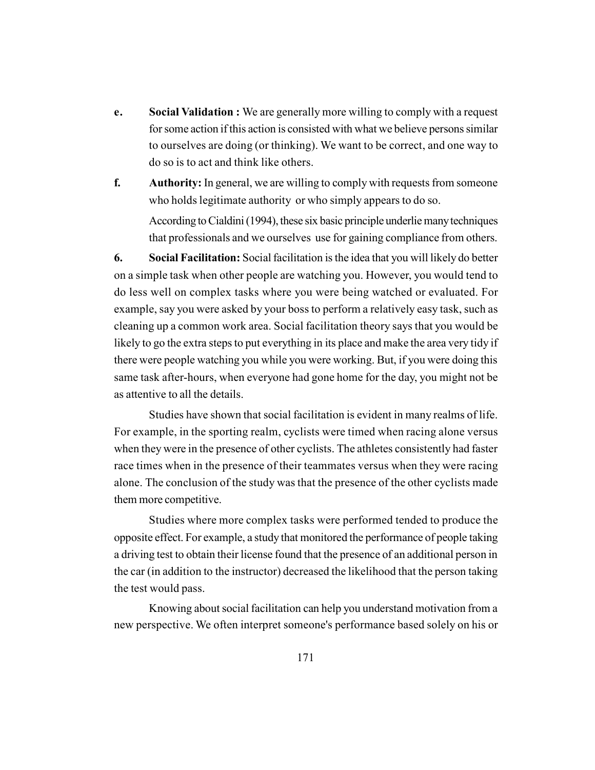- **e. Social Validation :** We are generally more willing to comply with a request for some action if this action is consisted with what we believe persons similar to ourselves are doing (or thinking). We want to be correct, and one way to do so is to act and think like others.
- **f.** Authority: In general, we are willing to comply with requests from someone who holds legitimate authority or who simply appears to do so. According to Cialdini (1994), these six basic principle underlie many techniques that professionals and we ourselves use for gaining compliance from others.

**6. Social Facilitation:** Social facilitation is the idea that you will likely do better on a simple task when other people are watching you. However, you would tend to do less well on complex tasks where you were being watched or evaluated. For example, say you were asked by your boss to perform a relatively easy task, such as cleaning up a common work area. Social facilitation theory says that you would be likely to go the extra steps to put everything in its place and make the area very tidy if there were people watching you while you were working. But, if you were doing this same task after-hours, when everyone had gone home for the day, you might not be as attentive to all the details.

Studies have shown that social facilitation is evident in many realms of life. For example, in the sporting realm, cyclists were timed when racing alone versus when they were in the presence of other cyclists. The athletes consistently had faster race times when in the presence of their teammates versus when they were racing alone. The conclusion of the study was that the presence of the other cyclists made them more competitive.

Studies where more complex tasks were performed tended to produce the opposite effect. For example, a study that monitored the performance of people taking a driving test to obtain their license found that the presence of an additional person in the car (in addition to the instructor) decreased the likelihood that the person taking the test would pass.

Knowing about social facilitation can help you understand motivation from a new perspective. We often interpret someone's performance based solely on his or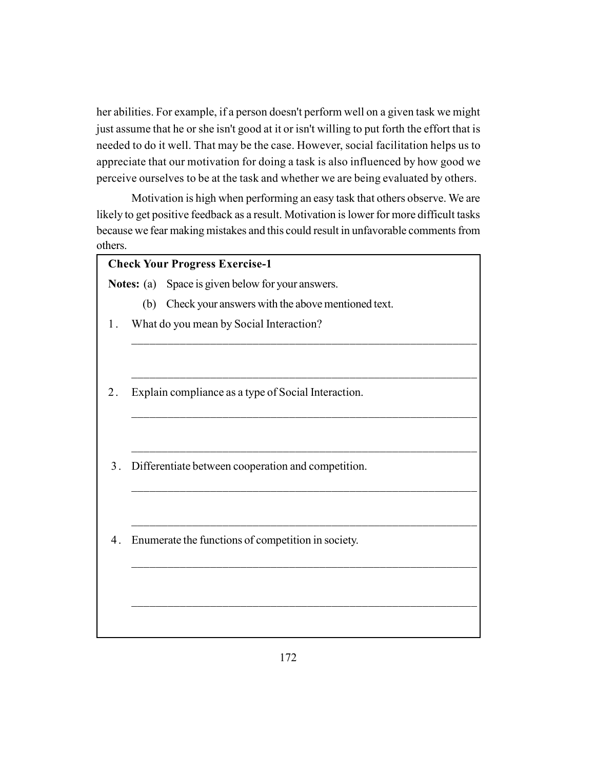her abilities. For example, if a person doesn't perform well on a given task we might just assume that he or she isn't good at it or isn't willing to put forth the effort that is needed to do it well. That may be the case. However, social facilitation helps us to appreciate that our motivation for doing a task is also influenced by how good we perceive ourselves to be at the task and whether we are being evaluated by others.

Motivation is high when performing an easy task that others observe. We are likely to get positive feedback as a result. Motivation is lower for more difficult tasks because we fear making mistakes and this could result in unfavorable comments from others.

\_\_\_\_\_\_\_\_\_\_\_\_\_\_\_\_\_\_\_\_\_\_\_\_\_\_\_\_\_\_\_\_\_\_\_\_\_\_\_\_\_\_\_\_\_\_\_\_\_\_\_\_\_\_\_\_\_

\_\_\_\_\_\_\_\_\_\_\_\_\_\_\_\_\_\_\_\_\_\_\_\_\_\_\_\_\_\_\_\_\_\_\_\_\_\_\_\_\_\_\_\_\_\_\_\_\_\_\_\_\_\_\_\_\_

\_\_\_\_\_\_\_\_\_\_\_\_\_\_\_\_\_\_\_\_\_\_\_\_\_\_\_\_\_\_\_\_\_\_\_\_\_\_\_\_\_\_\_\_\_\_\_\_\_\_\_\_\_\_\_\_\_

\_\_\_\_\_\_\_\_\_\_\_\_\_\_\_\_\_\_\_\_\_\_\_\_\_\_\_\_\_\_\_\_\_\_\_\_\_\_\_\_\_\_\_\_\_\_\_\_\_\_\_\_\_\_\_\_\_

\_\_\_\_\_\_\_\_\_\_\_\_\_\_\_\_\_\_\_\_\_\_\_\_\_\_\_\_\_\_\_\_\_\_\_\_\_\_\_\_\_\_\_\_\_\_\_\_\_\_\_\_\_\_\_\_\_

\_\_\_\_\_\_\_\_\_\_\_\_\_\_\_\_\_\_\_\_\_\_\_\_\_\_\_\_\_\_\_\_\_\_\_\_\_\_\_\_\_\_\_\_\_\_\_\_\_\_\_\_\_\_\_\_\_

\_\_\_\_\_\_\_\_\_\_\_\_\_\_\_\_\_\_\_\_\_\_\_\_\_\_\_\_\_\_\_\_\_\_\_\_\_\_\_\_\_\_\_\_\_\_\_\_\_\_\_\_\_\_\_\_\_

\_\_\_\_\_\_\_\_\_\_\_\_\_\_\_\_\_\_\_\_\_\_\_\_\_\_\_\_\_\_\_\_\_\_\_\_\_\_\_\_\_\_\_\_\_\_\_\_\_\_\_\_\_\_\_\_\_

### **Check Your Progress Exercise-1**

**Notes:** (a) Space is given below for your answers.

- (b) Check your answers with the above mentioned text.
- 1 . What do you mean by Social Interaction?
- 2 . Explain compliance as a type of Social Interaction.
- 3 . Differentiate between cooperation and competition.
- 4 . Enumerate the functions of competition in society.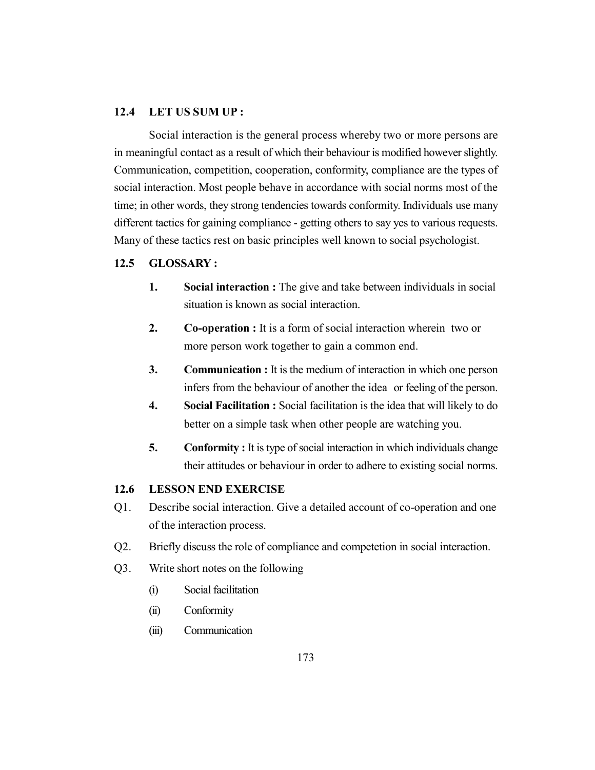### **12.4 LET US SUM UP :**

Social interaction is the general process whereby two or more persons are in meaningful contact as a result of which their behaviour is modified however slightly. Communication, competition, cooperation, conformity, compliance are the types of social interaction. Most people behave in accordance with social norms most of the time; in other words, they strong tendencies towards conformity. Individuals use many different tactics for gaining compliance - getting others to say yes to various requests. Many of these tactics rest on basic principles well known to social psychologist.

### **12.5 GLOSSARY :**

- **1.** Social interaction : The give and take between individuals in social situation is known as social interaction.
- **2. Co-operation :** It is a form of social interaction wherein two or more person work together to gain a common end.
- **3.** Communication : It is the medium of interaction in which one person infers from the behaviour of another the idea or feeling of the person.
- **4. Social Facilitation :** Social facilitation is the idea that will likely to do better on a simple task when other people are watching you.
- **5.** Conformity: It is type of social interaction in which individuals change their attitudes or behaviour in order to adhere to existing social norms.

### **12.6 LESSON END EXERCISE**

- Q1. Describe social interaction. Give a detailed account of co-operation and one of the interaction process.
- Q2. Briefly discuss the role of compliance and competetion in social interaction.
- Q3. Write short notes on the following
	- (i) Social facilitation
	- (ii) Conformity
	- (iii) Communication